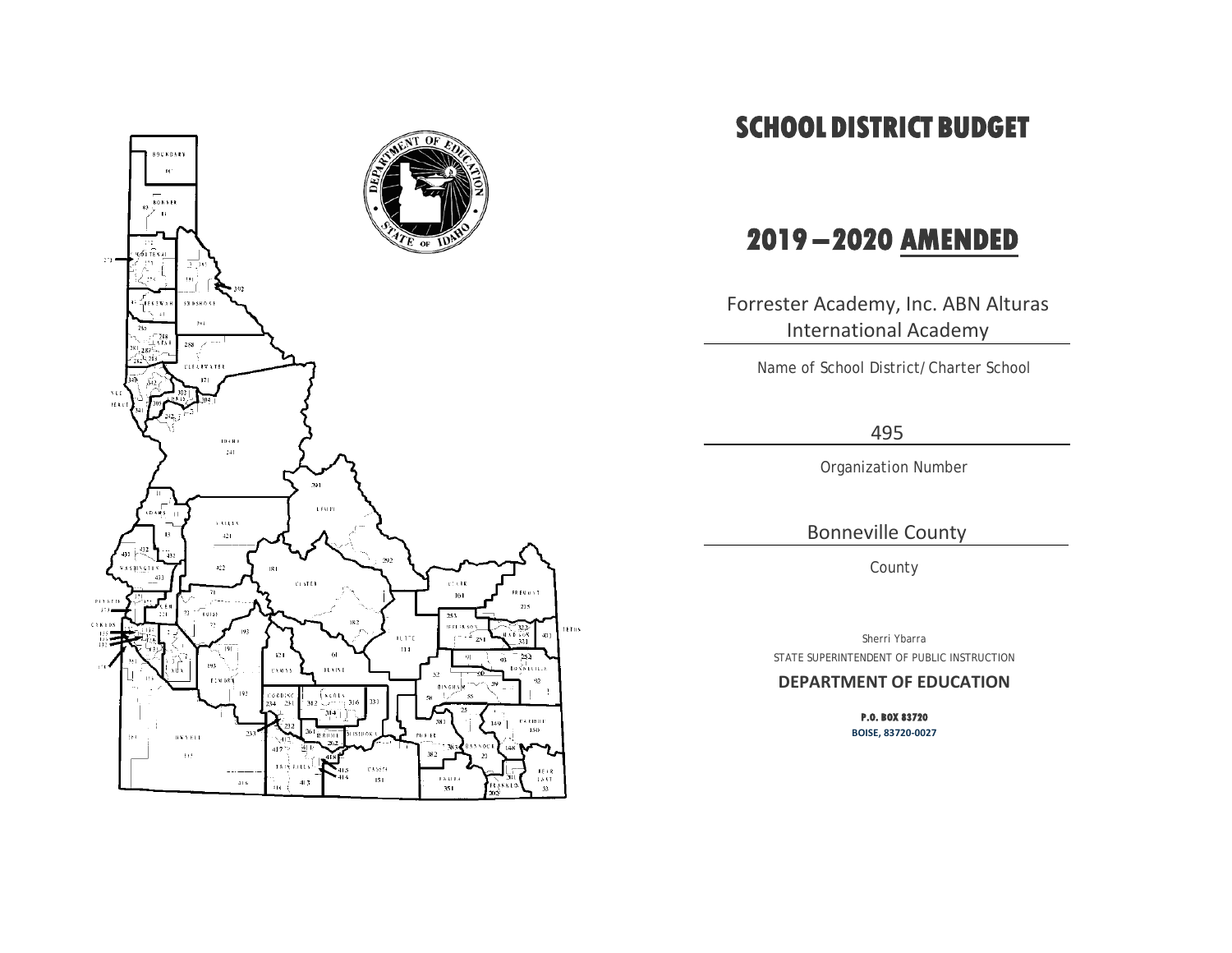

# **SCHOOL DISTRICT BUDGET**

# **2019 – 2020 AMENDED**

Forrester Academy, Inc. ABN Alturas International Academy

Name of School District/Charter School

495

Organization Number

Bonneville County

County

Sherri Ybarra STATE SUPERINTENDENT OF PUBLIC INSTRUCTION

### **DEPARTMENT OF EDUCATION**

**P.O. BOX 83720 BOISE, 83720-0027**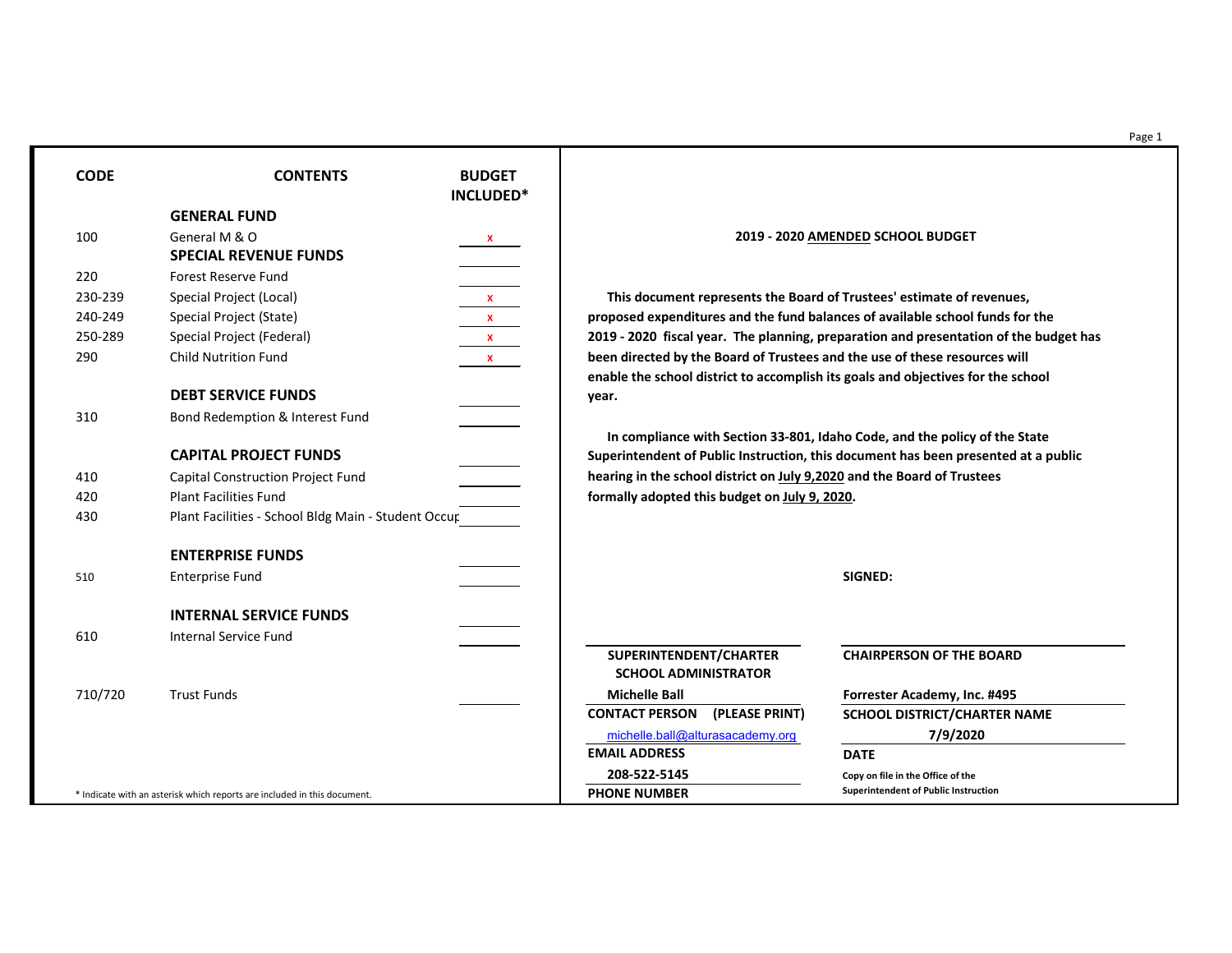Page 1

230-239 Special Project (Local) **X This document represents the Board of Trustees' estimate of revenues, e** school funds for the **zeantation of the budget has** ectives for the school

**In allee policy of the State been presented at a public** 

## **CHAIRPERSON OF THE BOARD**

**RICT/CHARTER NAME** [michelle.ball@alturasacademy.org](mailto:michelle.ball@alturasacademy.org) **7/9/2020**

| <b>CODE</b> | <b>CONTENTS</b>                                                          | <b>BUDGET</b><br>INCLUDED*      |                                                                                                                                                                |                                             |
|-------------|--------------------------------------------------------------------------|---------------------------------|----------------------------------------------------------------------------------------------------------------------------------------------------------------|---------------------------------------------|
|             | <b>GENERAL FUND</b>                                                      |                                 |                                                                                                                                                                |                                             |
| 100         | General M & O<br><b>SPECIAL REVENUE FUNDS</b>                            | $\frac{\mathsf{x}}{\mathsf{y}}$ |                                                                                                                                                                | 2019 - 2020 AMENDED SCHOOL BUDGET           |
| 220         | <b>Forest Reserve Fund</b>                                               |                                 |                                                                                                                                                                |                                             |
| 230-239     | Special Project (Local)                                                  | $\frac{\mathsf{x}}{\mathsf{y}}$ | This document represents the Board of Trustees' estimate of revenues                                                                                           |                                             |
| 240-249     | Special Project (State)                                                  | x                               | proposed expenditures and the fund balances of available school funds for                                                                                      |                                             |
| 250-289     | Special Project (Federal)                                                | $\mathbf{X}$                    | 2019 - 2020 fiscal year. The planning, preparation and presentation of the                                                                                     |                                             |
| 290         | <b>Child Nutrition Fund</b>                                              | $\mathbf{X}$                    | been directed by the Board of Trustees and the use of these resources will<br>enable the school district to accomplish its goals and objectives for the school |                                             |
|             | <b>DEBT SERVICE FUNDS</b>                                                |                                 | year.                                                                                                                                                          |                                             |
| 310         | <b>Bond Redemption &amp; Interest Fund</b>                               |                                 |                                                                                                                                                                |                                             |
|             | <b>CAPITAL PROJECT FUNDS</b>                                             |                                 | In compliance with Section 33-801, Idaho Code, and the policy of the St<br>Superintendent of Public Instruction, this document has been presented a            |                                             |
| 410         | <b>Capital Construction Project Fund</b>                                 |                                 | hearing in the school district on July 9,2020 and the Board of Trustees                                                                                        |                                             |
| 420         | <b>Plant Facilities Fund</b>                                             |                                 | formally adopted this budget on July 9, 2020.                                                                                                                  |                                             |
| 430         | Plant Facilities - School Bldg Main - Student Occur                      |                                 |                                                                                                                                                                |                                             |
|             | <b>ENTERPRISE FUNDS</b>                                                  |                                 |                                                                                                                                                                |                                             |
| 510         | <b>Enterprise Fund</b>                                                   |                                 |                                                                                                                                                                | <b>SIGNED:</b>                              |
|             | <b>INTERNAL SERVICE FUNDS</b>                                            |                                 |                                                                                                                                                                |                                             |
| 610         | <b>Internal Service Fund</b>                                             |                                 |                                                                                                                                                                |                                             |
|             |                                                                          |                                 | SUPERINTENDENT/CHARTER<br><b>SCHOOL ADMINISTRATOR</b>                                                                                                          | <b>CHAIRPERSON OF THE BOARD</b>             |
| 710/720     | <b>Trust Funds</b>                                                       |                                 | <b>Michelle Ball</b>                                                                                                                                           | <b>Forrester Academy, Inc. #495</b>         |
|             |                                                                          |                                 | <b>CONTACT PERSON</b><br>(PLEASE PRINT)                                                                                                                        | <b>SCHOOL DISTRICT/CHARTER NA</b>           |
|             |                                                                          |                                 | michelle.ball@alturasacademy.org                                                                                                                               | 7/9/2020                                    |
|             |                                                                          |                                 | <b>EMAIL ADDRESS</b>                                                                                                                                           | <b>DATE</b>                                 |
|             |                                                                          |                                 | 208-522-5145                                                                                                                                                   | Copy on file in the Office of the           |
|             | * Indicate with an asterisk which reports are included in this document. |                                 | <b>PHONE NUMBER</b>                                                                                                                                            | <b>Superintendent of Public Instruction</b> |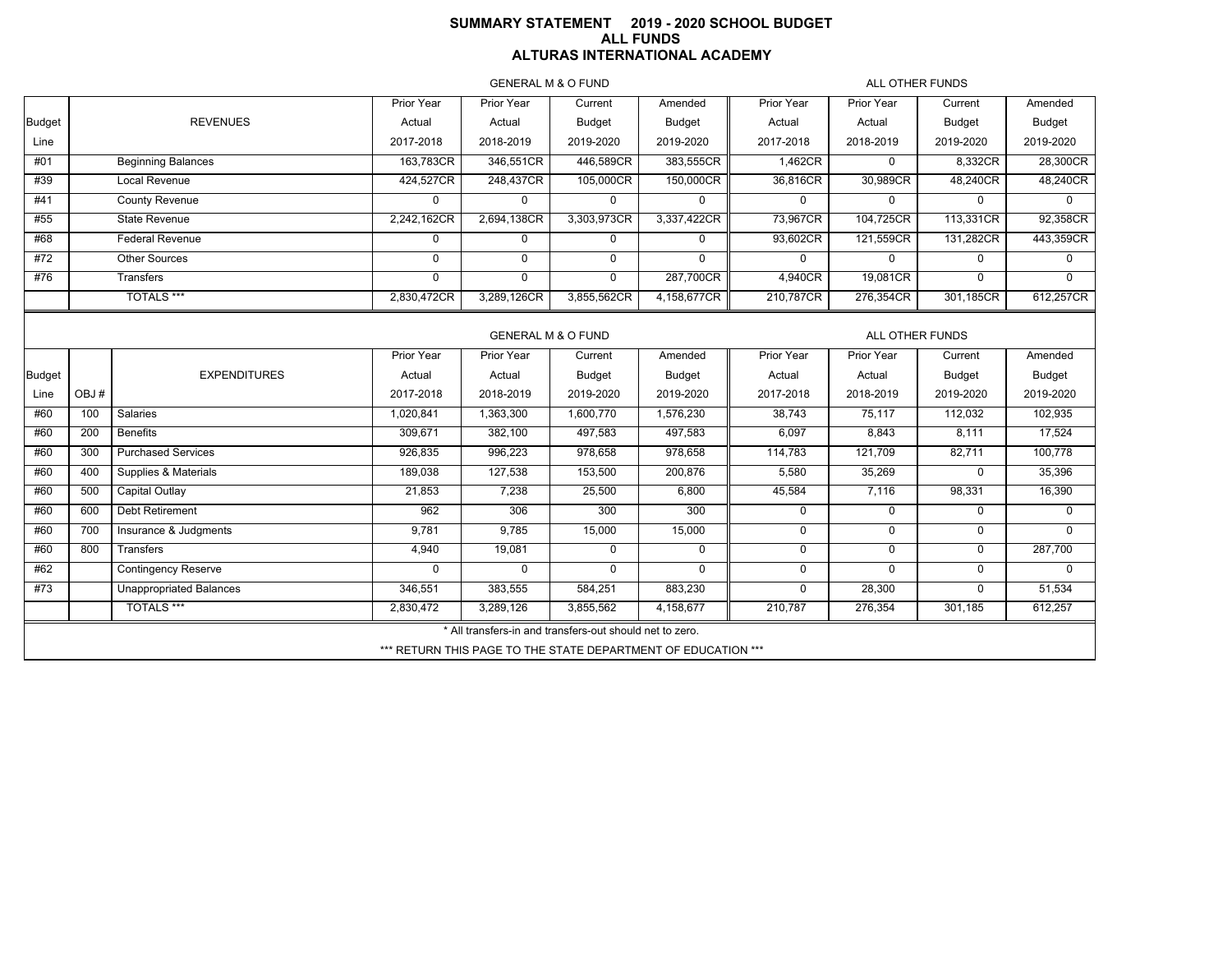### **SUMMARY STATEMENT 2019 - 2020 SCHOOL BUDGET ALL FUNDS ALTURAS INTERNATIONAL ACADEMY**

GENERAL M & O FUND

ALL OTHER FUNDS

|               |      |                                | Prior Year   | Prior Year                                               | Current       | Amended                                                       | Prior Year  | Prior Year      | Current       | Amended       |
|---------------|------|--------------------------------|--------------|----------------------------------------------------------|---------------|---------------------------------------------------------------|-------------|-----------------|---------------|---------------|
| <b>Budget</b> |      | <b>REVENUES</b>                | Actual       | Actual                                                   | Budget        | Budget                                                        | Actual      | Actual          | Budget        | Budget        |
| Line          |      |                                | 2017-2018    | 2018-2019                                                | 2019-2020     | 2019-2020                                                     | 2017-2018   | 2018-2019       | 2019-2020     | 2019-2020     |
| #01           |      | <b>Beginning Balances</b>      | 163,783CR    | 346,551CR                                                | 446,589CR     | 383,555CR                                                     | 1,462CR     | $\mathbf 0$     | 8,332CR       | 28,300CR      |
| #39           |      | Local Revenue                  | 424,527CR    | 248,437CR                                                | 105,000CR     | 150,000CR                                                     | 36,816CR    | 30,989CR        | 48,240CR      | 48,240CR      |
| #41           |      | <b>County Revenue</b>          | $\Omega$     | $\mathbf 0$                                              | $\mathbf 0$   | $\mathbf 0$                                                   | $\mathbf 0$ | $\mathbf 0$     | $\Omega$      | $\Omega$      |
| #55           |      | State Revenue                  | 2,242,162CR  | 2,694,138CR                                              | 3,303,973CR   | 3,337,422CR                                                   | 73,967CR    | 104,725CR       | 113,331CR     | 92,358CR      |
| #68           |      | <b>Federal Revenue</b>         | $\mathbf 0$  | 0                                                        | $\mathbf 0$   | $\mathbf 0$                                                   | 93,602CR    | 121,559CR       | 131,282CR     | 443,359CR     |
| #72           |      | Other Sources                  | $\mathbf{0}$ | $\Omega$                                                 | $\mathbf 0$   | $\mathbf 0$                                                   | 0           | $\mathbf 0$     | $\mathbf 0$   | 0             |
| #76           |      | <b>Transfers</b>               | $\mathbf 0$  | $\mathbf 0$                                              | $\mathbf 0$   | 287,700CR                                                     | 4,940CR     | 19,081CR        | $\Omega$      | $\Omega$      |
|               |      | <b>TOTALS ***</b>              | 2,830,472CR  | 3,289,126CR                                              | 3,855,562CR   | 4,158,677CR                                                   | 210,787CR   | 276,354CR       | 301,185CR     | 612,257CR     |
|               |      |                                |              |                                                          |               |                                                               |             |                 |               |               |
|               |      |                                |              | <b>GENERAL M &amp; O FUND</b>                            |               |                                                               |             | ALL OTHER FUNDS |               |               |
|               |      |                                | Prior Year   | Prior Year                                               | Current       | Amended                                                       | Prior Year  | Prior Year      | Current       | Amended       |
| Budget        |      | <b>EXPENDITURES</b>            | Actual       | Actual                                                   | <b>Budget</b> | <b>Budget</b>                                                 | Actual      | Actual          | <b>Budget</b> | <b>Budget</b> |
| Line          | OBJ# |                                | 2017-2018    | 2018-2019                                                | 2019-2020     | 2019-2020                                                     | 2017-2018   | 2018-2019       | 2019-2020     | 2019-2020     |
| #60           | 100  | <b>Salaries</b>                | 1,020,841    | 1,363,300                                                | 1,600,770     | 1,576,230                                                     | 38,743      | 75,117          | 112,032       | 102,935       |
| #60           | 200  | <b>Benefits</b>                | 309,671      | 382,100                                                  | 497,583       | 497,583                                                       | 6,097       | 8,843           | 8,111         | 17,524        |
| #60           | 300  | <b>Purchased Services</b>      | 926,835      | 996,223                                                  | 978,658       | 978,658                                                       | 114,783     | 121,709         | 82,711        | 100,778       |
| #60           | 400  | Supplies & Materials           | 189,038      | 127,538                                                  | 153,500       | 200,876                                                       | 5,580       | 35,269          | $\mathbf 0$   | 35,396        |
| #60           | 500  | Capital Outlay                 | 21,853       | 7,238                                                    | 25,500        | 6,800                                                         | 45,584      | 7,116           | 98,331        | 16,390        |
| #60           | 600  | Debt Retirement                | 962          | 306                                                      | 300           | 300                                                           | 0           | $\mathbf 0$     | $\mathbf 0$   | $\mathbf 0$   |
| #60           | 700  | Insurance & Judgments          | 9,781        | 9,785                                                    | 15,000        | 15,000                                                        | 0           | $\mathbf 0$     | $\mathbf 0$   | $\Omega$      |
| #60           | 800  | <b>Transfers</b>               | 4,940        | 19,081                                                   | $\mathbf 0$   | $\mathbf 0$                                                   | 0           | $\mathbf 0$     | $\mathbf 0$   | 287,700       |
| #62           |      | <b>Contingency Reserve</b>     | $\mathbf{0}$ | $\mathbf 0$                                              | $\Omega$      | $\mathbf 0$                                                   | 0           | $\mathbf 0$     | $\mathbf 0$   | $\Omega$      |
| #73           |      | <b>Unappropriated Balances</b> | 346,551      | 383,555                                                  | 584,251       | 883,230                                                       | 0           | 28,300          | $\mathbf 0$   | 51,534        |
|               |      | <b>TOTALS ***</b>              | 2,830,472    | 3,289,126                                                | 3,855,562     | 4,158,677                                                     | 210,787     | 276,354         | 301,185       | 612,257       |
|               |      |                                |              | * All transfers-in and transfers-out should net to zero. |               |                                                               |             |                 |               |               |
|               |      |                                |              |                                                          |               | *** RETURN THIS PAGE TO THE STATE DEPARTMENT OF EDUCATION *** |             |                 |               |               |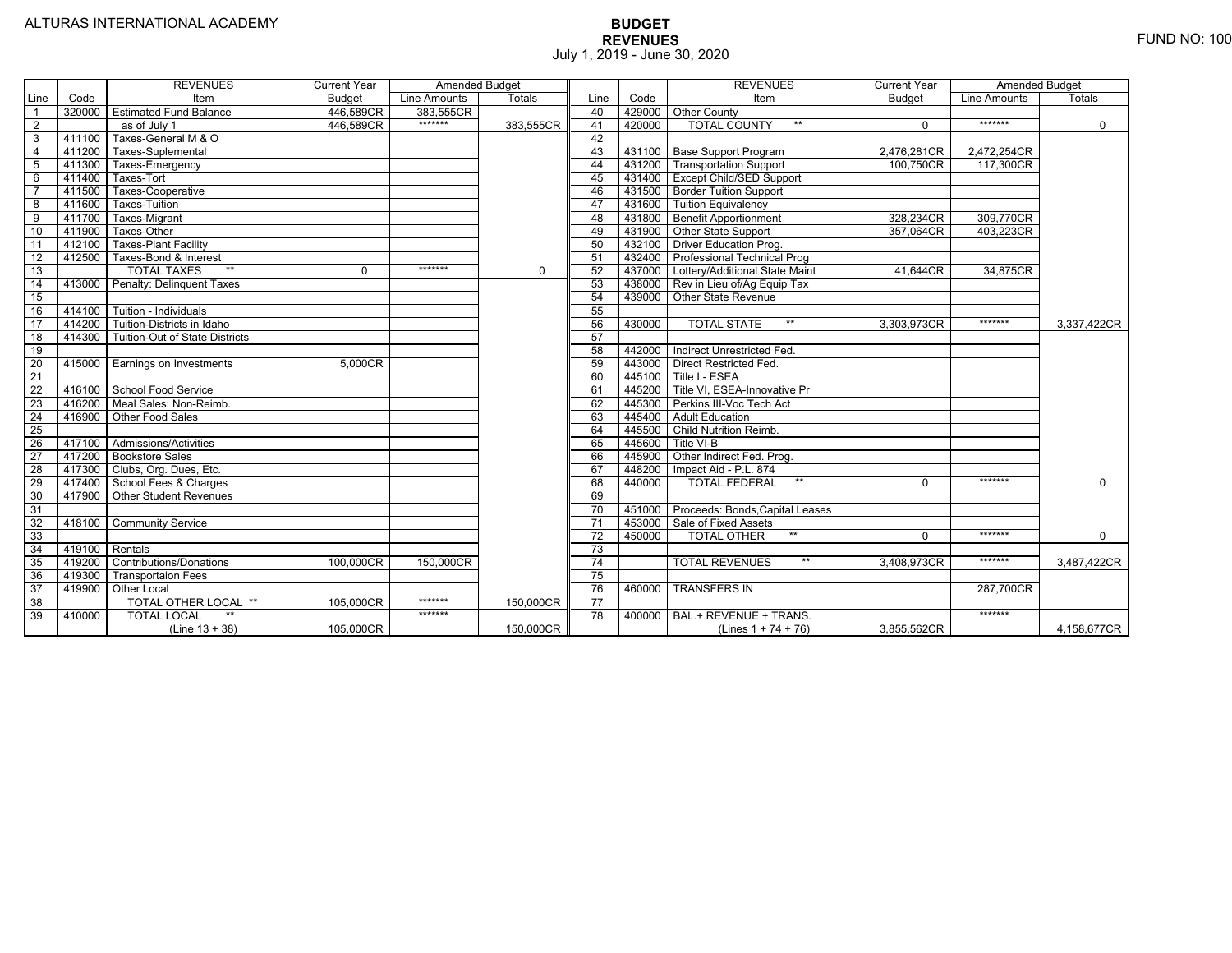|                 |                | <b>REVENUES</b>                  | <b>Current Year</b> | <b>Amended Budget</b> |               |                 |        | <b>REVENUES</b>                          | <b>Current Year</b> | <b>Amended Budget</b> |             |
|-----------------|----------------|----------------------------------|---------------------|-----------------------|---------------|-----------------|--------|------------------------------------------|---------------------|-----------------------|-------------|
| Line            | Code           | Item                             | <b>Budget</b>       | Line Amounts          | <b>Totals</b> | Line            | Code   | Item                                     | <b>Budget</b>       | Line Amounts          | Totals      |
|                 |                | 320000 Estimated Fund Balance    | 446,589CR           | 383,555CR             |               | 40              |        | 429000 Other County                      |                     |                       |             |
| $\overline{2}$  |                | as of July 1                     | 446,589CR           | *******               | 383.555CR     | 41              | 420000 | <b>TOTAL COUNTY</b><br>$***$             | $\Omega$            | *******               | $\Omega$    |
| 3               | 411100         | Taxes-General M & O              |                     |                       |               | 42              |        |                                          |                     |                       |             |
| $\overline{4}$  | 411200         | Taxes-Suplemental                |                     |                       |               | 43              |        | 431100 Base Support Program              | 2,476,281CR         | 2,472,254CR           |             |
| 5               | 411300         | Taxes-Emergency                  |                     |                       |               | 44              |        | 431200 Transportation Support            | 100,750CR           | 117,300CR             |             |
| 6               | 411400         | Taxes-Tort                       |                     |                       |               | 45              |        | 431400 Except Child/SED Support          |                     |                       |             |
|                 | 411500         | Taxes-Cooperative                |                     |                       |               | 46              |        | 431500 Border Tuition Support            |                     |                       |             |
| 8               | 411600         | Taxes-Tuition                    |                     |                       |               | 47              |        | 431600 Tuition Equivalency               |                     |                       |             |
| 9               | 411700         | Taxes-Migrant                    |                     |                       |               | 48              |        | 431800 Benefit Apportionment             | 328,234CR           | 309,770CR             |             |
| 10              | 411900         | Taxes-Other                      |                     |                       |               | 49              |        | 431900 Other State Support               | 357,064CR           | 403,223CR             |             |
| 11              | 412100         | <b>Taxes-Plant Facility</b>      |                     |                       |               | 50              |        | 432100 Driver Education Prog.            |                     |                       |             |
| 12              | 412500         | Taxes-Bond & Interest            |                     |                       |               | 51              |        | 432400 Professional Technical Prog       |                     |                       |             |
| 13              |                | $**$<br><b>TOTAL TAXES</b>       | $\mathbf 0$         | $******$              | $\mathbf 0$   | 52              |        | 437000 Lottery/Additional State Maint    | 41,644CR            | 34,875CR              |             |
| 14              |                | 413000 Penalty: Delinquent Taxes |                     |                       |               | 53              |        | 438000 Rev in Lieu of/Ag Equip Tax       |                     |                       |             |
| 15              |                |                                  |                     |                       |               | 54              | 439000 | Other State Revenue                      |                     |                       |             |
| 16              | 414100         | Tuition - Individuals            |                     |                       |               | 55              |        |                                          |                     |                       |             |
| 17              | 414200         | Tuition-Districts in Idaho       |                     |                       |               | 56              | 430000 | <b>TOTAL STATE</b><br>$***$              | 3,303,973CR         | *******               | 3,337,422CR |
| 18              | 414300         | Tuition-Out of State Districts   |                     |                       |               | 57              |        |                                          |                     |                       |             |
| 19              |                |                                  |                     |                       |               | 58              | 442000 | Indirect Unrestricted Fed.               |                     |                       |             |
| $\overline{20}$ |                | 415000 Earnings on Investments   | 5.000CR             |                       |               | 59              | 443000 | Direct Restricted Fed.                   |                     |                       |             |
| $\overline{21}$ |                |                                  |                     |                       |               | 60              | 445100 | Title I - ESEA                           |                     |                       |             |
| 22              |                | 416100 School Food Service       |                     |                       |               | 61              |        | 445200   Title VI, ESEA-Innovative Pr    |                     |                       |             |
| 23              |                | 416200   Meal Sales: Non-Reimb.  |                     |                       |               | 62              | 445300 | Perkins III-Voc Tech Act                 |                     |                       |             |
| 24              | 416900         | Other Food Sales                 |                     |                       |               | 63              | 445400 | <b>Adult Education</b>                   |                     |                       |             |
| 25              |                |                                  |                     |                       |               | 64              | 445500 | Child Nutrition Reimb.                   |                     |                       |             |
| 26              |                | 417100 Admissions/Activities     |                     |                       |               | 65              | 445600 | Title VI-B                               |                     |                       |             |
| 27              |                | 417200 Bookstore Sales           |                     |                       |               | 66              |        | 445900 Other Indirect Fed. Prog.         |                     |                       |             |
| $\overline{28}$ | 417300         | Clubs, Org. Dues, Etc.           |                     |                       |               | 67              | 448200 | Impact Aid - P.L. 874                    |                     |                       |             |
| 29              |                | 417400 School Fees & Charges     |                     |                       |               | 68              | 440000 | $**$<br><b>TOTAL FEDERAL</b>             | $\Omega$            | *******               | $\mathbf 0$ |
| 30              | 417900         | <b>Other Student Revenues</b>    |                     |                       |               | 69              |        |                                          |                     |                       |             |
| 31              |                |                                  |                     |                       |               | $\overline{70}$ |        | 451000   Proceeds: Bonds, Capital Leases |                     |                       |             |
| $\overline{32}$ | 418100         | <b>Community Service</b>         |                     |                       |               | $\overline{71}$ | 453000 | Sale of Fixed Assets                     |                     |                       |             |
| 33              |                |                                  |                     |                       |               | 72              | 450000 | $***$<br><b>TOTAL OTHER</b>              | $\Omega$            | *******               | $\mathbf 0$ |
| 34              | 419100 Rentals |                                  |                     |                       |               | $\overline{73}$ |        |                                          |                     |                       |             |
| 35              | 419200         | <b>Contributions/Donations</b>   | 100,000CR           | 150,000CR             |               | 74              |        | $\star\star$<br><b>TOTAL REVENUES</b>    | 3,408,973CR         | *******               | 3,487,422CR |
| 36              | 419300         | <b>Transportaion Fees</b>        |                     |                       |               | 75              |        |                                          |                     |                       |             |
| 37              | 419900         | Other Local                      |                     |                       |               | 76              | 460000 | <b>TRANSFERS IN</b>                      |                     | 287,700CR             |             |
| 38              |                | <b>TOTAL OTHER LOCAL **</b>      | 105,000CR           | *******               | 150,000CR     | $\overline{77}$ |        |                                          |                     |                       |             |
| 39              | 410000         | <b>TOTAL LOCAL</b>               |                     | *******               |               | 78              | 400000 | BAL.+ REVENUE + TRANS.                   |                     | *******               |             |
|                 |                | (Line $13 + 38$ )                | 105,000CR           |                       | 150,000CR     |                 |        | (Lines $1 + 74 + 76$ )                   | 3,855,562CR         |                       | 4,158,677CR |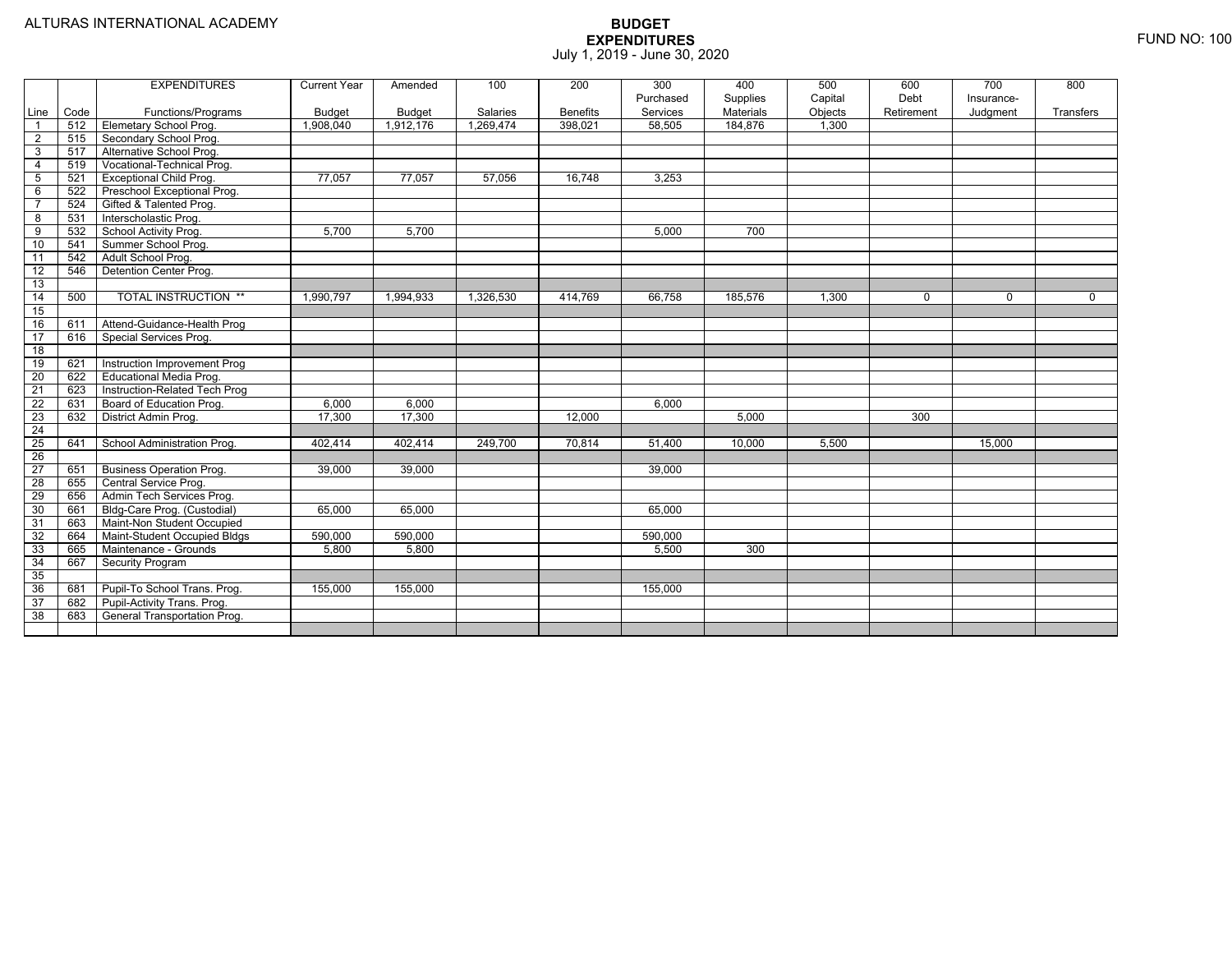|                         |      | <b>EXPENDITURES</b>             | <b>Current Year</b> | Amended       | 100       | 200             | 300<br>Purchased | 400                   | 500                | 600<br>Debt | 700                    | 800         |
|-------------------------|------|---------------------------------|---------------------|---------------|-----------|-----------------|------------------|-----------------------|--------------------|-------------|------------------------|-------------|
| Line                    | Code | Functions/Programs              | <b>Budget</b>       | <b>Budget</b> | Salaries  | <b>Benefits</b> | Services         | Supplies<br>Materials | Capital<br>Objects | Retirement  | Insurance-<br>Judgment | Transfers   |
| $\overline{\mathbf{1}}$ | 512  | Elemetary School Prog.          | 1,908,040           | 1,912,176     | 1,269,474 | 398,021         | 58,505           | 184,876               | 1,300              |             |                        |             |
| 2                       | 515  | Secondary School Prog.          |                     |               |           |                 |                  |                       |                    |             |                        |             |
| $\overline{3}$          | 517  | Alternative School Prog.        |                     |               |           |                 |                  |                       |                    |             |                        |             |
| $\overline{4}$          | 519  | Vocational-Technical Prog.      |                     |               |           |                 |                  |                       |                    |             |                        |             |
| $\overline{5}$          | 521  | <b>Exceptional Child Prog.</b>  | 77.057              | 77,057        | 57,056    | 16,748          | 3,253            |                       |                    |             |                        |             |
| 6                       | 522  | Preschool Exceptional Prog.     |                     |               |           |                 |                  |                       |                    |             |                        |             |
| $\overline{7}$          | 524  | Gifted & Talented Prog.         |                     |               |           |                 |                  |                       |                    |             |                        |             |
| 8                       | 531  | Interscholastic Prog.           |                     |               |           |                 |                  |                       |                    |             |                        |             |
| 9                       | 532  | School Activity Prog.           | 5,700               | 5,700         |           |                 | 5,000            | 700                   |                    |             |                        |             |
| 10                      | 541  | Summer School Prog.             |                     |               |           |                 |                  |                       |                    |             |                        |             |
| 11                      | 542  | Adult School Prog.              |                     |               |           |                 |                  |                       |                    |             |                        |             |
| $\overline{12}$         | 546  | Detention Center Prog.          |                     |               |           |                 |                  |                       |                    |             |                        |             |
| 13                      |      |                                 |                     |               |           |                 |                  |                       |                    |             |                        |             |
| 14                      | 500  | <b>TOTAL INSTRUCTION **</b>     | 1,990,797           | 1,994,933     | 1,326,530 | 414,769         | 66,758           | 185,576               | 1,300              | 0           | 0                      | $\mathbf 0$ |
| 15                      |      |                                 |                     |               |           |                 |                  |                       |                    |             |                        |             |
| 16                      | 611  | Attend-Guidance-Health Prog     |                     |               |           |                 |                  |                       |                    |             |                        |             |
| $\overline{17}$         | 616  | Special Services Prog.          |                     |               |           |                 |                  |                       |                    |             |                        |             |
| 18                      |      |                                 |                     |               |           |                 |                  |                       |                    |             |                        |             |
| 19                      | 621  | Instruction Improvement Prog    |                     |               |           |                 |                  |                       |                    |             |                        |             |
| $\overline{20}$         | 622  | <b>Educational Media Prog.</b>  |                     |               |           |                 |                  |                       |                    |             |                        |             |
| $\overline{21}$         | 623  | Instruction-Related Tech Prog   |                     |               |           |                 |                  |                       |                    |             |                        |             |
| 22                      | 631  | Board of Education Prog.        | 6,000               | 6,000         |           |                 | 6,000            |                       |                    |             |                        |             |
| 23                      | 632  | District Admin Prog.            | 17,300              | 17,300        |           | 12,000          |                  | 5,000                 |                    | 300         |                        |             |
| 24                      |      |                                 |                     |               |           |                 |                  |                       |                    |             |                        |             |
| 25                      | 641  | School Administration Prog.     | 402,414             | 402,414       | 249,700   | 70,814          | 51,400           | 10,000                | 5,500              |             | 15,000                 |             |
| 26                      |      |                                 |                     |               |           |                 |                  |                       |                    |             |                        |             |
| $\overline{27}$         | 651  | <b>Business Operation Prog.</b> | 39,000              | 39,000        |           |                 | 39.000           |                       |                    |             |                        |             |
| 28                      | 655  | Central Service Prog.           |                     |               |           |                 |                  |                       |                    |             |                        |             |
| 29                      | 656  | Admin Tech Services Prog.       |                     |               |           |                 |                  |                       |                    |             |                        |             |
| 30                      | 661  | Bldg-Care Prog. (Custodial)     | 65,000              | 65,000        |           |                 | 65,000           |                       |                    |             |                        |             |
| 31                      | 663  | Maint-Non Student Occupied      |                     |               |           |                 |                  |                       |                    |             |                        |             |
| 32                      | 664  | Maint-Student Occupied Bldgs    | 590,000             | 590,000       |           |                 | 590,000          |                       |                    |             |                        |             |
| 33                      | 665  | Maintenance - Grounds           | 5,800               | 5,800         |           |                 | 5,500            | 300                   |                    |             |                        |             |
| $\overline{34}$         | 667  | Security Program                |                     |               |           |                 |                  |                       |                    |             |                        |             |
| 35                      |      |                                 |                     |               |           |                 |                  |                       |                    |             |                        |             |
| 36                      | 681  | Pupil-To School Trans. Prog.    | 155,000             | 155,000       |           |                 | 155,000          |                       |                    |             |                        |             |
| 37                      | 682  | Pupil-Activity Trans. Prog.     |                     |               |           |                 |                  |                       |                    |             |                        |             |
| 38                      | 683  | General Transportation Prog.    |                     |               |           |                 |                  |                       |                    |             |                        |             |
|                         |      |                                 |                     |               |           |                 |                  |                       |                    |             |                        |             |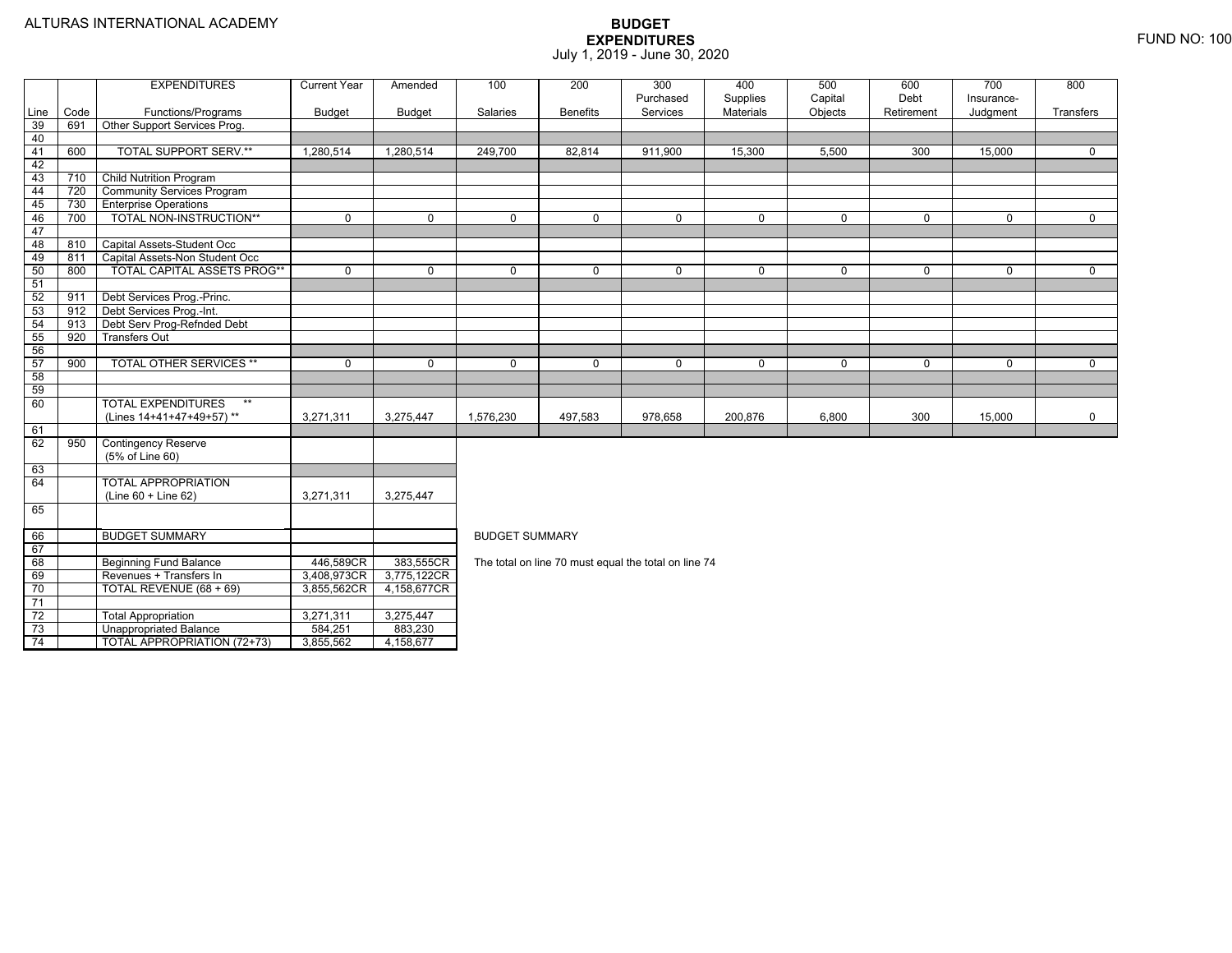74

TOTAL APPROPRIATION (72+73) 3,855,562 4,158,677

|            |             | <b>EXPENDITURES</b>                                | <b>Current Year</b> | Amended       | 100                   | 200             | 300                                                  | 400            | 500          | 600         | 700          | 800         |
|------------|-------------|----------------------------------------------------|---------------------|---------------|-----------------------|-----------------|------------------------------------------------------|----------------|--------------|-------------|--------------|-------------|
|            |             |                                                    |                     |               |                       |                 | Purchased                                            | Supplies       | Capital      | Debt        | Insurance-   |             |
| Line<br>39 | Code<br>691 | Functions/Programs<br>Other Support Services Prog. | <b>Budget</b>       | <b>Budget</b> | Salaries              | <b>Benefits</b> | Services                                             | Materials      | Objects      | Retirement  | Judgment     | Transfers   |
| 40         |             |                                                    |                     |               |                       |                 |                                                      |                |              |             |              |             |
| 41         | 600         | <b>TOTAL SUPPORT SERV.**</b>                       | 1,280,514           | 1,280,514     | 249,700               | 82,814          | 911,900                                              | 15,300         | 5,500        | 300         | 15,000       | $\Omega$    |
| 42         |             |                                                    |                     |               |                       |                 |                                                      |                |              |             |              |             |
| 43         | 710         | <b>Child Nutrition Program</b>                     |                     |               |                       |                 |                                                      |                |              |             |              |             |
| 44         | 720         | <b>Community Services Program</b>                  |                     |               |                       |                 |                                                      |                |              |             |              |             |
| 45         | 730         | <b>Enterprise Operations</b>                       |                     |               |                       |                 |                                                      |                |              |             |              |             |
| 46         | 700         | TOTAL NON-INSTRUCTION**                            | $\overline{0}$      | $\mathbf 0$   | $\mathbf 0$           | $\Omega$        | $\mathbf 0$                                          | $\overline{0}$ | $\mathbf 0$  | $\Omega$    | $\Omega$     | $\Omega$    |
| 47         |             |                                                    |                     |               |                       |                 |                                                      |                |              |             |              |             |
| 48         | 810         | Capital Assets-Student Occ                         |                     |               |                       |                 |                                                      |                |              |             |              |             |
| 49         | 811         | Capital Assets-Non Student Occ                     |                     |               |                       |                 |                                                      |                |              |             |              |             |
| 50         | 800         | <b>TOTAL CAPITAL ASSETS PROG**</b>                 | $\mathbf 0$         | $\mathbf 0$   | $\mathbf 0$           | $\mathbf 0$     | $\mathbf 0$                                          | 0              | $\mathbf{0}$ | $\mathbf 0$ | $\mathbf{0}$ | $\mathbf 0$ |
| 51         |             |                                                    |                     |               |                       |                 |                                                      |                |              |             |              |             |
| 52         | 911         | Debt Services Prog.-Princ.                         |                     |               |                       |                 |                                                      |                |              |             |              |             |
| 53         | 912         | Debt Services Prog.-Int.                           |                     |               |                       |                 |                                                      |                |              |             |              |             |
| 54         | 913         | Debt Serv Prog-Refnded Debt                        |                     |               |                       |                 |                                                      |                |              |             |              |             |
| 55         | 920         | <b>Transfers Out</b>                               |                     |               |                       |                 |                                                      |                |              |             |              |             |
| 56         |             |                                                    |                     |               |                       |                 |                                                      |                |              |             |              |             |
| 57         | 900         | <b>TOTAL OTHER SERVICES **</b>                     | $\mathbf 0$         | $\mathbf 0$   | $\mathbf 0$           | $\mathbf 0$     | $\mathbf 0$                                          | 0              | $\mathbf 0$  | $\mathbf 0$ | $\mathbf 0$  | $\mathbf 0$ |
| 58         |             |                                                    |                     |               |                       |                 |                                                      |                |              |             |              |             |
| 59         |             |                                                    |                     |               |                       |                 |                                                      |                |              |             |              |             |
| 60         |             | <b>TOTAL EXPENDITURES</b><br>$***$                 |                     |               |                       |                 |                                                      |                |              |             |              |             |
|            |             | (Lines 14+41+47+49+57)**                           | 3,271,311           | 3,275,447     | 1,576,230             | 497,583         | 978,658                                              | 200,876        | 6,800        | 300         | 15,000       | 0           |
| 61         |             |                                                    |                     |               |                       |                 |                                                      |                |              |             |              |             |
| 62         | 950         | <b>Contingency Reserve</b>                         |                     |               |                       |                 |                                                      |                |              |             |              |             |
|            |             | (5% of Line 60)                                    |                     |               |                       |                 |                                                      |                |              |             |              |             |
| 63         |             |                                                    |                     |               |                       |                 |                                                      |                |              |             |              |             |
| 64         |             | <b>TOTAL APPROPRIATION</b>                         |                     |               |                       |                 |                                                      |                |              |             |              |             |
|            |             | $(Line 60 + Line 62)$                              | 3,271,311           | 3,275,447     |                       |                 |                                                      |                |              |             |              |             |
| 65         |             |                                                    |                     |               |                       |                 |                                                      |                |              |             |              |             |
| 66         |             | <b>BUDGET SUMMARY</b>                              |                     |               | <b>BUDGET SUMMARY</b> |                 |                                                      |                |              |             |              |             |
| 67         |             |                                                    |                     |               |                       |                 |                                                      |                |              |             |              |             |
| 68         |             | <b>Beginning Fund Balance</b>                      | 446,589CR           | 383,555CR     |                       |                 | The total on line 70 must equal the total on line 74 |                |              |             |              |             |
| 69         |             | Revenues + Transfers In                            | 3,408,973CR         | 3,775,122CR   |                       |                 |                                                      |                |              |             |              |             |
| 70         |             | TOTAL REVENUE (68 + 69)                            | 3,855,562CR         | 4,158,677CR   |                       |                 |                                                      |                |              |             |              |             |
| 71         |             |                                                    |                     |               |                       |                 |                                                      |                |              |             |              |             |
| 72         |             | <b>Total Appropriation</b>                         | 3,271,311           | 3,275,447     |                       |                 |                                                      |                |              |             |              |             |
| 73         |             | <b>Unappropriated Balance</b>                      | 584,251             | 883,230       |                       |                 |                                                      |                |              |             |              |             |
| 71         |             | TOTAL ADDDODDIATION (72+73)                        | $3$ $95550$         | $A$ 158 677   |                       |                 |                                                      |                |              |             |              |             |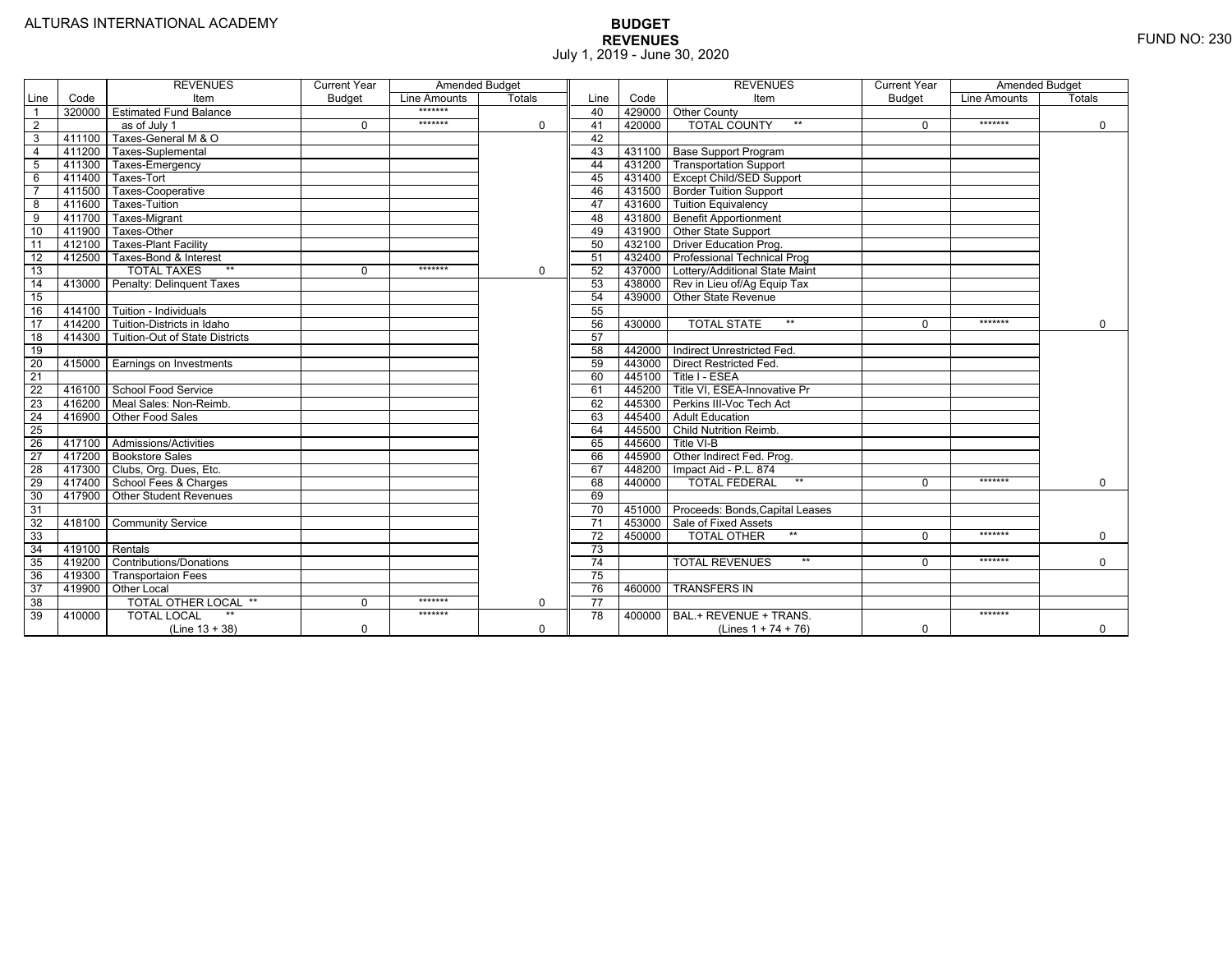|                 |                | <b>REVENUES</b>                    | <b>Current Year</b> | Amended Budget |               |                 |        | <b>REVENUES</b>                        | <b>Current Year</b> | <b>Amended Budget</b> |               |
|-----------------|----------------|------------------------------------|---------------------|----------------|---------------|-----------------|--------|----------------------------------------|---------------------|-----------------------|---------------|
| Line            | Code           | Item                               | <b>Budget</b>       | Line Amounts   | <b>Totals</b> | Line            | Code   | Item                                   | <b>Budget</b>       | Line Amounts          | <b>Totals</b> |
|                 | 320000         | <b>Estimated Fund Balance</b>      |                     | *******        |               | 40              |        | 429000 Other County                    |                     |                       |               |
| 2               |                | as of July 1                       | $\Omega$            | *******        | $\mathbf 0$   | 41              | 420000 | <b>TOTAL COUNTY</b>                    | $\Omega$            | *******               | $\mathbf 0$   |
| 3               | 411100         | Taxes-General M & O                |                     |                |               | 42              |        |                                        |                     |                       |               |
| $\overline{4}$  | 411200         | Taxes-Suplemental                  |                     |                |               | 43              |        | 431100   Base Support Program          |                     |                       |               |
| $\overline{5}$  | 411300         | Taxes-Emergency                    |                     |                |               | 44              |        | 431200 Transportation Support          |                     |                       |               |
| 6               | 411400         | Taxes-Tort                         |                     |                |               | 45              |        | 431400 Except Child/SED Support        |                     |                       |               |
|                 | 411500         | Taxes-Cooperative                  |                     |                |               | 46              |        | 431500 Border Tuition Support          |                     |                       |               |
| 8               | 411600         | Taxes-Tuition                      |                     |                |               | 47              |        | 431600 Tuition Equivalency             |                     |                       |               |
| 9               | 411700         | Taxes-Migrant                      |                     |                |               | 48              |        | 431800 Benefit Apportionment           |                     |                       |               |
| 10              | 411900         | Taxes-Other                        |                     |                |               | 49              |        | 431900 Other State Support             |                     |                       |               |
| 11              | 412100         | <b>Taxes-Plant Facility</b>        |                     |                |               | 50              | 432100 | Driver Education Prog.                 |                     |                       |               |
| $\overline{12}$ | 412500         | Taxes-Bond & Interest              |                     |                |               | 51              |        | 432400   Professional Technical Prog   |                     |                       |               |
| 13              |                | $**$<br><b>TOTAL TAXES</b>         | $\Omega$            | *******        | $\Omega$      | 52              |        | 437000 Lottery/Additional State Maint  |                     |                       |               |
| 14              | 413000         | Penalty: Delinguent Taxes          |                     |                |               | 53              |        | 438000 Rev in Lieu of/Ag Equip Tax     |                     |                       |               |
| 15              |                |                                    |                     |                |               | 54              | 439000 | Other State Revenue                    |                     |                       |               |
| 16              | 414100         | Tuition - Individuals              |                     |                |               | 55              |        |                                        |                     |                       |               |
| $\overline{17}$ | 414200         | Tuition-Districts in Idaho         |                     |                |               | 56              | 430000 | $**$<br><b>TOTAL STATE</b>             | 0                   | *******               | $\Omega$      |
| $\overline{18}$ | 414300         | Tuition-Out of State Districts     |                     |                |               | 57              |        |                                        |                     |                       |               |
| 19              |                |                                    |                     |                |               | 58              |        | 442000 Indirect Unrestricted Fed.      |                     |                       |               |
| $\overline{20}$ |                | 415000 Earnings on Investments     |                     |                |               | 59              |        | 443000 Direct Restricted Fed.          |                     |                       |               |
| 21              |                |                                    |                     |                |               | 60              |        | 445100 Title I - ESEA                  |                     |                       |               |
| 22              | 416100         | School Food Service                |                     |                |               | 61              |        | 445200 Title VI. ESEA-Innovative Pr    |                     |                       |               |
| 23              |                | 416200   Meal Sales: Non-Reimb.    |                     |                |               | 62              |        | 445300 Perkins III-Voc Tech Act        |                     |                       |               |
| $\overline{24}$ | 416900         | Other Food Sales                   |                     |                |               | 63              |        | 445400 Adult Education                 |                     |                       |               |
| 25              |                |                                    |                     |                |               | 64              |        | 445500 Child Nutrition Reimb.          |                     |                       |               |
| 26              |                | 417100 Admissions/Activities       |                     |                |               | 65              | 445600 | Title VI-B                             |                     |                       |               |
| $\overline{27}$ | 417200         | <b>Bookstore Sales</b>             |                     |                |               | 66              |        | 445900 Other Indirect Fed. Prog.       |                     |                       |               |
| 28              |                | 417300   Clubs, Org. Dues, Etc.    |                     |                |               | 67              | 448200 | Impact Aid - P.L. 874                  |                     |                       |               |
| 29              | 417400         | School Fees & Charges              |                     |                |               | 68              | 440000 | <b>TOTAL FEDERAL</b><br>$**$           | $\Omega$            | *******               | $\mathbf 0$   |
| 30              | 417900         | <b>Other Student Revenues</b>      |                     |                |               | 69              |        |                                        |                     |                       |               |
| 31              |                |                                    |                     |                |               | 70              |        | 451000 Proceeds: Bonds, Capital Leases |                     |                       |               |
| $\overline{32}$ | 418100         | <b>Community Service</b>           |                     |                |               | 71              | 453000 | Sale of Fixed Assets                   |                     |                       |               |
| 33              |                |                                    |                     |                |               | $\overline{72}$ | 450000 | $**$<br><b>TOTAL OTHER</b>             | U                   | *******               | $\mathbf 0$   |
| 34              | 419100 Rentals |                                    |                     |                |               | $\overline{73}$ |        |                                        |                     |                       |               |
| 35              | 419200         | <b>Contributions/Donations</b>     |                     |                |               | $\overline{74}$ |        | <b>TOTAL REVENUES</b><br>$***$         |                     | *******               | $\Omega$      |
| 36              | 419300         | <b>Transportaion Fees</b>          |                     |                |               | 75              |        |                                        |                     |                       |               |
| 37              | 419900         | <b>Other Local</b>                 |                     |                |               | 76              | 460000 | <b>TRANSFERS IN</b>                    |                     |                       |               |
| 38              |                | TOTAL OTHER LOCAL **               | $\Omega$            | *******        | 0             | 77              |        |                                        |                     |                       |               |
| 39              | 410000         | $\star\star$<br><b>TOTAL LOCAL</b> |                     | *******        |               | 78              | 400000 | BAL.+ REVENUE + TRANS.                 |                     | *******               |               |
|                 |                | $(Line 13 + 38)$                   | 0                   |                | $\mathbf 0$   |                 |        | (Lines $1 + 74 + 76$ )                 | $\mathbf 0$         |                       | $\mathbf 0$   |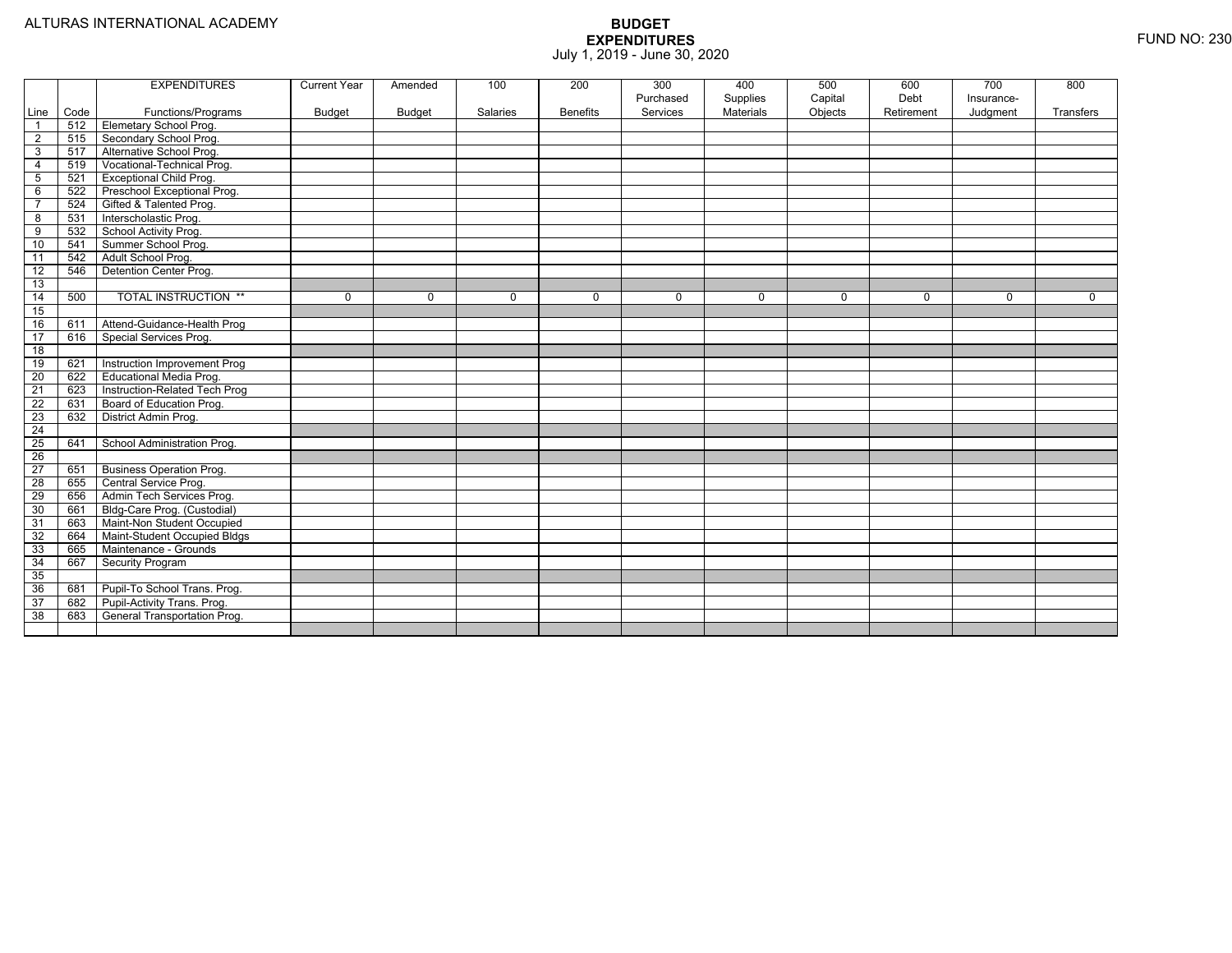|                 |      | <b>EXPENDITURES</b>             | <b>Current Year</b> | Amended     | 100      | 200             | 300<br>Purchased | 400<br>Supplies | 500<br>Capital | 600<br>Debt | 700<br>Insurance- | 800       |
|-----------------|------|---------------------------------|---------------------|-------------|----------|-----------------|------------------|-----------------|----------------|-------------|-------------------|-----------|
| Line            | Code | Functions/Programs              | <b>Budget</b>       | Budget      | Salaries | <b>Benefits</b> | Services         | Materials       | Objects        | Retirement  | Judgment          | Transfers |
| $\overline{1}$  | 512  | <b>Elemetary School Prog.</b>   |                     |             |          |                 |                  |                 |                |             |                   |           |
| $\overline{2}$  | 515  | Secondary School Prog.          |                     |             |          |                 |                  |                 |                |             |                   |           |
| 3               | 517  | Alternative School Prog.        |                     |             |          |                 |                  |                 |                |             |                   |           |
| $\overline{4}$  | 519  | Vocational-Technical Prog.      |                     |             |          |                 |                  |                 |                |             |                   |           |
| $5\phantom{.0}$ | 521  | <b>Exceptional Child Prog.</b>  |                     |             |          |                 |                  |                 |                |             |                   |           |
| 6               | 522  | Preschool Exceptional Prog.     |                     |             |          |                 |                  |                 |                |             |                   |           |
| $\overline{7}$  | 524  | Gifted & Talented Prog.         |                     |             |          |                 |                  |                 |                |             |                   |           |
| 8               | 531  | Interscholastic Prog.           |                     |             |          |                 |                  |                 |                |             |                   |           |
| 9               | 532  | School Activity Prog.           |                     |             |          |                 |                  |                 |                |             |                   |           |
| 10              | 541  | Summer School Prog.             |                     |             |          |                 |                  |                 |                |             |                   |           |
| 11              | 542  | Adult School Prog.              |                     |             |          |                 |                  |                 |                |             |                   |           |
| 12              | 546  | Detention Center Prog.          |                     |             |          |                 |                  |                 |                |             |                   |           |
| 13              |      |                                 |                     |             |          |                 |                  |                 |                |             |                   |           |
| 14              | 500  | <b>TOTAL INSTRUCTION **</b>     | 0                   | $\mathbf 0$ | 0        | $\mathbf{0}$    | $\mathbf 0$      | $\mathbf 0$     | $\mathbf 0$    | 0           | 0                 | 0         |
| 15              |      |                                 |                     |             |          |                 |                  |                 |                |             |                   |           |
| 16              | 611  | Attend-Guidance-Health Prog     |                     |             |          |                 |                  |                 |                |             |                   |           |
| 17              | 616  | Special Services Prog.          |                     |             |          |                 |                  |                 |                |             |                   |           |
| $\overline{18}$ |      |                                 |                     |             |          |                 |                  |                 |                |             |                   |           |
| 19              | 621  | Instruction Improvement Prog    |                     |             |          |                 |                  |                 |                |             |                   |           |
| 20              | 622  | Educational Media Prog.         |                     |             |          |                 |                  |                 |                |             |                   |           |
| $\overline{21}$ | 623  | Instruction-Related Tech Prog   |                     |             |          |                 |                  |                 |                |             |                   |           |
| 22              | 631  | Board of Education Prog.        |                     |             |          |                 |                  |                 |                |             |                   |           |
| 23              | 632  | District Admin Prog.            |                     |             |          |                 |                  |                 |                |             |                   |           |
| $\overline{24}$ |      |                                 |                     |             |          |                 |                  |                 |                |             |                   |           |
| 25              | 641  | School Administration Prog.     |                     |             |          |                 |                  |                 |                |             |                   |           |
| $\overline{26}$ |      |                                 |                     |             |          |                 |                  |                 |                |             |                   |           |
| 27              | 651  | <b>Business Operation Prog.</b> |                     |             |          |                 |                  |                 |                |             |                   |           |
| $\overline{28}$ | 655  | Central Service Prog.           |                     |             |          |                 |                  |                 |                |             |                   |           |
| 29              | 656  | Admin Tech Services Prog.       |                     |             |          |                 |                  |                 |                |             |                   |           |
| 30              | 661  | Bldg-Care Prog. (Custodial)     |                     |             |          |                 |                  |                 |                |             |                   |           |
| 31              | 663  | Maint-Non Student Occupied      |                     |             |          |                 |                  |                 |                |             |                   |           |
| 32              | 664  | Maint-Student Occupied Bldgs    |                     |             |          |                 |                  |                 |                |             |                   |           |
| 33              | 665  | Maintenance - Grounds           |                     |             |          |                 |                  |                 |                |             |                   |           |
| 34              | 667  | Security Program                |                     |             |          |                 |                  |                 |                |             |                   |           |
| 35              |      |                                 |                     |             |          |                 |                  |                 |                |             |                   |           |
| 36              | 681  | Pupil-To School Trans. Prog.    |                     |             |          |                 |                  |                 |                |             |                   |           |
| 37              | 682  | Pupil-Activity Trans. Prog.     |                     |             |          |                 |                  |                 |                |             |                   |           |
| 38              | 683  | General Transportation Prog.    |                     |             |          |                 |                  |                 |                |             |                   |           |
|                 |      |                                 |                     |             |          |                 |                  |                 |                |             |                   |           |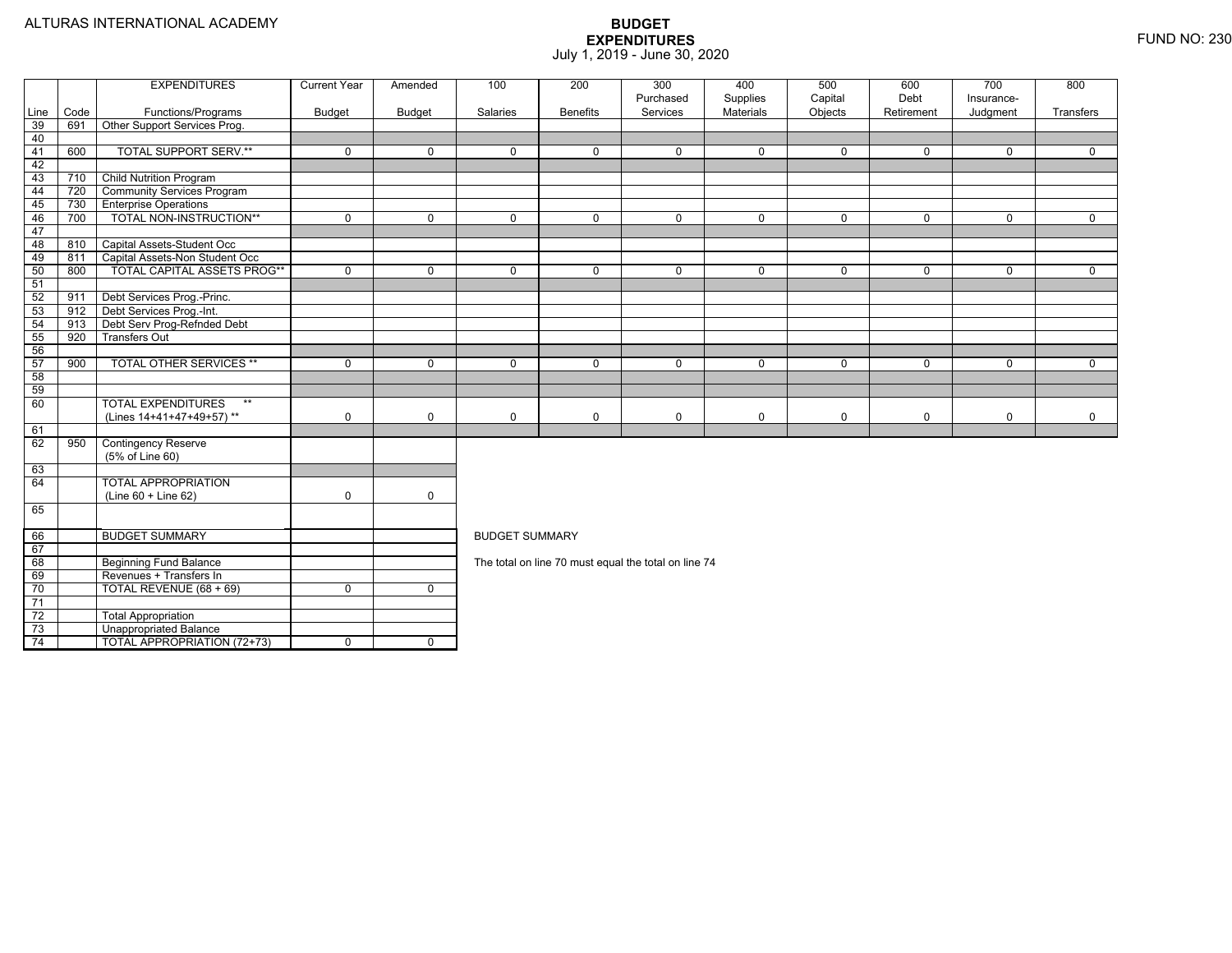|                 |      | <b>EXPENDITURES</b>                | <b>Current Year</b> | Amended        | 100                   | 200             | 300                                                  | 400                   | 500                | 600                | 700                    | 800         |
|-----------------|------|------------------------------------|---------------------|----------------|-----------------------|-----------------|------------------------------------------------------|-----------------------|--------------------|--------------------|------------------------|-------------|
| Line            | Code | Functions/Programs                 | Budget              | Budget         | Salaries              | <b>Benefits</b> | Purchased<br>Services                                | Supplies<br>Materials | Capital<br>Objects | Debt<br>Retirement | Insurance-<br>Judgment | Transfers   |
| 39              | 691  | Other Support Services Prog.       |                     |                |                       |                 |                                                      |                       |                    |                    |                        |             |
| 40              |      |                                    |                     |                |                       |                 |                                                      |                       |                    |                    |                        |             |
| 41              | 600  | <b>TOTAL SUPPORT SERV.**</b>       | $\mathbf 0$         | $\mathbf 0$    | $\mathbf 0$           | $\mathbf 0$     | $\mathbf 0$                                          | $\mathbf 0$           | 0                  | $\mathbf 0$        | $\mathbf{0}$           | $\mathbf 0$ |
| 42              |      |                                    |                     |                |                       |                 |                                                      |                       |                    |                    |                        |             |
| 43              | 710  | <b>Child Nutrition Program</b>     |                     |                |                       |                 |                                                      |                       |                    |                    |                        |             |
| 44              | 720  | <b>Community Services Program</b>  |                     |                |                       |                 |                                                      |                       |                    |                    |                        |             |
| 45              | 730  | <b>Enterprise Operations</b>       |                     |                |                       |                 |                                                      |                       |                    |                    |                        |             |
| 46              | 700  | TOTAL NON-INSTRUCTION**            | $\mathbf 0$         | $\mathbf 0$    | $\mathbf 0$           | $\mathbf 0$     | 0                                                    | $\mathbf 0$           | 0                  | $\mathbf 0$        | $\mathbf 0$            | $\mathbf 0$ |
| 47              |      |                                    |                     |                |                       |                 |                                                      |                       |                    |                    |                        |             |
| 48              | 810  | Capital Assets-Student Occ         |                     |                |                       |                 |                                                      |                       |                    |                    |                        |             |
| 49              | 811  | Capital Assets-Non Student Occ     |                     |                |                       |                 |                                                      |                       |                    |                    |                        |             |
| 50              | 800  | <b>TOTAL CAPITAL ASSETS PROG**</b> | $\mathbf 0$         | 0              | $\Omega$              | $\Omega$        | $\Omega$                                             | $\mathbf 0$           | 0                  | $\Omega$           | $\mathbf 0$            | $\mathbf 0$ |
| 51              |      |                                    |                     |                |                       |                 |                                                      |                       |                    |                    |                        |             |
| 52              | 911  | Debt Services Prog.-Princ.         |                     |                |                       |                 |                                                      |                       |                    |                    |                        |             |
| 53              | 912  | Debt Services Prog.-Int.           |                     |                |                       |                 |                                                      |                       |                    |                    |                        |             |
| 54              | 913  | Debt Serv Prog-Refnded Debt        |                     |                |                       |                 |                                                      |                       |                    |                    |                        |             |
| 55              | 920  | <b>Transfers Out</b>               |                     |                |                       |                 |                                                      |                       |                    |                    |                        |             |
| 56              |      |                                    |                     |                |                       |                 |                                                      |                       |                    |                    |                        |             |
| 57              | 900  | <b>TOTAL OTHER SERVICES **</b>     | $\mathbf 0$         | 0              | $\Omega$              | $\mathbf 0$     | 0                                                    | $\mathbf 0$           | 0                  | $\mathbf 0$        | $\mathbf 0$            | $\mathbf 0$ |
| 58              |      |                                    |                     |                |                       |                 |                                                      |                       |                    |                    |                        |             |
| 59              |      |                                    |                     |                |                       |                 |                                                      |                       |                    |                    |                        |             |
| 60              |      | <b>TOTAL EXPENDITURES</b><br>$**$  |                     |                |                       |                 |                                                      |                       |                    |                    |                        |             |
|                 |      | (Lines 14+41+47+49+57)**           | $\mathbf 0$         | 0              | 0                     | $\mathbf 0$     | 0                                                    | $\mathbf 0$           | 0                  | 0                  | $\mathbf 0$            | $\mathbf 0$ |
| 61              |      |                                    |                     |                |                       |                 |                                                      |                       |                    |                    |                        |             |
| 62              | 950  | <b>Contingency Reserve</b>         |                     |                |                       |                 |                                                      |                       |                    |                    |                        |             |
|                 |      | (5% of Line 60)                    |                     |                |                       |                 |                                                      |                       |                    |                    |                        |             |
| 63              |      |                                    |                     |                |                       |                 |                                                      |                       |                    |                    |                        |             |
| 64              |      | <b>TOTAL APPROPRIATION</b>         |                     |                |                       |                 |                                                      |                       |                    |                    |                        |             |
|                 |      | (Line 60 + Line 62)                | $\mathbf 0$         | 0              |                       |                 |                                                      |                       |                    |                    |                        |             |
| 65              |      |                                    |                     |                |                       |                 |                                                      |                       |                    |                    |                        |             |
|                 |      |                                    |                     |                |                       |                 |                                                      |                       |                    |                    |                        |             |
| 66              |      | <b>BUDGET SUMMARY</b>              |                     |                | <b>BUDGET SUMMARY</b> |                 |                                                      |                       |                    |                    |                        |             |
| 67              |      |                                    |                     |                |                       |                 |                                                      |                       |                    |                    |                        |             |
| 68              |      | <b>Beginning Fund Balance</b>      |                     |                |                       |                 | The total on line 70 must equal the total on line 74 |                       |                    |                    |                        |             |
| 69              |      | Revenues + Transfers In            |                     |                |                       |                 |                                                      |                       |                    |                    |                        |             |
| 70              |      | TOTAL REVENUE (68 + 69)            | $\mathbf 0$         | $\overline{0}$ |                       |                 |                                                      |                       |                    |                    |                        |             |
| $\overline{71}$ |      |                                    |                     |                |                       |                 |                                                      |                       |                    |                    |                        |             |
| 72              |      | <b>Total Appropriation</b>         |                     |                |                       |                 |                                                      |                       |                    |                    |                        |             |
| 73              |      | <b>Unappropriated Balance</b>      |                     |                |                       |                 |                                                      |                       |                    |                    |                        |             |
| 74              |      | <b>TOTAL APPROPRIATION (72+73)</b> | 0                   | $\mathbf 0$    |                       |                 |                                                      |                       |                    |                    |                        |             |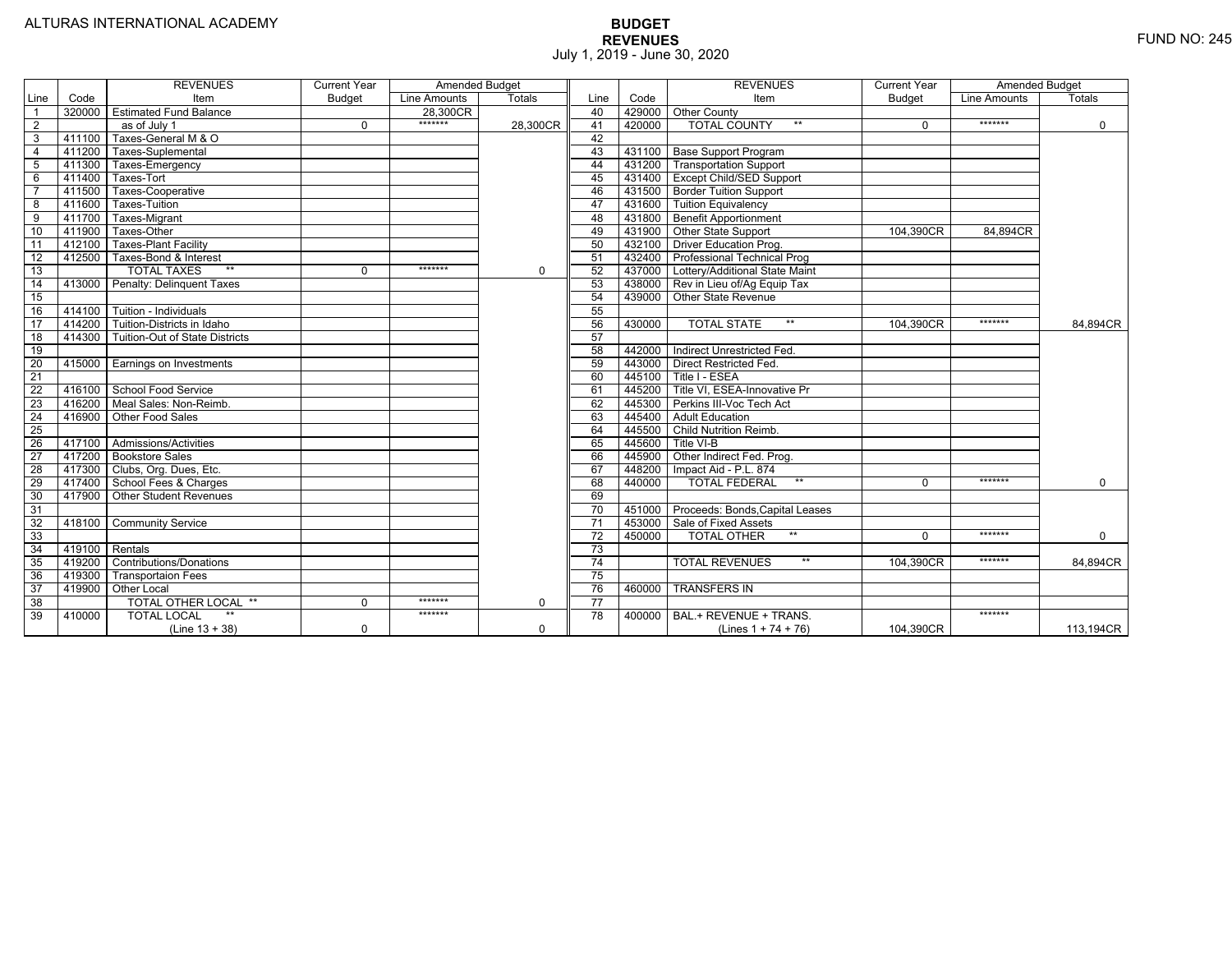|                 |        | <b>REVENUES</b>                | <b>Current Year</b> | <b>Amended Budget</b> |               |                 |        | <b>REVENUES</b>                       | <b>Current Year</b> | <b>Amended Budget</b> |             |
|-----------------|--------|--------------------------------|---------------------|-----------------------|---------------|-----------------|--------|---------------------------------------|---------------------|-----------------------|-------------|
| Line            | Code   | Item                           | <b>Budget</b>       | Line Amounts          | <b>Totals</b> | Line            | Code   | Item                                  | <b>Budget</b>       | Line Amounts          | Totals      |
|                 | 320000 | <b>Estimated Fund Balance</b>  |                     | 28,300CR              |               | 40              |        | 429000 Other County                   |                     |                       |             |
| $\overline{2}$  |        | as of July 1                   | $\Omega$            | *******               | 28,300CR      | 41              | 420000 | <b>TOTAL COUNTY</b><br>$***$          | $\Omega$            | *******               | $\mathbf 0$ |
| $\overline{3}$  | 411100 | Taxes-General M & O            |                     |                       |               | 42              |        |                                       |                     |                       |             |
| $\overline{4}$  | 411200 | Taxes-Suplemental              |                     |                       |               | 43              |        | 431100   Base Support Program         |                     |                       |             |
| $\overline{5}$  | 411300 | Taxes-Emergency                |                     |                       |               | 44              |        | 431200 Transportation Support         |                     |                       |             |
| 6               | 411400 | Taxes-Tort                     |                     |                       |               | 45              |        | 431400 Except Child/SED Support       |                     |                       |             |
|                 | 411500 | Taxes-Cooperative              |                     |                       |               | 46              |        | 431500 Border Tuition Support         |                     |                       |             |
| 8               | 411600 | <b>Taxes-Tuition</b>           |                     |                       |               | 47              |        | 431600 Tuition Equivalency            |                     |                       |             |
| 9               | 411700 | Taxes-Migrant                  |                     |                       |               | 48              |        | 431800 Benefit Apportionment          |                     |                       |             |
| 10              | 411900 | Taxes-Other                    |                     |                       |               | 49              |        | 431900 Other State Support            | 104,390CR           | 84.894CR              |             |
| 11              | 412100 | <b>Taxes-Plant Facility</b>    |                     |                       |               | 50              | 432100 | <b>Driver Education Prog.</b>         |                     |                       |             |
| 12              | 412500 | Taxes-Bond & Interest          |                     |                       |               | 51              | 432400 | <b>Professional Technical Prog</b>    |                     |                       |             |
| 13              |        | $**$<br><b>TOTAL TAXES</b>     | 0                   | *******               | $\mathbf 0$   | 52              |        | 437000 Lottery/Additional State Maint |                     |                       |             |
| 14              | 413000 | Penalty: Delinquent Taxes      |                     |                       |               | 53              |        | 438000 Rev in Lieu of/Ag Equip Tax    |                     |                       |             |
| 15              |        |                                |                     |                       |               | 54              |        | 439000 Other State Revenue            |                     |                       |             |
| 16              | 414100 | Tuition - Individuals          |                     |                       |               | 55              |        |                                       |                     |                       |             |
| $\overline{17}$ | 414200 | Tuition-Districts in Idaho     |                     |                       |               | 56              | 430000 | $**$<br><b>TOTAL STATE</b>            | 104,390CR           | *******               | 84,894CR    |
| $\overline{18}$ | 414300 | Tuition-Out of State Districts |                     |                       |               | 57              |        |                                       |                     |                       |             |
| 19              |        |                                |                     |                       |               | 58              |        | 442000   Indirect Unrestricted Fed.   |                     |                       |             |
| 20              |        | 415000 Earnings on Investments |                     |                       |               | 59              |        | 443000 Direct Restricted Fed.         |                     |                       |             |
| 21              |        |                                |                     |                       |               | 60              |        | 445100 Title I - ESEA                 |                     |                       |             |
| 22              | 416100 | <b>School Food Service</b>     |                     |                       |               | 61              | 445200 | Title VI, ESEA-Innovative Pr          |                     |                       |             |
| 23              | 416200 | Meal Sales: Non-Reimb.         |                     |                       |               | 62              | 445300 | Perkins III-Voc Tech Act              |                     |                       |             |
| 24              | 416900 | Other Food Sales               |                     |                       |               | 63              | 445400 | <b>Adult Education</b>                |                     |                       |             |
| 25              |        |                                |                     |                       |               | 64              | 445500 | <b>Child Nutrition Reimb.</b>         |                     |                       |             |
| 26              | 417100 | Admissions/Activities          |                     |                       |               | 65              | 445600 | Title VI-B                            |                     |                       |             |
| $\overline{27}$ | 417200 | <b>Bookstore Sales</b>         |                     |                       |               | 66              | 445900 | Other Indirect Fed. Prog.             |                     |                       |             |
| $\overline{28}$ | 417300 | Clubs, Org. Dues, Etc.         |                     |                       |               | 67              | 448200 | Impact Aid - P.L. 874                 |                     |                       |             |
| 29              | 417400 | School Fees & Charges          |                     |                       |               | 68              | 440000 | $**$<br><b>TOTAL FEDERAL</b>          | $\Omega$            | *******               | $\Omega$    |
| 30              | 417900 | <b>Other Student Revenues</b>  |                     |                       |               | 69              |        |                                       |                     |                       |             |
| 31              |        |                                |                     |                       |               | $\overline{70}$ | 451000 | Proceeds: Bonds, Capital Leases       |                     |                       |             |
| $\overline{32}$ | 418100 | <b>Community Service</b>       |                     |                       |               | $\overline{71}$ | 453000 | Sale of Fixed Assets                  |                     |                       |             |
| 33              |        |                                |                     |                       |               | $\overline{72}$ | 450000 | $**$<br><b>TOTAL OTHER</b>            | $\Omega$            | *******               | $\mathbf 0$ |
| 34              | 419100 | Rentals                        |                     |                       |               | $\overline{73}$ |        |                                       |                     |                       |             |
| 35              | 419200 | <b>Contributions/Donations</b> |                     |                       |               | 74              |        | <b>TOTAL REVENUES</b><br>$***$        | 104.390CR           | *******               | 84,894CR    |
| 36              | 419300 | <b>Transportaion Fees</b>      |                     |                       |               | 75              |        |                                       |                     |                       |             |
| 37              | 419900 | <b>Other Local</b>             |                     |                       |               | 76              | 460000 | <b>TRANSFERS IN</b>                   |                     |                       |             |
| 38              |        | TOTAL OTHER LOCAL **           | $\Omega$            | *******               | $\Omega$      | 77              |        |                                       |                     |                       |             |
| 39              | 410000 | $**$<br><b>TOTAL LOCAL</b>     |                     | *******               |               | 78              | 400000 | BAL.+ REVENUE + TRANS.                |                     | *******               |             |
|                 |        | $(Line 13 + 38)$               | $\mathbf 0$         |                       | $\mathbf 0$   |                 |        | (Lines $1 + 74 + 76$ )                | 104,390CR           |                       | 113,194CR   |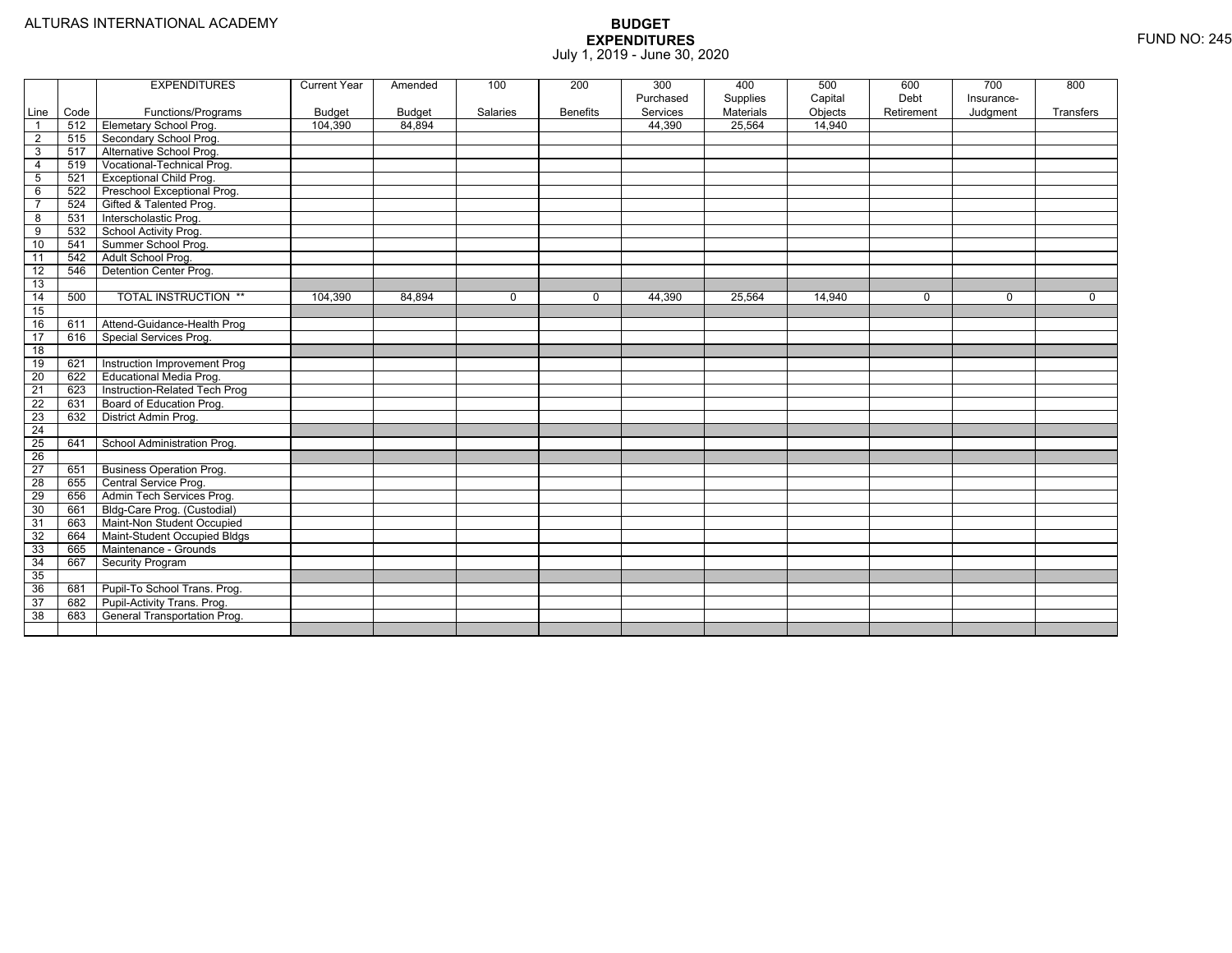|                              |             | <b>EXPENDITURES</b>                          | <b>Current Year</b>      | Amended                 | 100          | 200             | 300                | 400                          | 500               | 600        | 700        | 800       |
|------------------------------|-------------|----------------------------------------------|--------------------------|-------------------------|--------------|-----------------|--------------------|------------------------------|-------------------|------------|------------|-----------|
|                              |             |                                              |                          |                         |              |                 | Purchased          | Supplies<br><b>Materials</b> | Capital           | Debt       | Insurance- |           |
| Line<br>$\overline{1}$       | Code<br>512 | Functions/Programs<br>Elemetary School Prog. | <b>Budget</b><br>104.390 | <b>Budget</b><br>84.894 | Salaries     | <b>Benefits</b> | Services<br>44,390 | 25,564                       | Objects<br>14.940 | Retirement | Judgment   | Transfers |
|                              | 515         | Secondary School Prog.                       |                          |                         |              |                 |                    |                              |                   |            |            |           |
| $\overline{\mathbf{c}}$<br>3 | 517         | Alternative School Prog.                     |                          |                         |              |                 |                    |                              |                   |            |            |           |
| $\overline{4}$               | 519         | Vocational-Technical Prog.                   |                          |                         |              |                 |                    |                              |                   |            |            |           |
| 5                            | 521         | <b>Exceptional Child Prog.</b>               |                          |                         |              |                 |                    |                              |                   |            |            |           |
| 6                            | 522         | Preschool Exceptional Prog.                  |                          |                         |              |                 |                    |                              |                   |            |            |           |
| 7                            | 524         | Gifted & Talented Prog.                      |                          |                         |              |                 |                    |                              |                   |            |            |           |
| 8                            | 531         | Interscholastic Prog.                        |                          |                         |              |                 |                    |                              |                   |            |            |           |
| 9                            | 532         | School Activity Prog.                        |                          |                         |              |                 |                    |                              |                   |            |            |           |
| 10                           | 541         | Summer School Prog.                          |                          |                         |              |                 |                    |                              |                   |            |            |           |
| 11                           | 542         | Adult School Prog.                           |                          |                         |              |                 |                    |                              |                   |            |            |           |
| 12                           | 546         | Detention Center Prog.                       |                          |                         |              |                 |                    |                              |                   |            |            |           |
| 13                           |             |                                              |                          |                         |              |                 |                    |                              |                   |            |            |           |
| 14                           | 500         | <b>TOTAL INSTRUCTION **</b>                  | 104,390                  | 84,894                  | $\mathbf{0}$ | $\Omega$        | 44,390             | 25,564                       | 14,940            | $\Omega$   | $\Omega$   | $\Omega$  |
| 15                           |             |                                              |                          |                         |              |                 |                    |                              |                   |            |            |           |
| 16                           | 611         | Attend-Guidance-Health Prog                  |                          |                         |              |                 |                    |                              |                   |            |            |           |
| 17                           | 616         | Special Services Prog.                       |                          |                         |              |                 |                    |                              |                   |            |            |           |
| $\overline{18}$              |             |                                              |                          |                         |              |                 |                    |                              |                   |            |            |           |
| 19                           | 621         | Instruction Improvement Prog                 |                          |                         |              |                 |                    |                              |                   |            |            |           |
| $\overline{20}$              | 622         | <b>Educational Media Prog.</b>               |                          |                         |              |                 |                    |                              |                   |            |            |           |
| 21                           | 623         | Instruction-Related Tech Prog                |                          |                         |              |                 |                    |                              |                   |            |            |           |
| $\overline{22}$              | 631         | Board of Education Prog.                     |                          |                         |              |                 |                    |                              |                   |            |            |           |
| 23                           | 632         | District Admin Prog.                         |                          |                         |              |                 |                    |                              |                   |            |            |           |
| $\overline{24}$              |             |                                              |                          |                         |              |                 |                    |                              |                   |            |            |           |
| 25                           | 641         | School Administration Prog.                  |                          |                         |              |                 |                    |                              |                   |            |            |           |
| $\overline{26}$              |             |                                              |                          |                         |              |                 |                    |                              |                   |            |            |           |
| $\overline{27}$              | 651         | <b>Business Operation Prog.</b>              |                          |                         |              |                 |                    |                              |                   |            |            |           |
| 28                           | 655         | Central Service Prog.                        |                          |                         |              |                 |                    |                              |                   |            |            |           |
| 29                           | 656         | Admin Tech Services Prog.                    |                          |                         |              |                 |                    |                              |                   |            |            |           |
| 30                           | 661         | Bldg-Care Prog. (Custodial)                  |                          |                         |              |                 |                    |                              |                   |            |            |           |
| 31                           | 663         | Maint-Non Student Occupied                   |                          |                         |              |                 |                    |                              |                   |            |            |           |
| 32                           | 664         | Maint-Student Occupied Bldgs                 |                          |                         |              |                 |                    |                              |                   |            |            |           |
| 33                           | 665         | Maintenance - Grounds                        |                          |                         |              |                 |                    |                              |                   |            |            |           |
| 34                           | 667         | <b>Security Program</b>                      |                          |                         |              |                 |                    |                              |                   |            |            |           |
| 35                           |             |                                              |                          |                         |              |                 |                    |                              |                   |            |            |           |
| 36                           | 681         | Pupil-To School Trans. Prog.                 |                          |                         |              |                 |                    |                              |                   |            |            |           |
| $\overline{37}$              | 682         | Pupil-Activity Trans. Prog.                  |                          |                         |              |                 |                    |                              |                   |            |            |           |
| 38                           | 683         | General Transportation Prog.                 |                          |                         |              |                 |                    |                              |                   |            |            |           |
|                              |             |                                              |                          |                         |              |                 |                    |                              |                   |            |            |           |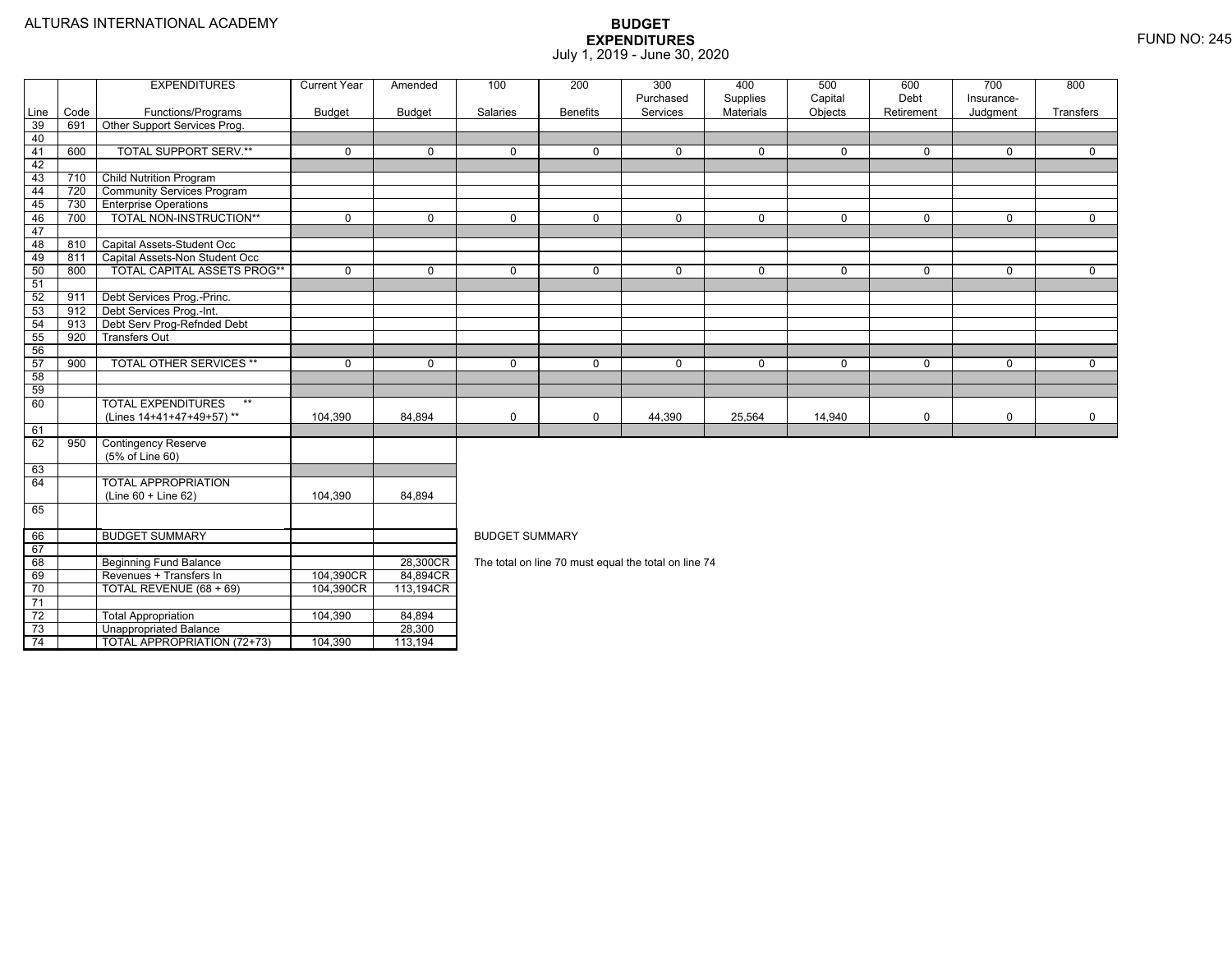|                 |             | <b>EXPENDITURES</b>                                | <b>Current Year</b> | Amended       | 100                   | 200             | 300                                                  | 400         | 500         | 600         | 700         | 800         |
|-----------------|-------------|----------------------------------------------------|---------------------|---------------|-----------------------|-----------------|------------------------------------------------------|-------------|-------------|-------------|-------------|-------------|
|                 |             |                                                    |                     |               |                       |                 | Purchased                                            | Supplies    | Capital     | Debt        | Insurance-  |             |
| Line<br>39      | Code<br>691 | Functions/Programs<br>Other Support Services Prog. | <b>Budget</b>       | <b>Budget</b> | Salaries              | <b>Benefits</b> | Services                                             | Materials   | Objects     | Retirement  | Judgment    | Transfers   |
| 40              |             |                                                    |                     |               |                       |                 |                                                      |             |             |             |             |             |
| 41              | 600         | <b>TOTAL SUPPORT SERV.**</b>                       | $\mathbf 0$         | $\Omega$      | $\Omega$              | $\mathbf 0$     | $\mathbf 0$                                          | $\mathbf 0$ | $\Omega$    | $\Omega$    | $\mathbf 0$ | $\mathbf 0$ |
| 42              |             |                                                    |                     |               |                       |                 |                                                      |             |             |             |             |             |
| 43              | 710         | <b>Child Nutrition Program</b>                     |                     |               |                       |                 |                                                      |             |             |             |             |             |
| 44              | 720         | <b>Community Services Program</b>                  |                     |               |                       |                 |                                                      |             |             |             |             |             |
| 45              | 730         | <b>Enterprise Operations</b>                       |                     |               |                       |                 |                                                      |             |             |             |             |             |
| 46              | 700         | TOTAL NON-INSTRUCTION**                            | $\mathbf 0$         | $\Omega$      | $\Omega$              | $\Omega$        | $\mathbf 0$                                          | $\mathbf 0$ | $\mathbf 0$ | $\Omega$    | $\mathbf 0$ | $\Omega$    |
| 47              |             |                                                    |                     |               |                       |                 |                                                      |             |             |             |             |             |
| 48              | 810         | Capital Assets-Student Occ                         |                     |               |                       |                 |                                                      |             |             |             |             |             |
| 49              | 811         | Capital Assets-Non Student Occ                     |                     |               |                       |                 |                                                      |             |             |             |             |             |
| 50              | 800         | <b>TOTAL CAPITAL ASSETS PROG**</b>                 | $\mathbf 0$         | $\Omega$      | $\Omega$              | $\Omega$        | $\mathbf 0$                                          | 0           | $\mathbf 0$ | $\mathbf 0$ | $\mathbf 0$ | $\mathbf 0$ |
| 51              |             |                                                    |                     |               |                       |                 |                                                      |             |             |             |             |             |
| 52              | 911         | Debt Services Prog.-Princ.                         |                     |               |                       |                 |                                                      |             |             |             |             |             |
| 53              | 912         | Debt Services Prog.-Int.                           |                     |               |                       |                 |                                                      |             |             |             |             |             |
| 54              | 913         | Debt Serv Prog-Refnded Debt                        |                     |               |                       |                 |                                                      |             |             |             |             |             |
| 55              | 920         | <b>Transfers Out</b>                               |                     |               |                       |                 |                                                      |             |             |             |             |             |
| 56              |             |                                                    |                     |               |                       |                 |                                                      |             |             |             |             |             |
| 57              | 900         | <b>TOTAL OTHER SERVICES **</b>                     | $\mathbf 0$         | $\mathbf 0$   | $\mathbf 0$           | $\mathbf 0$     | $\mathbf 0$                                          | 0           | 0           | $\mathbf 0$ | $\mathbf 0$ | $\mathbf 0$ |
| 58              |             |                                                    |                     |               |                       |                 |                                                      |             |             |             |             |             |
| 59              |             | $**$                                               |                     |               |                       |                 |                                                      |             |             |             |             |             |
| 60              |             | <b>TOTAL EXPENDITURES</b>                          |                     |               |                       |                 |                                                      |             |             |             |             |             |
| 61              |             | (Lines 14+41+47+49+57)**                           | 104,390             | 84,894        | 0                     | 0               | 44,390                                               | 25,564      | 14,940      | 0           | 0           | $\mathbf 0$ |
| 62              | 950         | <b>Contingency Reserve</b>                         |                     |               |                       |                 |                                                      |             |             |             |             |             |
|                 |             | (5% of Line 60)                                    |                     |               |                       |                 |                                                      |             |             |             |             |             |
| 63              |             |                                                    |                     |               |                       |                 |                                                      |             |             |             |             |             |
| 64              |             | <b>TOTAL APPROPRIATION</b>                         |                     |               |                       |                 |                                                      |             |             |             |             |             |
|                 |             | (Line 60 + Line 62)                                | 104,390             | 84,894        |                       |                 |                                                      |             |             |             |             |             |
| 65              |             |                                                    |                     |               |                       |                 |                                                      |             |             |             |             |             |
|                 |             |                                                    |                     |               |                       |                 |                                                      |             |             |             |             |             |
| 66              |             | <b>BUDGET SUMMARY</b>                              |                     |               | <b>BUDGET SUMMARY</b> |                 |                                                      |             |             |             |             |             |
| 67              |             |                                                    |                     |               |                       |                 |                                                      |             |             |             |             |             |
| 68              |             | <b>Beginning Fund Balance</b>                      |                     | 28,300CR      |                       |                 | The total on line 70 must equal the total on line 74 |             |             |             |             |             |
| 69              |             | Revenues + Transfers In                            | 104,390CR           | 84,894CR      |                       |                 |                                                      |             |             |             |             |             |
| $\overline{70}$ |             | TOTAL REVENUE (68 + 69)                            | 104,390CR           | 113,194CR     |                       |                 |                                                      |             |             |             |             |             |
| 71              |             |                                                    |                     |               |                       |                 |                                                      |             |             |             |             |             |
| 72              |             | <b>Total Appropriation</b>                         | 104,390             | 84,894        |                       |                 |                                                      |             |             |             |             |             |
| 73              |             | <b>Unappropriated Balance</b>                      |                     | 28,300        |                       |                 |                                                      |             |             |             |             |             |
| 74              |             | <b>TOTAL APPROPRIATION (72+73)</b>                 | 104,390             | 113,194       |                       |                 |                                                      |             |             |             |             |             |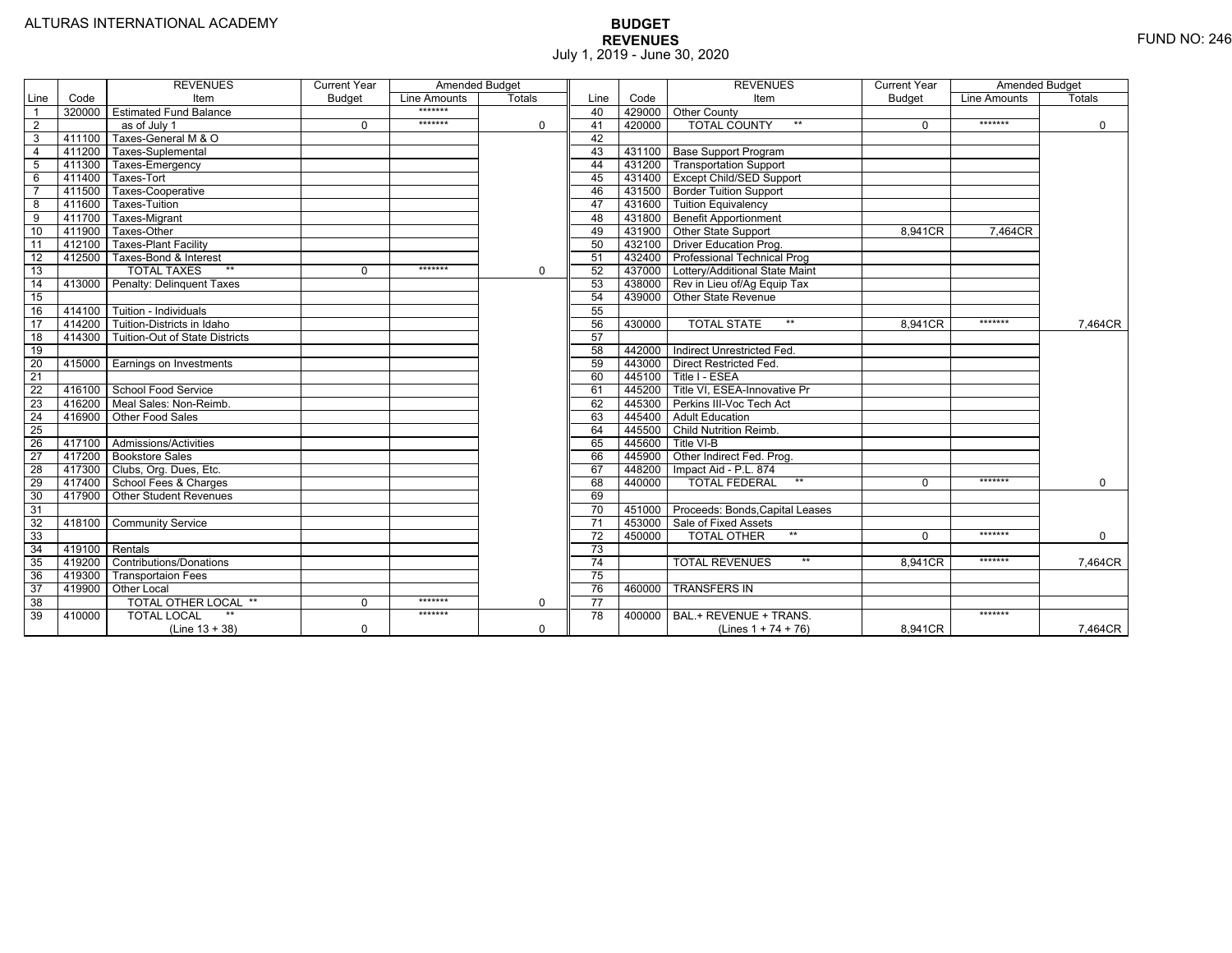|                 |                | <b>REVENUES</b>                       | <b>Current Year</b> | <b>Amended Budget</b> |          |                 |        | <b>REVENUES</b>                        | <b>Current Year</b> | <b>Amended Budget</b> |             |
|-----------------|----------------|---------------------------------------|---------------------|-----------------------|----------|-----------------|--------|----------------------------------------|---------------------|-----------------------|-------------|
| Line            | Code           | Item                                  | <b>Budget</b>       | Line Amounts          | Totals   | Line            | Code   | Item                                   | <b>Budget</b>       | Line Amounts          | Totals      |
|                 |                | 320000 Estimated Fund Balance         |                     | *******               |          | 40              |        | 429000 Other County                    |                     |                       |             |
| $\overline{2}$  |                | as of July 1                          | $\Omega$            | *******               | 0        | 41              | 420000 | <b>TOTAL COUNTY</b><br>$***$           | $\Omega$            | *******               | $\mathbf 0$ |
| 3               | 411100         | Taxes-General M & O                   |                     |                       |          | 42              |        |                                        |                     |                       |             |
| $\overline{4}$  | 411200         | Taxes-Suplemental                     |                     |                       |          | 43              |        | 431100   Base Support Program          |                     |                       |             |
| 5               | 411300         | Taxes-Emergency                       |                     |                       |          | 44              |        | 431200 Transportation Support          |                     |                       |             |
| 6               | 411400         | Taxes-Tort                            |                     |                       |          | 45              |        | 431400   Except Child/SED Support      |                     |                       |             |
|                 | 411500         | Taxes-Cooperative                     |                     |                       |          | 46              |        | 431500   Border Tuition Support        |                     |                       |             |
| 8               | 411600         | Taxes-Tuition                         |                     |                       |          | 47              |        | 431600 Tuition Equivalency             |                     |                       |             |
| 9               | 411700         | Taxes-Migrant                         |                     |                       |          | 48              |        | 431800 Benefit Apportionment           |                     |                       |             |
| 10              | 411900         | Taxes-Other                           |                     |                       |          | 49              |        | 431900 Other State Support             | 8,941CR             | 7.464CR               |             |
| 11              | 412100         | <b>Taxes-Plant Facility</b>           |                     |                       |          | 50              |        | 432100 Driver Education Prog.          |                     |                       |             |
| 12              | 412500         | Taxes-Bond & Interest                 |                     |                       |          | 51              |        | 432400   Professional Technical Prog   |                     |                       |             |
| 13              |                | $**$<br><b>TOTAL TAXES</b>            | $\mathbf 0$         | *******               | 0        | 52              |        | 437000 Lottery/Additional State Maint  |                     |                       |             |
| 14              |                | 413000 Penalty: Delinguent Taxes      |                     |                       |          | 53              |        | 438000 Rev in Lieu of/Ag Equip Tax     |                     |                       |             |
| 15              |                |                                       |                     |                       |          | 54              | 439000 | <b>Other State Revenue</b>             |                     |                       |             |
| 16              |                | 414100   Tuition - Individuals        |                     |                       |          | 55              |        |                                        |                     |                       |             |
| 17              |                | 414200 Tuition-Districts in Idaho     |                     |                       |          | 56              | 430000 | $***$<br><b>TOTAL STATE</b>            | 8.941CR             | *******               | 7,464CR     |
| 18              |                | 414300 Tuition-Out of State Districts |                     |                       |          | 57              |        |                                        |                     |                       |             |
| 19              |                |                                       |                     |                       |          | 58              |        | 442000 Indirect Unrestricted Fed.      |                     |                       |             |
| $\overline{20}$ |                | 415000 Earnings on Investments        |                     |                       |          | 59              |        | 443000 Direct Restricted Fed.          |                     |                       |             |
| 21              |                |                                       |                     |                       |          | 60              |        | 445100 Title I - ESEA                  |                     |                       |             |
| 22              |                | 416100 School Food Service            |                     |                       |          | 61              |        | 445200   Title VI. ESEA-Innovative Pr  |                     |                       |             |
| $\overline{23}$ |                | 416200   Meal Sales: Non-Reimb.       |                     |                       |          | 62              |        | 445300 Perkins III-Voc Tech Act        |                     |                       |             |
| 24              |                | 416900 Other Food Sales               |                     |                       |          | 63              |        | 445400 Adult Education                 |                     |                       |             |
| 25              |                |                                       |                     |                       |          | 64              |        | 445500 Child Nutrition Reimb.          |                     |                       |             |
| 26              |                | 417100 Admissions/Activities          |                     |                       |          | 65              | 445600 | Title VI-B                             |                     |                       |             |
| $\overline{27}$ |                | 417200 Bookstore Sales                |                     |                       |          | 66              | 445900 | Other Indirect Fed. Prog.              |                     |                       |             |
| $\overline{28}$ |                | 417300   Clubs, Org. Dues, Etc.       |                     |                       |          | 67              | 448200 | Impact Aid - P.L. 874                  |                     |                       |             |
| $\overline{29}$ |                | 417400 School Fees & Charges          |                     |                       |          | 68              | 440000 | <b>TOTAL FEDERAL</b><br>$***$          | $\Omega$            | *******               | $\mathbf 0$ |
| 30              |                | 417900 Other Student Revenues         |                     |                       |          | 69              |        |                                        |                     |                       |             |
| 31              |                |                                       |                     |                       |          | $\overline{70}$ |        | 451000 Proceeds: Bonds, Capital Leases |                     |                       |             |
| $\overline{32}$ |                | 418100 Community Service              |                     |                       |          | $\overline{71}$ |        | 453000 Sale of Fixed Assets            |                     |                       |             |
| 33              |                |                                       |                     |                       |          | 72              | 450000 | $**$<br><b>TOTAL OTHER</b>             | $\Omega$            | *******               | $\mathbf 0$ |
| 34              | 419100 Rentals |                                       |                     |                       |          | 73              |        |                                        |                     |                       |             |
| 35              |                | 419200 Contributions/Donations        |                     |                       |          | $\overline{74}$ |        | <b>TOTAL REVENUES</b><br>$**$          | 8.941CR             | *******               | 7,464CR     |
| 36              | 419300         | <b>Transportaion Fees</b>             |                     |                       |          | 75              |        |                                        |                     |                       |             |
| 37              |                | 419900 Other Local                    |                     |                       |          | 76              | 460000 | <b>TRANSFERS IN</b>                    |                     |                       |             |
| 38              |                | TOTAL OTHER LOCAL **                  | $\mathbf 0$         | *******               | 0        | 77              |        |                                        |                     |                       |             |
| 39              | 410000         | <b>TOTAL LOCAL</b>                    |                     | *******               |          | 78              | 400000 | BAL.+ REVENUE + TRANS.                 |                     | *******               |             |
|                 |                | $(Line 13 + 38)$                      | $\mathbf 0$         |                       | $\Omega$ |                 |        | (Lines $1 + 74 + 76$ )                 | 8.941CR             |                       | 7.464CR     |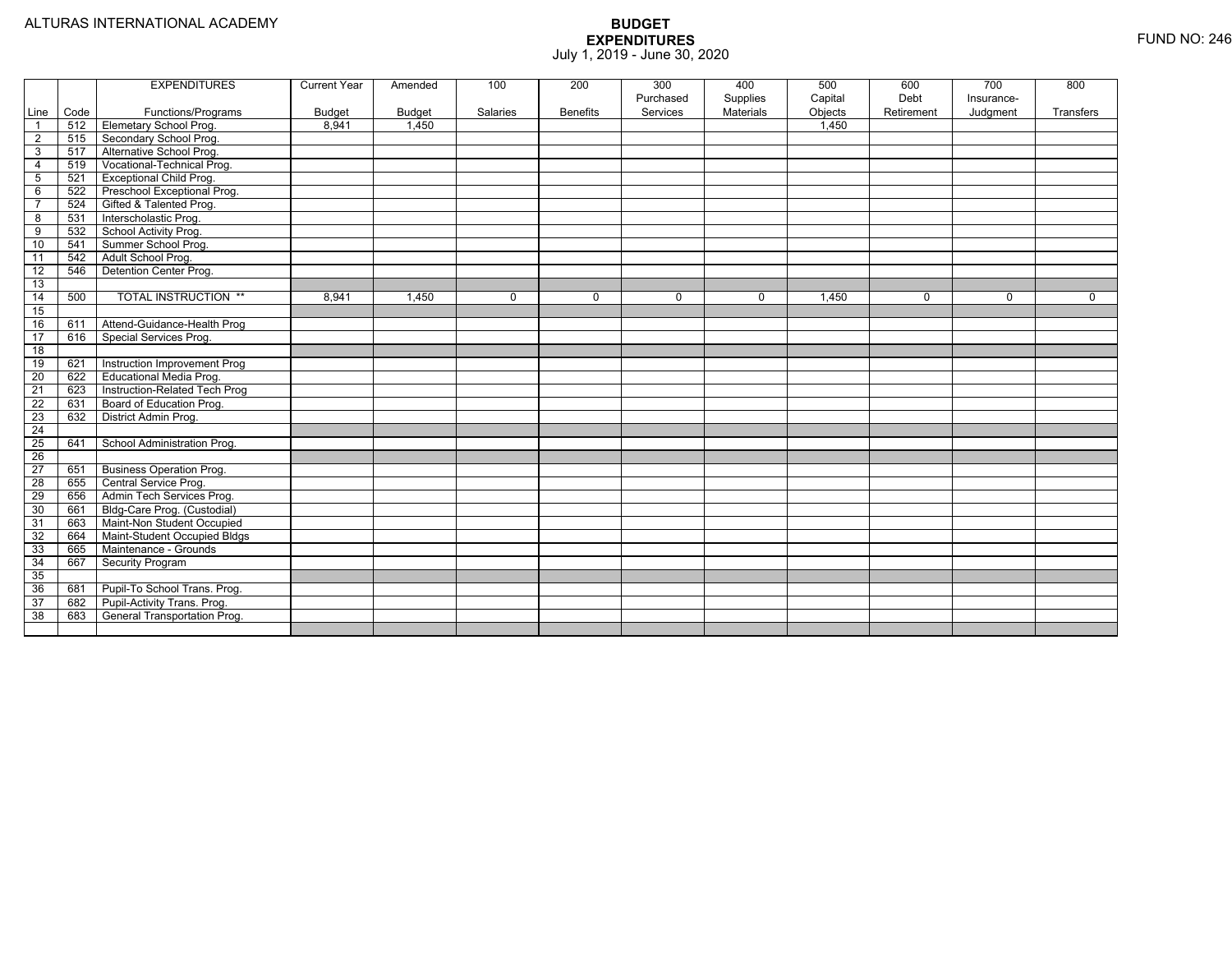|                 |      | <b>EXPENDITURES</b>             | <b>Current Year</b> | Amended       | 100      | 200             | 300<br>Purchased | 400<br>Supplies | 500<br>Capital | 600<br>Debt | $\overline{700}$<br>Insurance- | 800       |
|-----------------|------|---------------------------------|---------------------|---------------|----------|-----------------|------------------|-----------------|----------------|-------------|--------------------------------|-----------|
| Line            | Code | Functions/Programs              | <b>Budget</b>       | <b>Budget</b> | Salaries | <b>Benefits</b> | Services         | Materials       | Objects        | Retirement  | Judgment                       | Transfers |
| $\overline{1}$  | 512  | <b>Elemetary School Prog.</b>   | 8,941               | 1,450         |          |                 |                  |                 | 1,450          |             |                                |           |
| $\overline{2}$  | 515  | Secondary School Prog.          |                     |               |          |                 |                  |                 |                |             |                                |           |
| 3               | 517  | Alternative School Prog.        |                     |               |          |                 |                  |                 |                |             |                                |           |
| $\overline{4}$  | 519  | Vocational-Technical Prog.      |                     |               |          |                 |                  |                 |                |             |                                |           |
| $5\phantom{.0}$ | 521  | Exceptional Child Prog.         |                     |               |          |                 |                  |                 |                |             |                                |           |
| 6               | 522  | Preschool Exceptional Prog.     |                     |               |          |                 |                  |                 |                |             |                                |           |
| $\overline{7}$  | 524  | Gifted & Talented Prog.         |                     |               |          |                 |                  |                 |                |             |                                |           |
| 8               | 531  | Interscholastic Prog.           |                     |               |          |                 |                  |                 |                |             |                                |           |
| 9               | 532  | School Activity Prog.           |                     |               |          |                 |                  |                 |                |             |                                |           |
| 10              | 541  | Summer School Prog.             |                     |               |          |                 |                  |                 |                |             |                                |           |
| 11              | 542  | Adult School Prog.              |                     |               |          |                 |                  |                 |                |             |                                |           |
| $\overline{12}$ | 546  | Detention Center Prog.          |                     |               |          |                 |                  |                 |                |             |                                |           |
| 13              |      |                                 |                     |               |          |                 |                  |                 |                |             |                                |           |
| 14              | 500  | <b>TOTAL INSTRUCTION **</b>     | 8,941               | 1,450         | 0        | $\mathbf 0$     | $\Omega$         | $\mathbf 0$     | 1,450          | $\mathbf 0$ | $\mathbf 0$                    | $\Omega$  |
| 15              |      |                                 |                     |               |          |                 |                  |                 |                |             |                                |           |
| 16              | 611  | Attend-Guidance-Health Prog     |                     |               |          |                 |                  |                 |                |             |                                |           |
| 17              | 616  | Special Services Prog.          |                     |               |          |                 |                  |                 |                |             |                                |           |
| 18              |      |                                 |                     |               |          |                 |                  |                 |                |             |                                |           |
| 19              | 621  | Instruction Improvement Prog    |                     |               |          |                 |                  |                 |                |             |                                |           |
| 20              | 622  | Educational Media Prog.         |                     |               |          |                 |                  |                 |                |             |                                |           |
| $\overline{21}$ | 623  | Instruction-Related Tech Prog   |                     |               |          |                 |                  |                 |                |             |                                |           |
| $\overline{22}$ | 631  | Board of Education Prog.        |                     |               |          |                 |                  |                 |                |             |                                |           |
| 23              | 632  | District Admin Prog.            |                     |               |          |                 |                  |                 |                |             |                                |           |
| $\overline{24}$ |      |                                 |                     |               |          |                 |                  |                 |                |             |                                |           |
| $\overline{25}$ | 641  | School Administration Prog.     |                     |               |          |                 |                  |                 |                |             |                                |           |
| $\overline{26}$ |      |                                 |                     |               |          |                 |                  |                 |                |             |                                |           |
| $\overline{27}$ | 651  | <b>Business Operation Prog.</b> |                     |               |          |                 |                  |                 |                |             |                                |           |
| 28              | 655  | Central Service Prog.           |                     |               |          |                 |                  |                 |                |             |                                |           |
| 29              | 656  | Admin Tech Services Prog.       |                     |               |          |                 |                  |                 |                |             |                                |           |
| 30              | 661  | Bldg-Care Prog. (Custodial)     |                     |               |          |                 |                  |                 |                |             |                                |           |
| 31              | 663  | Maint-Non Student Occupied      |                     |               |          |                 |                  |                 |                |             |                                |           |
| 32              | 664  | Maint-Student Occupied Bldgs    |                     |               |          |                 |                  |                 |                |             |                                |           |
| 33              | 665  | Maintenance - Grounds           |                     |               |          |                 |                  |                 |                |             |                                |           |
| 34              | 667  | <b>Security Program</b>         |                     |               |          |                 |                  |                 |                |             |                                |           |
| 35              |      |                                 |                     |               |          |                 |                  |                 |                |             |                                |           |
| 36              | 681  | Pupil-To School Trans. Prog.    |                     |               |          |                 |                  |                 |                |             |                                |           |
| 37              | 682  | Pupil-Activity Trans. Prog.     |                     |               |          |                 |                  |                 |                |             |                                |           |
| 38              | 683  | General Transportation Prog.    |                     |               |          |                 |                  |                 |                |             |                                |           |
|                 |      |                                 |                     |               |          |                 |                  |                 |                |             |                                |           |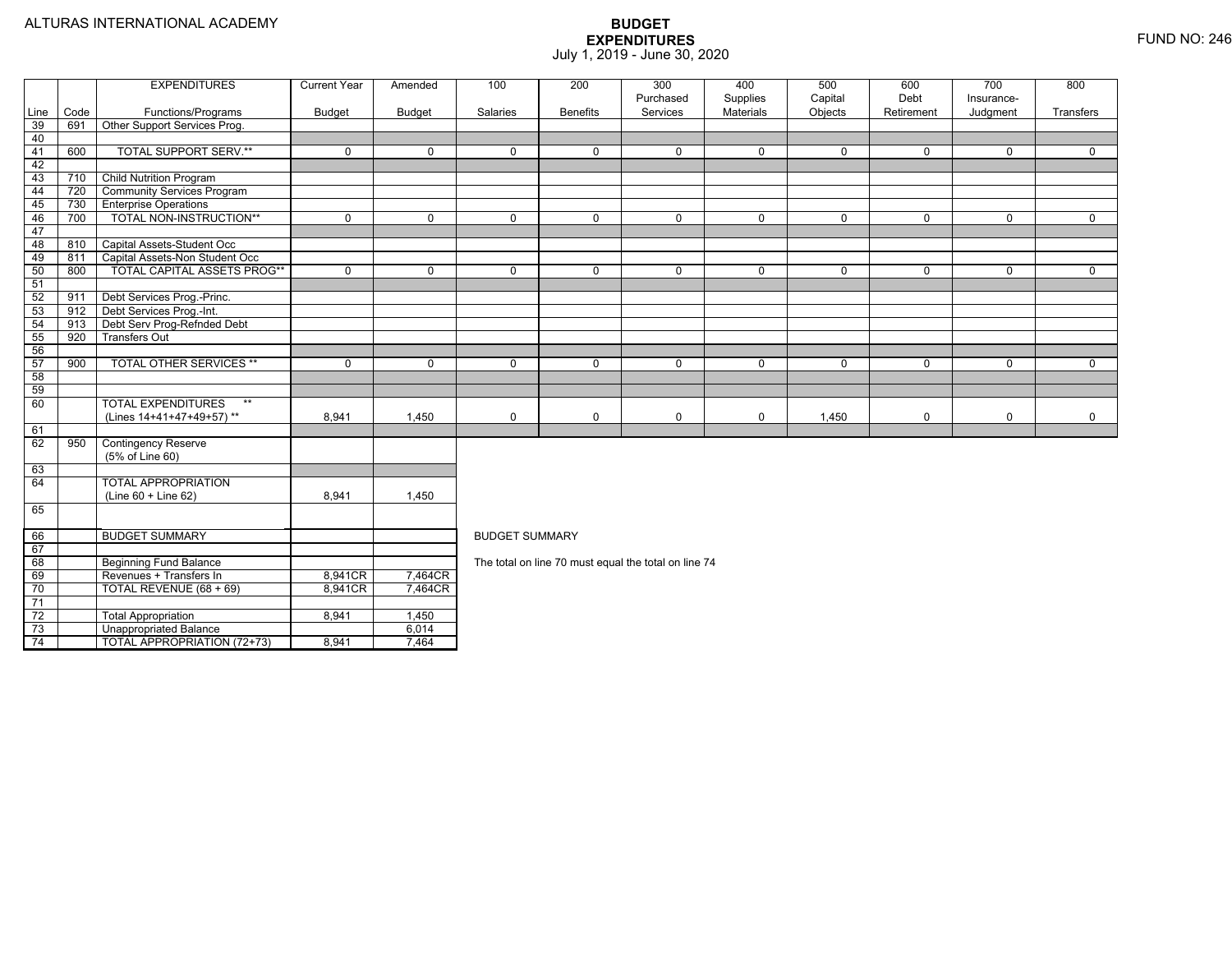73

74

Unappropriated Balance 6,014

TOTAL APPROPRIATION (72+73) 8,941 7,464

|                 |      | <b>EXPENDITURES</b>                           | <b>Current Year</b> | Amended       | 100                   | 200             | 300                                                  | 400                   | 500                | 600                | 700                    | 800         |  |  |  |
|-----------------|------|-----------------------------------------------|---------------------|---------------|-----------------------|-----------------|------------------------------------------------------|-----------------------|--------------------|--------------------|------------------------|-------------|--|--|--|
| Line            | Code | Functions/Programs                            | <b>Budget</b>       | <b>Budget</b> | Salaries              | <b>Benefits</b> | Purchased<br>Services                                | Supplies<br>Materials | Capital<br>Objects | Debt<br>Retirement | Insurance-<br>Judgment | Transfers   |  |  |  |
| 39              | 691  | Other Support Services Prog.                  |                     |               |                       |                 |                                                      |                       |                    |                    |                        |             |  |  |  |
| 40              |      |                                               |                     |               |                       |                 |                                                      |                       |                    |                    |                        |             |  |  |  |
| 41              | 600  | <b>TOTAL SUPPORT SERV.**</b>                  | $\mathbf 0$         | $\Omega$      | $\mathbf 0$           | $\mathbf 0$     | $\mathbf 0$                                          | $\mathbf 0$           | $\mathbf 0$        | $\mathbf 0$        | $\mathbf 0$            | $\mathbf 0$ |  |  |  |
| 42              |      |                                               |                     |               |                       |                 |                                                      |                       |                    |                    |                        |             |  |  |  |
| 43              | 710  | <b>Child Nutrition Program</b>                |                     |               |                       |                 |                                                      |                       |                    |                    |                        |             |  |  |  |
| 44              | 720  | <b>Community Services Program</b>             |                     |               |                       |                 |                                                      |                       |                    |                    |                        |             |  |  |  |
| 45              | 730  | <b>Enterprise Operations</b>                  |                     |               |                       |                 |                                                      |                       |                    |                    |                        |             |  |  |  |
| 46              | 700  | TOTAL NON-INSTRUCTION**                       | $\mathbf 0$         | $\mathbf 0$   | $\mathbf 0$           | $\mathbf 0$     | $\mathbf 0$                                          | $\mathbf 0$           | $\mathbf 0$        | $\mathbf 0$        | $\mathbf 0$            | $\mathbf 0$ |  |  |  |
| 47              |      |                                               |                     |               |                       |                 |                                                      |                       |                    |                    |                        |             |  |  |  |
| 48              | 810  | Capital Assets-Student Occ                    |                     |               |                       |                 |                                                      |                       |                    |                    |                        |             |  |  |  |
| 49              | 811  | Capital Assets-Non Student Occ                |                     |               |                       |                 |                                                      |                       |                    |                    |                        |             |  |  |  |
| 50              | 800  | TOTAL CAPITAL ASSETS PROG**                   | $\mathbf 0$         | $\mathbf{0}$  | $\mathbf 0$           | $\mathbf{0}$    | $\mathbf 0$                                          | $\mathbf 0$           | $\mathbf 0$        | $\mathbf{0}$       | $\mathbf 0$            | $\mathbf 0$ |  |  |  |
| 51              |      |                                               |                     |               |                       |                 |                                                      |                       |                    |                    |                        |             |  |  |  |
| 52              | 911  | Debt Services Prog.-Princ.                    |                     |               |                       |                 |                                                      |                       |                    |                    |                        |             |  |  |  |
| 53              | 912  | Debt Services Prog.-Int.                      |                     |               |                       |                 |                                                      |                       |                    |                    |                        |             |  |  |  |
| 54              | 913  | Debt Serv Prog-Refnded Debt                   |                     |               |                       |                 |                                                      |                       |                    |                    |                        |             |  |  |  |
| 55              | 920  | <b>Transfers Out</b>                          |                     |               |                       |                 |                                                      |                       |                    |                    |                        |             |  |  |  |
| 56              |      |                                               |                     |               |                       |                 |                                                      |                       |                    |                    |                        |             |  |  |  |
| 57              | 900  | TOTAL OTHER SERVICES **                       | $\mathbf 0$         | $\mathbf 0$   | $\mathbf 0$           | $\mathbf 0$     | $\mathbf 0$                                          | $\mathbf 0$           | 0                  | $\Omega$           | 0                      | 0           |  |  |  |
| 58              |      |                                               |                     |               |                       |                 |                                                      |                       |                    |                    |                        |             |  |  |  |
| 59              |      |                                               |                     |               |                       |                 |                                                      |                       |                    |                    |                        |             |  |  |  |
| 60              |      | <b>TOTAL EXPENDITURES</b><br>$***$            |                     |               |                       |                 |                                                      |                       |                    |                    |                        |             |  |  |  |
|                 |      | (Lines 14+41+47+49+57)**                      | 8.941               | 1,450         | $\mathbf 0$           | $\mathbf 0$     | 0                                                    | 0                     | 1,450              | 0                  | 0                      | 0           |  |  |  |
| 61              |      |                                               |                     |               |                       |                 |                                                      |                       |                    |                    |                        |             |  |  |  |
| 62              | 950  | <b>Contingency Reserve</b><br>(5% of Line 60) |                     |               |                       |                 |                                                      |                       |                    |                    |                        |             |  |  |  |
| 63              |      |                                               |                     |               |                       |                 |                                                      |                       |                    |                    |                        |             |  |  |  |
| 64              |      | <b>TOTAL APPROPRIATION</b>                    |                     |               |                       |                 |                                                      |                       |                    |                    |                        |             |  |  |  |
|                 |      | $(Line 60 + Line 62)$                         | 8,941               | 1,450         |                       |                 |                                                      |                       |                    |                    |                        |             |  |  |  |
| 65              |      |                                               |                     |               |                       |                 |                                                      |                       |                    |                    |                        |             |  |  |  |
| 66              |      | <b>BUDGET SUMMARY</b>                         |                     |               | <b>BUDGET SUMMARY</b> |                 |                                                      |                       |                    |                    |                        |             |  |  |  |
| 67              |      |                                               |                     |               |                       |                 |                                                      |                       |                    |                    |                        |             |  |  |  |
| 68              |      | <b>Beginning Fund Balance</b>                 |                     |               |                       |                 | The total on line 70 must equal the total on line 74 |                       |                    |                    |                        |             |  |  |  |
| 69              |      | Revenues + Transfers In                       | 8,941CR             | 7,464CR       |                       |                 |                                                      |                       |                    |                    |                        |             |  |  |  |
| 70              |      | TOTAL REVENUE (68 + 69)                       | 8,941CR             | 7,464CR       |                       |                 |                                                      |                       |                    |                    |                        |             |  |  |  |
| 71              |      |                                               |                     |               |                       |                 |                                                      |                       |                    |                    |                        |             |  |  |  |
| $\overline{72}$ |      | <b>Total Appropriation</b>                    | 8.941               | 1,450         |                       |                 |                                                      |                       |                    |                    |                        |             |  |  |  |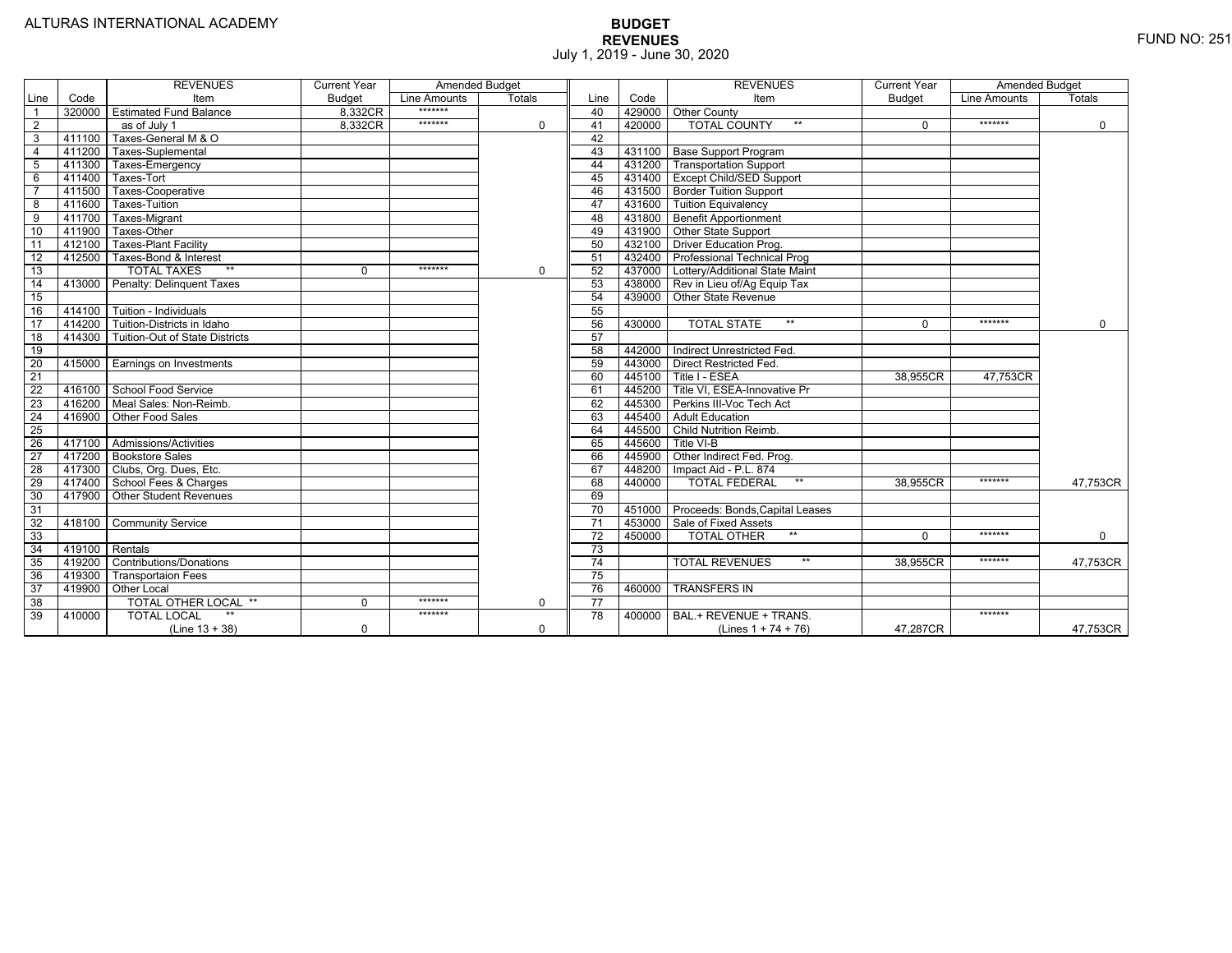|                 |                | <b>REVENUES</b>                | <b>Current Year</b> | <b>Amended Budget</b> |               |                 |        | <b>REVENUES</b>                        | <b>Current Year</b> | Amended Budget |             |
|-----------------|----------------|--------------------------------|---------------------|-----------------------|---------------|-----------------|--------|----------------------------------------|---------------------|----------------|-------------|
| Line            | Code           | Item                           | <b>Budget</b>       | <b>Line Amounts</b>   | <b>Totals</b> | Line            | Code   | Item                                   | Budget              | Line Amounts   | Totals      |
| $\overline{1}$  |                | 320000 Estimated Fund Balance  | 8,332CR             | *******               |               | 40              |        | 429000 Other County                    |                     |                |             |
| $\overline{2}$  |                | as of July 1                   | 8,332CR             | *******               | 0             | 41              | 420000 | <b>TOTAL COUNTY</b><br>$***$           | $\Omega$            | *******        | $\mathbf 0$ |
| $\mathbf{3}$    | 411100         | Taxes-General M & O            |                     |                       |               | 42              |        |                                        |                     |                |             |
| $\overline{4}$  | 411200         | Taxes-Suplemental              |                     |                       |               | 43              |        | 431100   Base Support Program          |                     |                |             |
| $-5$            | 411300         | Taxes-Emergency                |                     |                       |               | 44              |        | 431200 Transportation Support          |                     |                |             |
| 6               | 411400         | Taxes-Tort                     |                     |                       |               | 45              |        | 431400 Except Child/SED Support        |                     |                |             |
| $\overline{7}$  | 411500         | Taxes-Cooperative              |                     |                       |               | 46              |        | 431500 Border Tuition Support          |                     |                |             |
| 8               | 411600         | <b>Taxes-Tuition</b>           |                     |                       |               | 47              |        | 431600 Tuition Equivalency             |                     |                |             |
| $\overline{9}$  | 411700         | Taxes-Migrant                  |                     |                       |               | 48              |        | 431800 Benefit Apportionment           |                     |                |             |
| 10              | 411900         | Taxes-Other                    |                     |                       |               | 49              |        | 431900 Other State Support             |                     |                |             |
| $\overline{11}$ | 412100         | <b>Taxes-Plant Facility</b>    |                     |                       |               | 50              | 432100 | <b>Driver Education Prog.</b>          |                     |                |             |
| 12              | 412500         | Taxes-Bond & Interest          |                     |                       |               | 51              | 432400 | <b>Professional Technical Prog</b>     |                     |                |             |
| 13              |                | <b>TOTAL TAXES</b><br>$***$    | $\Omega$            | *******               | $\mathbf 0$   | 52              |        | 437000 Lottery/Additional State Maint  |                     |                |             |
| $\overline{14}$ | 413000         | Penalty: Delinguent Taxes      |                     |                       |               | 53              |        | 438000 Rev in Lieu of/Ag Equip Tax     |                     |                |             |
| 15              |                |                                |                     |                       |               | 54              |        | 439000 Other State Revenue             |                     |                |             |
| 16              | 414100         | Tuition - Individuals          |                     |                       |               | 55              |        |                                        |                     |                |             |
| 17              | 414200         | Tuition-Districts in Idaho     |                     |                       |               | 56              | 430000 | $**$<br><b>TOTAL STATE</b>             | $\Omega$            | *******        | $\Omega$    |
| $\overline{18}$ | 414300         | Tuition-Out of State Districts |                     |                       |               | 57              |        |                                        |                     |                |             |
| 19              |                |                                |                     |                       |               | 58              | 442000 | Indirect Unrestricted Fed.             |                     |                |             |
| 20              |                | 415000 Earnings on Investments |                     |                       |               | 59              |        | 443000 Direct Restricted Fed.          |                     |                |             |
| 21              |                |                                |                     |                       |               | 60              | 445100 | Title I - ESEA                         | 38,955CR            | 47,753CR       |             |
| 22              |                | 416100 School Food Service     |                     |                       |               | 61              | 445200 | Title VI. ESEA-Innovative Pr           |                     |                |             |
| 23              | 416200         | Meal Sales: Non-Reimb.         |                     |                       |               | 62              | 445300 | Perkins III-Voc Tech Act               |                     |                |             |
| 24              | 416900         | Other Food Sales               |                     |                       |               | 63              | 445400 | <b>Adult Education</b>                 |                     |                |             |
| 25              |                |                                |                     |                       |               | 64              | 445500 | <b>Child Nutrition Reimb.</b>          |                     |                |             |
| 26              |                | 417100 Admissions/Activities   |                     |                       |               | 65              | 445600 | Title VI-B                             |                     |                |             |
| $\overline{27}$ | 417200         | <b>Bookstore Sales</b>         |                     |                       |               | 66              | 445900 | Other Indirect Fed. Prog.              |                     |                |             |
| 28              | 417300         | Clubs, Org. Dues, Etc.         |                     |                       |               | 67              | 448200 | Impact Aid - P.L. 874                  |                     |                |             |
| 29              | 417400         | School Fees & Charges          |                     |                       |               | 68              | 440000 | $***$<br><b>TOTAL FEDERAL</b>          | 38.955CR            | *******        | 47,753CR    |
| 30              | 417900         | <b>Other Student Revenues</b>  |                     |                       |               | 69              |        |                                        |                     |                |             |
| 31              |                |                                |                     |                       |               | 70              |        | 451000 Proceeds: Bonds, Capital Leases |                     |                |             |
| 32              | 418100         | <b>Community Service</b>       |                     |                       |               | $\overline{71}$ | 453000 | Sale of Fixed Assets                   |                     |                |             |
| 33              |                |                                |                     |                       |               | 72              | 450000 | $**$<br><b>TOTAL OTHER</b>             | $\Omega$            | *******        | $\mathbf 0$ |
| 34              | 419100 Rentals |                                |                     |                       |               | 73              |        |                                        |                     |                |             |
| 35              | 419200         | <b>Contributions/Donations</b> |                     |                       |               | 74              |        | $**$<br><b>TOTAL REVENUES</b>          | 38.955CR            | *******        | 47,753CR    |
| 36              | 419300         | <b>Transportaion Fees</b>      |                     |                       |               | 75              |        |                                        |                     |                |             |
| 37              | 419900         | <b>Other Local</b>             |                     |                       |               | 76              | 460000 | <b>TRANSFERS IN</b>                    |                     |                |             |
| 38              |                | TOTAL OTHER LOCAL **           | $\Omega$            | *******               | $\Omega$      | $\overline{77}$ |        |                                        |                     |                |             |
| 39              | 410000         | <b>TOTAL LOCAL</b>             |                     | *******               |               | 78              | 400000 | BAL.+ REVENUE + TRANS.                 |                     | *******        |             |
|                 |                | $(Line 13 + 38)$               | $\Omega$            |                       | $\Omega$      |                 |        | (Lines $1 + 74 + 76$ )                 | 47.287CR            |                | 47,753CR    |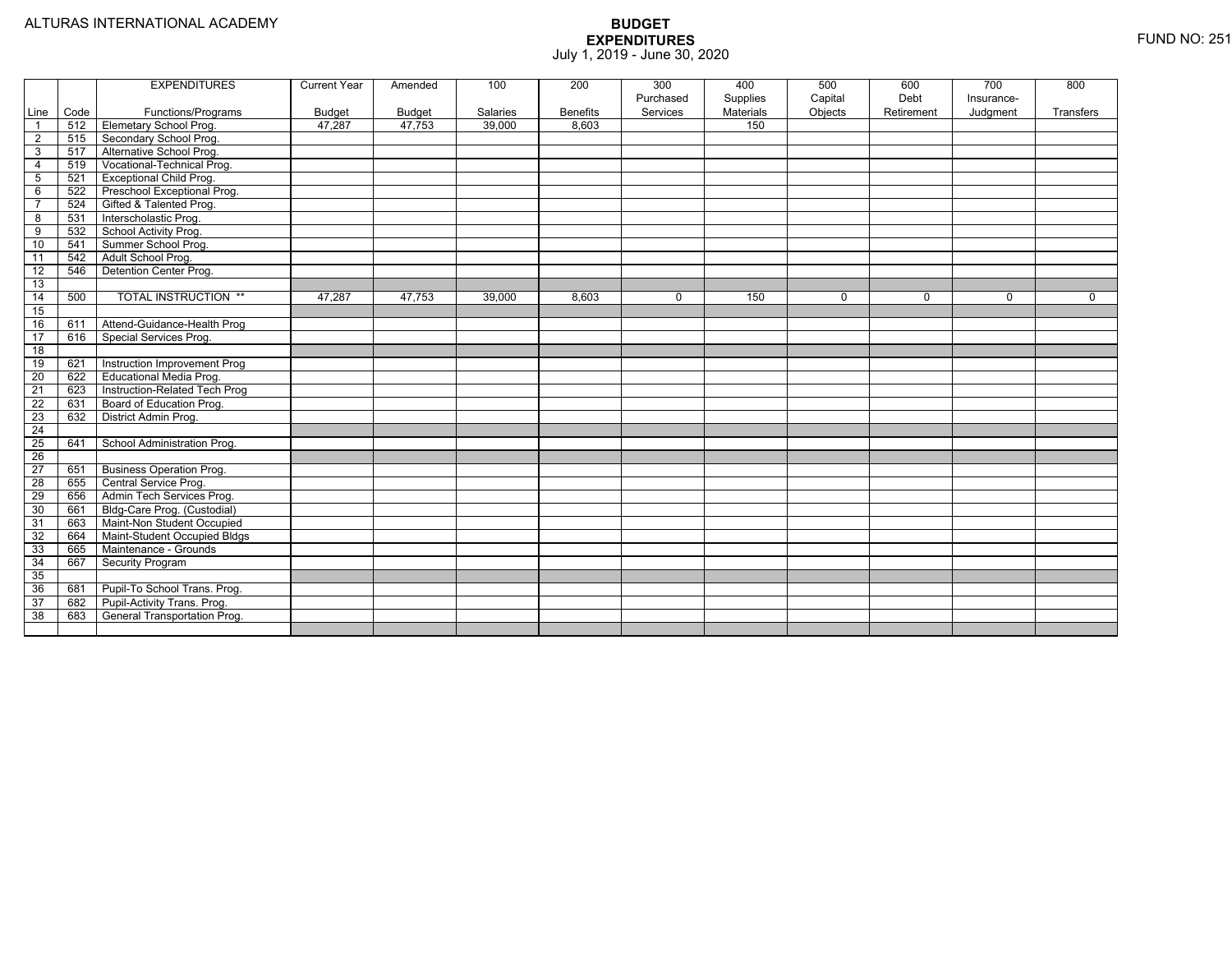|                         |      | <b>EXPENDITURES</b>             | <b>Current Year</b> | Amended       | 100      | 200             | 300<br>Purchased | 400<br>Supplies | 500<br>Capital | 600<br>Debt | 700<br>Insurance- | 800       |
|-------------------------|------|---------------------------------|---------------------|---------------|----------|-----------------|------------------|-----------------|----------------|-------------|-------------------|-----------|
| Line                    | Code | Functions/Programs              | <b>Budget</b>       | <b>Budget</b> | Salaries | <b>Benefits</b> | Services         | Materials       | Objects        | Retirement  | Judgment          | Transfers |
| $\overline{1}$          | 512  | Elemetary School Prog.          | 47.287              | 47.753        | 39,000   | 8.603           |                  | 150             |                |             |                   |           |
| $\overline{2}$          | 515  | Secondary School Prog.          |                     |               |          |                 |                  |                 |                |             |                   |           |
| $\overline{3}$          | 517  | Alternative School Prog.        |                     |               |          |                 |                  |                 |                |             |                   |           |
| $\overline{4}$          | 519  | Vocational-Technical Prog.      |                     |               |          |                 |                  |                 |                |             |                   |           |
| $5\phantom{.0}$         | 521  | <b>Exceptional Child Prog.</b>  |                     |               |          |                 |                  |                 |                |             |                   |           |
| 6                       | 522  | Preschool Exceptional Prog.     |                     |               |          |                 |                  |                 |                |             |                   |           |
| $\overline{7}$          | 524  | Gifted & Talented Prog.         |                     |               |          |                 |                  |                 |                |             |                   |           |
| $\overline{\mathbf{8}}$ | 531  | Interscholastic Prog.           |                     |               |          |                 |                  |                 |                |             |                   |           |
| 9                       | 532  | School Activity Prog.           |                     |               |          |                 |                  |                 |                |             |                   |           |
| 10                      | 541  | Summer School Prog.             |                     |               |          |                 |                  |                 |                |             |                   |           |
| 11                      | 542  | Adult School Prog.              |                     |               |          |                 |                  |                 |                |             |                   |           |
| 12                      | 546  | Detention Center Prog.          |                     |               |          |                 |                  |                 |                |             |                   |           |
| 13                      |      |                                 |                     |               |          |                 |                  |                 |                |             |                   |           |
| 14                      | 500  | <b>TOTAL INSTRUCTION **</b>     | 47.287              | 47,753        | 39,000   | 8,603           | $\Omega$         | 150             | $\mathbf 0$    | $\Omega$    | $\Omega$          | $\Omega$  |
| 15                      |      |                                 |                     |               |          |                 |                  |                 |                |             |                   |           |
| 16                      | 611  | Attend-Guidance-Health Prog     |                     |               |          |                 |                  |                 |                |             |                   |           |
| 17                      | 616  | Special Services Prog.          |                     |               |          |                 |                  |                 |                |             |                   |           |
| $\overline{18}$         |      |                                 |                     |               |          |                 |                  |                 |                |             |                   |           |
| 19                      | 621  | Instruction Improvement Prog    |                     |               |          |                 |                  |                 |                |             |                   |           |
| $\overline{20}$         | 622  | <b>Educational Media Prog.</b>  |                     |               |          |                 |                  |                 |                |             |                   |           |
| 21                      | 623  | Instruction-Related Tech Prog   |                     |               |          |                 |                  |                 |                |             |                   |           |
| $\overline{22}$         | 631  | Board of Education Prog.        |                     |               |          |                 |                  |                 |                |             |                   |           |
| 23                      | 632  | District Admin Prog.            |                     |               |          |                 |                  |                 |                |             |                   |           |
| $\overline{24}$         |      |                                 |                     |               |          |                 |                  |                 |                |             |                   |           |
| 25                      | 641  | School Administration Prog.     |                     |               |          |                 |                  |                 |                |             |                   |           |
| 26                      |      |                                 |                     |               |          |                 |                  |                 |                |             |                   |           |
| $\overline{27}$         | 651  | <b>Business Operation Prog.</b> |                     |               |          |                 |                  |                 |                |             |                   |           |
| 28                      | 655  | Central Service Prog.           |                     |               |          |                 |                  |                 |                |             |                   |           |
| 29                      | 656  | Admin Tech Services Prog.       |                     |               |          |                 |                  |                 |                |             |                   |           |
| 30                      | 661  | Bldg-Care Prog. (Custodial)     |                     |               |          |                 |                  |                 |                |             |                   |           |
| 31                      | 663  | Maint-Non Student Occupied      |                     |               |          |                 |                  |                 |                |             |                   |           |
| 32                      | 664  | Maint-Student Occupied Bldgs    |                     |               |          |                 |                  |                 |                |             |                   |           |
| 33                      | 665  | Maintenance - Grounds           |                     |               |          |                 |                  |                 |                |             |                   |           |
| 34                      | 667  | <b>Security Program</b>         |                     |               |          |                 |                  |                 |                |             |                   |           |
| 35                      |      |                                 |                     |               |          |                 |                  |                 |                |             |                   |           |
| 36                      | 681  | Pupil-To School Trans. Prog.    |                     |               |          |                 |                  |                 |                |             |                   |           |
| 37                      | 682  | Pupil-Activity Trans. Prog.     |                     |               |          |                 |                  |                 |                |             |                   |           |
| 38                      | 683  | General Transportation Prog.    |                     |               |          |                 |                  |                 |                |             |                   |           |
|                         |      |                                 |                     |               |          |                 |                  |                 |                |             |                   |           |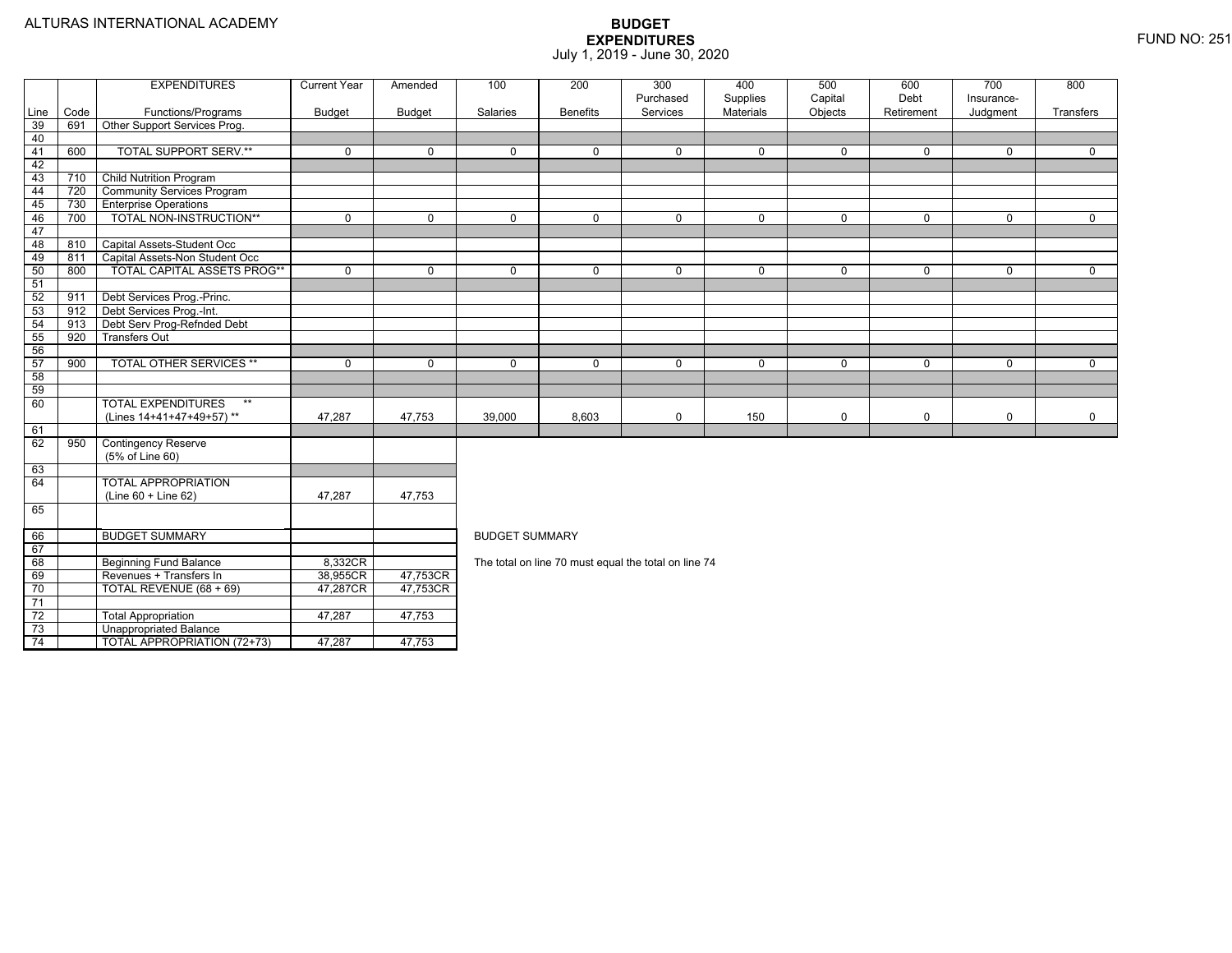73

74

Unappropriated Balance

TOTAL APPROPRIATION (72+73) 47,287 47,753

|      |      | <b>EXPENDITURES</b>                | <b>Current Year</b> | Amended     | 100                   | 200             | 300<br>Purchased                                     | 400<br>Supplies  | 500<br>Capital | 600<br>Debt | 700<br>Insurance- | 800         |  |  |  |
|------|------|------------------------------------|---------------------|-------------|-----------------------|-----------------|------------------------------------------------------|------------------|----------------|-------------|-------------------|-------------|--|--|--|
| Line | Code | Functions/Programs                 | <b>Budget</b>       | Budget      | Salaries              | <b>Benefits</b> | Services                                             | <b>Materials</b> | Objects        | Retirement  | Judgment          | Transfers   |  |  |  |
| 39   | 691  | Other Support Services Prog.       |                     |             |                       |                 |                                                      |                  |                |             |                   |             |  |  |  |
| 40   |      |                                    |                     |             |                       |                 |                                                      |                  |                |             |                   |             |  |  |  |
| 41   | 600  | <b>TOTAL SUPPORT SERV.**</b>       | 0                   | $\mathbf 0$ | 0                     | $\mathbf 0$     | 0                                                    | $\mathbf 0$      | $\mathbf 0$    | $\mathbf 0$ | $\mathbf 0$       | $\mathbf 0$ |  |  |  |
| 42   |      |                                    |                     |             |                       |                 |                                                      |                  |                |             |                   |             |  |  |  |
| 43   | 710  | <b>Child Nutrition Program</b>     |                     |             |                       |                 |                                                      |                  |                |             |                   |             |  |  |  |
| 44   | 720  | <b>Community Services Program</b>  |                     |             |                       |                 |                                                      |                  |                |             |                   |             |  |  |  |
| 45   | 730  | <b>Enterprise Operations</b>       |                     |             |                       |                 |                                                      |                  |                |             |                   |             |  |  |  |
| 46   | 700  | TOTAL NON-INSTRUCTION**            | 0                   | $\mathbf 0$ | 0                     | $\mathbf 0$     | 0                                                    | $\mathbf 0$      | $\mathbf 0$    | $\mathbf 0$ | $\mathbf 0$       | $\mathbf 0$ |  |  |  |
| 47   |      |                                    |                     |             |                       |                 |                                                      |                  |                |             |                   |             |  |  |  |
| 48   | 810  | Capital Assets-Student Occ         |                     |             |                       |                 |                                                      |                  |                |             |                   |             |  |  |  |
| 49   | 811  | Capital Assets-Non Student Occ     |                     |             |                       |                 |                                                      |                  |                |             |                   |             |  |  |  |
| 50   | 800  | <b>TOTAL CAPITAL ASSETS PROG**</b> | $\mathbf 0$         | $\Omega$    | 0                     | $\mathbf 0$     | 0                                                    | $\mathbf 0$      | $\mathbf{0}$   | $\mathbf 0$ | $\mathbf{0}$      | $\mathbf 0$ |  |  |  |
| 51   |      |                                    |                     |             |                       |                 |                                                      |                  |                |             |                   |             |  |  |  |
| 52   | 911  | Debt Services Prog.-Princ.         |                     |             |                       |                 |                                                      |                  |                |             |                   |             |  |  |  |
| 53   | 912  | Debt Services Prog.-Int.           |                     |             |                       |                 |                                                      |                  |                |             |                   |             |  |  |  |
| 54   | 913  | Debt Serv Prog-Refnded Debt        |                     |             |                       |                 |                                                      |                  |                |             |                   |             |  |  |  |
| 55   | 920  | <b>Transfers Out</b>               |                     |             |                       |                 |                                                      |                  |                |             |                   |             |  |  |  |
| 56   |      |                                    |                     |             |                       |                 |                                                      |                  |                |             |                   |             |  |  |  |
| 57   | 900  | <b>TOTAL OTHER SERVICES **</b>     | 0                   | $\Omega$    | 0                     | $\mathbf 0$     | 0                                                    | $\mathbf 0$      | $\mathbf 0$    | $\mathbf 0$ | $\mathbf 0$       | $\mathbf 0$ |  |  |  |
| 58   |      |                                    |                     |             |                       |                 |                                                      |                  |                |             |                   |             |  |  |  |
| 59   |      |                                    |                     |             |                       |                 |                                                      |                  |                |             |                   |             |  |  |  |
| 60   |      | <b>TOTAL EXPENDITURES</b><br>$**$  |                     |             |                       |                 |                                                      |                  |                |             |                   |             |  |  |  |
|      |      | (Lines 14+41+47+49+57)**           | 47,287              | 47,753      | 39,000                | 8,603           | 0                                                    | 150              | $\mathbf 0$    | $\mathbf 0$ | $\mathbf 0$       | $\mathbf 0$ |  |  |  |
| 61   |      |                                    |                     |             |                       |                 |                                                      |                  |                |             |                   |             |  |  |  |
| 62   | 950  | <b>Contingency Reserve</b>         |                     |             |                       |                 |                                                      |                  |                |             |                   |             |  |  |  |
|      |      | (5% of Line 60)                    |                     |             |                       |                 |                                                      |                  |                |             |                   |             |  |  |  |
| 63   |      |                                    |                     |             |                       |                 |                                                      |                  |                |             |                   |             |  |  |  |
| 64   |      | <b>TOTAL APPROPRIATION</b>         |                     |             |                       |                 |                                                      |                  |                |             |                   |             |  |  |  |
|      |      | $(Line 60 + Line 62)$              | 47,287              | 47,753      |                       |                 |                                                      |                  |                |             |                   |             |  |  |  |
| 65   |      |                                    |                     |             |                       |                 |                                                      |                  |                |             |                   |             |  |  |  |
| 66   |      | <b>BUDGET SUMMARY</b>              |                     |             | <b>BUDGET SUMMARY</b> |                 |                                                      |                  |                |             |                   |             |  |  |  |
| 67   |      |                                    |                     |             |                       |                 |                                                      |                  |                |             |                   |             |  |  |  |
| 68   |      | <b>Beginning Fund Balance</b>      | 8,332CR             |             |                       |                 | The total on line 70 must equal the total on line 74 |                  |                |             |                   |             |  |  |  |
| 69   |      | Revenues + Transfers In            | 38,955CR            | 47,753CR    |                       |                 |                                                      |                  |                |             |                   |             |  |  |  |
| 70   |      | TOTAL REVENUE (68 + 69)            | 47,287CR            | 47,753CR    |                       |                 |                                                      |                  |                |             |                   |             |  |  |  |
| 71   |      |                                    |                     |             |                       |                 |                                                      |                  |                |             |                   |             |  |  |  |
| 72   |      | <b>Total Appropriation</b>         | 47,287              | 47,753      |                       |                 |                                                      |                  |                |             |                   |             |  |  |  |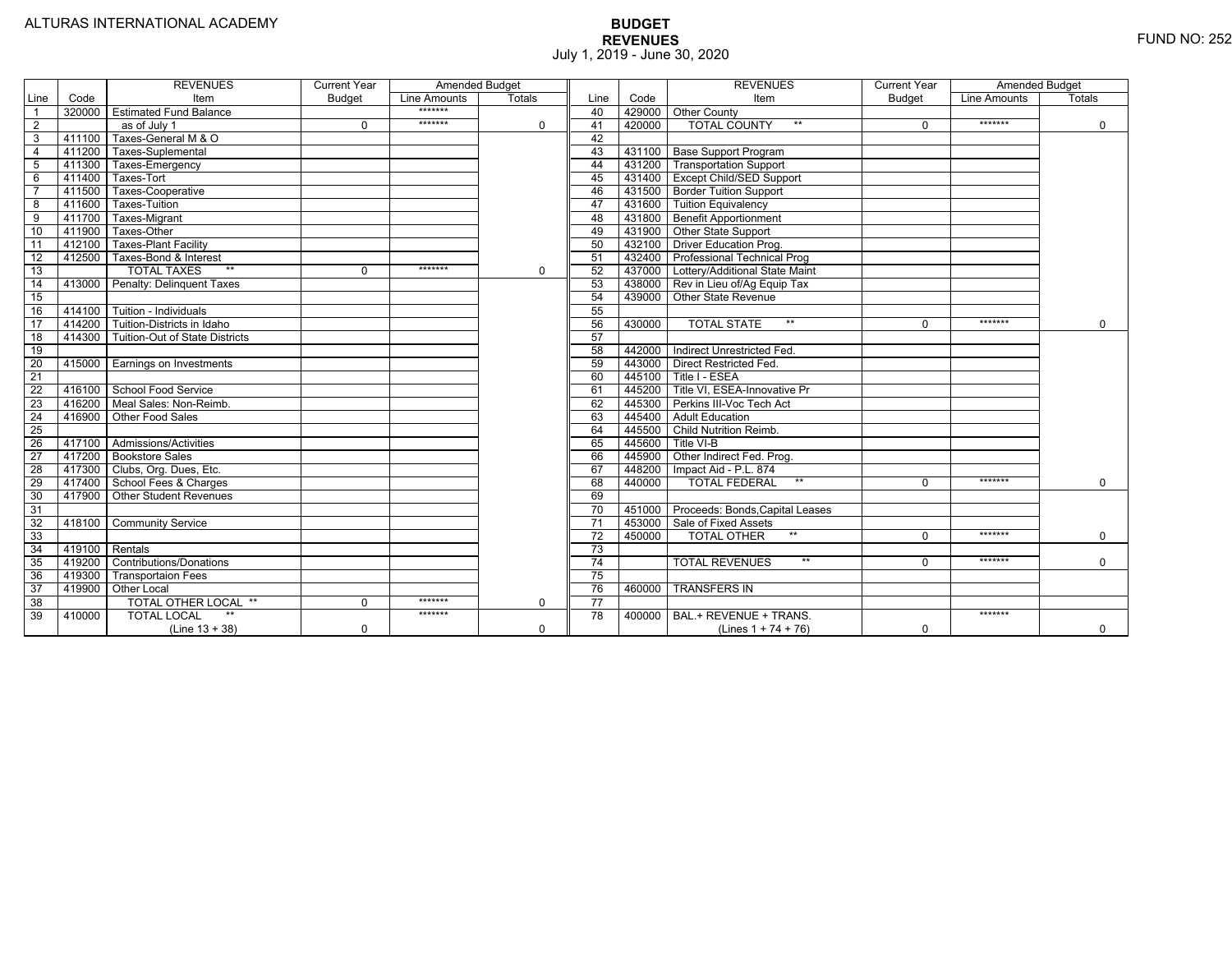|                 |                | <b>REVENUES</b>                 | <b>Current Year</b> | <b>Amended Budget</b> |             |                 |        | <b>REVENUES</b>                        | <b>Current Year</b> | <b>Amended Budget</b> |               |
|-----------------|----------------|---------------------------------|---------------------|-----------------------|-------------|-----------------|--------|----------------------------------------|---------------------|-----------------------|---------------|
| Line            | Code           | Item                            | <b>Budget</b>       | Line Amounts          | Totals      | Line            | Code   | Item                                   | <b>Budget</b>       | Line Amounts          | <b>Totals</b> |
| $\overline{1}$  | 320000         | <b>Estimated Fund Balance</b>   |                     | *******               |             | 40              |        | 429000 Other County                    |                     |                       |               |
| $\overline{2}$  |                | as of July 1                    | $\Omega$            | *******               | 0           | 41              | 420000 | <b>TOTAL COUNTY</b><br>$***$           | $\Omega$            | *******               | 0             |
| 3               | 411100         | Taxes-General M & O             |                     |                       |             | 42              |        |                                        |                     |                       |               |
| $\overline{4}$  | 411200         | Taxes-Suplemental               |                     |                       |             | 43              |        | 431100   Base Support Program          |                     |                       |               |
| $\overline{5}$  | 411300         | Taxes-Emergency                 |                     |                       |             | 44              |        | 431200 Transportation Support          |                     |                       |               |
| 6               | 411400         | Taxes-Tort                      |                     |                       |             | 45              |        | 431400 Except Child/SED Support        |                     |                       |               |
|                 | 411500         | Taxes-Cooperative               |                     |                       |             | 46              |        | 431500   Border Tuition Support        |                     |                       |               |
| 8               | 411600         | Taxes-Tuition                   |                     |                       |             | 47              |        | 431600 Tuition Equivalency             |                     |                       |               |
| $\overline{9}$  | 411700         | Taxes-Migrant                   |                     |                       |             | 48              |        | 431800 Benefit Apportionment           |                     |                       |               |
| 10              | 411900         | Taxes-Other                     |                     |                       |             | 49              |        | 431900 Other State Support             |                     |                       |               |
| 11              | 412100         | <b>Taxes-Plant Facility</b>     |                     |                       |             | 50              | 432100 | <b>Driver Education Prog.</b>          |                     |                       |               |
| 12              | 412500         | Taxes-Bond & Interest           |                     |                       |             | 51              |        | 432400   Professional Technical Prog   |                     |                       |               |
| 13              |                | $**$<br><b>TOTAL TAXES</b>      | $\Omega$            | *******               | $\mathbf 0$ | 52              |        | 437000 Lottery/Additional State Maint  |                     |                       |               |
| 14              | 413000         | Penalty: Delinquent Taxes       |                     |                       |             | 53              |        | 438000 Rev in Lieu of/Ag Equip Tax     |                     |                       |               |
| 15              |                |                                 |                     |                       |             | 54              | 439000 | Other State Revenue                    |                     |                       |               |
| 16              | 414100         | Tuition - Individuals           |                     |                       |             | 55              |        |                                        |                     |                       |               |
| $\overline{17}$ | 414200         | Tuition-Districts in Idaho      |                     |                       |             | 56              | 430000 | $**$<br><b>TOTAL STATE</b>             |                     | *******               | $\Omega$      |
| 18              | 414300         | Tuition-Out of State Districts  |                     |                       |             | 57              |        |                                        |                     |                       |               |
| 19              |                |                                 |                     |                       |             | 58              |        | 442000 Indirect Unrestricted Fed.      |                     |                       |               |
| $\overline{20}$ |                | 415000 Earnings on Investments  |                     |                       |             | 59              |        | 443000 Direct Restricted Fed.          |                     |                       |               |
| 21              |                |                                 |                     |                       |             | 60              |        | 445100 Title I - ESEA                  |                     |                       |               |
| 22              | 416100         | School Food Service             |                     |                       |             | 61              |        | 445200 Title VI, ESEA-Innovative Pr    |                     |                       |               |
| 23              |                | 416200   Meal Sales: Non-Reimb. |                     |                       |             | 62              |        | 445300 Perkins III-Voc Tech Act        |                     |                       |               |
| 24              |                | 416900 Other Food Sales         |                     |                       |             | 63              |        | 445400 Adult Education                 |                     |                       |               |
| 25              |                |                                 |                     |                       |             | 64              |        | 445500 Child Nutrition Reimb.          |                     |                       |               |
| 26              |                | 417100 Admissions/Activities    |                     |                       |             | 65              | 445600 | Title VI-B                             |                     |                       |               |
| $\overline{27}$ | 417200         | <b>Bookstore Sales</b>          |                     |                       |             | 66              | 445900 | Other Indirect Fed. Prog.              |                     |                       |               |
| $\overline{28}$ |                | 417300   Clubs, Org. Dues, Etc. |                     |                       |             | 67              | 448200 | Impact Aid - P.L. 874                  |                     |                       |               |
| 29              | 417400         | School Fees & Charges           |                     |                       |             | 68              | 440000 | $**$<br><b>TOTAL FEDERAL</b>           | $\Omega$            | *******               | $\mathbf 0$   |
| 30              | 417900         | <b>Other Student Revenues</b>   |                     |                       |             | 69              |        |                                        |                     |                       |               |
| 31              |                |                                 |                     |                       |             | $\overline{70}$ |        | 451000 Proceeds: Bonds, Capital Leases |                     |                       |               |
| $\overline{32}$ | 418100         | <b>Community Service</b>        |                     |                       |             | $\overline{71}$ |        | 453000 Sale of Fixed Assets            |                     |                       |               |
| 33              |                |                                 |                     |                       |             | 72              | 450000 | $**$<br><b>TOTAL OTHER</b>             | $\Omega$            | *******               | $\mathbf 0$   |
| 34              | 419100 Rentals |                                 |                     |                       |             | 73              |        |                                        |                     |                       |               |
| 35              | 419200         | <b>Contributions/Donations</b>  |                     |                       |             | 74              |        | <b>TOTAL REVENUES</b><br>$**$          | $\Omega$            | *******               | $\mathbf 0$   |
| 36              | 419300         | <b>Transportaion Fees</b>       |                     |                       |             | 75              |        |                                        |                     |                       |               |
| 37              | 419900         | <b>Other Local</b>              |                     |                       |             | 76              | 460000 | <b>TRANSFERS IN</b>                    |                     |                       |               |
| 38              |                | TOTAL OTHER LOCAL **            | $\Omega$            | *******               | 0           | 77              |        |                                        |                     |                       |               |
| 39              | 410000         | <b>TOTAL LOCAL</b>              |                     | *******               |             | $\overline{78}$ | 400000 | BAL.+ REVENUE + TRANS.                 |                     | *******               |               |
|                 |                | $(Line 13 + 38)$                | $\Omega$            |                       | $\Omega$    |                 |        | (Lines $1 + 74 + 76$ )                 | $\mathbf 0$         |                       | $\mathbf 0$   |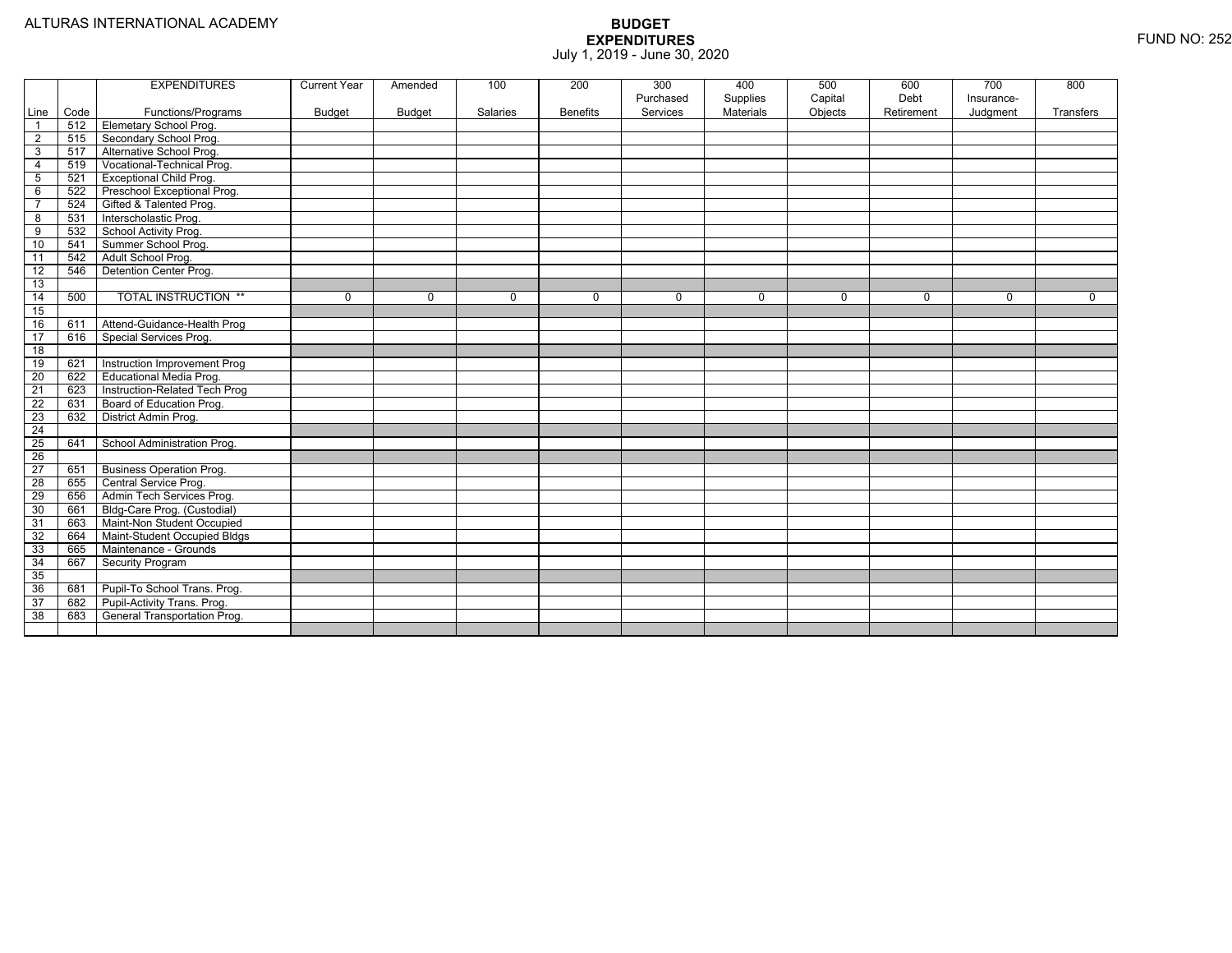|                 |      | <b>EXPENDITURES</b>             | <b>Current Year</b> | Amended       | 100      | 200             | 300<br>Purchased | 400<br>Supplies | 500<br>Capital | 600<br>Debt | 700<br>Insurance- | 800       |
|-----------------|------|---------------------------------|---------------------|---------------|----------|-----------------|------------------|-----------------|----------------|-------------|-------------------|-----------|
| Line            | Code | Functions/Programs              | <b>Budget</b>       | <b>Budget</b> | Salaries | <b>Benefits</b> | Services         | Materials       | Objects        | Retirement  | Judgment          | Transfers |
| $\overline{1}$  | 512  | Elemetary School Prog.          |                     |               |          |                 |                  |                 |                |             |                   |           |
| $\overline{2}$  | 515  | Secondary School Prog.          |                     |               |          |                 |                  |                 |                |             |                   |           |
| $\overline{3}$  | 517  | Alternative School Prog.        |                     |               |          |                 |                  |                 |                |             |                   |           |
| $\overline{4}$  | 519  | Vocational-Technical Prog.      |                     |               |          |                 |                  |                 |                |             |                   |           |
| 5               | 521  | <b>Exceptional Child Prog.</b>  |                     |               |          |                 |                  |                 |                |             |                   |           |
| 6               | 522  | Preschool Exceptional Prog.     |                     |               |          |                 |                  |                 |                |             |                   |           |
| $\overline{7}$  | 524  | Gifted & Talented Prog.         |                     |               |          |                 |                  |                 |                |             |                   |           |
| 8               | 531  | Interscholastic Prog.           |                     |               |          |                 |                  |                 |                |             |                   |           |
| 9               | 532  | School Activity Prog.           |                     |               |          |                 |                  |                 |                |             |                   |           |
| 10              | 541  | Summer School Prog.             |                     |               |          |                 |                  |                 |                |             |                   |           |
| 11              | 542  | Adult School Prog.              |                     |               |          |                 |                  |                 |                |             |                   |           |
| $\overline{12}$ | 546  | Detention Center Prog.          |                     |               |          |                 |                  |                 |                |             |                   |           |
| 13              |      |                                 |                     |               |          |                 |                  |                 |                |             |                   |           |
| 14              | 500  | <b>TOTAL INSTRUCTION **</b>     | 0                   | $\mathbf 0$   | 0        | $\mathbf{0}$    | $\mathbf 0$      | $\mathbf 0$     | 0              | 0           | 0                 | 0         |
| 15              |      |                                 |                     |               |          |                 |                  |                 |                |             |                   |           |
| 16              | 611  | Attend-Guidance-Health Prog     |                     |               |          |                 |                  |                 |                |             |                   |           |
| 17              | 616  | Special Services Prog.          |                     |               |          |                 |                  |                 |                |             |                   |           |
| $\overline{18}$ |      |                                 |                     |               |          |                 |                  |                 |                |             |                   |           |
| 19              | 621  | Instruction Improvement Prog    |                     |               |          |                 |                  |                 |                |             |                   |           |
| 20              | 622  | Educational Media Prog.         |                     |               |          |                 |                  |                 |                |             |                   |           |
| 21              | 623  | Instruction-Related Tech Prog   |                     |               |          |                 |                  |                 |                |             |                   |           |
| 22              | 631  | Board of Education Prog.        |                     |               |          |                 |                  |                 |                |             |                   |           |
| 23              | 632  | District Admin Prog.            |                     |               |          |                 |                  |                 |                |             |                   |           |
| $\overline{24}$ |      |                                 |                     |               |          |                 |                  |                 |                |             |                   |           |
| 25              | 641  | School Administration Prog.     |                     |               |          |                 |                  |                 |                |             |                   |           |
| 26              |      |                                 |                     |               |          |                 |                  |                 |                |             |                   |           |
| 27              | 651  | <b>Business Operation Prog.</b> |                     |               |          |                 |                  |                 |                |             |                   |           |
| $\overline{28}$ | 655  | Central Service Prog.           |                     |               |          |                 |                  |                 |                |             |                   |           |
| 29              | 656  | Admin Tech Services Prog.       |                     |               |          |                 |                  |                 |                |             |                   |           |
| 30              | 661  | Bldg-Care Prog. (Custodial)     |                     |               |          |                 |                  |                 |                |             |                   |           |
| 31              | 663  | Maint-Non Student Occupied      |                     |               |          |                 |                  |                 |                |             |                   |           |
| 32              | 664  | Maint-Student Occupied Bldgs    |                     |               |          |                 |                  |                 |                |             |                   |           |
| 33              | 665  | Maintenance - Grounds           |                     |               |          |                 |                  |                 |                |             |                   |           |
| 34              | 667  | Security Program                |                     |               |          |                 |                  |                 |                |             |                   |           |
| 35              |      |                                 |                     |               |          |                 |                  |                 |                |             |                   |           |
| 36              | 681  | Pupil-To School Trans. Prog.    |                     |               |          |                 |                  |                 |                |             |                   |           |
| 37              | 682  | Pupil-Activity Trans. Prog.     |                     |               |          |                 |                  |                 |                |             |                   |           |
| 38              | 683  | General Transportation Prog.    |                     |               |          |                 |                  |                 |                |             |                   |           |
|                 |      |                                 |                     |               |          |                 |                  |                 |                |             |                   |           |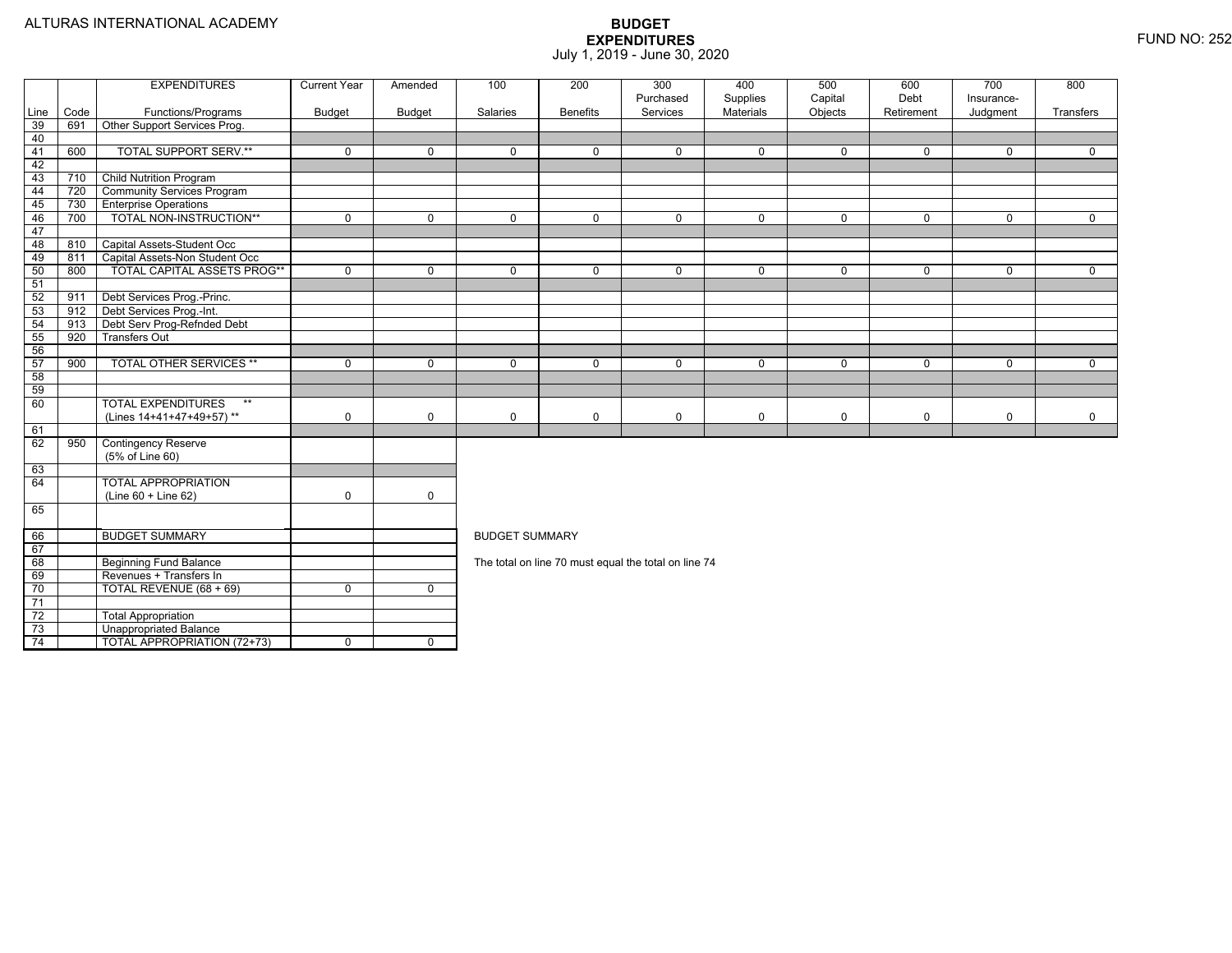|          |      | <b>EXPENDITURES</b>                | <b>Current Year</b> | Amended      | 100                                                                                                                  | 200             | 300                                                  | 400            | 500         | 600         | 700                     | 800         |  |  |  |
|----------|------|------------------------------------|---------------------|--------------|----------------------------------------------------------------------------------------------------------------------|-----------------|------------------------------------------------------|----------------|-------------|-------------|-------------------------|-------------|--|--|--|
|          |      |                                    |                     |              |                                                                                                                      |                 | Purchased                                            | Supplies       | Capital     | Debt        | Insurance-              |             |  |  |  |
| Line     | Code | Functions/Programs                 | <b>Budget</b>       | Budget       | Salaries                                                                                                             | <b>Benefits</b> | Services                                             | Materials      | Objects     | Retirement  | Judgment                | Transfers   |  |  |  |
| 39<br>40 | 691  | Other Support Services Prog.       |                     |              |                                                                                                                      |                 |                                                      |                |             |             |                         |             |  |  |  |
| 41       | 600  | <b>TOTAL SUPPORT SERV.**</b>       | $\mathbf 0$         | $\mathbf{0}$ | $\Omega$                                                                                                             | $\Omega$        | $\Omega$                                             | $\mathbf{0}$   | $\mathbf 0$ | $\Omega$    | $\Omega$                | $\Omega$    |  |  |  |
| 42       |      |                                    |                     |              |                                                                                                                      |                 |                                                      |                |             |             |                         |             |  |  |  |
| 43       | 710  | <b>Child Nutrition Program</b>     |                     |              |                                                                                                                      |                 |                                                      |                |             |             |                         |             |  |  |  |
| 44       | 720  | <b>Community Services Program</b>  |                     |              |                                                                                                                      |                 |                                                      |                |             |             |                         |             |  |  |  |
| 45       | 730  | <b>Enterprise Operations</b>       |                     |              |                                                                                                                      |                 |                                                      |                |             |             |                         |             |  |  |  |
| 46       | 700  | TOTAL NON-INSTRUCTION**            | $\mathbf 0$         | $\mathbf 0$  | $\mathbf 0$                                                                                                          | $\overline{0}$  | $\mathbf 0$                                          | $\overline{0}$ | $\mathbf 0$ | $\mathbf 0$ | $\mathbf 0$             | $\mathbf 0$ |  |  |  |
| 47       |      |                                    |                     |              |                                                                                                                      |                 |                                                      |                |             |             |                         |             |  |  |  |
| 48       | 810  | Capital Assets-Student Occ         |                     |              |                                                                                                                      |                 |                                                      |                |             |             |                         |             |  |  |  |
| 49       | 811  | Capital Assets-Non Student Occ     |                     |              |                                                                                                                      |                 |                                                      |                |             |             |                         |             |  |  |  |
| 50       | 800  | TOTAL CAPITAL ASSETS PROG**        | $\Omega$            | $\mathbf 0$  | $\Omega$                                                                                                             | $\Omega$        | $\Omega$                                             | $\mathbf 0$    | $\mathbf 0$ | $\Omega$    | $\mathbf 0$             | $\mathbf 0$ |  |  |  |
| 51       |      |                                    |                     |              |                                                                                                                      |                 |                                                      |                |             |             |                         |             |  |  |  |
| 52       | 911  | Debt Services Prog.-Princ.         |                     |              |                                                                                                                      |                 |                                                      |                |             |             |                         |             |  |  |  |
| 53       | 912  | Debt Services Prog.-Int.           |                     |              |                                                                                                                      |                 |                                                      |                |             |             |                         |             |  |  |  |
| 54       | 913  | Debt Serv Prog-Refnded Debt        |                     |              |                                                                                                                      |                 |                                                      |                |             |             |                         |             |  |  |  |
| 55       | 920  | <b>Transfers Out</b>               |                     |              |                                                                                                                      |                 |                                                      |                |             |             |                         |             |  |  |  |
| 56       |      |                                    |                     |              |                                                                                                                      |                 |                                                      |                |             |             |                         |             |  |  |  |
| 57       | 900  | <b>TOTAL OTHER SERVICES **</b>     | $\mathbf 0$         | $\mathbf 0$  | $\mathbf 0$<br>$\mathbf 0$<br>$\mathbf 0$<br>$\mathbf 0$<br>$\mathbf 0$<br>$\mathbf 0$<br>$\mathbf 0$<br>$\mathbf 0$ |                 |                                                      |                |             |             |                         |             |  |  |  |
| 58       |      |                                    |                     |              |                                                                                                                      |                 |                                                      |                |             |             |                         |             |  |  |  |
| 59       |      |                                    |                     |              |                                                                                                                      |                 |                                                      |                |             |             |                         |             |  |  |  |
| 60       |      | <b>TOTAL EXPENDITURES</b><br>$***$ |                     |              |                                                                                                                      |                 |                                                      |                |             |             |                         |             |  |  |  |
|          |      | (Lines 14+41+47+49+57)**           | $\mathbf 0$         | $\mathbf 0$  | $\mathbf 0$                                                                                                          | $\mathbf 0$     | $\mathbf 0$                                          | $\mathbf 0$    | 0           | $\mathbf 0$ | $\mathsf{O}\phantom{0}$ | $\mathbf 0$ |  |  |  |
| 61       |      |                                    |                     |              |                                                                                                                      |                 |                                                      |                |             |             |                         |             |  |  |  |
| 62       | 950  | <b>Contingency Reserve</b>         |                     |              |                                                                                                                      |                 |                                                      |                |             |             |                         |             |  |  |  |
|          |      | (5% of Line 60)                    |                     |              |                                                                                                                      |                 |                                                      |                |             |             |                         |             |  |  |  |
| 63       |      |                                    |                     |              |                                                                                                                      |                 |                                                      |                |             |             |                         |             |  |  |  |
| 64       |      | <b>TOTAL APPROPRIATION</b>         |                     |              |                                                                                                                      |                 |                                                      |                |             |             |                         |             |  |  |  |
|          |      | (Line 60 + Line 62)                | $\mathbf 0$         | $\mathbf 0$  |                                                                                                                      |                 |                                                      |                |             |             |                         |             |  |  |  |
| 65       |      |                                    |                     |              |                                                                                                                      |                 |                                                      |                |             |             |                         |             |  |  |  |
| 66       |      | <b>BUDGET SUMMARY</b>              |                     |              | <b>BUDGET SUMMARY</b>                                                                                                |                 |                                                      |                |             |             |                         |             |  |  |  |
| 67       |      |                                    |                     |              |                                                                                                                      |                 |                                                      |                |             |             |                         |             |  |  |  |
| 68       |      | <b>Beginning Fund Balance</b>      |                     |              |                                                                                                                      |                 | The total on line 70 must equal the total on line 74 |                |             |             |                         |             |  |  |  |
| 69       |      | Revenues + Transfers In            |                     |              |                                                                                                                      |                 |                                                      |                |             |             |                         |             |  |  |  |
| 70       |      | TOTAL REVENUE (68 + 69)            | $\mathbf 0$         | $\mathbf 0$  |                                                                                                                      |                 |                                                      |                |             |             |                         |             |  |  |  |
| 71       |      |                                    |                     |              |                                                                                                                      |                 |                                                      |                |             |             |                         |             |  |  |  |
| 72       |      | <b>Total Appropriation</b>         |                     |              |                                                                                                                      |                 |                                                      |                |             |             |                         |             |  |  |  |
| 73       |      | <b>Unappropriated Balance</b>      |                     |              |                                                                                                                      |                 |                                                      |                |             |             |                         |             |  |  |  |
| 74       |      | <b>TOTAL APPROPRIATION (72+73)</b> | $\Omega$            | $\Omega$     |                                                                                                                      |                 |                                                      |                |             |             |                         |             |  |  |  |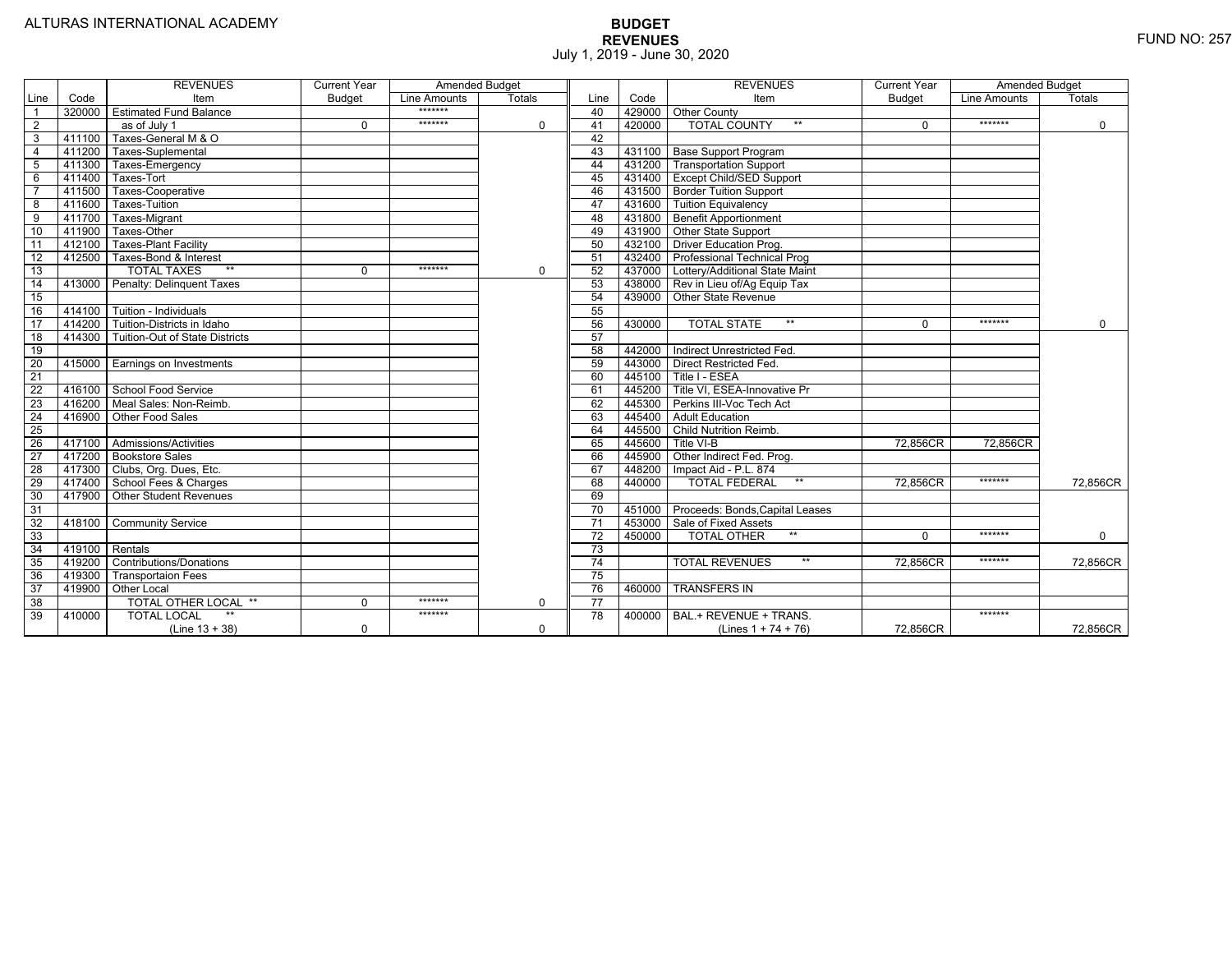|                 |                | <b>REVENUES</b>                       | <b>Current Year</b> | <b>Amended Budget</b> |          |                 |        | <b>REVENUES</b>                         | <b>Current Year</b> | <b>Amended Budget</b> |             |
|-----------------|----------------|---------------------------------------|---------------------|-----------------------|----------|-----------------|--------|-----------------------------------------|---------------------|-----------------------|-------------|
| Line            | Code           | Item                                  | <b>Budget</b>       | Line Amounts          | Totals   | Line            | Code   | Item                                    | <b>Budget</b>       | Line Amounts          | Totals      |
|                 |                | 320000 Estimated Fund Balance         |                     | *******               |          | 40              |        | 429000 Other County                     |                     |                       |             |
| $\overline{2}$  |                | as of July 1                          | $\Omega$            | *******               | 0        | 41              | 420000 | <b>TOTAL COUNTY</b><br>$***$            | $\Omega$            | *******               | $\mathbf 0$ |
| 3               | 411100         | Taxes-General M & O                   |                     |                       |          | 42              |        |                                         |                     |                       |             |
| $\overline{4}$  | 411200         | Taxes-Suplemental                     |                     |                       |          | 43              |        | 431100 Base Support Program             |                     |                       |             |
| 5               | 411300         | Taxes-Emergency                       |                     |                       |          | 44              |        | 431200   Transportation Support         |                     |                       |             |
| 6               | 411400         | Taxes-Tort                            |                     |                       |          | 45              |        | 431400 Except Child/SED Support         |                     |                       |             |
|                 | 411500         | Taxes-Cooperative                     |                     |                       |          | 46              |        | 431500 Border Tuition Support           |                     |                       |             |
| 8               | 411600         | Taxes-Tuition                         |                     |                       |          | 47              |        | 431600 Tuition Equivalency              |                     |                       |             |
| $\overline{9}$  | 411700         | Taxes-Migrant                         |                     |                       |          | 48              |        | 431800 Benefit Apportionment            |                     |                       |             |
| 10              | 411900         | Taxes-Other                           |                     |                       |          | 49              |        | 431900 Other State Support              |                     |                       |             |
| 11              | 412100         | <b>Taxes-Plant Facility</b>           |                     |                       |          | 50              |        | 432100 Driver Education Prog.           |                     |                       |             |
| 12              | 412500         | Taxes-Bond & Interest                 |                     |                       |          | 51              |        | 432400 Professional Technical Prog      |                     |                       |             |
| 13              |                | $**$<br><b>TOTAL TAXES</b>            | $\Omega$            | *******               | $\Omega$ | 52              |        | 437000 Lottery/Additional State Maint   |                     |                       |             |
| 14              |                | 413000 Penalty: Delinguent Taxes      |                     |                       |          | 53              |        | 438000 Rev in Lieu of/Ag Equip Tax      |                     |                       |             |
| 15              |                |                                       |                     |                       |          | 54              |        | 439000 Other State Revenue              |                     |                       |             |
| 16              |                | 414100   Tuition - Individuals        |                     |                       |          | 55              |        |                                         |                     |                       |             |
| 17              |                | 414200 Tuition-Districts in Idaho     |                     |                       |          | 56              | 430000 | <b>TOTAL STATE</b><br>$***$             | $\Omega$            | *******               | $\Omega$    |
| 18              | 414300         | <b>Tuition-Out of State Districts</b> |                     |                       |          | 57              |        |                                         |                     |                       |             |
| 19              |                |                                       |                     |                       |          | 58              | 442000 | Indirect Unrestricted Fed.              |                     |                       |             |
| 20              |                | 415000 Earnings on Investments        |                     |                       |          | 59              | 443000 | Direct Restricted Fed.                  |                     |                       |             |
| 21              |                |                                       |                     |                       |          | 60              |        | 445100 Title I - ESEA                   |                     |                       |             |
| $\overline{22}$ |                | 416100 School Food Service            |                     |                       |          | 61              |        | 445200   Title VI. ESEA-Innovative Pr   |                     |                       |             |
| 23              |                | 416200   Meal Sales: Non-Reimb.       |                     |                       |          | 62              | 445300 | Perkins III-Voc Tech Act                |                     |                       |             |
| $\overline{24}$ |                | 416900 Other Food Sales               |                     |                       |          | 63              | 445400 | <b>Adult Education</b>                  |                     |                       |             |
| 25              |                |                                       |                     |                       |          | 64              |        | 445500 Child Nutrition Reimb.           |                     |                       |             |
| 26              |                | 417100 Admissions/Activities          |                     |                       |          | 65              | 445600 | Title VI-B                              | 72,856CR            | 72,856CR              |             |
| $\overline{27}$ |                | 417200 Bookstore Sales                |                     |                       |          | 66              |        | 445900 Other Indirect Fed. Prog.        |                     |                       |             |
| 28              |                | 417300 Clubs, Org. Dues, Etc.         |                     |                       |          | 67              | 448200 | Impact Aid - P.L. 874                   |                     |                       |             |
| 29              |                | 417400 School Fees & Charges          |                     |                       |          | 68              | 440000 | $^{\star\star}$<br><b>TOTAL FEDERAL</b> | 72,856CR            | *******               | 72,856CR    |
| 30              |                | 417900 Other Student Revenues         |                     |                       |          | 69              |        |                                         |                     |                       |             |
| 31              |                |                                       |                     |                       |          | $\overline{70}$ | 451000 | Proceeds: Bonds, Capital Leases         |                     |                       |             |
| 32              |                | 418100 Community Service              |                     |                       |          | $\overline{71}$ | 453000 | Sale of Fixed Assets                    |                     |                       |             |
| 33              |                |                                       |                     |                       |          | 72              | 450000 | <b>TOTAL OTHER</b><br>$***$             | $\Omega$            | *******               | $\mathbf 0$ |
| 34              | 419100 Rentals |                                       |                     |                       |          | 73              |        |                                         |                     |                       |             |
| 35              | 419200         | <b>Contributions/Donations</b>        |                     |                       |          | 74              |        | <b>TOTAL REVENUES</b><br>$***$          | 72.856CR            | *******               | 72.856CR    |
| 36              | 419300         | <b>Transportaion Fees</b>             |                     |                       |          | 75              |        |                                         |                     |                       |             |
| $\overline{37}$ | 419900         | <b>Other Local</b>                    |                     |                       |          | $\overline{76}$ | 460000 | <b>TRANSFERS IN</b>                     |                     |                       |             |
| $\overline{38}$ |                | TOTAL OTHER LOCAL **                  | $\Omega$            | *******               | 0        | 77              |        |                                         |                     |                       |             |
| 39              | 410000         | <b>TOTAL LOCAL</b>                    |                     | *******               |          | 78              | 400000 | BAL.+ REVENUE + TRANS.                  |                     | *******               |             |
|                 |                | $(Line 13 + 38)$                      | 0                   |                       | 0        |                 |        | (Lines $1 + 74 + 76$ )                  | 72,856CR            |                       | 72,856CR    |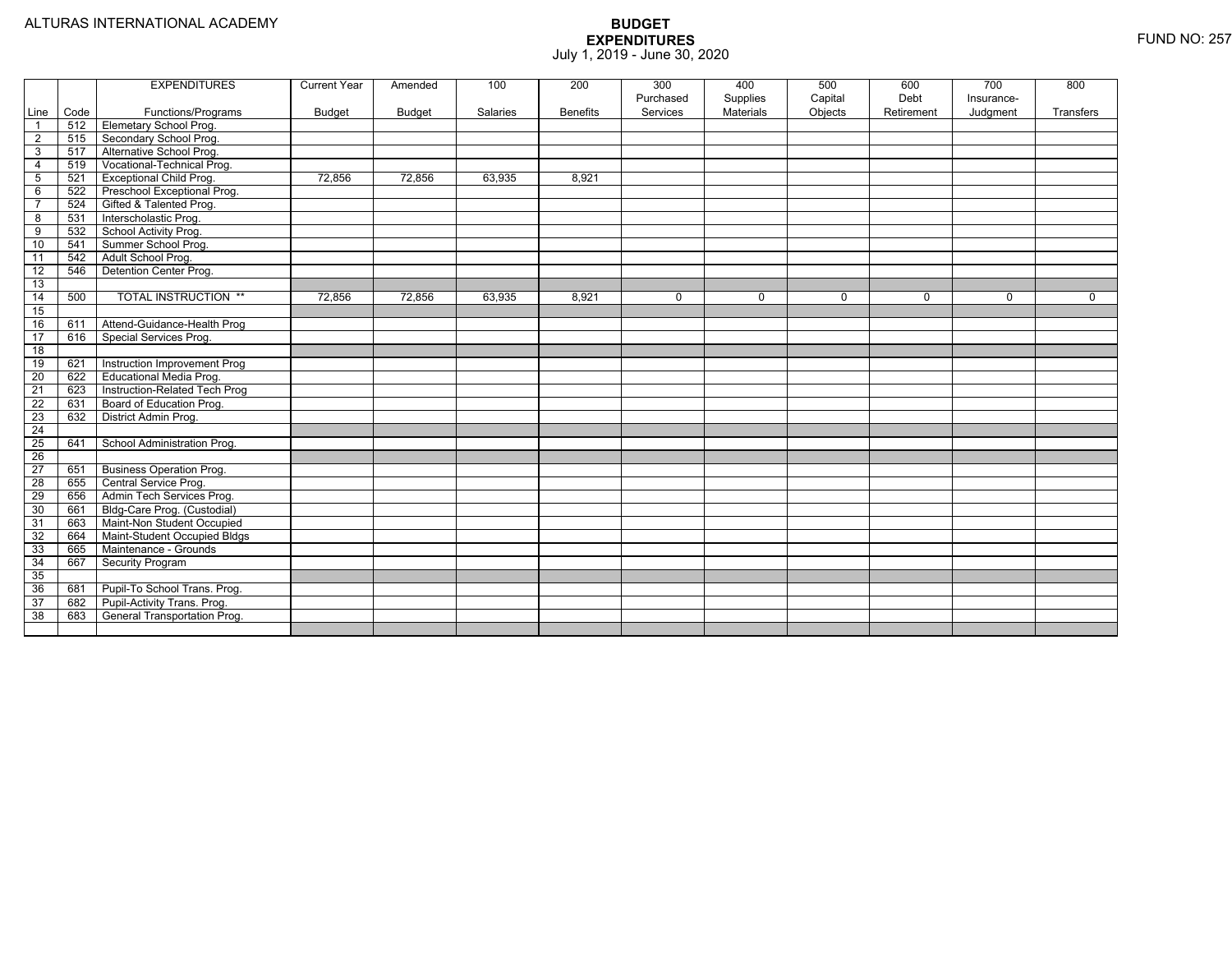|                         |      | <b>EXPENDITURES</b>             | <b>Current Year</b> | Amended       | 100      | 200             | 300<br>Purchased | 400<br>Supplies | 500<br>Capital | 600<br>Debt | 700<br>Insurance- | 800       |
|-------------------------|------|---------------------------------|---------------------|---------------|----------|-----------------|------------------|-----------------|----------------|-------------|-------------------|-----------|
| Line                    | Code | Functions/Programs              | <b>Budget</b>       | <b>Budget</b> | Salaries | <b>Benefits</b> | Services         | Materials       | Objects        | Retirement  | Judgment          | Transfers |
| $\overline{1}$          | 512  | Elemetary School Prog.          |                     |               |          |                 |                  |                 |                |             |                   |           |
| $\overline{2}$          | 515  | Secondary School Prog.          |                     |               |          |                 |                  |                 |                |             |                   |           |
| 3                       | 517  | Alternative School Prog.        |                     |               |          |                 |                  |                 |                |             |                   |           |
| $\overline{4}$          | 519  | Vocational-Technical Prog.      |                     |               |          |                 |                  |                 |                |             |                   |           |
| 5                       | 521  | <b>Exceptional Child Prog.</b>  | 72.856              | 72,856        | 63,935   | 8,921           |                  |                 |                |             |                   |           |
| $\,6\,$                 | 522  | Preschool Exceptional Prog.     |                     |               |          |                 |                  |                 |                |             |                   |           |
| $\overline{7}$          | 524  | Gifted & Talented Prog.         |                     |               |          |                 |                  |                 |                |             |                   |           |
| $\overline{\mathbf{8}}$ | 531  | Interscholastic Prog.           |                     |               |          |                 |                  |                 |                |             |                   |           |
| 9                       | 532  | School Activity Prog.           |                     |               |          |                 |                  |                 |                |             |                   |           |
| 10                      | 541  | Summer School Prog.             |                     |               |          |                 |                  |                 |                |             |                   |           |
| 11                      | 542  | Adult School Prog.              |                     |               |          |                 |                  |                 |                |             |                   |           |
| $\overline{12}$         | 546  | Detention Center Prog.          |                     |               |          |                 |                  |                 |                |             |                   |           |
| 13                      |      |                                 |                     |               |          |                 |                  |                 |                |             |                   |           |
| 14                      | 500  | <b>TOTAL INSTRUCTION **</b>     | 72,856              | 72,856        | 63,935   | 8,921           | $\mathbf 0$      | $\mathbf 0$     | $\mathbf 0$    | $\mathbf 0$ | $\Omega$          | $\Omega$  |
| 15                      |      |                                 |                     |               |          |                 |                  |                 |                |             |                   |           |
| 16                      | 611  | Attend-Guidance-Health Prog     |                     |               |          |                 |                  |                 |                |             |                   |           |
| $\overline{17}$         | 616  | Special Services Prog.          |                     |               |          |                 |                  |                 |                |             |                   |           |
| 18                      |      |                                 |                     |               |          |                 |                  |                 |                |             |                   |           |
| 19                      | 621  | Instruction Improvement Prog    |                     |               |          |                 |                  |                 |                |             |                   |           |
| $\overline{20}$         | 622  | Educational Media Prog.         |                     |               |          |                 |                  |                 |                |             |                   |           |
| $\overline{21}$         | 623  | Instruction-Related Tech Prog   |                     |               |          |                 |                  |                 |                |             |                   |           |
| 22                      | 631  | Board of Education Prog.        |                     |               |          |                 |                  |                 |                |             |                   |           |
| 23                      | 632  | District Admin Prog.            |                     |               |          |                 |                  |                 |                |             |                   |           |
| $\overline{24}$         |      |                                 |                     |               |          |                 |                  |                 |                |             |                   |           |
| $\overline{25}$         | 641  | School Administration Prog.     |                     |               |          |                 |                  |                 |                |             |                   |           |
| $\overline{26}$         |      |                                 |                     |               |          |                 |                  |                 |                |             |                   |           |
| $\overline{27}$         | 651  | <b>Business Operation Prog.</b> |                     |               |          |                 |                  |                 |                |             |                   |           |
| 28                      | 655  | Central Service Prog.           |                     |               |          |                 |                  |                 |                |             |                   |           |
| 29                      | 656  | Admin Tech Services Prog.       |                     |               |          |                 |                  |                 |                |             |                   |           |
| 30                      | 661  | Bldg-Care Prog. (Custodial)     |                     |               |          |                 |                  |                 |                |             |                   |           |
| 31                      | 663  | Maint-Non Student Occupied      |                     |               |          |                 |                  |                 |                |             |                   |           |
| 32                      | 664  | Maint-Student Occupied Bldgs    |                     |               |          |                 |                  |                 |                |             |                   |           |
| 33                      | 665  | Maintenance - Grounds           |                     |               |          |                 |                  |                 |                |             |                   |           |
| 34                      | 667  | Security Program                |                     |               |          |                 |                  |                 |                |             |                   |           |
| 35                      |      |                                 |                     |               |          |                 |                  |                 |                |             |                   |           |
| 36                      | 681  | Pupil-To School Trans. Prog.    |                     |               |          |                 |                  |                 |                |             |                   |           |
| $\overline{37}$         | 682  | Pupil-Activity Trans. Prog.     |                     |               |          |                 |                  |                 |                |             |                   |           |
| 38                      | 683  | General Transportation Prog.    |                     |               |          |                 |                  |                 |                |             |                   |           |
|                         |      |                                 |                     |               |          |                 |                  |                 |                |             |                   |           |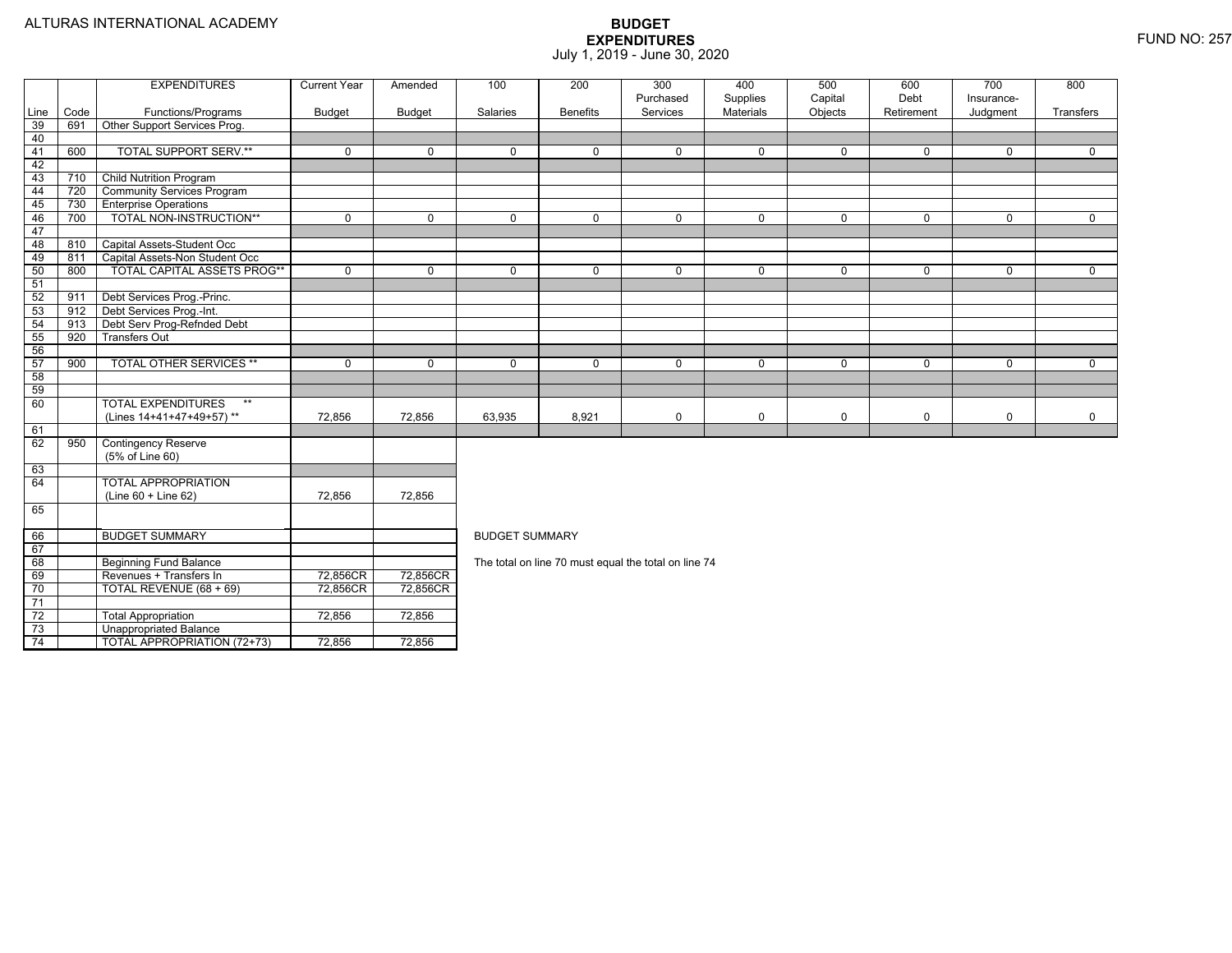|       |      | <b>EXPENDITURES</b>                | <b>Current Year</b> | Amended       | 100                                                                                                   | 200             | 300                                                  | 400                   | 500                | 600                | 700                    | 800            |  |  |
|-------|------|------------------------------------|---------------------|---------------|-------------------------------------------------------------------------------------------------------|-----------------|------------------------------------------------------|-----------------------|--------------------|--------------------|------------------------|----------------|--|--|
| Line  | Code | Functions/Programs                 | <b>Budget</b>       | <b>Budget</b> | Salaries                                                                                              | <b>Benefits</b> | Purchased<br>Services                                | Supplies<br>Materials | Capital<br>Objects | Debt<br>Retirement | Insurance-<br>Judgment | Transfers      |  |  |
| 39    | 691  | Other Support Services Prog.       |                     |               |                                                                                                       |                 |                                                      |                       |                    |                    |                        |                |  |  |
| 40    |      |                                    |                     |               |                                                                                                       |                 |                                                      |                       |                    |                    |                        |                |  |  |
| $-41$ | 600  | <b>TOTAL SUPPORT SERV.**</b>       | $\mathbf 0$         | $\mathbf 0$   | $\Omega$                                                                                              | $\Omega$        | $\mathbf 0$                                          | $\mathbf 0$           | $\mathbf 0$        | 0                  | $\Omega$               | $\mathbf{0}$   |  |  |
| 42    |      |                                    |                     |               |                                                                                                       |                 |                                                      |                       |                    |                    |                        |                |  |  |
| 43    | 710  | <b>Child Nutrition Program</b>     |                     |               |                                                                                                       |                 |                                                      |                       |                    |                    |                        |                |  |  |
| 44    | 720  | <b>Community Services Program</b>  |                     |               |                                                                                                       |                 |                                                      |                       |                    |                    |                        |                |  |  |
| 45    | 730  | <b>Enterprise Operations</b>       |                     |               |                                                                                                       |                 |                                                      |                       |                    |                    |                        |                |  |  |
| 46    | 700  | <b>TOTAL NON-INSTRUCTION**</b>     | $\overline{0}$      | $\mathbf 0$   | $\overline{0}$                                                                                        | $\overline{0}$  | $\overline{0}$                                       | $\overline{0}$        | $\overline{0}$     | $\overline{0}$     | $\mathbf 0$            | $\overline{0}$ |  |  |
| 47    |      |                                    |                     |               |                                                                                                       |                 |                                                      |                       |                    |                    |                        |                |  |  |
| 48    | 810  | Capital Assets-Student Occ         |                     |               |                                                                                                       |                 |                                                      |                       |                    |                    |                        |                |  |  |
| 49    | 811  | Capital Assets-Non Student Occ     |                     |               |                                                                                                       |                 |                                                      |                       |                    |                    |                        |                |  |  |
| 50    | 800  | TOTAL CAPITAL ASSETS PROG**        | $\mathbf 0$         | $\mathbf 0$   | 0                                                                                                     | $\mathbf 0$     | $\mathbf 0$                                          | $\mathbf 0$           | $\mathbf 0$        | 0                  | $\mathbf 0$            | $\mathbf{0}$   |  |  |
| 51    |      |                                    |                     |               |                                                                                                       |                 |                                                      |                       |                    |                    |                        |                |  |  |
| 52    | 911  | Debt Services Prog.-Princ.         |                     |               |                                                                                                       |                 |                                                      |                       |                    |                    |                        |                |  |  |
| 53    | 912  | Debt Services Prog.-Int.           |                     |               |                                                                                                       |                 |                                                      |                       |                    |                    |                        |                |  |  |
| 54    | 913  | Debt Serv Prog-Refnded Debt        |                     |               |                                                                                                       |                 |                                                      |                       |                    |                    |                        |                |  |  |
| 55    | 920  | <b>Transfers Out</b>               |                     |               |                                                                                                       |                 |                                                      |                       |                    |                    |                        |                |  |  |
| 56    |      |                                    |                     |               |                                                                                                       |                 |                                                      |                       |                    |                    |                        |                |  |  |
| 57    | 900  | <b>TOTAL OTHER SERVICES **</b>     | $\mathbf 0$         | $\mathbf 0$   | $\mathbf 0$<br>$\mathbf 0$<br>$\mathbf 0$<br>0<br>$\Omega$<br>$\mathbf 0$<br>$\mathbf{0}$<br>$\Omega$ |                 |                                                      |                       |                    |                    |                        |                |  |  |
| 58    |      |                                    |                     |               |                                                                                                       |                 |                                                      |                       |                    |                    |                        |                |  |  |
| 59    |      |                                    |                     |               |                                                                                                       |                 |                                                      |                       |                    |                    |                        |                |  |  |
| 60    |      | <b>TOTAL EXPENDITURES</b><br>$**$  |                     |               |                                                                                                       |                 |                                                      |                       |                    |                    |                        |                |  |  |
|       |      | (Lines 14+41+47+49+57)**           | 72,856              | 72,856        | 63,935                                                                                                | 8,921           | 0                                                    | 0                     | $\mathbf 0$        | 0                  | $\mathbf 0$            | $\mathbf{0}$   |  |  |
| 61    |      |                                    |                     |               |                                                                                                       |                 |                                                      |                       |                    |                    |                        |                |  |  |
| 62    | 950  | <b>Contingency Reserve</b>         |                     |               |                                                                                                       |                 |                                                      |                       |                    |                    |                        |                |  |  |
|       |      | (5% of Line 60)                    |                     |               |                                                                                                       |                 |                                                      |                       |                    |                    |                        |                |  |  |
| 63    |      |                                    |                     |               |                                                                                                       |                 |                                                      |                       |                    |                    |                        |                |  |  |
| 64    |      | <b>TOTAL APPROPRIATION</b>         |                     |               |                                                                                                       |                 |                                                      |                       |                    |                    |                        |                |  |  |
|       |      | (Line 60 + Line 62)                | 72,856              | 72.856        |                                                                                                       |                 |                                                      |                       |                    |                    |                        |                |  |  |
| 65    |      |                                    |                     |               |                                                                                                       |                 |                                                      |                       |                    |                    |                        |                |  |  |
| 66    |      | <b>BUDGET SUMMARY</b>              |                     |               | <b>BUDGET SUMMARY</b>                                                                                 |                 |                                                      |                       |                    |                    |                        |                |  |  |
| 67    |      |                                    |                     |               |                                                                                                       |                 |                                                      |                       |                    |                    |                        |                |  |  |
| 68    |      | <b>Beginning Fund Balance</b>      |                     |               |                                                                                                       |                 | The total on line 70 must equal the total on line 74 |                       |                    |                    |                        |                |  |  |
| 69    |      | Revenues + Transfers In            | 72,856CR            | 72,856CR      |                                                                                                       |                 |                                                      |                       |                    |                    |                        |                |  |  |
| 70    |      | TOTAL REVENUE (68 + 69)            | 72,856CR            | 72,856CR      |                                                                                                       |                 |                                                      |                       |                    |                    |                        |                |  |  |
| 71    |      |                                    |                     |               |                                                                                                       |                 |                                                      |                       |                    |                    |                        |                |  |  |
| 72    |      | <b>Total Appropriation</b>         | 72,856              | 72,856        |                                                                                                       |                 |                                                      |                       |                    |                    |                        |                |  |  |
| 73    |      | <b>Unappropriated Balance</b>      |                     |               |                                                                                                       |                 |                                                      |                       |                    |                    |                        |                |  |  |
| 74    |      | <b>TOTAL APPROPRIATION (72+73)</b> | 72,856              | 72,856        |                                                                                                       |                 |                                                      |                       |                    |                    |                        |                |  |  |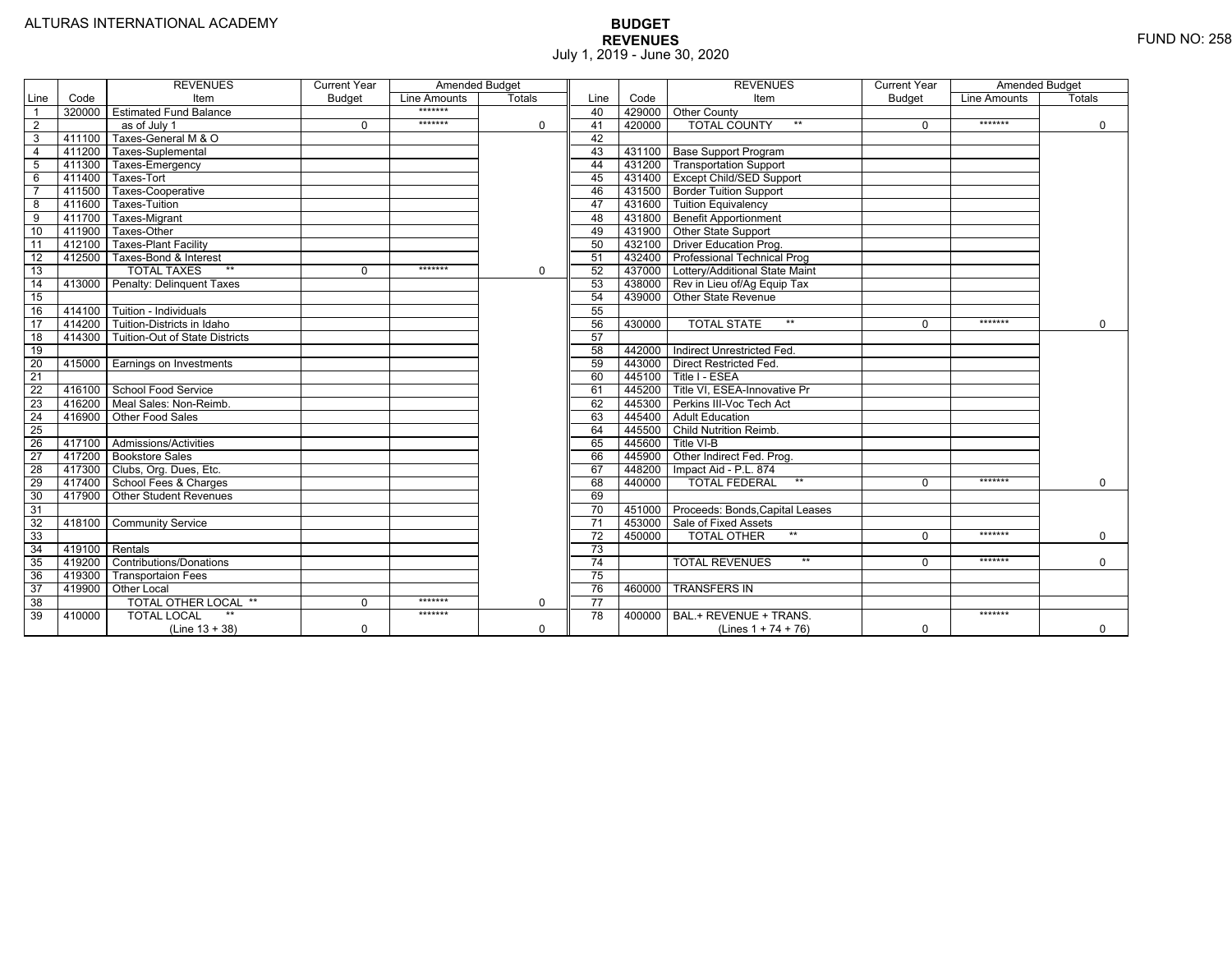|                 |        | <b>REVENUES</b>                 | <b>Current Year</b> | <b>Amended Budget</b> |             |                 |        | <b>REVENUES</b>                        | <b>Current Year</b> | <b>Amended Budget</b> |               |
|-----------------|--------|---------------------------------|---------------------|-----------------------|-------------|-----------------|--------|----------------------------------------|---------------------|-----------------------|---------------|
| Line            | Code   | Item                            | <b>Budget</b>       | Line Amounts          | Totals      | Line            | Code   | Item                                   | <b>Budget</b>       | Line Amounts          | <b>Totals</b> |
|                 | 320000 | <b>Estimated Fund Balance</b>   |                     | *******               |             | 40              |        | 429000 Other County                    |                     |                       |               |
| 2               |        | as of July 1                    | $\Omega$            | *******               | $\mathbf 0$ | 41              | 420000 | <b>TOTAL COUNTY</b><br>$***$           | $\Omega$            | *******               | $\mathbf 0$   |
| 3               | 411100 | Taxes-General M & O             |                     |                       |             | 42              |        |                                        |                     |                       |               |
| $\overline{4}$  | 411200 | Taxes-Suplemental               |                     |                       |             | 43              |        | 431100   Base Support Program          |                     |                       |               |
| $\overline{5}$  | 411300 | Taxes-Emergency                 |                     |                       |             | 44              |        | 431200 Transportation Support          |                     |                       |               |
| 6               | 411400 | Taxes-Tort                      |                     |                       |             | 45              |        | 431400 Except Child/SED Support        |                     |                       |               |
|                 | 411500 | Taxes-Cooperative               |                     |                       |             | 46              |        | 431500 Border Tuition Support          |                     |                       |               |
| 8               | 411600 | <b>Taxes-Tuition</b>            |                     |                       |             | 47              |        | 431600 Tuition Equivalency             |                     |                       |               |
| $\overline{9}$  | 411700 | Taxes-Migrant                   |                     |                       |             | 48              |        | 431800 Benefit Apportionment           |                     |                       |               |
| 10              | 411900 | Taxes-Other                     |                     |                       |             | 49              |        | 431900 Other State Support             |                     |                       |               |
| 11              | 412100 | <b>Taxes-Plant Facility</b>     |                     |                       |             | 50              | 432100 | <b>Driver Education Prog.</b>          |                     |                       |               |
| $\overline{12}$ | 412500 | Taxes-Bond & Interest           |                     |                       |             | 51              |        | 432400 Professional Technical Prog     |                     |                       |               |
| 13              |        | $**$<br><b>TOTAL TAXES</b>      | 0                   | $*******$             | $\mathbf 0$ | 52              |        | 437000 Lottery/Additional State Maint  |                     |                       |               |
| 14              | 413000 | Penalty: Delinquent Taxes       |                     |                       |             | 53              |        | 438000 Rev in Lieu of/Ag Equip Tax     |                     |                       |               |
| 15              |        |                                 |                     |                       |             | 54              | 439000 | Other State Revenue                    |                     |                       |               |
| 16              | 414100 | Tuition - Individuals           |                     |                       |             | 55              |        |                                        |                     |                       |               |
| 17              | 414200 | Tuition-Districts in Idaho      |                     |                       |             | 56              | 430000 | $**$<br><b>TOTAL STATE</b>             | $\Omega$            | *******               | $\Omega$      |
| $\overline{18}$ | 414300 | Tuition-Out of State Districts  |                     |                       |             | 57              |        |                                        |                     |                       |               |
| 19              |        |                                 |                     |                       |             | 58              | 442000 | Indirect Unrestricted Fed.             |                     |                       |               |
| $\overline{20}$ | 415000 | Earnings on Investments         |                     |                       |             | 59              |        | 443000 Direct Restricted Fed.          |                     |                       |               |
| $\overline{21}$ |        |                                 |                     |                       |             | 60              |        | 445100 Title I - ESEA                  |                     |                       |               |
| 22              | 416100 | School Food Service             |                     |                       |             | 61              |        | 445200   Title VI, ESEA-Innovative Pr  |                     |                       |               |
| 23              |        | 416200   Meal Sales: Non-Reimb. |                     |                       |             | 62              |        | 445300 Perkins III-Voc Tech Act        |                     |                       |               |
| 24              | 416900 | Other Food Sales                |                     |                       |             | 63              |        | 445400 Adult Education                 |                     |                       |               |
| 25              |        |                                 |                     |                       |             | 64              |        | 445500 Child Nutrition Reimb.          |                     |                       |               |
| $\overline{26}$ |        | 417100 Admissions/Activities    |                     |                       |             | 65              | 445600 | Title VI-B                             |                     |                       |               |
| 27              |        | 417200 Bookstore Sales          |                     |                       |             | 66              |        | 445900 Other Indirect Fed. Prog.       |                     |                       |               |
| 28              |        | 417300 Clubs, Org. Dues, Etc.   |                     |                       |             | 67              | 448200 | Impact Aid - P.L. 874                  |                     |                       |               |
| 29              | 417400 | School Fees & Charges           |                     |                       |             | 68              | 440000 | $***$<br><b>TOTAL FEDERAL</b>          | $\Omega$            | *******               | $\Omega$      |
| 30              | 417900 | <b>Other Student Revenues</b>   |                     |                       |             | 69              |        |                                        |                     |                       |               |
| 31              |        |                                 |                     |                       |             | $\overline{70}$ |        | 451000 Proceeds: Bonds, Capital Leases |                     |                       |               |
| 32              | 418100 | <b>Community Service</b>        |                     |                       |             | 71              | 453000 | Sale of Fixed Assets                   |                     |                       |               |
| 33              |        |                                 |                     |                       |             | $\overline{72}$ | 450000 | <b>TOTAL OTHER</b><br>$***$            | U                   | *******               | $\Omega$      |
| 34              | 419100 | Rentals                         |                     |                       |             | 73              |        |                                        |                     |                       |               |
| 35              | 419200 | <b>Contributions/Donations</b>  |                     |                       |             | 74              |        | <b>TOTAL REVENUES</b><br>$***$         |                     | *******               | $\mathbf 0$   |
| 36              | 419300 | <b>Transportaion Fees</b>       |                     |                       |             | 75              |        |                                        |                     |                       |               |
| 37              | 419900 | Other Local                     |                     |                       |             | 76              | 460000 | <b>TRANSFERS IN</b>                    |                     |                       |               |
| $\overline{38}$ |        | TOTAL OTHER LOCAL **            | $\Omega$            | *******               | 0           | 77              |        |                                        |                     |                       |               |
| 39              | 410000 | <b>TOTAL LOCAL</b><br>$**$      |                     | *******               |             | 78              | 400000 | BAL.+ REVENUE + TRANS.                 |                     | *******               |               |
|                 |        | $(Line 13 + 38)$                | 0                   |                       | 0           |                 |        | (Lines $1 + 74 + 76$ )                 | 0                   |                       | 0             |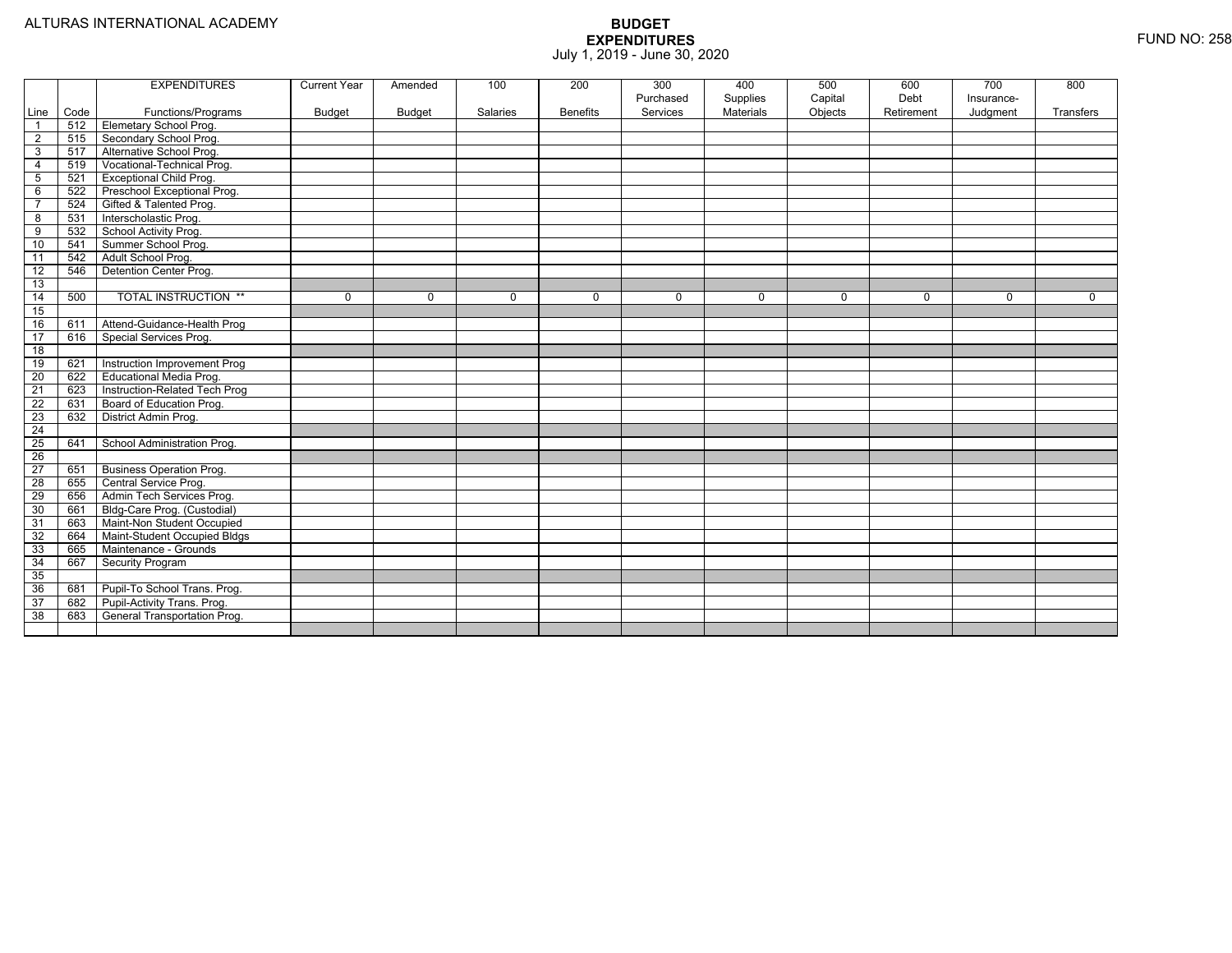|                 |      | <b>EXPENDITURES</b>             | <b>Current Year</b> | Amended     | 100      | 200             | 300<br>Purchased | 400<br>Supplies | 500<br>Capital | 600<br>Debt | 700<br>Insurance- | 800       |
|-----------------|------|---------------------------------|---------------------|-------------|----------|-----------------|------------------|-----------------|----------------|-------------|-------------------|-----------|
| Line            | Code | Functions/Programs              | <b>Budget</b>       | Budget      | Salaries | <b>Benefits</b> | Services         | Materials       | Objects        | Retirement  | Judgment          | Transfers |
| $\overline{1}$  | 512  | <b>Elemetary School Prog.</b>   |                     |             |          |                 |                  |                 |                |             |                   |           |
| $\overline{2}$  | 515  | Secondary School Prog.          |                     |             |          |                 |                  |                 |                |             |                   |           |
| 3               | 517  | Alternative School Prog.        |                     |             |          |                 |                  |                 |                |             |                   |           |
| $\overline{4}$  | 519  | Vocational-Technical Prog.      |                     |             |          |                 |                  |                 |                |             |                   |           |
| $5\phantom{.0}$ | 521  | <b>Exceptional Child Prog.</b>  |                     |             |          |                 |                  |                 |                |             |                   |           |
| 6               | 522  | Preschool Exceptional Prog.     |                     |             |          |                 |                  |                 |                |             |                   |           |
| $\overline{7}$  | 524  | Gifted & Talented Prog.         |                     |             |          |                 |                  |                 |                |             |                   |           |
| 8               | 531  | Interscholastic Prog.           |                     |             |          |                 |                  |                 |                |             |                   |           |
| 9               | 532  | School Activity Prog.           |                     |             |          |                 |                  |                 |                |             |                   |           |
| 10              | 541  | Summer School Prog.             |                     |             |          |                 |                  |                 |                |             |                   |           |
| 11              | 542  | Adult School Prog.              |                     |             |          |                 |                  |                 |                |             |                   |           |
| 12              | 546  | Detention Center Prog.          |                     |             |          |                 |                  |                 |                |             |                   |           |
| 13              |      |                                 |                     |             |          |                 |                  |                 |                |             |                   |           |
| 14              | 500  | <b>TOTAL INSTRUCTION **</b>     | 0                   | $\mathbf 0$ | 0        | $\mathbf{0}$    | $\mathbf 0$      | $\mathbf 0$     | $\mathbf 0$    | 0           | 0                 | 0         |
| 15              |      |                                 |                     |             |          |                 |                  |                 |                |             |                   |           |
| 16              | 611  | Attend-Guidance-Health Prog     |                     |             |          |                 |                  |                 |                |             |                   |           |
| 17              | 616  | Special Services Prog.          |                     |             |          |                 |                  |                 |                |             |                   |           |
| $\overline{18}$ |      |                                 |                     |             |          |                 |                  |                 |                |             |                   |           |
| 19              | 621  | Instruction Improvement Prog    |                     |             |          |                 |                  |                 |                |             |                   |           |
| 20              | 622  | Educational Media Prog.         |                     |             |          |                 |                  |                 |                |             |                   |           |
| $\overline{21}$ | 623  | Instruction-Related Tech Prog   |                     |             |          |                 |                  |                 |                |             |                   |           |
| 22              | 631  | Board of Education Prog.        |                     |             |          |                 |                  |                 |                |             |                   |           |
| 23              | 632  | District Admin Prog.            |                     |             |          |                 |                  |                 |                |             |                   |           |
| $\overline{24}$ |      |                                 |                     |             |          |                 |                  |                 |                |             |                   |           |
| 25              | 641  | School Administration Prog.     |                     |             |          |                 |                  |                 |                |             |                   |           |
| $\overline{26}$ |      |                                 |                     |             |          |                 |                  |                 |                |             |                   |           |
| 27              | 651  | <b>Business Operation Prog.</b> |                     |             |          |                 |                  |                 |                |             |                   |           |
| $\overline{28}$ | 655  | Central Service Prog.           |                     |             |          |                 |                  |                 |                |             |                   |           |
| 29              | 656  | Admin Tech Services Prog.       |                     |             |          |                 |                  |                 |                |             |                   |           |
| 30              | 661  | Bldg-Care Prog. (Custodial)     |                     |             |          |                 |                  |                 |                |             |                   |           |
| 31              | 663  | Maint-Non Student Occupied      |                     |             |          |                 |                  |                 |                |             |                   |           |
| 32              | 664  | Maint-Student Occupied Bldgs    |                     |             |          |                 |                  |                 |                |             |                   |           |
| 33              | 665  | Maintenance - Grounds           |                     |             |          |                 |                  |                 |                |             |                   |           |
| 34              | 667  | Security Program                |                     |             |          |                 |                  |                 |                |             |                   |           |
| 35              |      |                                 |                     |             |          |                 |                  |                 |                |             |                   |           |
| 36              | 681  | Pupil-To School Trans. Prog.    |                     |             |          |                 |                  |                 |                |             |                   |           |
| 37              | 682  | Pupil-Activity Trans. Prog.     |                     |             |          |                 |                  |                 |                |             |                   |           |
| 38              | 683  | General Transportation Prog.    |                     |             |          |                 |                  |                 |                |             |                   |           |
|                 |      |                                 |                     |             |          |                 |                  |                 |                |             |                   |           |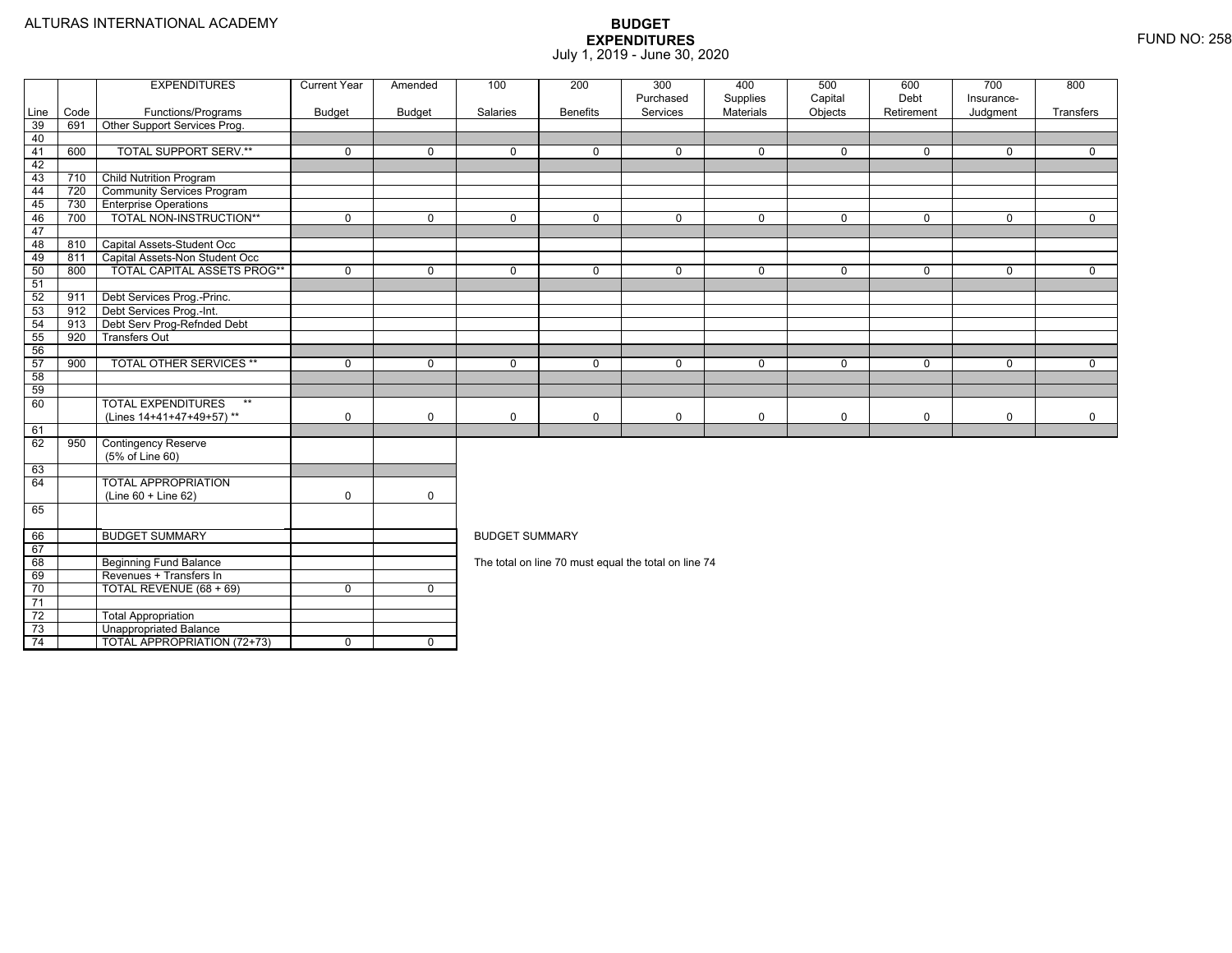|          |      | <b>EXPENDITURES</b>                | <b>Current Year</b> | Amended      | 700<br>200<br>300<br>400<br>600<br>800<br>100<br>500                                                                 |                 |                                                      |                |             |             |                         |             |  |  |  |
|----------|------|------------------------------------|---------------------|--------------|----------------------------------------------------------------------------------------------------------------------|-----------------|------------------------------------------------------|----------------|-------------|-------------|-------------------------|-------------|--|--|--|
|          |      |                                    |                     |              |                                                                                                                      |                 | Purchased                                            | Supplies       | Capital     | Debt        | Insurance-              |             |  |  |  |
| Line     | Code | Functions/Programs                 | <b>Budget</b>       | Budget       | Salaries                                                                                                             | <b>Benefits</b> | Services                                             | Materials      | Objects     | Retirement  | Judgment                | Transfers   |  |  |  |
| 39<br>40 | 691  | Other Support Services Prog.       |                     |              |                                                                                                                      |                 |                                                      |                |             |             |                         |             |  |  |  |
| 41       | 600  | <b>TOTAL SUPPORT SERV.**</b>       | $\mathbf 0$         | $\mathbf{0}$ | $\Omega$                                                                                                             | $\Omega$        | $\Omega$                                             | $\mathbf{0}$   | $\mathbf 0$ | $\Omega$    | $\Omega$                | $\Omega$    |  |  |  |
| 42       |      |                                    |                     |              |                                                                                                                      |                 |                                                      |                |             |             |                         |             |  |  |  |
| 43       | 710  | <b>Child Nutrition Program</b>     |                     |              |                                                                                                                      |                 |                                                      |                |             |             |                         |             |  |  |  |
| 44       | 720  | <b>Community Services Program</b>  |                     |              |                                                                                                                      |                 |                                                      |                |             |             |                         |             |  |  |  |
| 45       | 730  | <b>Enterprise Operations</b>       |                     |              |                                                                                                                      |                 |                                                      |                |             |             |                         |             |  |  |  |
| 46       | 700  | TOTAL NON-INSTRUCTION**            | $\mathbf 0$         | $\mathbf 0$  | $\mathbf 0$                                                                                                          | $\overline{0}$  | $\mathbf 0$                                          | $\overline{0}$ | $\mathbf 0$ | $\mathbf 0$ | $\mathbf 0$             | $\mathbf 0$ |  |  |  |
| 47       |      |                                    |                     |              |                                                                                                                      |                 |                                                      |                |             |             |                         |             |  |  |  |
| 48       | 810  | Capital Assets-Student Occ         |                     |              |                                                                                                                      |                 |                                                      |                |             |             |                         |             |  |  |  |
| 49       | 811  | Capital Assets-Non Student Occ     |                     |              |                                                                                                                      |                 |                                                      |                |             |             |                         |             |  |  |  |
| 50       | 800  | TOTAL CAPITAL ASSETS PROG**        | $\Omega$            | $\mathbf 0$  | $\Omega$                                                                                                             | $\Omega$        | $\Omega$                                             | $\mathbf 0$    | $\mathbf 0$ | $\Omega$    | $\mathbf 0$             | $\mathbf 0$ |  |  |  |
| 51       |      |                                    |                     |              |                                                                                                                      |                 |                                                      |                |             |             |                         |             |  |  |  |
| 52       | 911  | Debt Services Prog.-Princ.         |                     |              |                                                                                                                      |                 |                                                      |                |             |             |                         |             |  |  |  |
| 53       | 912  | Debt Services Prog.-Int.           |                     |              |                                                                                                                      |                 |                                                      |                |             |             |                         |             |  |  |  |
| 54       | 913  | Debt Serv Prog-Refnded Debt        |                     |              |                                                                                                                      |                 |                                                      |                |             |             |                         |             |  |  |  |
| 55       | 920  | <b>Transfers Out</b>               |                     |              |                                                                                                                      |                 |                                                      |                |             |             |                         |             |  |  |  |
| 56       |      |                                    |                     |              |                                                                                                                      |                 |                                                      |                |             |             |                         |             |  |  |  |
| 57       | 900  | <b>TOTAL OTHER SERVICES **</b>     | $\mathbf 0$         | $\mathbf 0$  | $\mathbf 0$<br>$\mathbf 0$<br>$\mathbf 0$<br>$\mathbf 0$<br>$\mathbf 0$<br>$\mathbf 0$<br>$\mathbf 0$<br>$\mathbf 0$ |                 |                                                      |                |             |             |                         |             |  |  |  |
| 58       |      |                                    |                     |              |                                                                                                                      |                 |                                                      |                |             |             |                         |             |  |  |  |
| 59       |      |                                    |                     |              |                                                                                                                      |                 |                                                      |                |             |             |                         |             |  |  |  |
| 60       |      | <b>TOTAL EXPENDITURES</b><br>$***$ |                     |              |                                                                                                                      |                 |                                                      |                |             |             |                         |             |  |  |  |
|          |      | (Lines 14+41+47+49+57)**           | $\mathbf 0$         | $\mathbf 0$  | $\mathbf 0$                                                                                                          | $\mathbf 0$     | $\mathbf 0$                                          | $\mathbf 0$    | 0           | $\mathbf 0$ | $\mathsf{O}\phantom{0}$ | $\mathbf 0$ |  |  |  |
| 61       |      |                                    |                     |              |                                                                                                                      |                 |                                                      |                |             |             |                         |             |  |  |  |
| 62       | 950  | <b>Contingency Reserve</b>         |                     |              |                                                                                                                      |                 |                                                      |                |             |             |                         |             |  |  |  |
|          |      | (5% of Line 60)                    |                     |              |                                                                                                                      |                 |                                                      |                |             |             |                         |             |  |  |  |
| 63       |      |                                    |                     |              |                                                                                                                      |                 |                                                      |                |             |             |                         |             |  |  |  |
| 64       |      | <b>TOTAL APPROPRIATION</b>         |                     |              |                                                                                                                      |                 |                                                      |                |             |             |                         |             |  |  |  |
|          |      | (Line 60 + Line 62)                | $\mathbf 0$         | $\mathbf 0$  |                                                                                                                      |                 |                                                      |                |             |             |                         |             |  |  |  |
| 65       |      |                                    |                     |              |                                                                                                                      |                 |                                                      |                |             |             |                         |             |  |  |  |
| 66       |      | <b>BUDGET SUMMARY</b>              |                     |              | <b>BUDGET SUMMARY</b>                                                                                                |                 |                                                      |                |             |             |                         |             |  |  |  |
| 67       |      |                                    |                     |              |                                                                                                                      |                 |                                                      |                |             |             |                         |             |  |  |  |
| 68       |      | <b>Beginning Fund Balance</b>      |                     |              |                                                                                                                      |                 | The total on line 70 must equal the total on line 74 |                |             |             |                         |             |  |  |  |
| 69       |      | Revenues + Transfers In            |                     |              |                                                                                                                      |                 |                                                      |                |             |             |                         |             |  |  |  |
| 70       |      | TOTAL REVENUE (68 + 69)            | $\mathbf 0$         | $\mathbf 0$  |                                                                                                                      |                 |                                                      |                |             |             |                         |             |  |  |  |
| 71       |      |                                    |                     |              |                                                                                                                      |                 |                                                      |                |             |             |                         |             |  |  |  |
| 72       |      | <b>Total Appropriation</b>         |                     |              |                                                                                                                      |                 |                                                      |                |             |             |                         |             |  |  |  |
| 73       |      | <b>Unappropriated Balance</b>      |                     |              |                                                                                                                      |                 |                                                      |                |             |             |                         |             |  |  |  |
| 74       |      | <b>TOTAL APPROPRIATION (72+73)</b> | $\Omega$            | $\Omega$     |                                                                                                                      |                 |                                                      |                |             |             |                         |             |  |  |  |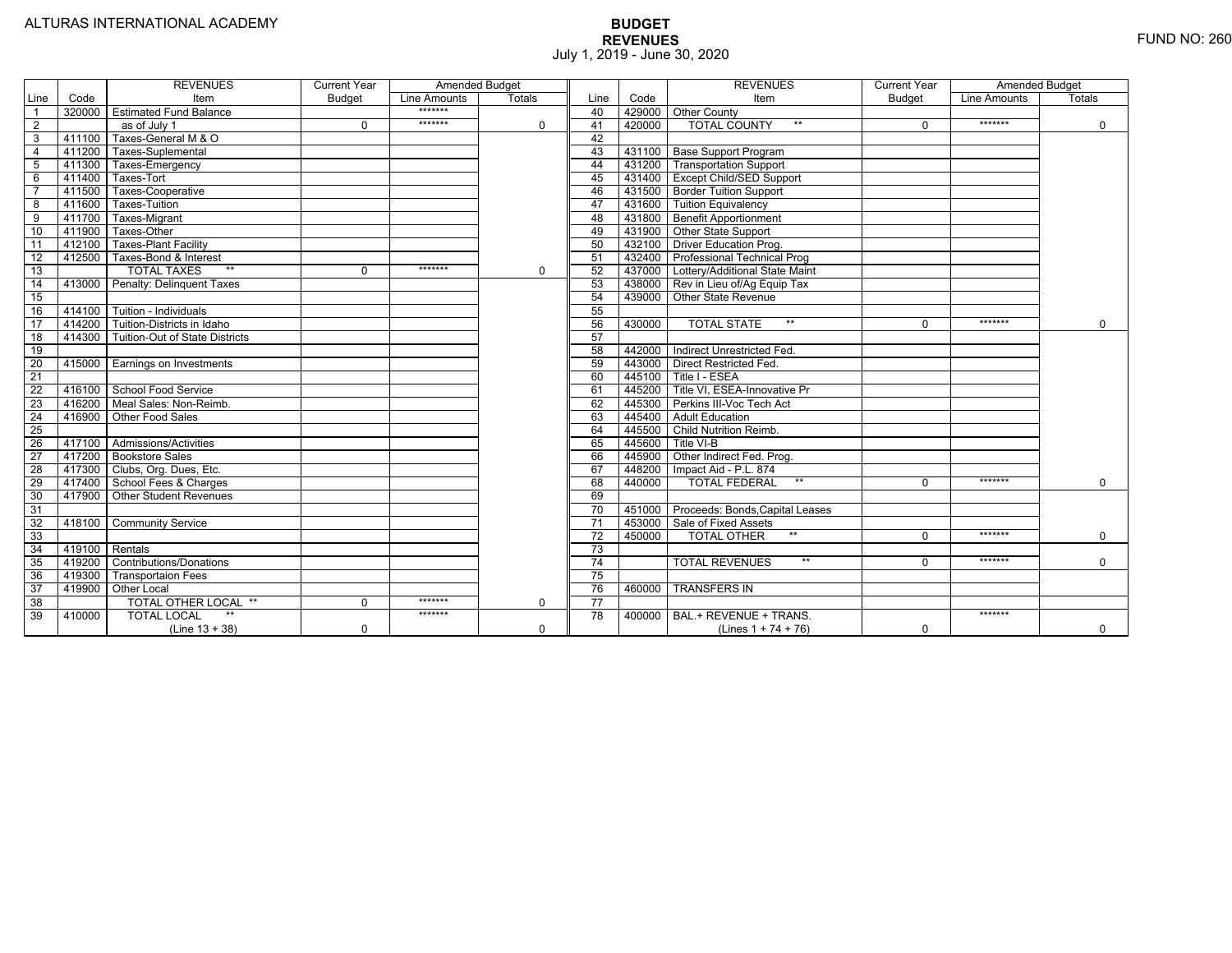|                 |                | <b>REVENUES</b>                 | <b>Current Year</b> | <b>Amended Budget</b> |             |                 |        | <b>REVENUES</b>                        | <b>Current Year</b> | <b>Amended Budget</b> |               |
|-----------------|----------------|---------------------------------|---------------------|-----------------------|-------------|-----------------|--------|----------------------------------------|---------------------|-----------------------|---------------|
| Line            | Code           | Item                            | <b>Budget</b>       | Line Amounts          | Totals      | Line            | Code   | Item                                   | <b>Budget</b>       | Line Amounts          | <b>Totals</b> |
| $\overline{1}$  | 320000         | <b>Estimated Fund Balance</b>   |                     | *******               |             | 40              |        | 429000 Other County                    |                     |                       |               |
| $\overline{2}$  |                | as of July 1                    | $\Omega$            | *******               | 0           | 41              | 420000 | <b>TOTAL COUNTY</b><br>$***$           | $\Omega$            | *******               | 0             |
| 3               | 411100         | Taxes-General M & O             |                     |                       |             | 42              |        |                                        |                     |                       |               |
| $\overline{4}$  | 411200         | Taxes-Suplemental               |                     |                       |             | 43              |        | 431100   Base Support Program          |                     |                       |               |
| $\overline{5}$  | 411300         | Taxes-Emergency                 |                     |                       |             | 44              |        | 431200 Transportation Support          |                     |                       |               |
| 6               | 411400         | Taxes-Tort                      |                     |                       |             | 45              |        | 431400 Except Child/SED Support        |                     |                       |               |
|                 | 411500         | Taxes-Cooperative               |                     |                       |             | 46              |        | 431500   Border Tuition Support        |                     |                       |               |
| 8               | 411600         | Taxes-Tuition                   |                     |                       |             | 47              |        | 431600 Tuition Equivalency             |                     |                       |               |
| $\overline{9}$  | 411700         | Taxes-Migrant                   |                     |                       |             | 48              |        | 431800 Benefit Apportionment           |                     |                       |               |
| 10              | 411900         | Taxes-Other                     |                     |                       |             | 49              |        | 431900 Other State Support             |                     |                       |               |
| 11              | 412100         | <b>Taxes-Plant Facility</b>     |                     |                       |             | 50              | 432100 | <b>Driver Education Prog.</b>          |                     |                       |               |
| 12              | 412500         | Taxes-Bond & Interest           |                     |                       |             | 51              |        | 432400   Professional Technical Prog   |                     |                       |               |
| 13              |                | $**$<br><b>TOTAL TAXES</b>      | $\Omega$            | *******               | $\mathbf 0$ | 52              |        | 437000 Lottery/Additional State Maint  |                     |                       |               |
| 14              | 413000         | Penalty: Delinquent Taxes       |                     |                       |             | 53              |        | 438000 Rev in Lieu of/Ag Equip Tax     |                     |                       |               |
| 15              |                |                                 |                     |                       |             | 54              | 439000 | Other State Revenue                    |                     |                       |               |
| 16              | 414100         | Tuition - Individuals           |                     |                       |             | 55              |        |                                        |                     |                       |               |
| $\overline{17}$ | 414200         | Tuition-Districts in Idaho      |                     |                       |             | 56              | 430000 | $**$<br><b>TOTAL STATE</b>             |                     | *******               | $\Omega$      |
| 18              | 414300         | Tuition-Out of State Districts  |                     |                       |             | 57              |        |                                        |                     |                       |               |
| 19              |                |                                 |                     |                       |             | 58              |        | 442000 Indirect Unrestricted Fed.      |                     |                       |               |
| $\overline{20}$ |                | 415000 Earnings on Investments  |                     |                       |             | 59              |        | 443000 Direct Restricted Fed.          |                     |                       |               |
| 21              |                |                                 |                     |                       |             | 60              |        | 445100 Title I - ESEA                  |                     |                       |               |
| 22              | 416100         | School Food Service             |                     |                       |             | 61              |        | 445200 Title VI, ESEA-Innovative Pr    |                     |                       |               |
| 23              |                | 416200   Meal Sales: Non-Reimb. |                     |                       |             | 62              |        | 445300 Perkins III-Voc Tech Act        |                     |                       |               |
| 24              |                | 416900 Other Food Sales         |                     |                       |             | 63              |        | 445400 Adult Education                 |                     |                       |               |
| 25              |                |                                 |                     |                       |             | 64              |        | 445500 Child Nutrition Reimb.          |                     |                       |               |
| 26              |                | 417100 Admissions/Activities    |                     |                       |             | 65              | 445600 | Title VI-B                             |                     |                       |               |
| $\overline{27}$ | 417200         | <b>Bookstore Sales</b>          |                     |                       |             | 66              | 445900 | Other Indirect Fed. Prog.              |                     |                       |               |
| $\overline{28}$ |                | 417300   Clubs, Org. Dues, Etc. |                     |                       |             | 67              | 448200 | Impact Aid - P.L. 874                  |                     |                       |               |
| 29              | 417400         | School Fees & Charges           |                     |                       |             | 68              | 440000 | $**$<br><b>TOTAL FEDERAL</b>           | $\Omega$            | *******               | $\mathbf 0$   |
| 30              | 417900         | <b>Other Student Revenues</b>   |                     |                       |             | 69              |        |                                        |                     |                       |               |
| 31              |                |                                 |                     |                       |             | $\overline{70}$ |        | 451000 Proceeds: Bonds, Capital Leases |                     |                       |               |
| $\overline{32}$ | 418100         | <b>Community Service</b>        |                     |                       |             | $\overline{71}$ |        | 453000 Sale of Fixed Assets            |                     |                       |               |
| 33              |                |                                 |                     |                       |             | 72              | 450000 | $**$<br><b>TOTAL OTHER</b>             | $\Omega$            | *******               | $\mathbf 0$   |
| 34              | 419100 Rentals |                                 |                     |                       |             | 73              |        |                                        |                     |                       |               |
| 35              | 419200         | <b>Contributions/Donations</b>  |                     |                       |             | 74              |        | <b>TOTAL REVENUES</b><br>$**$          | $\Omega$            | *******               | $\mathbf 0$   |
| 36              | 419300         | <b>Transportaion Fees</b>       |                     |                       |             | 75              |        |                                        |                     |                       |               |
| 37              | 419900         | <b>Other Local</b>              |                     |                       |             | 76              | 460000 | <b>TRANSFERS IN</b>                    |                     |                       |               |
| 38              |                | TOTAL OTHER LOCAL **            | $\Omega$            | *******               | 0           | 77              |        |                                        |                     |                       |               |
| 39              | 410000         | <b>TOTAL LOCAL</b>              |                     | *******               |             | $\overline{78}$ | 400000 | BAL.+ REVENUE + TRANS.                 |                     | *******               |               |
|                 |                | $(Line 13 + 38)$                | $\Omega$            |                       | $\Omega$    |                 |        | (Lines $1 + 74 + 76$ )                 | $\mathbf 0$         |                       | $\mathbf 0$   |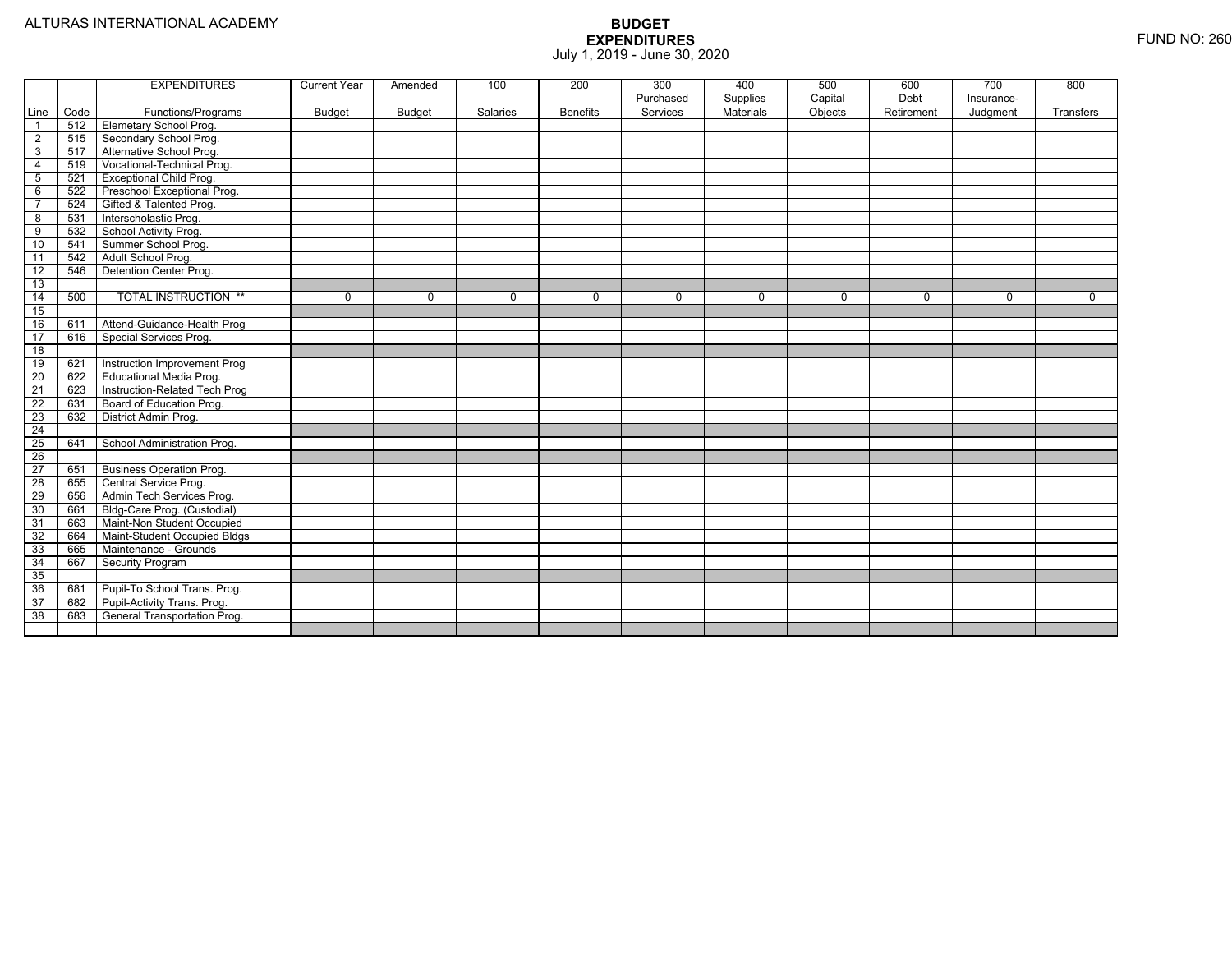|                 |      | <b>EXPENDITURES</b>             | <b>Current Year</b> | Amended       | 100      | 200             | 300<br>Purchased | 400<br>Supplies | 500<br>Capital | 600<br>Debt | 700<br>Insurance- | 800       |
|-----------------|------|---------------------------------|---------------------|---------------|----------|-----------------|------------------|-----------------|----------------|-------------|-------------------|-----------|
| Line            | Code | Functions/Programs              | <b>Budget</b>       | <b>Budget</b> | Salaries | <b>Benefits</b> | Services         | Materials       | Objects        | Retirement  | Judgment          | Transfers |
| $\overline{1}$  | 512  | Elemetary School Prog.          |                     |               |          |                 |                  |                 |                |             |                   |           |
| $\overline{2}$  | 515  | Secondary School Prog.          |                     |               |          |                 |                  |                 |                |             |                   |           |
| $\overline{3}$  | 517  | Alternative School Prog.        |                     |               |          |                 |                  |                 |                |             |                   |           |
| $\overline{4}$  | 519  | Vocational-Technical Prog.      |                     |               |          |                 |                  |                 |                |             |                   |           |
| 5               | 521  | <b>Exceptional Child Prog.</b>  |                     |               |          |                 |                  |                 |                |             |                   |           |
| 6               | 522  | Preschool Exceptional Prog.     |                     |               |          |                 |                  |                 |                |             |                   |           |
| $\overline{7}$  | 524  | Gifted & Talented Prog.         |                     |               |          |                 |                  |                 |                |             |                   |           |
| 8               | 531  | Interscholastic Prog.           |                     |               |          |                 |                  |                 |                |             |                   |           |
| 9               | 532  | School Activity Prog.           |                     |               |          |                 |                  |                 |                |             |                   |           |
| 10              | 541  | Summer School Prog.             |                     |               |          |                 |                  |                 |                |             |                   |           |
| 11              | 542  | Adult School Prog.              |                     |               |          |                 |                  |                 |                |             |                   |           |
| $\overline{12}$ | 546  | Detention Center Prog.          |                     |               |          |                 |                  |                 |                |             |                   |           |
| 13              |      |                                 |                     |               |          |                 |                  |                 |                |             |                   |           |
| 14              | 500  | <b>TOTAL INSTRUCTION **</b>     | 0                   | $\mathbf 0$   | 0        | $\mathbf{0}$    | $\mathbf 0$      | $\mathbf 0$     | 0              | 0           | 0                 | 0         |
| 15              |      |                                 |                     |               |          |                 |                  |                 |                |             |                   |           |
| 16              | 611  | Attend-Guidance-Health Prog     |                     |               |          |                 |                  |                 |                |             |                   |           |
| 17              | 616  | Special Services Prog.          |                     |               |          |                 |                  |                 |                |             |                   |           |
| $\overline{18}$ |      |                                 |                     |               |          |                 |                  |                 |                |             |                   |           |
| 19              | 621  | Instruction Improvement Prog    |                     |               |          |                 |                  |                 |                |             |                   |           |
| 20              | 622  | Educational Media Prog.         |                     |               |          |                 |                  |                 |                |             |                   |           |
| 21              | 623  | Instruction-Related Tech Prog   |                     |               |          |                 |                  |                 |                |             |                   |           |
| 22              | 631  | Board of Education Prog.        |                     |               |          |                 |                  |                 |                |             |                   |           |
| 23              | 632  | District Admin Prog.            |                     |               |          |                 |                  |                 |                |             |                   |           |
| $\overline{24}$ |      |                                 |                     |               |          |                 |                  |                 |                |             |                   |           |
| 25              | 641  | School Administration Prog.     |                     |               |          |                 |                  |                 |                |             |                   |           |
| 26              |      |                                 |                     |               |          |                 |                  |                 |                |             |                   |           |
| 27              | 651  | <b>Business Operation Prog.</b> |                     |               |          |                 |                  |                 |                |             |                   |           |
| $\overline{28}$ | 655  | Central Service Prog.           |                     |               |          |                 |                  |                 |                |             |                   |           |
| 29              | 656  | Admin Tech Services Prog.       |                     |               |          |                 |                  |                 |                |             |                   |           |
| 30              | 661  | Bldg-Care Prog. (Custodial)     |                     |               |          |                 |                  |                 |                |             |                   |           |
| 31              | 663  | Maint-Non Student Occupied      |                     |               |          |                 |                  |                 |                |             |                   |           |
| 32              | 664  | Maint-Student Occupied Bldgs    |                     |               |          |                 |                  |                 |                |             |                   |           |
| 33              | 665  | Maintenance - Grounds           |                     |               |          |                 |                  |                 |                |             |                   |           |
| 34              | 667  | Security Program                |                     |               |          |                 |                  |                 |                |             |                   |           |
| 35              |      |                                 |                     |               |          |                 |                  |                 |                |             |                   |           |
| 36              | 681  | Pupil-To School Trans. Prog.    |                     |               |          |                 |                  |                 |                |             |                   |           |
| 37              | 682  | Pupil-Activity Trans. Prog.     |                     |               |          |                 |                  |                 |                |             |                   |           |
| 38              | 683  | General Transportation Prog.    |                     |               |          |                 |                  |                 |                |             |                   |           |
|                 |      |                                 |                     |               |          |                 |                  |                 |                |             |                   |           |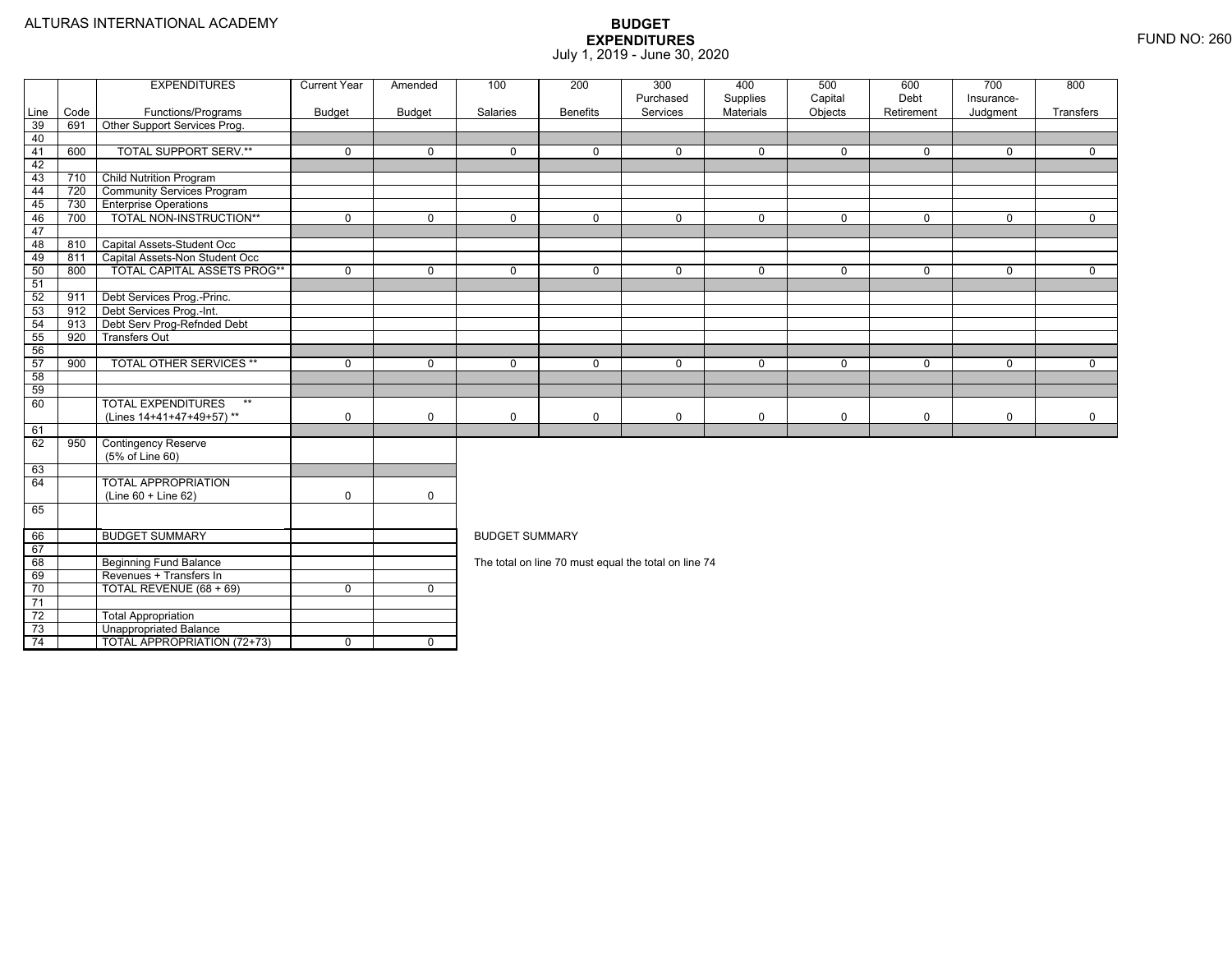|                       |      | <b>EXPENDITURES</b>                | <b>Current Year</b> | Amended      | 100                                                                                            | 200             | 300<br>Purchased                                     | 400                   | 500                | 600<br>Debt | 700<br>Insurance- | 800            |  |  |  |
|-----------------------|------|------------------------------------|---------------------|--------------|------------------------------------------------------------------------------------------------|-----------------|------------------------------------------------------|-----------------------|--------------------|-------------|-------------------|----------------|--|--|--|
| Line                  | Code | Functions/Programs                 | Budget              | Budget       | Salaries                                                                                       | <b>Benefits</b> | Services                                             | Supplies<br>Materials | Capital<br>Objects | Retirement  | Judgment          | Transfers      |  |  |  |
| 39                    | 691  | Other Support Services Prog.       |                     |              |                                                                                                |                 |                                                      |                       |                    |             |                   |                |  |  |  |
| 40                    |      |                                    |                     |              |                                                                                                |                 |                                                      |                       |                    |             |                   |                |  |  |  |
| 41                    | 600  | <b>TOTAL SUPPORT SERV.**</b>       | $\mathbf 0$         | 0            | $\mathbf 0$                                                                                    | $\mathbf 0$     | $\mathbf 0$                                          | $\mathbf 0$           | 0                  | $\mathbf 0$ | $\mathbf 0$       | $\mathbf{0}$   |  |  |  |
| 42                    |      |                                    |                     |              |                                                                                                |                 |                                                      |                       |                    |             |                   |                |  |  |  |
| 43                    | 710  | <b>Child Nutrition Program</b>     |                     |              |                                                                                                |                 |                                                      |                       |                    |             |                   |                |  |  |  |
| 44                    | 720  | <b>Community Services Program</b>  |                     |              |                                                                                                |                 |                                                      |                       |                    |             |                   |                |  |  |  |
| 45                    | 730  | <b>Enterprise Operations</b>       |                     |              |                                                                                                |                 |                                                      |                       |                    |             |                   |                |  |  |  |
| 46                    | 700  | TOTAL NON-INSTRUCTION**            | $\mathbf 0$         | $\mathbf 0$  | $\mathbf 0$                                                                                    | $\overline{0}$  | 0                                                    | $\mathbf 0$           | 0                  | $\mathbf 0$ | $\mathbf 0$       | $\overline{0}$ |  |  |  |
| 47                    |      |                                    |                     |              |                                                                                                |                 |                                                      |                       |                    |             |                   |                |  |  |  |
| 48                    | 810  | Capital Assets-Student Occ         |                     |              |                                                                                                |                 |                                                      |                       |                    |             |                   |                |  |  |  |
| 49                    | 811  | Capital Assets-Non Student Occ     |                     |              |                                                                                                |                 |                                                      |                       |                    |             |                   |                |  |  |  |
| 50                    | 800  | <b>TOTAL CAPITAL ASSETS PROG**</b> | $\Omega$            | $\mathbf 0$  | $\Omega$                                                                                       | $\Omega$        | $\Omega$                                             | $\Omega$              | 0                  | $\Omega$    | $\mathbf 0$       | $\Omega$       |  |  |  |
| 51                    |      |                                    |                     |              |                                                                                                |                 |                                                      |                       |                    |             |                   |                |  |  |  |
| 52                    | 911  | Debt Services Prog.-Princ.         |                     |              |                                                                                                |                 |                                                      |                       |                    |             |                   |                |  |  |  |
| 53                    | 912  | Debt Services Prog.-Int.           |                     |              |                                                                                                |                 |                                                      |                       |                    |             |                   |                |  |  |  |
| 54                    | 913  | Debt Serv Prog-Refnded Debt        |                     |              |                                                                                                |                 |                                                      |                       |                    |             |                   |                |  |  |  |
| 55                    | 920  | <b>Transfers Out</b>               |                     |              | $\Omega$<br>$\mathbf 0$<br>$\mathbf 0$<br>$\mathbf 0$<br>$\mathbf{0}$<br>0<br>$\mathbf 0$<br>0 |                 |                                                      |                       |                    |             |                   |                |  |  |  |
| 56                    |      |                                    |                     |              |                                                                                                |                 |                                                      |                       |                    |             |                   |                |  |  |  |
| 57                    | 900  | <b>TOTAL OTHER SERVICES **</b>     | $\mathbf 0$         | $\mathbf 0$  |                                                                                                |                 |                                                      |                       |                    |             |                   |                |  |  |  |
| 58                    |      |                                    |                     |              |                                                                                                |                 |                                                      |                       |                    |             |                   |                |  |  |  |
| 59                    |      |                                    |                     |              |                                                                                                |                 |                                                      |                       |                    |             |                   |                |  |  |  |
| 60                    |      | <b>TOTAL EXPENDITURES</b><br>$**$  |                     |              |                                                                                                |                 |                                                      |                       |                    |             |                   |                |  |  |  |
|                       |      | (Lines 14+41+47+49+57)**           | $\mathbf 0$         | 0            | 0                                                                                              | $\mathbf 0$     | 0                                                    | 0                     | 0                  | 0           | $\mathbf 0$       | $\mathbf 0$    |  |  |  |
| 61                    |      |                                    |                     |              |                                                                                                |                 |                                                      |                       |                    |             |                   |                |  |  |  |
| 62                    | 950  | <b>Contingency Reserve</b>         |                     |              |                                                                                                |                 |                                                      |                       |                    |             |                   |                |  |  |  |
|                       |      | (5% of Line 60)                    |                     |              |                                                                                                |                 |                                                      |                       |                    |             |                   |                |  |  |  |
| 63                    |      |                                    |                     |              |                                                                                                |                 |                                                      |                       |                    |             |                   |                |  |  |  |
| 64                    |      | <b>TOTAL APPROPRIATION</b>         |                     |              |                                                                                                |                 |                                                      |                       |                    |             |                   |                |  |  |  |
|                       |      | (Line 60 + Line 62)                | $\mathbf 0$         | $\mathbf 0$  |                                                                                                |                 |                                                      |                       |                    |             |                   |                |  |  |  |
| 65                    |      |                                    |                     |              |                                                                                                |                 |                                                      |                       |                    |             |                   |                |  |  |  |
|                       |      |                                    |                     |              |                                                                                                |                 |                                                      |                       |                    |             |                   |                |  |  |  |
| 66                    |      | <b>BUDGET SUMMARY</b>              |                     |              | <b>BUDGET SUMMARY</b>                                                                          |                 |                                                      |                       |                    |             |                   |                |  |  |  |
| 67                    |      |                                    |                     |              |                                                                                                |                 |                                                      |                       |                    |             |                   |                |  |  |  |
| 68                    |      | <b>Beginning Fund Balance</b>      |                     |              |                                                                                                |                 | The total on line 70 must equal the total on line 74 |                       |                    |             |                   |                |  |  |  |
| 69                    |      | Revenues + Transfers In            |                     |              |                                                                                                |                 |                                                      |                       |                    |             |                   |                |  |  |  |
| 70                    |      | TOTAL REVENUE (68 + 69)            | $\mathbf 0$         | $\mathbf 0$  |                                                                                                |                 |                                                      |                       |                    |             |                   |                |  |  |  |
| $\overline{71}$<br>72 |      |                                    |                     |              |                                                                                                |                 |                                                      |                       |                    |             |                   |                |  |  |  |
|                       |      | <b>Total Appropriation</b>         |                     |              |                                                                                                |                 |                                                      |                       |                    |             |                   |                |  |  |  |
| 73                    |      | <b>Unappropriated Balance</b>      |                     |              |                                                                                                |                 |                                                      |                       |                    |             |                   |                |  |  |  |
| 74                    |      | <b>TOTAL APPROPRIATION (72+73)</b> | 0                   | $\mathbf{0}$ |                                                                                                |                 |                                                      |                       |                    |             |                   |                |  |  |  |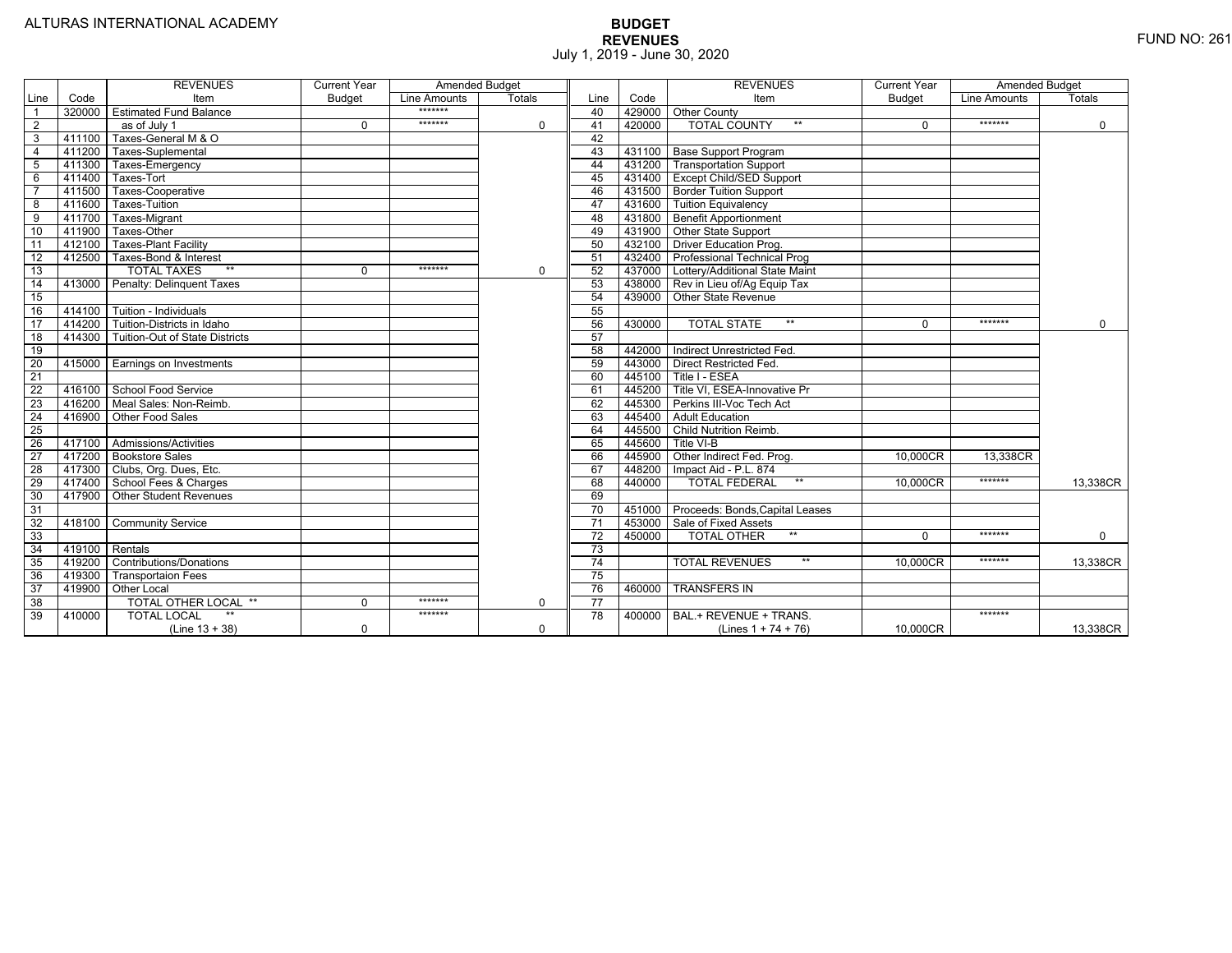|                 |                | <b>REVENUES</b>                   | <b>Current Year</b> | <b>Amended Budget</b> |          |                 |        | <b>REVENUES</b>                        | <b>Current Year</b> | <b>Amended Budget</b> |             |
|-----------------|----------------|-----------------------------------|---------------------|-----------------------|----------|-----------------|--------|----------------------------------------|---------------------|-----------------------|-------------|
| Line            | Code           | Item                              | <b>Budget</b>       | Line Amounts          | Totals   | Line            | Code   | Item                                   | <b>Budget</b>       | Line Amounts          | Totals      |
|                 |                | 320000 Estimated Fund Balance     |                     | *******               |          | 40              |        | 429000 Other County                    |                     |                       |             |
| $\overline{2}$  |                | $\overline{as}$ of July 1         | $\Omega$            | *******               | $\Omega$ | 41              | 420000 | <b>TOTAL COUNTY</b><br>$**$            | $\Omega$            | *******               | $\mathbf 0$ |
| 3               | 411100         | Taxes-General M & O               |                     |                       |          | 42              |        |                                        |                     |                       |             |
| $\overline{4}$  | 411200         | Taxes-Suplemental                 |                     |                       |          | 43              |        | 431100 Base Support Program            |                     |                       |             |
| 5               | 411300         | Taxes-Emergency                   |                     |                       |          | 44              |        | 431200   Transportation Support        |                     |                       |             |
| 6               | 411400         | Taxes-Tort                        |                     |                       |          | 45              |        | 431400 Except Child/SED Support        |                     |                       |             |
| $\overline{7}$  | 411500         | Taxes-Cooperative                 |                     |                       |          | 46              |        | 431500 Border Tuition Support          |                     |                       |             |
| 8               | 411600         | <b>Taxes-Tuition</b>              |                     |                       |          | 47              |        | 431600 Tuition Equivalency             |                     |                       |             |
| 9               | 411700         | Taxes-Migrant                     |                     |                       |          | 48              |        | 431800 Benefit Apportionment           |                     |                       |             |
| 10              | 411900         | Taxes-Other                       |                     |                       |          | 49              |        | 431900 Other State Support             |                     |                       |             |
| 11              | 412100         | <b>Taxes-Plant Facility</b>       |                     |                       |          | 50              |        | 432100 Driver Education Prog.          |                     |                       |             |
| 12              | 412500         | Taxes-Bond & Interest             |                     |                       |          | 51              |        | 432400   Professional Technical Prog   |                     |                       |             |
| 13              |                | $***$<br><b>TOTAL TAXES</b>       | $\Omega$            | *******               | 0        | 52              |        | 437000 Lottery/Additional State Maint  |                     |                       |             |
| 14              |                | 413000 Penalty: Delinguent Taxes  |                     |                       |          | 53              |        | 438000 Rev in Lieu of/Ag Equip Tax     |                     |                       |             |
| 15              |                |                                   |                     |                       |          | 54              |        | 439000 Other State Revenue             |                     |                       |             |
| 16              |                | 414100 Tuition - Individuals      |                     |                       |          | 55              |        |                                        |                     |                       |             |
| 17              |                | 414200 Tuition-Districts in Idaho |                     |                       |          | 56              | 430000 | $***$<br><b>TOTAL STATE</b>            | $\Omega$            | *******               | $\Omega$    |
| 18              | 414300         | Tuition-Out of State Districts    |                     |                       |          | 57              |        |                                        |                     |                       |             |
| 19              |                |                                   |                     |                       |          | 58              | 442000 | Indirect Unrestricted Fed.             |                     |                       |             |
| $\overline{20}$ |                | 415000 Earnings on Investments    |                     |                       |          | 59              |        | 443000 Direct Restricted Fed.          |                     |                       |             |
| 21              |                |                                   |                     |                       |          | 60              |        | 445100 Title I - ESEA                  |                     |                       |             |
| 22              |                | 416100 School Food Service        |                     |                       |          | 61              |        | 445200   Title VI, ESEA-Innovative Pr  |                     |                       |             |
| 23              |                | 416200   Meal Sales: Non-Reimb.   |                     |                       |          | 62              | 445300 | Perkins III-Voc Tech Act               |                     |                       |             |
| $\overline{24}$ |                | 416900 Other Food Sales           |                     |                       |          | 63              | 445400 | <b>Adult Education</b>                 |                     |                       |             |
| $\overline{25}$ |                |                                   |                     |                       |          | 64              |        | 445500 Child Nutrition Reimb.          |                     |                       |             |
| 26              |                | 417100   Admissions/Activities    |                     |                       |          | 65              | 445600 | Title VI-B                             |                     |                       |             |
| $\overline{27}$ |                | 417200 Bookstore Sales            |                     |                       |          | 66              |        | 445900 Other Indirect Fed. Prog.       | 10.000CR            | 13.338CR              |             |
| 28              |                | 417300 Clubs, Org. Dues, Etc.     |                     |                       |          | 67              | 448200 | Impact Aid - P.L. 874                  |                     |                       |             |
| $\overline{29}$ |                | 417400 School Fees & Charges      |                     |                       |          | 68              | 440000 | $**$<br><b>TOTAL FEDERAL</b>           | 10,000CR            | *******               | 13,338CR    |
| 30              |                | 417900 Other Student Revenues     |                     |                       |          | 69              |        |                                        |                     |                       |             |
| 31              |                |                                   |                     |                       |          | $\overline{70}$ |        | 451000 Proceeds: Bonds, Capital Leases |                     |                       |             |
| $\overline{32}$ |                | 418100 Community Service          |                     |                       |          | $\overline{71}$ | 453000 | Sale of Fixed Assets                   |                     |                       |             |
| 33              |                |                                   |                     |                       |          | 72              | 450000 | <b>TOTAL OTHER</b><br>$***$            | $\Omega$            | *******               | $\mathbf 0$ |
| $\overline{34}$ | 419100 Rentals |                                   |                     |                       |          | 73              |        |                                        |                     |                       |             |
| 35              | 419200         | <b>Contributions/Donations</b>    |                     |                       |          | 74              |        | <b>TOTAL REVENUES</b><br>$***$         | 10.000CR            | *******               | 13,338CR    |
| 36              | 419300         | <b>Transportaion Fees</b>         |                     |                       |          | 75              |        |                                        |                     |                       |             |
| $\overline{37}$ | 419900         | <b>Other Local</b>                |                     |                       |          | 76              | 460000 | <b>TRANSFERS IN</b>                    |                     |                       |             |
| $\overline{38}$ |                | TOTAL OTHER LOCAL **              | $\Omega$            | *******               | 0        | 77              |        |                                        |                     |                       |             |
| 39              | 410000         | <b>TOTAL LOCAL</b>                |                     | *******               |          | 78              | 400000 | BAL.+ REVENUE + TRANS.                 |                     | *******               |             |
|                 |                | $(Line 13 + 38)$                  | 0                   |                       | 0        |                 |        | (Lines $1 + 74 + 76$ )                 | 10,000CR            |                       | 13,338CR    |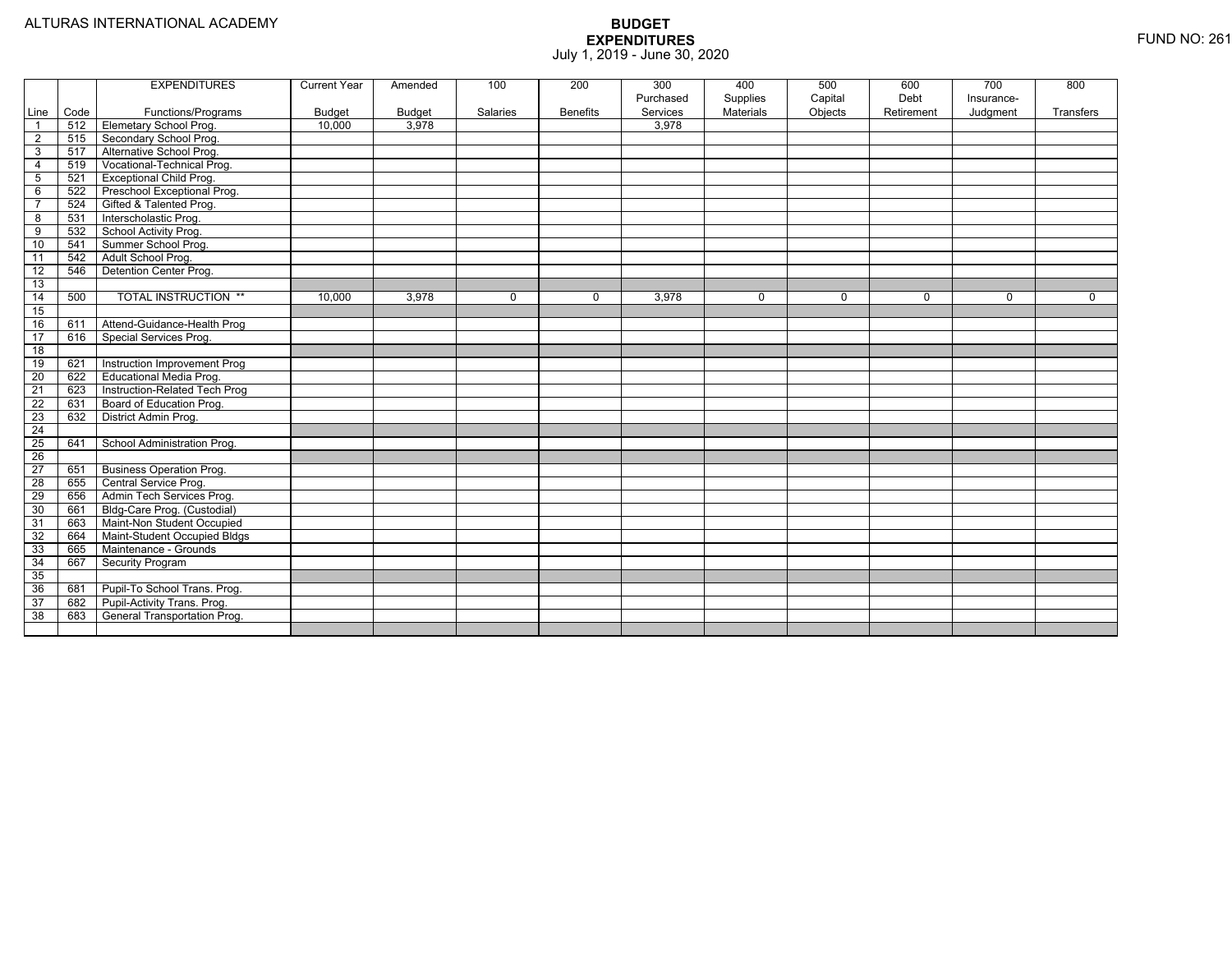|                         |      | <b>EXPENDITURES</b>             | <b>Current Year</b> | Amended       | 100      | 200             | 300<br>Purchased | 400                   | 500<br>Capital | 600<br>Debt | 700<br>Insurance- | 800       |
|-------------------------|------|---------------------------------|---------------------|---------------|----------|-----------------|------------------|-----------------------|----------------|-------------|-------------------|-----------|
| Line                    | Code | Functions/Programs              | <b>Budget</b>       | <b>Budget</b> | Salaries | <b>Benefits</b> | Services         | Supplies<br>Materials | Objects        | Retirement  | Judgment          | Transfers |
| $\overline{1}$          | 512  | Elemetary School Prog.          | 10.000              | 3.978         |          |                 | 3.978            |                       |                |             |                   |           |
| $\overline{2}$          | 515  | Secondary School Prog.          |                     |               |          |                 |                  |                       |                |             |                   |           |
| $\overline{3}$          | 517  | Alternative School Prog.        |                     |               |          |                 |                  |                       |                |             |                   |           |
| $\overline{4}$          | 519  | Vocational-Technical Prog.      |                     |               |          |                 |                  |                       |                |             |                   |           |
| $5\phantom{.0}$         | 521  | <b>Exceptional Child Prog.</b>  |                     |               |          |                 |                  |                       |                |             |                   |           |
| 6                       | 522  | Preschool Exceptional Prog.     |                     |               |          |                 |                  |                       |                |             |                   |           |
| $\overline{7}$          | 524  | Gifted & Talented Prog.         |                     |               |          |                 |                  |                       |                |             |                   |           |
| $\overline{\mathbf{8}}$ | 531  | Interscholastic Prog.           |                     |               |          |                 |                  |                       |                |             |                   |           |
| $\overline{9}$          | 532  | School Activity Prog.           |                     |               |          |                 |                  |                       |                |             |                   |           |
| 10                      | 541  | Summer School Prog.             |                     |               |          |                 |                  |                       |                |             |                   |           |
| 11                      | 542  | Adult School Prog.              |                     |               |          |                 |                  |                       |                |             |                   |           |
| 12                      | 546  | Detention Center Prog.          |                     |               |          |                 |                  |                       |                |             |                   |           |
| 13                      |      |                                 |                     |               |          |                 |                  |                       |                |             |                   |           |
| 14                      | 500  | <b>TOTAL INSTRUCTION **</b>     | 10,000              | 3,978         | $\Omega$ | $\Omega$        | 3,978            | $\mathbf 0$           | $\Omega$       | $\Omega$    | $\Omega$          | $\Omega$  |
| 15                      |      |                                 |                     |               |          |                 |                  |                       |                |             |                   |           |
| 16                      | 611  | Attend-Guidance-Health Prog     |                     |               |          |                 |                  |                       |                |             |                   |           |
| 17                      | 616  | Special Services Prog.          |                     |               |          |                 |                  |                       |                |             |                   |           |
| $\overline{18}$         |      |                                 |                     |               |          |                 |                  |                       |                |             |                   |           |
| 19                      | 621  | Instruction Improvement Prog    |                     |               |          |                 |                  |                       |                |             |                   |           |
| $\overline{20}$         | 622  | <b>Educational Media Prog.</b>  |                     |               |          |                 |                  |                       |                |             |                   |           |
| 21                      | 623  | Instruction-Related Tech Prog   |                     |               |          |                 |                  |                       |                |             |                   |           |
| $\overline{22}$         | 631  | Board of Education Prog.        |                     |               |          |                 |                  |                       |                |             |                   |           |
| 23                      | 632  | District Admin Prog.            |                     |               |          |                 |                  |                       |                |             |                   |           |
| $\overline{24}$         |      |                                 |                     |               |          |                 |                  |                       |                |             |                   |           |
| 25                      | 641  | School Administration Prog.     |                     |               |          |                 |                  |                       |                |             |                   |           |
| 26                      |      |                                 |                     |               |          |                 |                  |                       |                |             |                   |           |
| $\overline{27}$         | 651  | <b>Business Operation Prog.</b> |                     |               |          |                 |                  |                       |                |             |                   |           |
| 28                      | 655  | Central Service Prog.           |                     |               |          |                 |                  |                       |                |             |                   |           |
| 29                      | 656  | Admin Tech Services Prog.       |                     |               |          |                 |                  |                       |                |             |                   |           |
| 30                      | 661  | Bldg-Care Prog. (Custodial)     |                     |               |          |                 |                  |                       |                |             |                   |           |
| 31                      | 663  | Maint-Non Student Occupied      |                     |               |          |                 |                  |                       |                |             |                   |           |
| 32                      | 664  | Maint-Student Occupied Bldgs    |                     |               |          |                 |                  |                       |                |             |                   |           |
| 33                      | 665  | Maintenance - Grounds           |                     |               |          |                 |                  |                       |                |             |                   |           |
| 34                      | 667  | <b>Security Program</b>         |                     |               |          |                 |                  |                       |                |             |                   |           |
| 35                      |      |                                 |                     |               |          |                 |                  |                       |                |             |                   |           |
| 36                      | 681  | Pupil-To School Trans. Prog.    |                     |               |          |                 |                  |                       |                |             |                   |           |
| 37                      | 682  | Pupil-Activity Trans. Prog.     |                     |               |          |                 |                  |                       |                |             |                   |           |
| 38                      | 683  | General Transportation Prog.    |                     |               |          |                 |                  |                       |                |             |                   |           |
|                         |      |                                 |                     |               |          |                 |                  |                       |                |             |                   |           |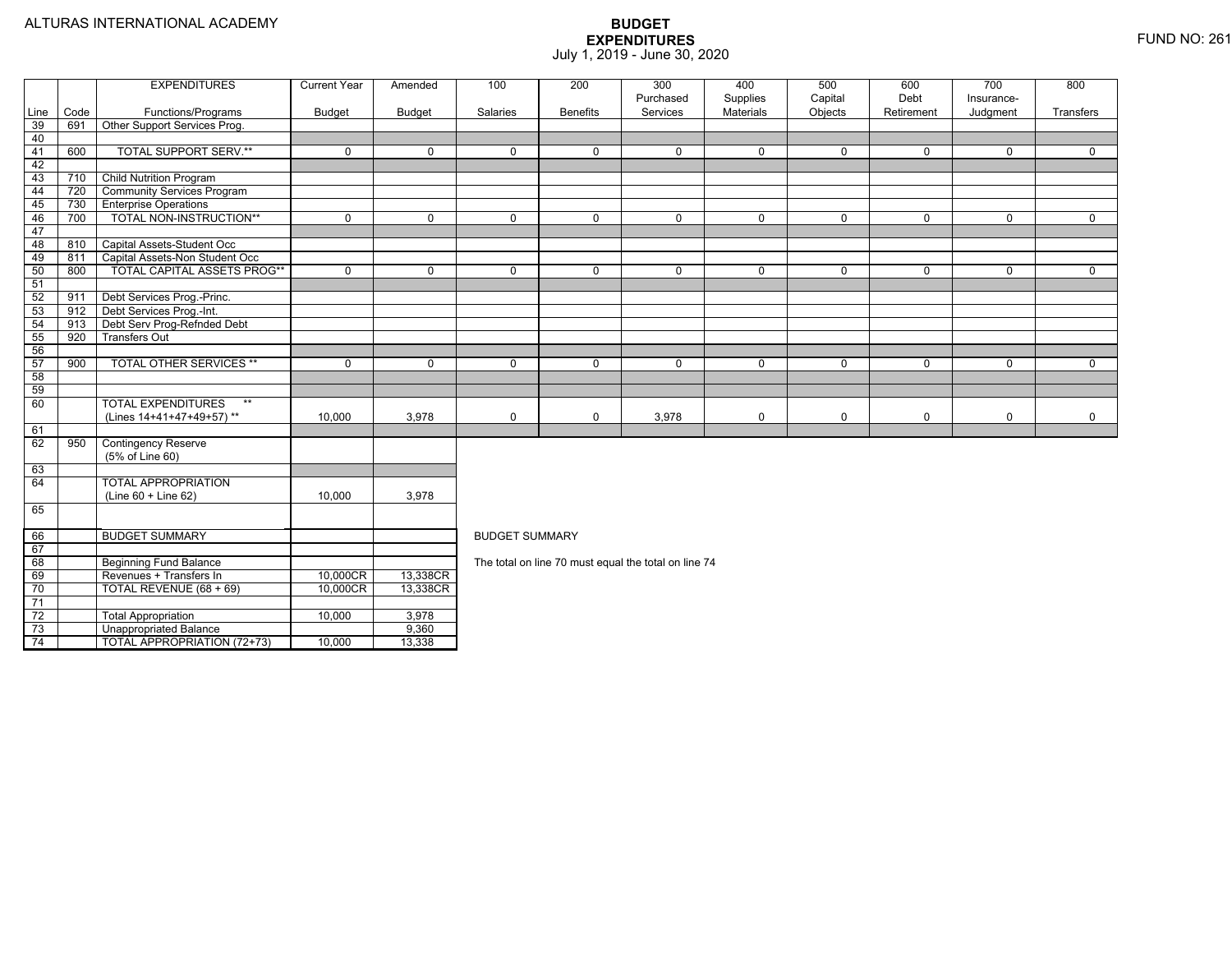73

74

Unappropriated Balance 9,360

4 | | TOTAL APPROPRIATION (72+73) | 10,000 | 13,338

### **BUDGET EXPENDITURES**July 1, 2019 - June 30, 2020

|                 |      | <b>EXPENDITURES</b>                           | <b>Current Year</b> | Amended     | 100                   | 200             | 300<br>Purchased                                     | 400                          | 500                | 600<br>Debt  | 700                     | 800                     |  |  |
|-----------------|------|-----------------------------------------------|---------------------|-------------|-----------------------|-----------------|------------------------------------------------------|------------------------------|--------------------|--------------|-------------------------|-------------------------|--|--|
| Line            | Code | Functions/Programs                            | Budget              | Budget      | Salaries              | <b>Benefits</b> | Services                                             | Supplies<br><b>Materials</b> | Capital<br>Objects | Retirement   | Insurance-<br>Judgment  | Transfers               |  |  |
| 39              | 691  | Other Support Services Prog.                  |                     |             |                       |                 |                                                      |                              |                    |              |                         |                         |  |  |
| 40              |      |                                               |                     |             |                       |                 |                                                      |                              |                    |              |                         |                         |  |  |
| 41              | 600  | <b>TOTAL SUPPORT SERV.**</b>                  | $\mathbf 0$         | $\Omega$    | $\Omega$              | $\Omega$        | $\Omega$                                             | $\mathbf 0$                  | $\Omega$           | $\Omega$     | $\Omega$                | $\Omega$                |  |  |
| 42              |      |                                               |                     |             |                       |                 |                                                      |                              |                    |              |                         |                         |  |  |
| 43              | 710  | <b>Child Nutrition Program</b>                |                     |             |                       |                 |                                                      |                              |                    |              |                         |                         |  |  |
| 44              | 720  | <b>Community Services Program</b>             |                     |             |                       |                 |                                                      |                              |                    |              |                         |                         |  |  |
| 45              | 730  | <b>Enterprise Operations</b>                  |                     |             |                       |                 |                                                      |                              |                    |              |                         |                         |  |  |
| 46              | 700  | TOTAL NON-INSTRUCTION**                       | 0                   | $\Omega$    | 0                     | $\mathbf{0}$    | 0                                                    | $\mathbf 0$                  | 0                  | $\mathbf{0}$ | $\mathbf 0$             | $\mathbf{0}$            |  |  |
| 47              |      |                                               |                     |             |                       |                 |                                                      |                              |                    |              |                         |                         |  |  |
| 48              | 810  | Capital Assets-Student Occ                    |                     |             |                       |                 |                                                      |                              |                    |              |                         |                         |  |  |
| 49              | 811  | Capital Assets-Non Student Occ                |                     |             |                       |                 |                                                      |                              |                    |              |                         |                         |  |  |
| 50              | 800  | <b>TOTAL CAPITAL ASSETS PROG**</b>            | $\mathbf 0$         | $\mathbf 0$ | $\mathbf 0$           | $\mathbf 0$     | 0                                                    | $\mathbf 0$                  | $\mathbf 0$        | $\mathbf 0$  | $\mathbf 0$             | $\mathbf 0$             |  |  |
| 51              |      |                                               |                     |             |                       |                 |                                                      |                              |                    |              |                         |                         |  |  |
| 52              | 911  | Debt Services Prog.-Princ.                    |                     |             |                       |                 |                                                      |                              |                    |              |                         |                         |  |  |
| 53              | 912  | Debt Services Prog.-Int.                      |                     |             |                       |                 |                                                      |                              |                    |              |                         |                         |  |  |
| 54              | 913  | Debt Serv Prog-Refnded Debt                   |                     |             |                       |                 |                                                      |                              |                    |              |                         |                         |  |  |
| 55              | 920  | <b>Transfers Out</b>                          |                     |             |                       |                 |                                                      |                              |                    |              |                         |                         |  |  |
| 56              |      |                                               |                     |             |                       |                 |                                                      |                              |                    |              |                         |                         |  |  |
| 57              | 900  | <b>TOTAL OTHER SERVICES **</b>                | 0                   | $\Omega$    | 0                     | $\mathbf 0$     | 0                                                    | $\mathbf 0$                  | $\mathbf 0$        | $\mathbf 0$  | $\mathbf 0$             | $\mathbf 0$             |  |  |
| 58              |      |                                               |                     |             |                       |                 |                                                      |                              |                    |              |                         |                         |  |  |
| 59              |      |                                               |                     |             |                       |                 |                                                      |                              |                    |              |                         |                         |  |  |
| 60              |      | <b>TOTAL EXPENDITURES</b><br>$***$            |                     |             |                       |                 |                                                      |                              |                    |              |                         |                         |  |  |
|                 |      | (Lines 14+41+47+49+57)**                      | 10,000              | 3,978       | 0                     | $\mathbf 0$     | 3,978                                                | $\mathbf 0$                  | $\mathbf 0$        | $\mathbf 0$  | $\mathsf{O}\phantom{0}$ | $\mathsf{O}\phantom{0}$ |  |  |
| 61              |      |                                               |                     |             |                       |                 |                                                      |                              |                    |              |                         |                         |  |  |
| 62              | 950  | <b>Contingency Reserve</b><br>(5% of Line 60) |                     |             |                       |                 |                                                      |                              |                    |              |                         |                         |  |  |
| 63              |      |                                               |                     |             |                       |                 |                                                      |                              |                    |              |                         |                         |  |  |
| 64              |      | <b>TOTAL APPROPRIATION</b>                    |                     |             |                       |                 |                                                      |                              |                    |              |                         |                         |  |  |
|                 |      | $(Line 60 + Line 62)$                         | 10,000              | 3,978       |                       |                 |                                                      |                              |                    |              |                         |                         |  |  |
| 65              |      |                                               |                     |             |                       |                 |                                                      |                              |                    |              |                         |                         |  |  |
| 66              |      | <b>BUDGET SUMMARY</b>                         |                     |             | <b>BUDGET SUMMARY</b> |                 |                                                      |                              |                    |              |                         |                         |  |  |
| 67              |      |                                               |                     |             |                       |                 |                                                      |                              |                    |              |                         |                         |  |  |
| 68              |      | <b>Beginning Fund Balance</b>                 |                     |             |                       |                 | The total on line 70 must equal the total on line 74 |                              |                    |              |                         |                         |  |  |
| 69              |      | Revenues + Transfers In                       | 10,000CR            | 13,338CR    |                       |                 |                                                      |                              |                    |              |                         |                         |  |  |
| 70              |      | TOTAL REVENUE (68 + 69)                       | 10,000CR            | 13,338CR    |                       |                 |                                                      |                              |                    |              |                         |                         |  |  |
| 71              |      |                                               |                     |             |                       |                 |                                                      |                              |                    |              |                         |                         |  |  |
| $\overline{72}$ |      | <b>Total Appropriation</b>                    | 10,000              | 3,978       |                       |                 |                                                      |                              |                    |              |                         |                         |  |  |

 $\overline{a}$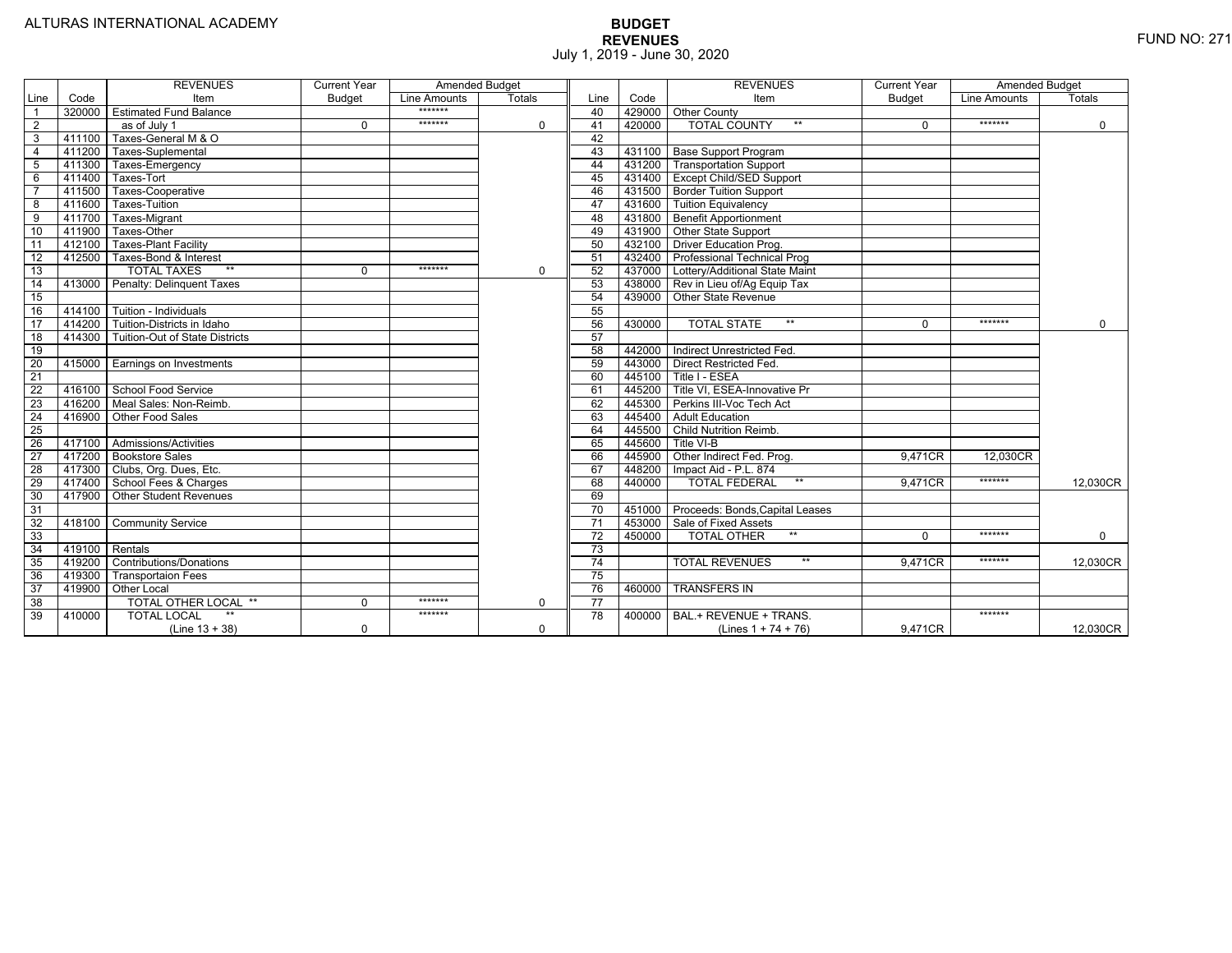|                 |                | <b>REVENUES</b>                         | <b>Current Year</b> | Amended Budget |               |                 |        | <b>REVENUES</b>                          | <b>Current Year</b> | <b>Amended Budget</b> |               |
|-----------------|----------------|-----------------------------------------|---------------------|----------------|---------------|-----------------|--------|------------------------------------------|---------------------|-----------------------|---------------|
| Line            | Code           | Item                                    | <b>Budget</b>       | Line Amounts   | <b>Totals</b> | Line            | Code   | Item                                     | <b>Budget</b>       | Line Amounts          | <b>Totals</b> |
|                 |                | 320000 Estimated Fund Balance           |                     | $******$       |               | 40              |        | 429000 Other County                      |                     |                       |               |
| $\overline{2}$  |                | as of July 1                            | $\Omega$            | *******        | $\mathbf 0$   | 41              | 420000 | <b>TOTAL COUNTY</b><br>$***$             | $\Omega$            | *******               | $\mathbf 0$   |
| 3               | 411100         | Taxes-General M & O                     |                     |                |               | 42              |        |                                          |                     |                       |               |
| $\overline{4}$  | 411200         | Taxes-Suplemental                       |                     |                |               | 43              |        | 431100   Base Support Program            |                     |                       |               |
| 5               | 411300         | Taxes-Emergency                         |                     |                |               | 44              |        | 431200   Transportation Support          |                     |                       |               |
| 6               | 411400         | Taxes-Tort                              |                     |                |               | 45              |        | 431400 Except Child/SED Support          |                     |                       |               |
|                 | 411500         | Taxes-Cooperative                       |                     |                |               | 46              |        | 431500   Border Tuition Support          |                     |                       |               |
| 8               | 411600         | Taxes-Tuition                           |                     |                |               | 47              |        | 431600 Tuition Equivalency               |                     |                       |               |
| 9               | 411700         | Taxes-Migrant                           |                     |                |               | 48              |        | 431800 Benefit Apportionment             |                     |                       |               |
| 10              | 411900         | Taxes-Other                             |                     |                |               | 49              |        | 431900 Other State Support               |                     |                       |               |
| 11              | 412100         | <b>Taxes-Plant Facility</b>             |                     |                |               | 50              | 432100 | <b>Driver Education Prog.</b>            |                     |                       |               |
| 12              | 412500         | Taxes-Bond & Interest                   |                     |                |               | 51              |        | 432400 Professional Technical Prog       |                     |                       |               |
| 13              |                | $**$<br><b>TOTAL TAXES</b>              | 0                   | *******        | $\mathbf 0$   | 52              |        | 437000 Lottery/Additional State Maint    |                     |                       |               |
| 14              |                | 413000 Penalty: Delinguent Taxes        |                     |                |               | 53              |        | 438000 Rev in Lieu of/Ag Equip Tax       |                     |                       |               |
| 15              |                |                                         |                     |                |               | 54              | 439000 | Other State Revenue                      |                     |                       |               |
| 16              |                | 414100 Tuition - Individuals            |                     |                |               | 55              |        |                                          |                     |                       |               |
| 17              | 414200         | Tuition-Districts in Idaho              |                     |                |               | 56              | 430000 | $**$<br><b>TOTAL STATE</b>               | U                   | *******               | $\Omega$      |
| 18              |                | 414300   Tuition-Out of State Districts |                     |                |               | 57              |        |                                          |                     |                       |               |
| 19              |                |                                         |                     |                |               | 58              |        | 442000   Indirect Unrestricted Fed.      |                     |                       |               |
| 20              |                | 415000 Earnings on Investments          |                     |                |               | 59              |        | 443000 Direct Restricted Fed.            |                     |                       |               |
| 21              |                |                                         |                     |                |               | 60              |        | 445100 Title I - ESEA                    |                     |                       |               |
| 22              |                | 416100 School Food Service              |                     |                |               | 61              | 445200 | Title VI. ESEA-Innovative Pr             |                     |                       |               |
| 23              |                | 416200   Meal Sales: Non-Reimb.         |                     |                |               | 62              |        | 445300 Perkins III-Voc Tech Act          |                     |                       |               |
| 24              |                | 416900 Other Food Sales                 |                     |                |               | 63              |        | 445400 Adult Education                   |                     |                       |               |
| $\overline{25}$ |                |                                         |                     |                |               | 64              | 445500 | <b>Child Nutrition Reimb.</b>            |                     |                       |               |
| 26              |                | 417100 Admissions/Activities            |                     |                |               | 65              | 445600 | Title VI-B                               |                     |                       |               |
| $\overline{27}$ |                | 417200 Bookstore Sales                  |                     |                |               | 66              | 445900 | Other Indirect Fed. Prog.                | 9.471CR             | 12,030CR              |               |
| 28              |                | 417300 Clubs, Org. Dues, Etc.           |                     |                |               | 67              | 448200 | Impact Aid - P.L. 874                    |                     |                       |               |
| $\overline{29}$ |                | 417400 School Fees & Charges            |                     |                |               | 68              | 440000 | $***$<br><b>TOTAL FEDERAL</b>            | 9.471CR             | *******               | 12,030CR      |
| 30              |                | 417900   Other Student Revenues         |                     |                |               | 69              |        |                                          |                     |                       |               |
| 31              |                |                                         |                     |                |               | $\overline{70}$ |        | 451000   Proceeds: Bonds, Capital Leases |                     |                       |               |
| $\overline{32}$ |                | 418100 Community Service                |                     |                |               | $\overline{71}$ |        | 453000 Sale of Fixed Assets              |                     |                       |               |
| 33              |                |                                         |                     |                |               | $\overline{72}$ | 450000 | <b>TOTAL OTHER</b><br>$**$               | $\Omega$            | *******               | $\mathbf 0$   |
| 34              | 419100 Rentals |                                         |                     |                |               | 73              |        |                                          |                     |                       |               |
| 35              |                | 419200 Contributions/Donations          |                     |                |               | 74              |        | <b>TOTAL REVENUES</b><br>$**$            | 9.471CR             | *******               | 12,030CR      |
| 36              | 419300         | <b>Transportaion Fees</b>               |                     |                |               | 75              |        |                                          |                     |                       |               |
| 37              | 419900         | <b>Other Local</b>                      |                     |                |               | 76              | 460000 | <b>TRANSFERS IN</b>                      |                     |                       |               |
| 38              |                | TOTAL OTHER LOCAL **                    | $\mathbf 0$         | *******        | $\mathbf 0$   | $\overline{77}$ |        |                                          |                     |                       |               |
| 39              | 410000         | <b>TOTAL LOCAL</b>                      |                     | *******        |               | 78              | 400000 | BAL.+ REVENUE + TRANS.                   |                     | *******               |               |
|                 |                | $(Line 13 + 38)$                        | 0                   |                | $\Omega$      |                 |        | (Lines $1 + 74 + 76$ )                   | 9.471CR             |                       | 12.030CR      |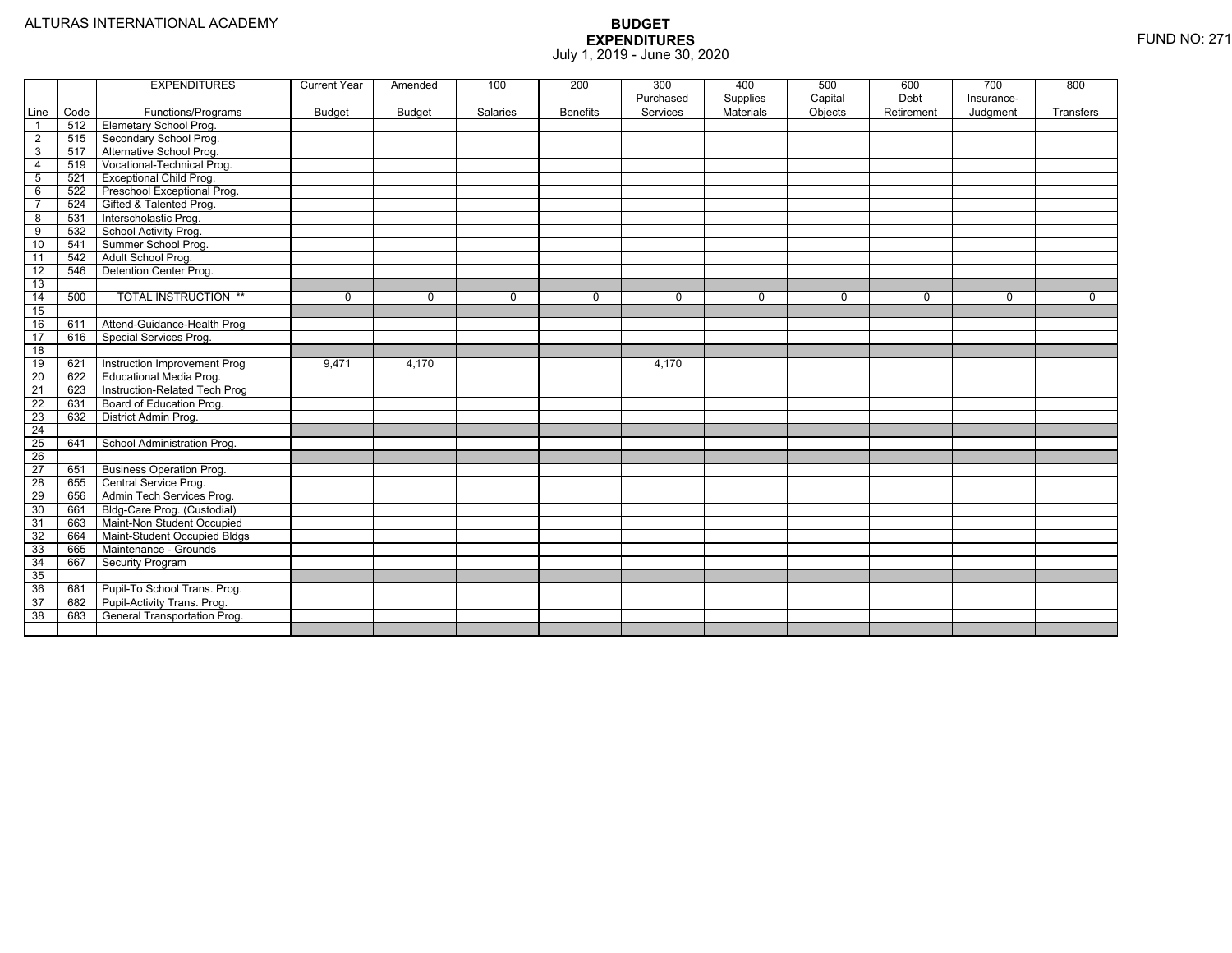|                 |      | <b>EXPENDITURES</b>             | <b>Current Year</b> | Amended  | 100      | 200             | 300<br>Purchased | 400<br>Supplies | 500<br>Capital | 600<br>Debt | $\overline{700}$<br>Insurance- | 800       |
|-----------------|------|---------------------------------|---------------------|----------|----------|-----------------|------------------|-----------------|----------------|-------------|--------------------------------|-----------|
| Line            | Code | Functions/Programs              | <b>Budget</b>       | Budget   | Salaries | <b>Benefits</b> | Services         | Materials       | Objects        | Retirement  | Judgment                       | Transfers |
| $\overline{1}$  | 512  | <b>Elemetary School Prog.</b>   |                     |          |          |                 |                  |                 |                |             |                                |           |
| $\overline{2}$  | 515  | Secondary School Prog.          |                     |          |          |                 |                  |                 |                |             |                                |           |
| 3               | 517  | Alternative School Prog.        |                     |          |          |                 |                  |                 |                |             |                                |           |
| $\overline{4}$  | 519  | Vocational-Technical Prog.      |                     |          |          |                 |                  |                 |                |             |                                |           |
| $\sqrt{5}$      | 521  | <b>Exceptional Child Prog.</b>  |                     |          |          |                 |                  |                 |                |             |                                |           |
| 6               | 522  | Preschool Exceptional Prog.     |                     |          |          |                 |                  |                 |                |             |                                |           |
| $\overline{7}$  | 524  | Gifted & Talented Prog.         |                     |          |          |                 |                  |                 |                |             |                                |           |
| 8               | 531  | Interscholastic Prog.           |                     |          |          |                 |                  |                 |                |             |                                |           |
| 9               | 532  | School Activity Prog.           |                     |          |          |                 |                  |                 |                |             |                                |           |
| 10              | 541  | Summer School Prog.             |                     |          |          |                 |                  |                 |                |             |                                |           |
| 11              | 542  | Adult School Prog.              |                     |          |          |                 |                  |                 |                |             |                                |           |
| $\overline{12}$ | 546  | Detention Center Prog.          |                     |          |          |                 |                  |                 |                |             |                                |           |
| 13              |      |                                 |                     |          |          |                 |                  |                 |                |             |                                |           |
| $\overline{14}$ | 500  | <b>TOTAL INSTRUCTION **</b>     | 0                   | $\Omega$ | $\Omega$ | $\Omega$        | $\Omega$         | $\mathbf 0$     | $\mathbf 0$    | 0           | $\mathbf 0$                    | $\Omega$  |
| 15              |      |                                 |                     |          |          |                 |                  |                 |                |             |                                |           |
| 16              | 611  | Attend-Guidance-Health Prog     |                     |          |          |                 |                  |                 |                |             |                                |           |
| $\overline{17}$ | 616  | Special Services Prog.          |                     |          |          |                 |                  |                 |                |             |                                |           |
| $\overline{18}$ |      |                                 |                     |          |          |                 |                  |                 |                |             |                                |           |
| 19              | 621  | Instruction Improvement Prog    | 9,471               | 4,170    |          |                 | 4,170            |                 |                |             |                                |           |
| 20              | 622  | Educational Media Prog.         |                     |          |          |                 |                  |                 |                |             |                                |           |
| 21              | 623  | Instruction-Related Tech Prog   |                     |          |          |                 |                  |                 |                |             |                                |           |
| $\overline{22}$ | 631  | Board of Education Prog.        |                     |          |          |                 |                  |                 |                |             |                                |           |
| 23              | 632  | District Admin Prog.            |                     |          |          |                 |                  |                 |                |             |                                |           |
| $\overline{24}$ |      |                                 |                     |          |          |                 |                  |                 |                |             |                                |           |
| $\overline{25}$ | 641  | School Administration Prog.     |                     |          |          |                 |                  |                 |                |             |                                |           |
| $\overline{26}$ |      |                                 |                     |          |          |                 |                  |                 |                |             |                                |           |
| $\overline{27}$ | 651  | <b>Business Operation Prog.</b> |                     |          |          |                 |                  |                 |                |             |                                |           |
| $\overline{28}$ | 655  | Central Service Prog.           |                     |          |          |                 |                  |                 |                |             |                                |           |
| 29              | 656  | Admin Tech Services Prog.       |                     |          |          |                 |                  |                 |                |             |                                |           |
| 30              | 661  | Bldg-Care Prog. (Custodial)     |                     |          |          |                 |                  |                 |                |             |                                |           |
| 31              | 663  | Maint-Non Student Occupied      |                     |          |          |                 |                  |                 |                |             |                                |           |
| 32              | 664  | Maint-Student Occupied Bldgs    |                     |          |          |                 |                  |                 |                |             |                                |           |
| 33              | 665  | Maintenance - Grounds           |                     |          |          |                 |                  |                 |                |             |                                |           |
| 34              | 667  | Security Program                |                     |          |          |                 |                  |                 |                |             |                                |           |
| 35              |      |                                 |                     |          |          |                 |                  |                 |                |             |                                |           |
| 36              | 681  | Pupil-To School Trans. Prog.    |                     |          |          |                 |                  |                 |                |             |                                |           |
| 37              | 682  | Pupil-Activity Trans. Prog.     |                     |          |          |                 |                  |                 |                |             |                                |           |
| 38              | 683  | General Transportation Prog.    |                     |          |          |                 |                  |                 |                |             |                                |           |
|                 |      |                                 |                     |          |          |                 |                  |                 |                |             |                                |           |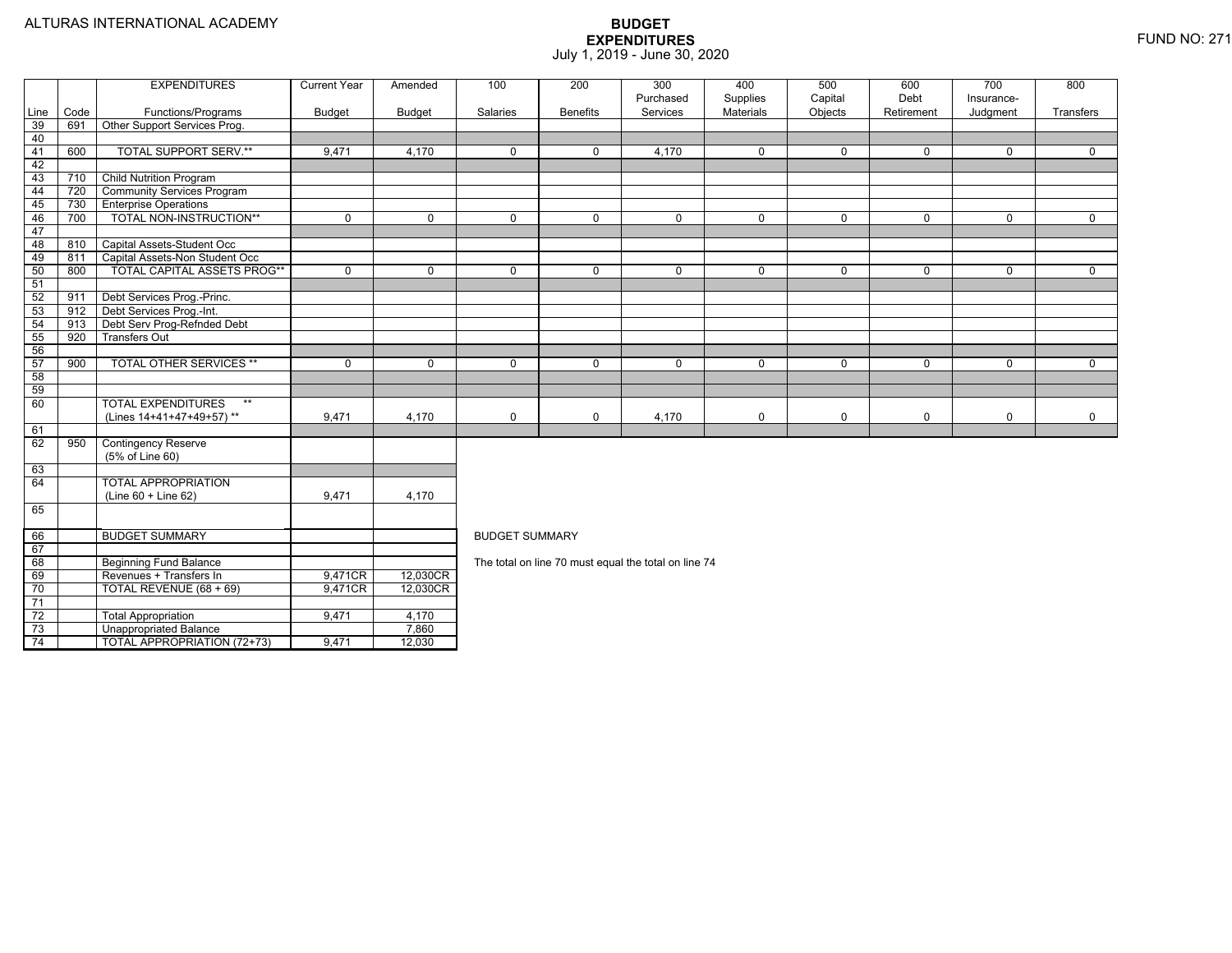73

74

Unappropriated Balance 7,860

TOTAL APPROPRIATION (72+73) 9,471 12,030

|                 |      | <b>EXPENDITURES</b>                | <b>Current Year</b> | Amended       | 100                                                                              | 200             | 300                                                  | 400         | 500         | 600          | 700        | 800         |  |  |  |
|-----------------|------|------------------------------------|---------------------|---------------|----------------------------------------------------------------------------------|-----------------|------------------------------------------------------|-------------|-------------|--------------|------------|-------------|--|--|--|
|                 |      |                                    |                     |               |                                                                                  |                 | Purchased                                            | Supplies    | Capital     | Debt         | Insurance- |             |  |  |  |
| Line            | Code | Functions/Programs                 | Budget              | <b>Budget</b> | Salaries                                                                         | <b>Benefits</b> | Services                                             | Materials   | Objects     | Retirement   | Judgment   | Transfers   |  |  |  |
| 39              | 691  | Other Support Services Prog.       |                     |               |                                                                                  |                 |                                                      |             |             |              |            |             |  |  |  |
| 40              |      |                                    |                     |               |                                                                                  |                 |                                                      |             |             |              |            |             |  |  |  |
| 41              | 600  | <b>TOTAL SUPPORT SERV.**</b>       | 9,471               | 4,170         | $\mathbf{0}$                                                                     | $\Omega$        | $\overline{4,}170$                                   | $\mathbf 0$ | $\Omega$    | $\Omega$     | $\Omega$   | $\Omega$    |  |  |  |
| 42              |      |                                    |                     |               |                                                                                  |                 |                                                      |             |             |              |            |             |  |  |  |
| 43              | 710  | <b>Child Nutrition Program</b>     |                     |               |                                                                                  |                 |                                                      |             |             |              |            |             |  |  |  |
| 44              | 720  | <b>Community Services Program</b>  |                     |               |                                                                                  |                 |                                                      |             |             |              |            |             |  |  |  |
| 45              | 730  | <b>Enterprise Operations</b>       |                     |               |                                                                                  |                 |                                                      |             |             |              |            |             |  |  |  |
| 46              | 700  | TOTAL NON-INSTRUCTION**            | 0                   | $\mathbf 0$   | 0                                                                                | $\mathbf{0}$    | 0                                                    | $\mathbf 0$ | 0           | $\mathbf{0}$ | 0          | $\mathbf 0$ |  |  |  |
| 47              |      |                                    |                     |               |                                                                                  |                 |                                                      |             |             |              |            |             |  |  |  |
| 48              | 810  | Capital Assets-Student Occ         |                     |               |                                                                                  |                 |                                                      |             |             |              |            |             |  |  |  |
| 49              | 811  | Capital Assets-Non Student Occ     |                     |               |                                                                                  |                 |                                                      |             |             |              |            |             |  |  |  |
| 50              | 800  | <b>TOTAL CAPITAL ASSETS PROG**</b> | $\Omega$            | $\Omega$      | $\Omega$                                                                         | $\Omega$        | $\Omega$                                             | $\mathbf 0$ | $\mathbf 0$ | $\Omega$     | $\Omega$   | $\Omega$    |  |  |  |
| 51              |      |                                    |                     |               |                                                                                  |                 |                                                      |             |             |              |            |             |  |  |  |
| 52              | 911  | Debt Services Prog.-Princ.         |                     |               |                                                                                  |                 |                                                      |             |             |              |            |             |  |  |  |
| 53              | 912  | Debt Services Prog.-Int.           |                     |               |                                                                                  |                 |                                                      |             |             |              |            |             |  |  |  |
| 54              | 913  | Debt Serv Prog-Refnded Debt        |                     |               |                                                                                  |                 |                                                      |             |             |              |            |             |  |  |  |
| $\frac{55}{56}$ | 920  | <b>Transfers Out</b>               |                     |               |                                                                                  |                 |                                                      |             |             |              |            |             |  |  |  |
|                 |      |                                    |                     |               |                                                                                  |                 |                                                      |             |             |              |            |             |  |  |  |
| 57              | 900  | <b>TOTAL OTHER SERVICES **</b>     | 0                   | $\Omega$      | 0<br>$\Omega$<br>0<br>$\mathbf 0$<br>0<br>$\Omega$<br>$\mathbf 0$<br>$\mathbf 0$ |                 |                                                      |             |             |              |            |             |  |  |  |
| 58              |      |                                    |                     |               |                                                                                  |                 |                                                      |             |             |              |            |             |  |  |  |
| 59              |      |                                    |                     |               |                                                                                  |                 |                                                      |             |             |              |            |             |  |  |  |
| 60              |      | <b>TOTAL EXPENDITURES</b><br>$***$ |                     |               |                                                                                  |                 |                                                      |             |             |              |            |             |  |  |  |
|                 |      | (Lines 14+41+47+49+57)**           | 9,471               | 4,170         | 0                                                                                | $\mathbf 0$     | 4,170                                                | 0           | 0           | 0            | 0          | $\mathbf 0$ |  |  |  |
| 61              |      |                                    |                     |               |                                                                                  |                 |                                                      |             |             |              |            |             |  |  |  |
| 62              | 950  | <b>Contingency Reserve</b>         |                     |               |                                                                                  |                 |                                                      |             |             |              |            |             |  |  |  |
|                 |      | (5% of Line 60)                    |                     |               |                                                                                  |                 |                                                      |             |             |              |            |             |  |  |  |
| 63              |      |                                    |                     |               |                                                                                  |                 |                                                      |             |             |              |            |             |  |  |  |
| 64              |      | <b>TOTAL APPROPRIATION</b>         |                     |               |                                                                                  |                 |                                                      |             |             |              |            |             |  |  |  |
|                 |      | (Line 60 + Line 62)                | 9,471               | 4,170         |                                                                                  |                 |                                                      |             |             |              |            |             |  |  |  |
| 65              |      |                                    |                     |               |                                                                                  |                 |                                                      |             |             |              |            |             |  |  |  |
| 66              |      | <b>BUDGET SUMMARY</b>              |                     |               | <b>BUDGET SUMMARY</b>                                                            |                 |                                                      |             |             |              |            |             |  |  |  |
| 67              |      |                                    |                     |               |                                                                                  |                 |                                                      |             |             |              |            |             |  |  |  |
| 68              |      | <b>Beginning Fund Balance</b>      |                     |               |                                                                                  |                 | The total on line 70 must equal the total on line 74 |             |             |              |            |             |  |  |  |
| 69              |      | Revenues + Transfers In            | 9,471CR             | 12,030CR      |                                                                                  |                 |                                                      |             |             |              |            |             |  |  |  |
| 70              |      | TOTAL REVENUE (68 + 69)            | 9,471CR             | 12,030CR      |                                                                                  |                 |                                                      |             |             |              |            |             |  |  |  |
| 71              |      |                                    |                     |               |                                                                                  |                 |                                                      |             |             |              |            |             |  |  |  |
| $\overline{72}$ |      | <b>Total Appropriation</b>         | 9.471               | 4,170         |                                                                                  |                 |                                                      |             |             |              |            |             |  |  |  |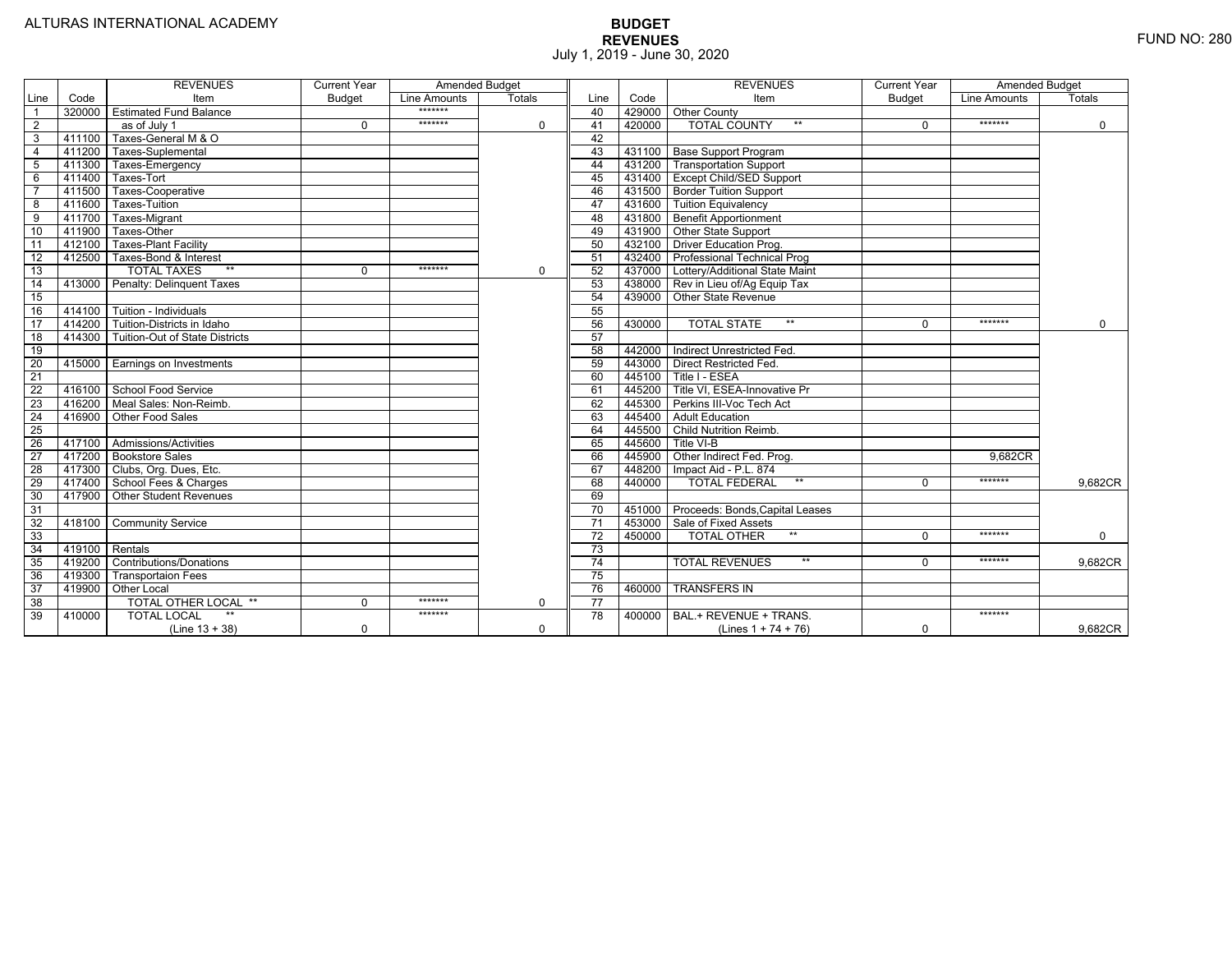|                 |                | <b>REVENUES</b>                   | <b>Current Year</b> | <b>Amended Budget</b> |             |                 |        | <b>REVENUES</b>                          | <b>Current Year</b> | <b>Amended Budget</b> |               |
|-----------------|----------------|-----------------------------------|---------------------|-----------------------|-------------|-----------------|--------|------------------------------------------|---------------------|-----------------------|---------------|
| Line            | Code           | Item                              | <b>Budget</b>       | Line Amounts          | Totals      | Line            | Code   | Item                                     | <b>Budget</b>       | Line Amounts          | <b>Totals</b> |
|                 | 320000         | <b>Estimated Fund Balance</b>     |                     | *******               |             | 40              |        | 429000 Other County                      |                     |                       |               |
| 2               |                | as of July 1                      | $\Omega$            | *******               | $\mathbf 0$ | 41              | 420000 | <b>TOTAL COUNTY</b>                      | $\Omega$            | *******               | $\mathbf 0$   |
| 3               | 411100         | Taxes-General M & O               |                     |                       |             | 42              |        |                                          |                     |                       |               |
| $\overline{4}$  | 411200         | Taxes-Suplemental                 |                     |                       |             | 43              |        | 431100   Base Support Program            |                     |                       |               |
| $\overline{5}$  | 411300         | Taxes-Emergency                   |                     |                       |             | 44              |        | 431200 Transportation Support            |                     |                       |               |
| 6               | 411400         | Taxes-Tort                        |                     |                       |             | 45              |        | 431400 Except Child/SED Support          |                     |                       |               |
|                 | 411500         | Taxes-Cooperative                 |                     |                       |             | 46              |        | 431500   Border Tuition Support          |                     |                       |               |
| 8               | 411600         | Taxes-Tuition                     |                     |                       |             | 47              |        | 431600 Tuition Equivalency               |                     |                       |               |
| 9               | 411700         | Taxes-Migrant                     |                     |                       |             | 48              |        | 431800 Benefit Apportionment             |                     |                       |               |
| 10              | 411900         | Taxes-Other                       |                     |                       |             | 49              |        | 431900 Other State Support               |                     |                       |               |
| 11              | 412100         | Taxes-Plant Facility              |                     |                       |             | 50              | 432100 | <b>Driver Education Prog.</b>            |                     |                       |               |
| 12              | 412500         | Taxes-Bond & Interest             |                     |                       |             | 51              |        | 432400   Professional Technical Prog     |                     |                       |               |
| 13              |                | $**$<br><b>TOTAL TAXES</b>        | $\Omega$            | *******               | $\mathbf 0$ | 52              |        | 437000 Lottery/Additional State Maint    |                     |                       |               |
| 14              | 413000         | Penalty: Delinguent Taxes         |                     |                       |             | 53              |        | 438000 Rev in Lieu of/Ag Equip Tax       |                     |                       |               |
| 15              |                |                                   |                     |                       |             | 54              | 439000 | Other State Revenue                      |                     |                       |               |
| 16              | 414100         | Tuition - Individuals             |                     |                       |             | 55              |        |                                          |                     |                       |               |
| $\overline{17}$ |                | 414200 Tuition-Districts in Idaho |                     |                       |             | 56              | 430000 | $**$<br><b>TOTAL STATE</b>               | 0                   | *******               | $\Omega$      |
| $\overline{18}$ | 414300         | Tuition-Out of State Districts    |                     |                       |             | 57              |        |                                          |                     |                       |               |
| 19              |                |                                   |                     |                       |             | 58              |        | 442000   Indirect Unrestricted Fed.      |                     |                       |               |
| 20              |                | 415000 Earnings on Investments    |                     |                       |             | 59              |        | 443000 Direct Restricted Fed.            |                     |                       |               |
| 21              |                |                                   |                     |                       |             | 60              |        | 445100 Title I - ESEA                    |                     |                       |               |
| 22              | 416100         | School Food Service               |                     |                       |             | 61              |        | 445200 Title VI. ESEA-Innovative Pr      |                     |                       |               |
| 23              |                | 416200   Meal Sales: Non-Reimb.   |                     |                       |             | 62              |        | 445300 Perkins III-Voc Tech Act          |                     |                       |               |
| 24              | 416900         | Other Food Sales                  |                     |                       |             | 63              |        | 445400 Adult Education                   |                     |                       |               |
| 25              |                |                                   |                     |                       |             | 64              |        | 445500 Child Nutrition Reimb.            |                     |                       |               |
| 26              |                | 417100 Admissions/Activities      |                     |                       |             | 65              | 445600 | Title VI-B                               |                     |                       |               |
| $\overline{27}$ | 417200         | <b>Bookstore Sales</b>            |                     |                       |             | 66              | 445900 | Other Indirect Fed. Prog.                |                     | 9.682CR               |               |
| $\overline{28}$ |                | 417300 Clubs, Org. Dues, Etc.     |                     |                       |             | 67              | 448200 | Impact Aid - P.L. 874                    |                     |                       |               |
| 29              | 417400         | School Fees & Charges             |                     |                       |             | 68              | 440000 | $**$<br><b>TOTAL FEDERAL</b>             | $\Omega$            | *******               | 9.682CR       |
| 30              | 417900         | <b>Other Student Revenues</b>     |                     |                       |             | 69              |        |                                          |                     |                       |               |
| 31              |                |                                   |                     |                       |             | $\overline{70}$ |        | 451000   Proceeds: Bonds, Capital Leases |                     |                       |               |
| $\overline{32}$ | 418100         | <b>Community Service</b>          |                     |                       |             | $\overline{71}$ | 453000 | Sale of Fixed Assets                     |                     |                       |               |
| 33              |                |                                   |                     |                       |             | 72              | 450000 | $**$<br><b>TOTAL OTHER</b>               | $\Omega$            | *******               | $\mathbf 0$   |
| 34              | 419100 Rentals |                                   |                     |                       |             | 73              |        |                                          |                     |                       |               |
| 35              | 419200         | <b>Contributions/Donations</b>    |                     |                       |             | $\overline{74}$ |        | $**$<br><b>TOTAL REVENUES</b>            | $\Omega$            | *******               | 9,682CR       |
| 36              | 419300         | <b>Transportaion Fees</b>         |                     |                       |             | 75              |        |                                          |                     |                       |               |
| 37              | 419900         | <b>Other Local</b>                |                     |                       |             | 76              | 460000 | <b>TRANSFERS IN</b>                      |                     |                       |               |
| 38              |                | TOTAL OTHER LOCAL **              | $\Omega$            | *******               | 0           | 77              |        |                                          |                     |                       |               |
| 39              | 410000         | <b>TOTAL LOCAL</b>                |                     | *******               |             | $\overline{78}$ | 400000 | BAL.+ REVENUE + TRANS.                   |                     | *******               |               |
|                 |                | $(Line 13 + 38)$                  | $\Omega$            |                       | $\Omega$    |                 |        | (Lines $1 + 74 + 76$ )                   | $\mathbf 0$         |                       | 9.682CR       |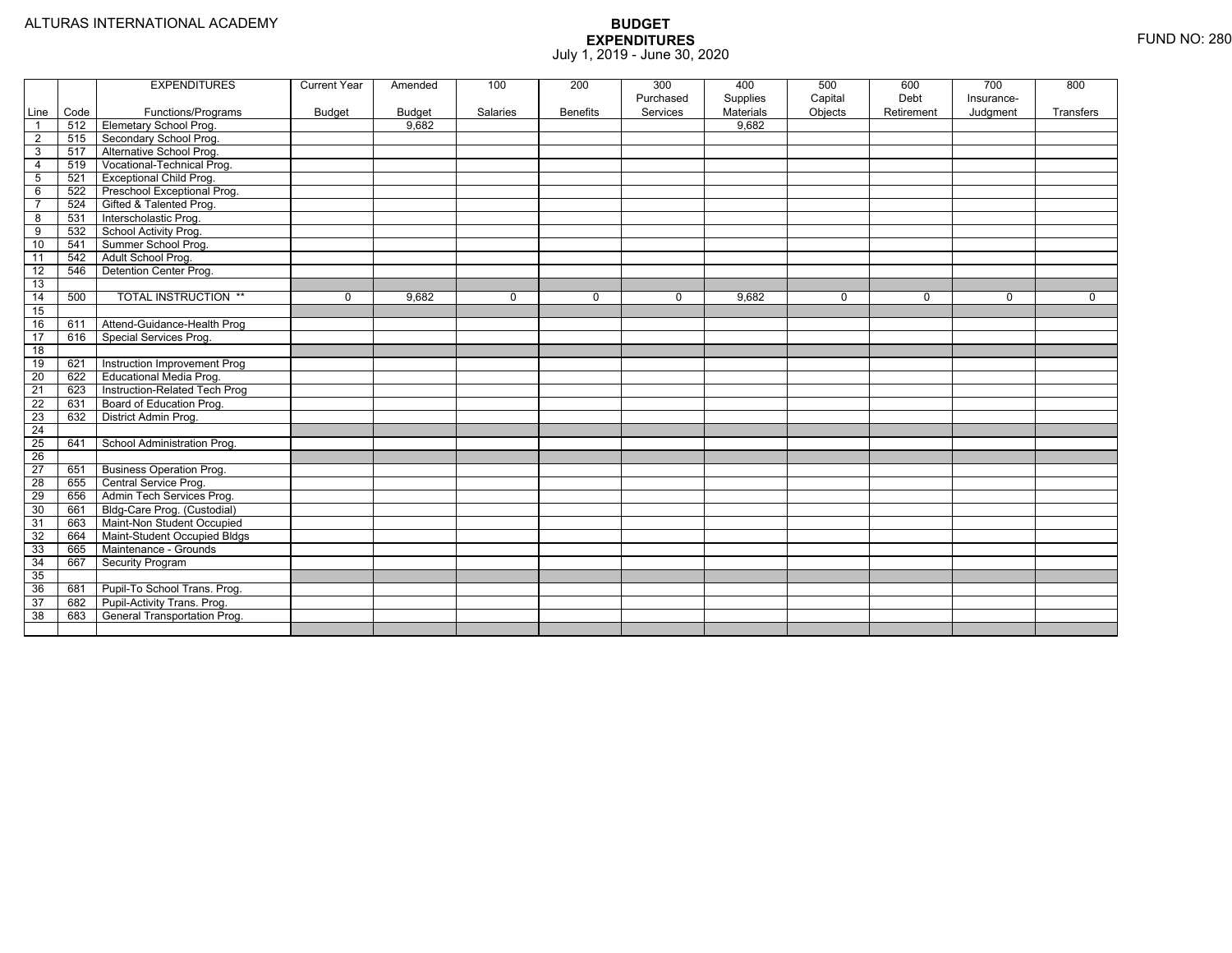|                         |      | <b>EXPENDITURES</b>             | <b>Current Year</b> | Amended       | 100      | 200             | 300<br>Purchased | 400<br>Supplies | 500<br>Capital | 600<br>Debt | 700<br>Insurance- | 800       |
|-------------------------|------|---------------------------------|---------------------|---------------|----------|-----------------|------------------|-----------------|----------------|-------------|-------------------|-----------|
| Line                    | Code | Functions/Programs              | <b>Budget</b>       | <b>Budget</b> | Salaries | <b>Benefits</b> | Services         | Materials       | Objects        | Retirement  | Judgment          | Transfers |
| $\overline{1}$          | 512  | Elemetary School Prog.          |                     | 9.682         |          |                 |                  | 9.682           |                |             |                   |           |
| $\overline{2}$          | 515  | Secondary School Prog.          |                     |               |          |                 |                  |                 |                |             |                   |           |
| 3                       | 517  | Alternative School Prog.        |                     |               |          |                 |                  |                 |                |             |                   |           |
| $\overline{4}$          | 519  | Vocational-Technical Prog.      |                     |               |          |                 |                  |                 |                |             |                   |           |
| 5                       | 521  | <b>Exceptional Child Prog.</b>  |                     |               |          |                 |                  |                 |                |             |                   |           |
| $\,6\,$                 | 522  | Preschool Exceptional Prog.     |                     |               |          |                 |                  |                 |                |             |                   |           |
| $\overline{7}$          | 524  | Gifted & Talented Prog.         |                     |               |          |                 |                  |                 |                |             |                   |           |
| $\overline{\mathbf{8}}$ | 531  | Interscholastic Prog.           |                     |               |          |                 |                  |                 |                |             |                   |           |
| 9                       | 532  | School Activity Prog.           |                     |               |          |                 |                  |                 |                |             |                   |           |
| 10                      | 541  | Summer School Prog.             |                     |               |          |                 |                  |                 |                |             |                   |           |
| 11                      | 542  | Adult School Prog.              |                     |               |          |                 |                  |                 |                |             |                   |           |
| 12                      | 546  | Detention Center Prog.          |                     |               |          |                 |                  |                 |                |             |                   |           |
| 13                      |      |                                 |                     |               |          |                 |                  |                 |                |             |                   |           |
| 14                      | 500  | <b>TOTAL INSTRUCTION **</b>     | $\mathbf{0}$        | 9,682         | 0        | $\mathbf 0$     | $\mathbf 0$      | 9,682           | $\mathbf 0$    | $\mathbf 0$ | $\Omega$          | $\Omega$  |
| 15                      |      |                                 |                     |               |          |                 |                  |                 |                |             |                   |           |
| 16                      | 611  | Attend-Guidance-Health Prog     |                     |               |          |                 |                  |                 |                |             |                   |           |
| $\overline{17}$         | 616  | Special Services Prog.          |                     |               |          |                 |                  |                 |                |             |                   |           |
| 18                      |      |                                 |                     |               |          |                 |                  |                 |                |             |                   |           |
| 19                      | 621  | Instruction Improvement Prog    |                     |               |          |                 |                  |                 |                |             |                   |           |
| $\overline{20}$         | 622  | Educational Media Prog.         |                     |               |          |                 |                  |                 |                |             |                   |           |
| $\overline{21}$         | 623  | Instruction-Related Tech Prog   |                     |               |          |                 |                  |                 |                |             |                   |           |
| 22                      | 631  | Board of Education Prog.        |                     |               |          |                 |                  |                 |                |             |                   |           |
| 23                      | 632  | District Admin Prog.            |                     |               |          |                 |                  |                 |                |             |                   |           |
| $\overline{24}$         |      |                                 |                     |               |          |                 |                  |                 |                |             |                   |           |
| $\overline{25}$         | 641  | School Administration Prog.     |                     |               |          |                 |                  |                 |                |             |                   |           |
| $\overline{26}$         |      |                                 |                     |               |          |                 |                  |                 |                |             |                   |           |
| $\overline{27}$         | 651  | <b>Business Operation Prog.</b> |                     |               |          |                 |                  |                 |                |             |                   |           |
| 28                      | 655  | Central Service Prog.           |                     |               |          |                 |                  |                 |                |             |                   |           |
| 29                      | 656  | Admin Tech Services Prog.       |                     |               |          |                 |                  |                 |                |             |                   |           |
| 30                      | 661  | Bldg-Care Prog. (Custodial)     |                     |               |          |                 |                  |                 |                |             |                   |           |
| 31                      | 663  | Maint-Non Student Occupied      |                     |               |          |                 |                  |                 |                |             |                   |           |
| 32                      | 664  | Maint-Student Occupied Bldgs    |                     |               |          |                 |                  |                 |                |             |                   |           |
| 33                      | 665  | Maintenance - Grounds           |                     |               |          |                 |                  |                 |                |             |                   |           |
| 34                      | 667  | <b>Security Program</b>         |                     |               |          |                 |                  |                 |                |             |                   |           |
| 35                      |      |                                 |                     |               |          |                 |                  |                 |                |             |                   |           |
| 36                      | 681  | Pupil-To School Trans. Prog.    |                     |               |          |                 |                  |                 |                |             |                   |           |
| 37                      | 682  | Pupil-Activity Trans. Prog.     |                     |               |          |                 |                  |                 |                |             |                   |           |
| 38                      | 683  | General Transportation Prog.    |                     |               |          |                 |                  |                 |                |             |                   |           |
|                         |      |                                 |                     |               |          |                 |                  |                 |                |             |                   |           |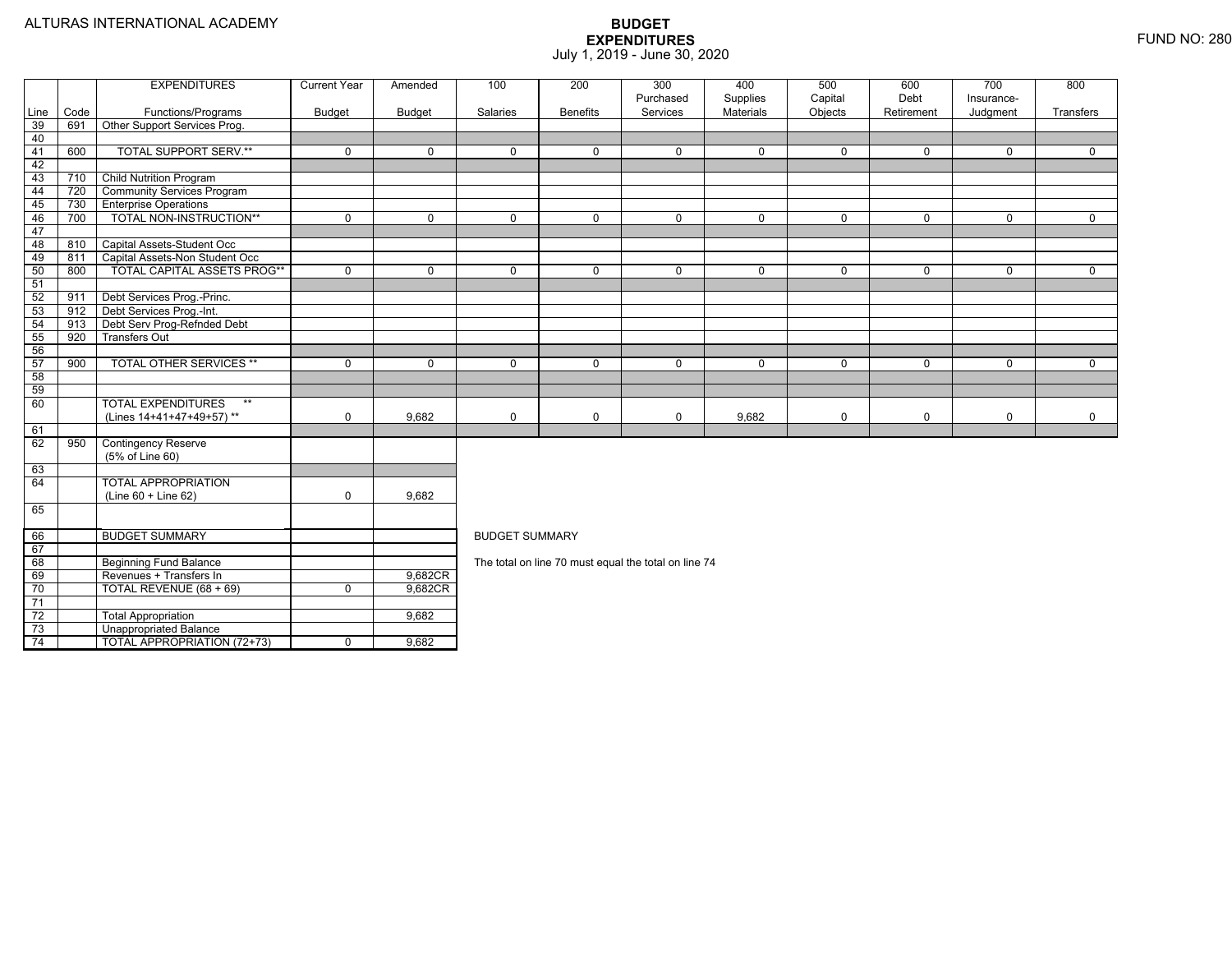73

74

Unappropriated Balance

TOTAL APPROPRIATION (72+73) 0 9,682

|      |      | <b>EXPENDITURES</b>                | <b>Current Year</b> | Amended     | 100                   | 200             | 300                                                  | 400              | 500          | 600        | 700          | 800          |
|------|------|------------------------------------|---------------------|-------------|-----------------------|-----------------|------------------------------------------------------|------------------|--------------|------------|--------------|--------------|
|      |      |                                    |                     |             |                       |                 | Purchased                                            | Supplies         | Capital      | Debt       | Insurance-   |              |
| Line | Code | Functions/Programs                 | <b>Budget</b>       | Budget      | Salaries              | <b>Benefits</b> | Services                                             | <b>Materials</b> | Objects      | Retirement | Judgment     | Transfers    |
| 39   | 691  | Other Support Services Prog.       |                     |             |                       |                 |                                                      |                  |              |            |              |              |
| 40   |      |                                    |                     |             |                       |                 |                                                      |                  |              |            |              |              |
| 41   | 600  | <b>TOTAL SUPPORT SERV.**</b>       | $\mathbf 0$         | $\mathbf 0$ | $\mathbf{0}$          | $\Omega$        | $\mathbf 0$                                          | $\mathbf 0$      | $\mathbf{0}$ | $\Omega$   | $\Omega$     | $\Omega$     |
| 42   |      |                                    |                     |             |                       |                 |                                                      |                  |              |            |              |              |
| 43   | 710  | <b>Child Nutrition Program</b>     |                     |             |                       |                 |                                                      |                  |              |            |              |              |
| 44   | 720  | <b>Community Services Program</b>  |                     |             |                       |                 |                                                      |                  |              |            |              |              |
| 45   | 730  | <b>Enterprise Operations</b>       |                     |             |                       |                 |                                                      |                  |              |            |              |              |
| 46   | 700  | TOTAL NON-INSTRUCTION**            | $\mathbf 0$         | $\mathbf 0$ | $\mathbf 0$           | $\mathbf 0$     | $\mathbf 0$                                          | $\mathbf 0$      | $\mathbf{0}$ | 0          | $\mathbf{0}$ | $\mathbf 0$  |
| 47   |      |                                    |                     |             |                       |                 |                                                      |                  |              |            |              |              |
| 48   | 810  | Capital Assets-Student Occ         |                     |             |                       |                 |                                                      |                  |              |            |              |              |
| 49   | 811  | Capital Assets-Non Student Occ     |                     |             |                       |                 |                                                      |                  |              |            |              |              |
| 50   | 800  | <b>TOTAL CAPITAL ASSETS PROG**</b> | $\mathbf 0$         | $\mathbf 0$ | $\Omega$              | $\Omega$        | $\Omega$                                             | $\mathbf 0$      | $\Omega$     | $\Omega$   | $\Omega$     | $\Omega$     |
| 51   |      |                                    |                     |             |                       |                 |                                                      |                  |              |            |              |              |
| 52   | 911  | Debt Services Prog.-Princ.         |                     |             |                       |                 |                                                      |                  |              |            |              |              |
| 53   | 912  | Debt Services Prog.-Int.           |                     |             |                       |                 |                                                      |                  |              |            |              |              |
| 54   | 913  | Debt Serv Prog-Refnded Debt        |                     |             |                       |                 |                                                      |                  |              |            |              |              |
| 55   | 920  | <b>Transfers Out</b>               |                     |             |                       |                 |                                                      |                  |              |            |              |              |
| 56   |      |                                    |                     |             |                       |                 |                                                      |                  |              |            |              |              |
| 57   | 900  | <b>TOTAL OTHER SERVICES **</b>     | $\mathbf 0$         | $\mathbf 0$ | $\mathbf 0$           | 0               | $\mathbf 0$                                          | $\mathbf 0$      | $\mathbf 0$  | $\Omega$   | $\mathbf 0$  | $\mathbf{0}$ |
| 58   |      |                                    |                     |             |                       |                 |                                                      |                  |              |            |              |              |
| 59   |      |                                    |                     |             |                       |                 |                                                      |                  |              |            |              |              |
| 60   |      | <b>TOTAL EXPENDITURES</b><br>$***$ |                     |             |                       |                 |                                                      |                  |              |            |              |              |
|      |      | (Lines 14+41+47+49+57)**           | $\mathbf 0$         | 9.682       | $\mathbf 0$           | 0               | $\mathbf 0$                                          | 9,682            | 0            | 0          | 0            | $\mathbf 0$  |
| 61   |      |                                    |                     |             |                       |                 |                                                      |                  |              |            |              |              |
| 62   | 950  | <b>Contingency Reserve</b>         |                     |             |                       |                 |                                                      |                  |              |            |              |              |
|      |      | (5% of Line 60)                    |                     |             |                       |                 |                                                      |                  |              |            |              |              |
| 63   |      |                                    |                     |             |                       |                 |                                                      |                  |              |            |              |              |
| 64   |      | <b>TOTAL APPROPRIATION</b>         |                     |             |                       |                 |                                                      |                  |              |            |              |              |
|      |      | (Line 60 + Line 62)                | $\mathbf 0$         | 9.682       |                       |                 |                                                      |                  |              |            |              |              |
| 65   |      |                                    |                     |             |                       |                 |                                                      |                  |              |            |              |              |
|      |      |                                    |                     |             |                       |                 |                                                      |                  |              |            |              |              |
| 66   |      | <b>BUDGET SUMMARY</b>              |                     |             | <b>BUDGET SUMMARY</b> |                 |                                                      |                  |              |            |              |              |
| 67   |      |                                    |                     |             |                       |                 |                                                      |                  |              |            |              |              |
| 68   |      | <b>Beginning Fund Balance</b>      |                     |             |                       |                 | The total on line 70 must equal the total on line 74 |                  |              |            |              |              |
| 69   |      | Revenues + Transfers In            |                     | 9,682CR     |                       |                 |                                                      |                  |              |            |              |              |
| 70   |      | TOTAL REVENUE (68 + 69)            | $\mathbf 0$         | 9,682CR     |                       |                 |                                                      |                  |              |            |              |              |
| 71   |      |                                    |                     |             |                       |                 |                                                      |                  |              |            |              |              |
| 72   |      | <b>Total Appropriation</b>         |                     | 9,682       |                       |                 |                                                      |                  |              |            |              |              |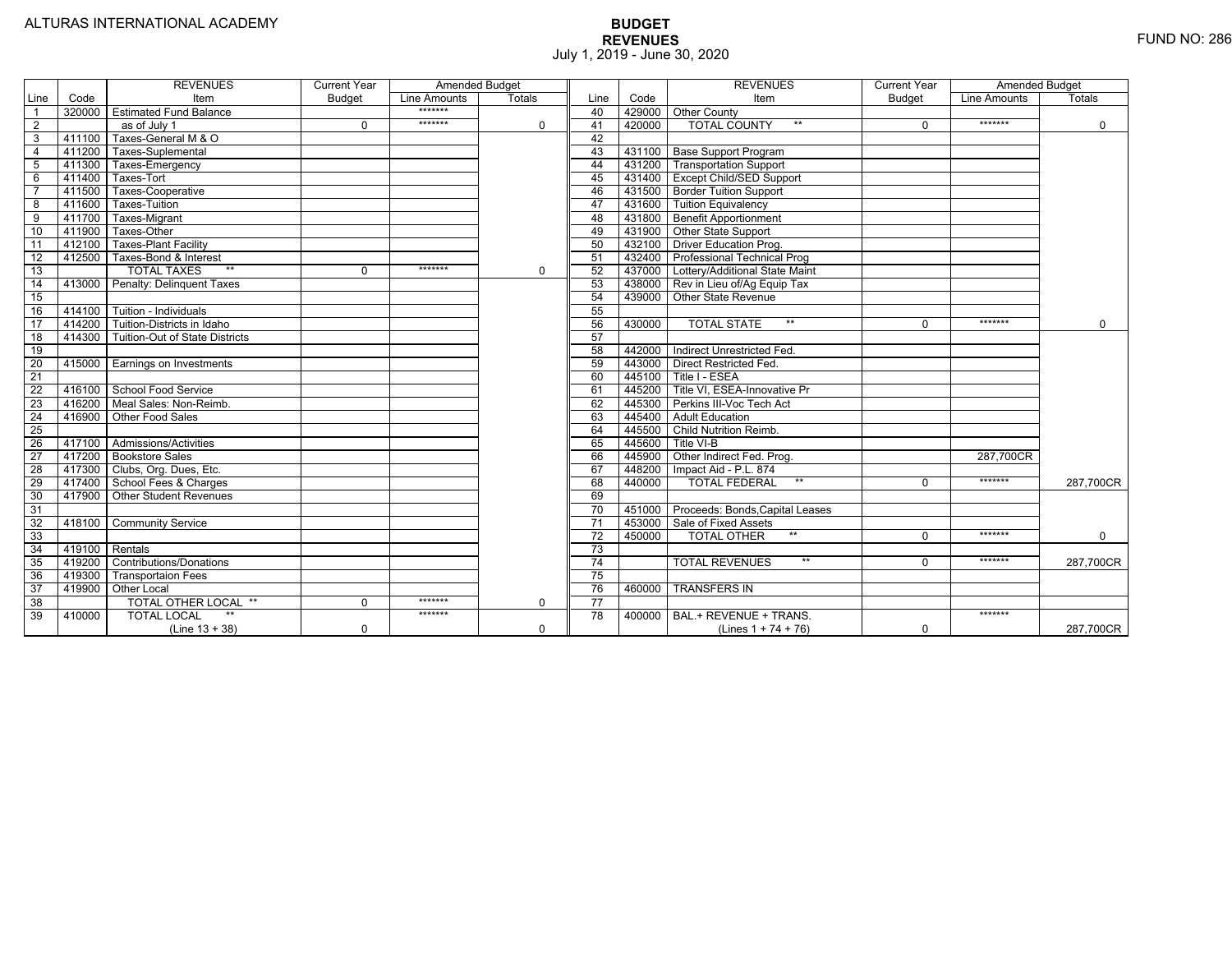|                 |                | <b>REVENUES</b>                   | <b>Current Year</b> |              | <b>Amended Budget</b> |                 |        | <b>REVENUES</b>                          | <b>Current Year</b> | <b>Amended Budget</b> |               |
|-----------------|----------------|-----------------------------------|---------------------|--------------|-----------------------|-----------------|--------|------------------------------------------|---------------------|-----------------------|---------------|
| Line            | Code           | Item                              | <b>Budget</b>       | Line Amounts | Totals                | Line            | Code   | Item                                     | <b>Budget</b>       | Line Amounts          | <b>Totals</b> |
|                 | 320000         | <b>Estimated Fund Balance</b>     |                     | *******      |                       | 40              |        | 429000 Other County                      |                     |                       |               |
| 2               |                | as of July 1                      | $\Omega$            | *******      | $\mathbf 0$           | 41              | 420000 | <b>TOTAL COUNTY</b><br>$***$             | $\Omega$            | *******               | $\mathbf 0$   |
| 3               | 411100         | Taxes-General M & O               |                     |              |                       | 42              |        |                                          |                     |                       |               |
| $\overline{4}$  | 411200         | Taxes-Suplemental                 |                     |              |                       | 43              |        | 431100   Base Support Program            |                     |                       |               |
| $\overline{5}$  | 411300         | Taxes-Emergency                   |                     |              |                       | 44              |        | 431200 Transportation Support            |                     |                       |               |
| 6               | 411400         | Taxes-Tort                        |                     |              |                       | 45              |        | 431400 Except Child/SED Support          |                     |                       |               |
|                 | 411500         | Taxes-Cooperative                 |                     |              |                       | 46              |        | 431500   Border Tuition Support          |                     |                       |               |
| 8               | 411600         | Taxes-Tuition                     |                     |              |                       | 47              |        | 431600 Tuition Equivalency               |                     |                       |               |
| 9               | 411700         | Taxes-Migrant                     |                     |              |                       | 48              |        | 431800 Benefit Apportionment             |                     |                       |               |
| 10              | 411900         | Taxes-Other                       |                     |              |                       | 49              |        | 431900 Other State Support               |                     |                       |               |
| 11              | 412100         | Taxes-Plant Facility              |                     |              |                       | 50              | 432100 | Driver Education Prog.                   |                     |                       |               |
| 12              | 412500         | Taxes-Bond & Interest             |                     |              |                       | 51              |        | 432400   Professional Technical Prog     |                     |                       |               |
| 13              |                | $**$<br><b>TOTAL TAXES</b>        | $\Omega$            | *******      | $\mathbf 0$           | 52              |        | 437000 Lottery/Additional State Maint    |                     |                       |               |
| 14              | 413000         | Penalty: Delinguent Taxes         |                     |              |                       | 53              |        | 438000 Rev in Lieu of/Ag Equip Tax       |                     |                       |               |
| 15              |                |                                   |                     |              |                       | 54              | 439000 | Other State Revenue                      |                     |                       |               |
| 16              | 414100         | Tuition - Individuals             |                     |              |                       | 55              |        |                                          |                     |                       |               |
| $\overline{17}$ |                | 414200 Tuition-Districts in Idaho |                     |              |                       | 56              | 430000 | $**$<br><b>TOTAL STATE</b>               | 0                   | *******               | $\Omega$      |
| $\overline{18}$ | 414300         | Tuition-Out of State Districts    |                     |              |                       | 57              |        |                                          |                     |                       |               |
| 19              |                |                                   |                     |              |                       | 58              |        | 442000   Indirect Unrestricted Fed.      |                     |                       |               |
| 20              |                | 415000 Earnings on Investments    |                     |              |                       | 59              |        | 443000 Direct Restricted Fed.            |                     |                       |               |
| 21              |                |                                   |                     |              |                       | 60              |        | 445100 Title I - ESEA                    |                     |                       |               |
| 22              | 416100         | School Food Service               |                     |              |                       | 61              |        | 445200 Title VI. ESEA-Innovative Pr      |                     |                       |               |
| 23              |                | 416200   Meal Sales: Non-Reimb.   |                     |              |                       | 62              |        | 445300 Perkins III-Voc Tech Act          |                     |                       |               |
| 24              | 416900         | Other Food Sales                  |                     |              |                       | 63              |        | 445400 Adult Education                   |                     |                       |               |
| 25              |                |                                   |                     |              |                       | 64              |        | 445500 Child Nutrition Reimb.            |                     |                       |               |
| 26              |                | 417100 Admissions/Activities      |                     |              |                       | 65              | 445600 | Title VI-B                               |                     |                       |               |
| $\overline{27}$ | 417200         | <b>Bookstore Sales</b>            |                     |              |                       | 66              | 445900 | Other Indirect Fed. Prog.                |                     | 287,700CR             |               |
| $\overline{28}$ | 417300         | Clubs, Org. Dues, Etc.            |                     |              |                       | 67              | 448200 | Impact Aid - P.L. 874                    |                     |                       |               |
| 29              | 417400         | School Fees & Charges             |                     |              |                       | 68              | 440000 | $**$<br><b>TOTAL FEDERAL</b>             | $\Omega$            | *******               | 287.700CR     |
| 30              | 417900         | <b>Other Student Revenues</b>     |                     |              |                       | 69              |        |                                          |                     |                       |               |
| 31              |                |                                   |                     |              |                       | $\overline{70}$ |        | 451000   Proceeds: Bonds, Capital Leases |                     |                       |               |
| $\overline{32}$ | 418100         | <b>Community Service</b>          |                     |              |                       | $\overline{71}$ | 453000 | Sale of Fixed Assets                     |                     |                       |               |
| 33              |                |                                   |                     |              |                       | 72              | 450000 | $**$<br><b>TOTAL OTHER</b>               | $\Omega$            | *******               | $\mathbf 0$   |
| 34              | 419100 Rentals |                                   |                     |              |                       | 73              |        |                                          |                     |                       |               |
| 35              | 419200         | <b>Contributions/Donations</b>    |                     |              |                       | $\overline{74}$ |        | $**$<br><b>TOTAL REVENUES</b>            | $\Omega$            | *******               | 287,700CR     |
| 36              | 419300         | <b>Transportaion Fees</b>         |                     |              |                       | 75              |        |                                          |                     |                       |               |
| 37              | 419900         | <b>Other Local</b>                |                     |              |                       | 76              | 460000 | <b>TRANSFERS IN</b>                      |                     |                       |               |
| 38              |                | TOTAL OTHER LOCAL **              | $\Omega$            | *******      | 0                     | 77              |        |                                          |                     |                       |               |
| 39              | 410000         | <b>TOTAL LOCAL</b>                |                     | *******      |                       | $\overline{78}$ | 400000 | BAL.+ REVENUE + TRANS.                   |                     | *******               |               |
|                 |                | $(Line 13 + 38)$                  | $\Omega$            |              | $\Omega$              |                 |        | (Lines $1 + 74 + 76$ )                   | $\mathbf 0$         |                       | 287.700CR     |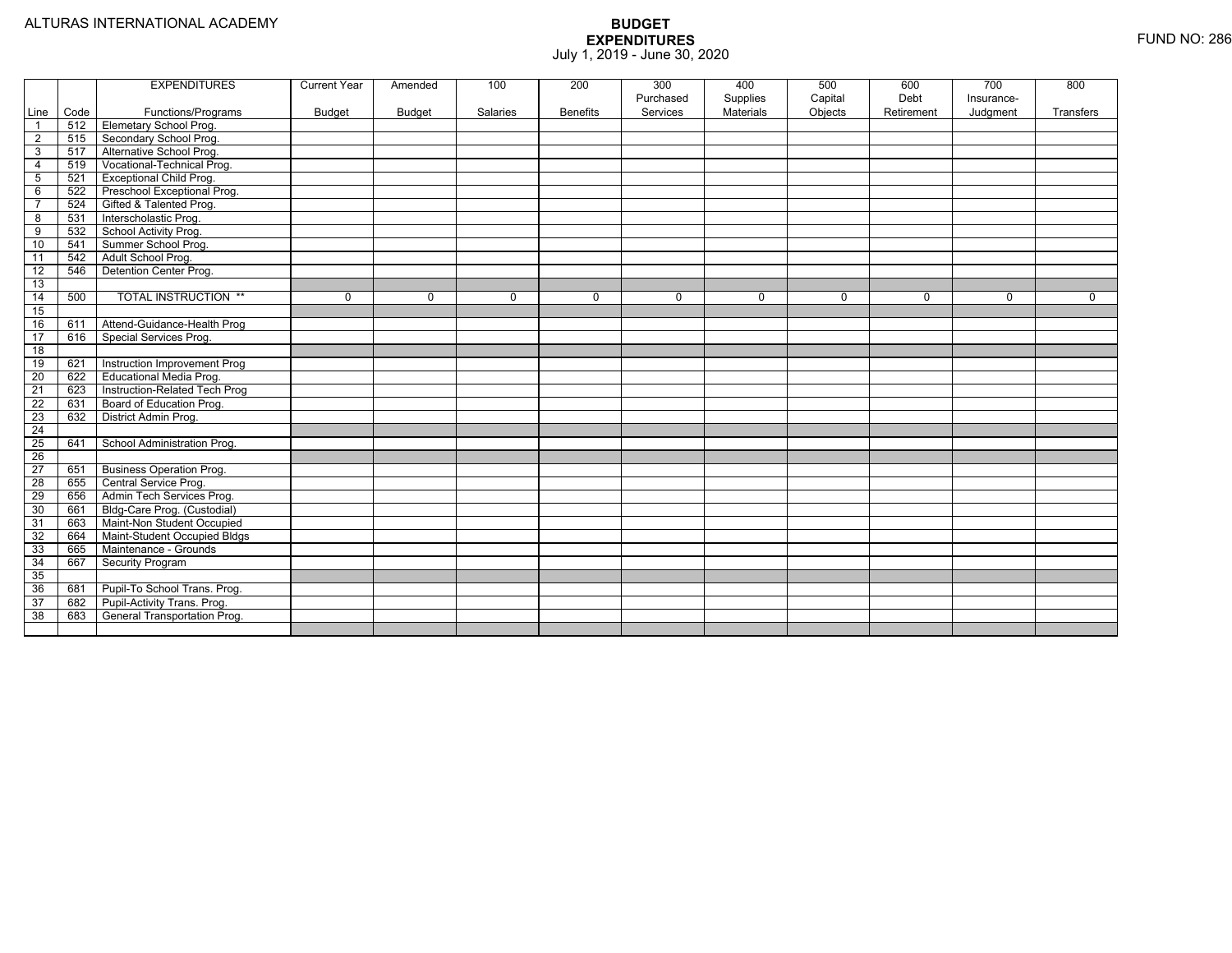|                 |      | <b>EXPENDITURES</b>             | <b>Current Year</b> | Amended       | 100      | 200             | 300<br>Purchased | 400<br>Supplies | 500<br>Capital | 600<br>Debt | 700<br>Insurance- | 800       |
|-----------------|------|---------------------------------|---------------------|---------------|----------|-----------------|------------------|-----------------|----------------|-------------|-------------------|-----------|
| Line            | Code | Functions/Programs              | <b>Budget</b>       | <b>Budget</b> | Salaries | <b>Benefits</b> | Services         | Materials       | Objects        | Retirement  | Judgment          | Transfers |
| $\overline{1}$  | 512  | Elemetary School Prog.          |                     |               |          |                 |                  |                 |                |             |                   |           |
| $\overline{2}$  | 515  | Secondary School Prog.          |                     |               |          |                 |                  |                 |                |             |                   |           |
| $\overline{3}$  | 517  | Alternative School Prog.        |                     |               |          |                 |                  |                 |                |             |                   |           |
| $\overline{4}$  | 519  | Vocational-Technical Prog.      |                     |               |          |                 |                  |                 |                |             |                   |           |
| 5               | 521  | <b>Exceptional Child Prog.</b>  |                     |               |          |                 |                  |                 |                |             |                   |           |
| 6               | 522  | Preschool Exceptional Prog.     |                     |               |          |                 |                  |                 |                |             |                   |           |
| $\overline{7}$  | 524  | Gifted & Talented Prog.         |                     |               |          |                 |                  |                 |                |             |                   |           |
| 8               | 531  | Interscholastic Prog.           |                     |               |          |                 |                  |                 |                |             |                   |           |
| 9               | 532  | School Activity Prog.           |                     |               |          |                 |                  |                 |                |             |                   |           |
| 10              | 541  | Summer School Prog.             |                     |               |          |                 |                  |                 |                |             |                   |           |
| 11              | 542  | Adult School Prog.              |                     |               |          |                 |                  |                 |                |             |                   |           |
| $\overline{12}$ | 546  | Detention Center Prog.          |                     |               |          |                 |                  |                 |                |             |                   |           |
| 13              |      |                                 |                     |               |          |                 |                  |                 |                |             |                   |           |
| 14              | 500  | <b>TOTAL INSTRUCTION **</b>     | 0                   | $\mathbf 0$   | 0        | $\mathbf{0}$    | $\mathbf 0$      | $\mathbf 0$     | 0              | 0           | 0                 | 0         |
| 15              |      |                                 |                     |               |          |                 |                  |                 |                |             |                   |           |
| 16              | 611  | Attend-Guidance-Health Prog     |                     |               |          |                 |                  |                 |                |             |                   |           |
| 17              | 616  | Special Services Prog.          |                     |               |          |                 |                  |                 |                |             |                   |           |
| $\overline{18}$ |      |                                 |                     |               |          |                 |                  |                 |                |             |                   |           |
| 19              | 621  | Instruction Improvement Prog    |                     |               |          |                 |                  |                 |                |             |                   |           |
| 20              | 622  | Educational Media Prog.         |                     |               |          |                 |                  |                 |                |             |                   |           |
| 21              | 623  | Instruction-Related Tech Prog   |                     |               |          |                 |                  |                 |                |             |                   |           |
| 22              | 631  | Board of Education Prog.        |                     |               |          |                 |                  |                 |                |             |                   |           |
| 23              | 632  | District Admin Prog.            |                     |               |          |                 |                  |                 |                |             |                   |           |
| $\overline{24}$ |      |                                 |                     |               |          |                 |                  |                 |                |             |                   |           |
| 25              | 641  | School Administration Prog.     |                     |               |          |                 |                  |                 |                |             |                   |           |
| 26              |      |                                 |                     |               |          |                 |                  |                 |                |             |                   |           |
| 27              | 651  | <b>Business Operation Prog.</b> |                     |               |          |                 |                  |                 |                |             |                   |           |
| $\overline{28}$ | 655  | Central Service Prog.           |                     |               |          |                 |                  |                 |                |             |                   |           |
| 29              | 656  | Admin Tech Services Prog.       |                     |               |          |                 |                  |                 |                |             |                   |           |
| 30              | 661  | Bldg-Care Prog. (Custodial)     |                     |               |          |                 |                  |                 |                |             |                   |           |
| 31              | 663  | Maint-Non Student Occupied      |                     |               |          |                 |                  |                 |                |             |                   |           |
| 32              | 664  | Maint-Student Occupied Bldgs    |                     |               |          |                 |                  |                 |                |             |                   |           |
| 33              | 665  | Maintenance - Grounds           |                     |               |          |                 |                  |                 |                |             |                   |           |
| 34              | 667  | Security Program                |                     |               |          |                 |                  |                 |                |             |                   |           |
| 35              |      |                                 |                     |               |          |                 |                  |                 |                |             |                   |           |
| 36              | 681  | Pupil-To School Trans. Prog.    |                     |               |          |                 |                  |                 |                |             |                   |           |
| 37              | 682  | Pupil-Activity Trans. Prog.     |                     |               |          |                 |                  |                 |                |             |                   |           |
| 38              | 683  | General Transportation Prog.    |                     |               |          |                 |                  |                 |                |             |                   |           |
|                 |      |                                 |                     |               |          |                 |                  |                 |                |             |                   |           |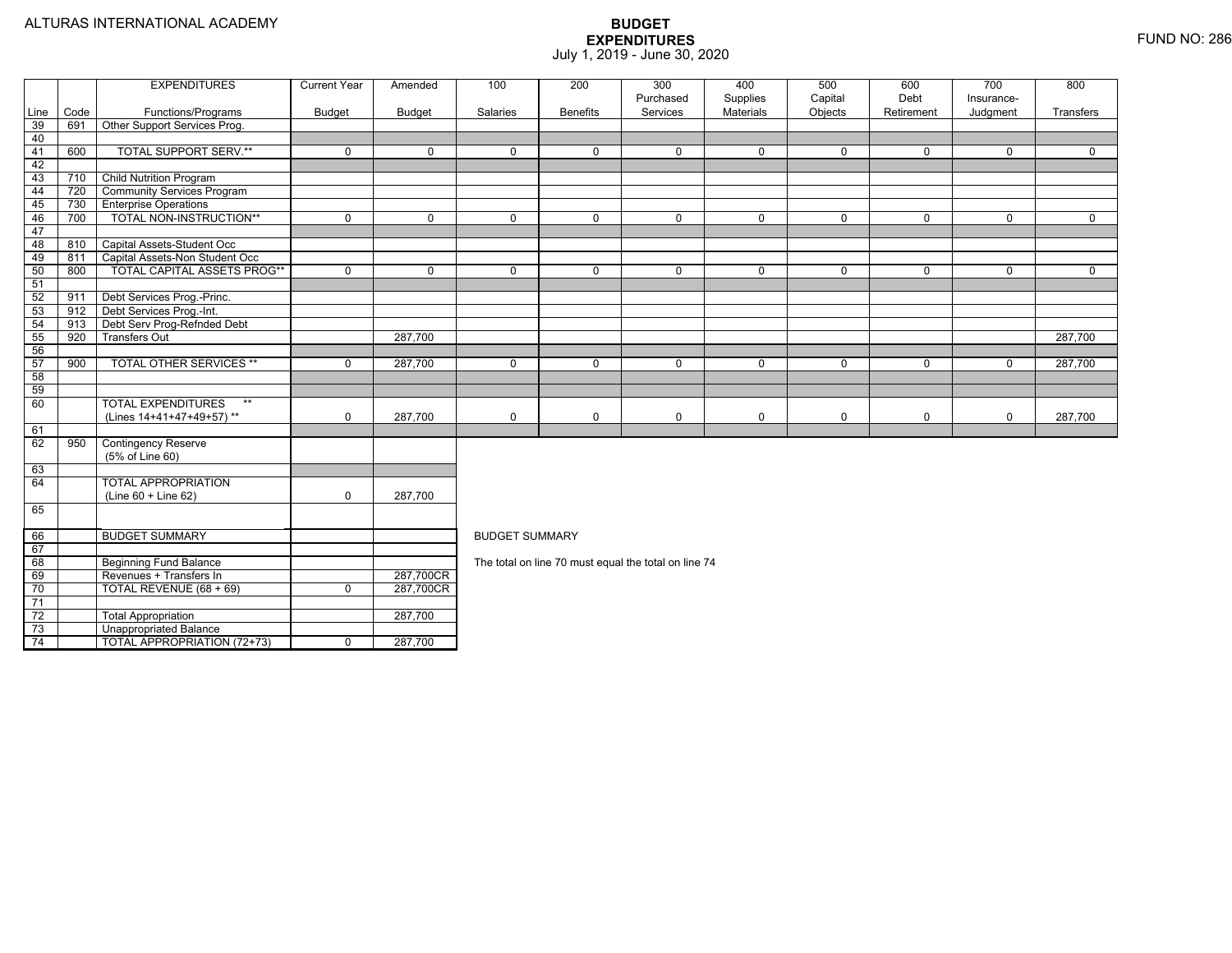Total Appropriation 287,700

TOTAL APPROPRIATION (72+73) 0 287,700

73

74

Unappropriated Balance

|                 |      | <b>EXPENDITURES</b>                | <b>Current Year</b> | Amended        | 100                   | 200                                                  | 300                   | 400                   | 500                | 600                | 700                    | 800         |
|-----------------|------|------------------------------------|---------------------|----------------|-----------------------|------------------------------------------------------|-----------------------|-----------------------|--------------------|--------------------|------------------------|-------------|
| Line            | Code | Functions/Programs                 | <b>Budget</b>       | Budget         | Salaries              | <b>Benefits</b>                                      | Purchased<br>Services | Supplies<br>Materials | Capital<br>Objects | Debt<br>Retirement | Insurance-<br>Judgment | Transfers   |
| 39              | 691  | Other Support Services Prog.       |                     |                |                       |                                                      |                       |                       |                    |                    |                        |             |
| 40              |      |                                    |                     |                |                       |                                                      |                       |                       |                    |                    |                        |             |
| 41              | 600  | <b>TOTAL SUPPORT SERV.**</b>       | $\mathbf 0$         | $\mathbf 0$    | $\mathbf 0$           | $\mathbf{0}$                                         | $\mathbf 0$           | $\mathbf 0$           | $\mathbf 0$        | $\mathbf{0}$       | $\Omega$               | $\Omega$    |
| 42              |      |                                    |                     |                |                       |                                                      |                       |                       |                    |                    |                        |             |
| 43              | 710  | <b>Child Nutrition Program</b>     |                     |                |                       |                                                      |                       |                       |                    |                    |                        |             |
| 44              | 720  | <b>Community Services Program</b>  |                     |                |                       |                                                      |                       |                       |                    |                    |                        |             |
| 45              | 730  | <b>Enterprise Operations</b>       |                     |                |                       |                                                      |                       |                       |                    |                    |                        |             |
| 46              | 700  | TOTAL NON-INSTRUCTION**            | $\overline{0}$      | $\overline{0}$ | $\overline{0}$        | $\overline{0}$                                       | $\overline{0}$        | $\overline{0}$        | $\overline{0}$     | $\mathbf 0$        | $\mathbf{0}$           | $\Omega$    |
| 47              |      |                                    |                     |                |                       |                                                      |                       |                       |                    |                    |                        |             |
| 48              | 810  | Capital Assets-Student Occ         |                     |                |                       |                                                      |                       |                       |                    |                    |                        |             |
| 49              | 811  | Capital Assets-Non Student Occ     |                     |                |                       |                                                      |                       |                       |                    |                    |                        |             |
| 50              | 800  | TOTAL CAPITAL ASSETS PROG**        | $\mathbf 0$         | $\mathbf 0$    | $\mathbf 0$           | 0                                                    | $\mathbf 0$           | $\mathsf{O}$          | $\mathbf 0$        | $\mathbf 0$        | $\mathbf{0}$           | $\mathbf 0$ |
| 51              |      |                                    |                     |                |                       |                                                      |                       |                       |                    |                    |                        |             |
| 52              | 911  | Debt Services Prog.-Princ.         |                     |                |                       |                                                      |                       |                       |                    |                    |                        |             |
| 53              | 912  | Debt Services Prog.-Int.           |                     |                |                       |                                                      |                       |                       |                    |                    |                        |             |
| 54              | 913  | Debt Serv Prog-Refnded Debt        |                     |                |                       |                                                      |                       |                       |                    |                    |                        |             |
| 55              | 920  | <b>Transfers Out</b>               |                     | 287,700        |                       |                                                      |                       |                       |                    |                    |                        | 287,700     |
| 56              |      |                                    |                     |                |                       |                                                      |                       |                       |                    |                    |                        |             |
| 57              | 900  | <b>TOTAL OTHER SERVICES **</b>     | 0                   | 287,700        | $\mathbf 0$           | 0                                                    | $\mathbf 0$           | $\mathbf 0$           | $\mathbf 0$        | 0                  | 0                      | 287,700     |
| 58              |      |                                    |                     |                |                       |                                                      |                       |                       |                    |                    |                        |             |
| 59              |      |                                    |                     |                |                       |                                                      |                       |                       |                    |                    |                        |             |
| 60              |      | <b>TOTAL EXPENDITURES</b><br>$***$ |                     |                |                       |                                                      |                       |                       |                    |                    |                        |             |
|                 |      | (Lines 14+41+47+49+57)**           | $\mathbf 0$         | 287,700        | 0                     | 0                                                    | $\pmb{0}$             | $\mathbf 0$           | $\mathbf 0$        | 0                  | $\mathbf 0$            | 287,700     |
| 61              |      |                                    |                     |                |                       |                                                      |                       |                       |                    |                    |                        |             |
| 62              | 950  | <b>Contingency Reserve</b>         |                     |                |                       |                                                      |                       |                       |                    |                    |                        |             |
|                 |      | (5% of Line 60)                    |                     |                |                       |                                                      |                       |                       |                    |                    |                        |             |
| 63              |      |                                    |                     |                |                       |                                                      |                       |                       |                    |                    |                        |             |
| 64              |      | <b>TOTAL APPROPRIATION</b>         |                     |                |                       |                                                      |                       |                       |                    |                    |                        |             |
|                 |      | (Line 60 + Line 62)                | $\mathbf 0$         | 287,700        |                       |                                                      |                       |                       |                    |                    |                        |             |
| 65              |      |                                    |                     |                |                       |                                                      |                       |                       |                    |                    |                        |             |
| 66              |      | <b>BUDGET SUMMARY</b>              |                     |                | <b>BUDGET SUMMARY</b> |                                                      |                       |                       |                    |                    |                        |             |
| 67              |      |                                    |                     |                |                       |                                                      |                       |                       |                    |                    |                        |             |
| 68              |      | <b>Beginning Fund Balance</b>      |                     |                |                       | The total on line 70 must equal the total on line 74 |                       |                       |                    |                    |                        |             |
| 69              |      | Revenues + Transfers In            |                     | 287,700CR      |                       |                                                      |                       |                       |                    |                    |                        |             |
| 70              |      | TOTAL REVENUE (68 + 69)            | $\overline{0}$      | 287,700CR      |                       |                                                      |                       |                       |                    |                    |                        |             |
| $\overline{71}$ |      |                                    |                     |                |                       |                                                      |                       |                       |                    |                    |                        |             |
| 72              |      | <b>Total Appropriation</b>         |                     | 287.700        |                       |                                                      |                       |                       |                    |                    |                        |             |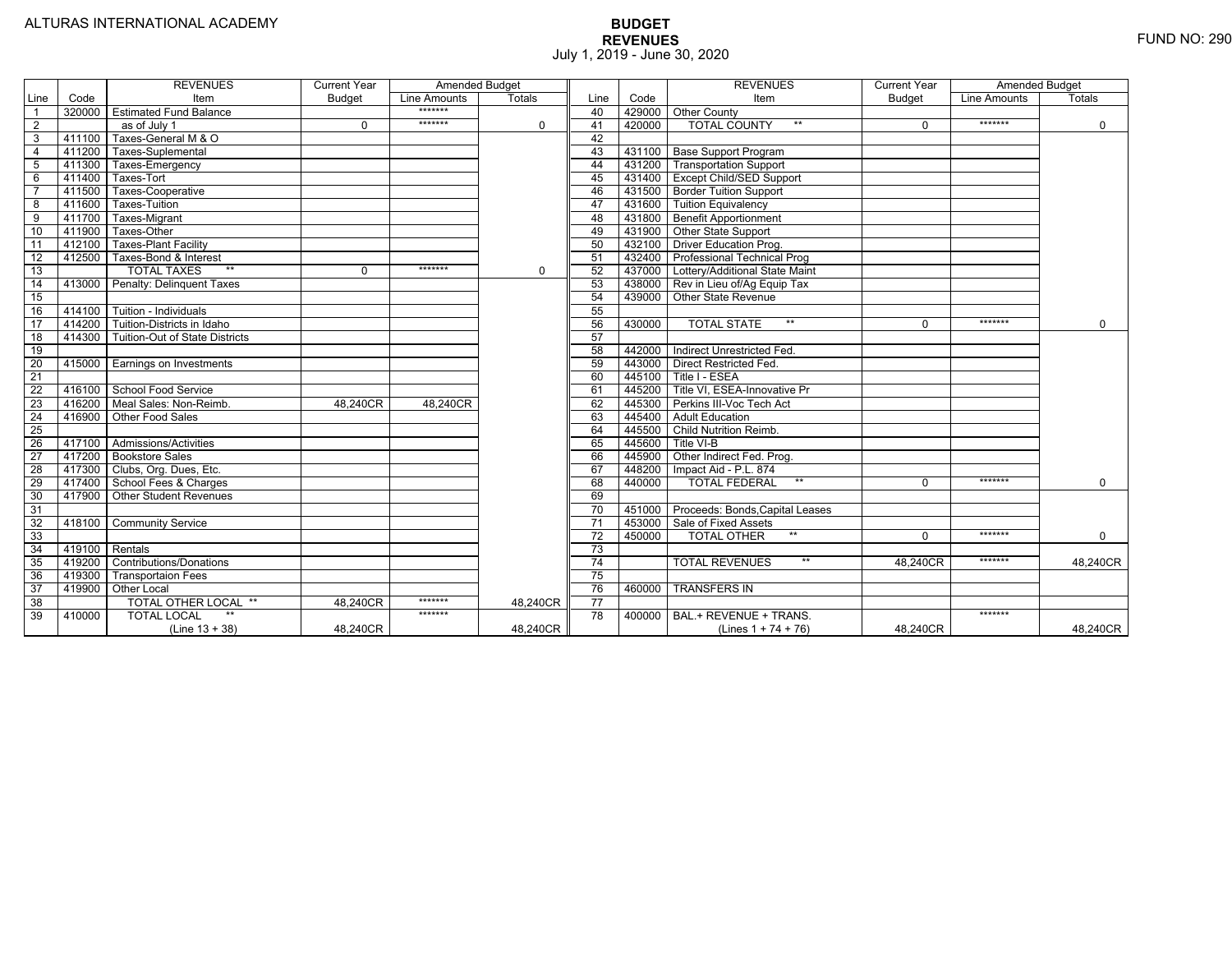|                 |        | <b>REVENUES</b>                | <b>Current Year</b> | <b>Amended Budget</b> |               |                 |        | <b>REVENUES</b>                        | Current Year  | <b>Amended Budget</b> |             |
|-----------------|--------|--------------------------------|---------------------|-----------------------|---------------|-----------------|--------|----------------------------------------|---------------|-----------------------|-------------|
| Line            | Code   | Item                           | Budget              | Line Amounts          | <b>Totals</b> | Line            | Code   | Item                                   | <b>Budget</b> | Line Amounts          | Totals      |
| $\overline{1}$  | 320000 | <b>Estimated Fund Balance</b>  |                     | *******               |               | 40              |        | 429000 Other County                    |               |                       |             |
| $\overline{2}$  |        | as of July 1                   | $\Omega$            | *******               | $\Omega$      | 41              | 420000 | <b>TOTAL COUNTY</b><br>$**$            | $\Omega$      | *******               | $\mathbf 0$ |
| 3               | 411100 | Taxes-General M & O            |                     |                       |               | 42              |        |                                        |               |                       |             |
| $\overline{4}$  | 411200 | Taxes-Suplemental              |                     |                       |               | 43              |        | 431100 Base Support Program            |               |                       |             |
| 5               | 411300 | Taxes-Emergency                |                     |                       |               | 44              |        | 431200 Transportation Support          |               |                       |             |
| 6               | 411400 | Taxes-Tort                     |                     |                       |               | 45              |        | 431400 Except Child/SED Support        |               |                       |             |
| $\overline{7}$  | 411500 | Taxes-Cooperative              |                     |                       |               | 46              |        | 431500 Border Tuition Support          |               |                       |             |
| 8               | 411600 | <b>Taxes-Tuition</b>           |                     |                       |               | 47              |        | 431600 Tuition Equivalency             |               |                       |             |
| 9               | 411700 | Taxes-Migrant                  |                     |                       |               | 48              |        | 431800 Benefit Apportionment           |               |                       |             |
| 10              | 411900 | Taxes-Other                    |                     |                       |               | 49              |        | 431900 Other State Support             |               |                       |             |
| 11              | 412100 | <b>Taxes-Plant Facility</b>    |                     |                       |               | 50              |        | 432100 Driver Education Prog.          |               |                       |             |
| 12              | 412500 | Taxes-Bond & Interest          |                     |                       |               | 51              |        | 432400   Professional Technical Prog   |               |                       |             |
| 13              |        | $**$<br><b>TOTAL TAXES</b>     | 0                   | *******               | $\Omega$      | 52              |        | 437000 Lottery/Additional State Maint  |               |                       |             |
| 14              | 413000 | Penalty: Delinquent Taxes      |                     |                       |               | 53              |        | 438000 Rev in Lieu of/Ag Equip Tax     |               |                       |             |
| 15              |        |                                |                     |                       |               | 54              |        | 439000 Other State Revenue             |               |                       |             |
| 16              |        | 414100 Tuition - Individuals   |                     |                       |               | 55              |        |                                        |               |                       |             |
| 17              | 414200 | Tuition-Districts in Idaho     |                     |                       |               | 56              | 430000 | $***$<br><b>TOTAL STATE</b>            | $\Omega$      | *******               | $\Omega$    |
| 18              | 414300 | Tuition-Out of State Districts |                     |                       |               | 57              |        |                                        |               |                       |             |
| 19              |        |                                |                     |                       |               | 58              | 442000 | Indirect Unrestricted Fed.             |               |                       |             |
| $\overline{20}$ | 415000 | Earnings on Investments        |                     |                       |               | 59              |        | 443000 Direct Restricted Fed.          |               |                       |             |
| 21              |        |                                |                     |                       |               | 60              | 445100 | Title I - ESEA                         |               |                       |             |
| 22              | 416100 | School Food Service            |                     |                       |               | 61              | 445200 | Title VI. ESEA-Innovative Pr           |               |                       |             |
| 23              | 416200 | Meal Sales: Non-Reimb.         | 48.240CR            | 48.240CR              |               | 62              | 445300 | Perkins III-Voc Tech Act               |               |                       |             |
| $\overline{24}$ | 416900 | Other Food Sales               |                     |                       |               | 63              | 445400 | <b>Adult Education</b>                 |               |                       |             |
| 25              |        |                                |                     |                       |               | 64              |        | 445500 Child Nutrition Reimb.          |               |                       |             |
| $\overline{26}$ |        | 417100 Admissions/Activities   |                     |                       |               | 65              | 445600 | Title VI-B                             |               |                       |             |
| 27              |        | 417200 Bookstore Sales         |                     |                       |               | 66              |        | 445900 Other Indirect Fed. Prog.       |               |                       |             |
| 28              |        | 417300 Clubs, Org. Dues, Etc.  |                     |                       |               | 67              | 448200 | Impact Aid - P.L. 874                  |               |                       |             |
| 29              |        | 417400 School Fees & Charges   |                     |                       |               | 68              | 440000 | $**$<br><b>TOTAL FEDERAL</b>           | $\Omega$      | *******               | $\mathbf 0$ |
| 30              | 417900 | <b>Other Student Revenues</b>  |                     |                       |               | 69              |        |                                        |               |                       |             |
| 31              |        |                                |                     |                       |               | $\overline{70}$ |        | 451000 Proceeds: Bonds, Capital Leases |               |                       |             |
| 32              | 418100 | <b>Community Service</b>       |                     |                       |               | $\overline{71}$ | 453000 | Sale of Fixed Assets                   |               |                       |             |
| 33              |        |                                |                     |                       |               | 72              | 450000 | <b>TOTAL OTHER</b><br>$***$            | $\Omega$      | *******               | $\mathbf 0$ |
| 34              | 419100 | Rentals                        |                     |                       |               | 73              |        |                                        |               |                       |             |
| 35              | 419200 | <b>Contributions/Donations</b> |                     |                       |               | 74              |        | <b>TOTAL REVENUES</b>                  | 48.240CR      | *******               | 48,240CR    |
| 36              | 419300 | <b>Transportaion Fees</b>      |                     |                       |               | 75              |        |                                        |               |                       |             |
| 37              | 419900 | Other Local                    |                     |                       |               | 76              | 460000 | <b>TRANSFERS IN</b>                    |               |                       |             |
| $\overline{38}$ |        | TOTAL OTHER LOCAL **           | 48.240CR            | *******               | 48.240CR      | 77              |        |                                        |               |                       |             |
| 39              | 410000 | <b>TOTAL LOCAL</b>             |                     | *******               |               | 78              | 400000 | BAL.+ REVENUE + TRANS.                 |               | *******               |             |
|                 |        | $(Line 13 + 38)$               | 48,240CR            |                       | 48,240CR      |                 |        | (Lines $1 + 74 + 76$ )                 | 48,240CR      |                       | 48,240CR    |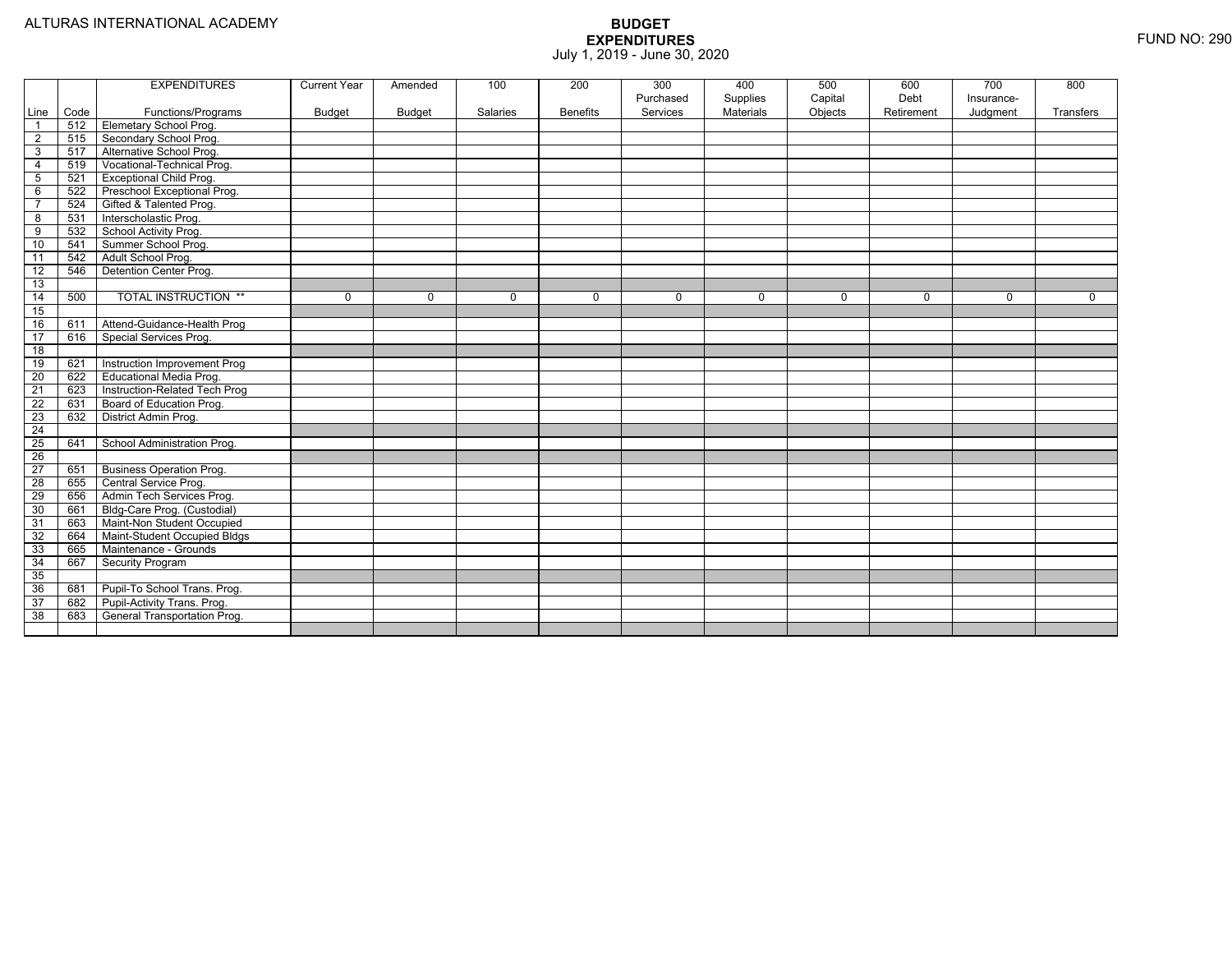|                 |      | <b>EXPENDITURES</b>             | <b>Current Year</b> | Amended  | 100      | 200             | 300<br>Purchased | 400<br>Supplies | 500<br>Capital | 600<br>Debt | $\overline{700}$<br>Insurance- | 800       |
|-----------------|------|---------------------------------|---------------------|----------|----------|-----------------|------------------|-----------------|----------------|-------------|--------------------------------|-----------|
| Line            | Code | Functions/Programs              | <b>Budget</b>       | Budget   | Salaries | <b>Benefits</b> | Services         | Materials       | Objects        | Retirement  | Judgment                       | Transfers |
| $\overline{1}$  | 512  | <b>Elemetary School Prog.</b>   |                     |          |          |                 |                  |                 |                |             |                                |           |
| $\overline{2}$  | 515  | Secondary School Prog.          |                     |          |          |                 |                  |                 |                |             |                                |           |
| 3               | 517  | Alternative School Prog.        |                     |          |          |                 |                  |                 |                |             |                                |           |
| $\overline{4}$  | 519  | Vocational-Technical Prog.      |                     |          |          |                 |                  |                 |                |             |                                |           |
| $\sqrt{5}$      | 521  | <b>Exceptional Child Prog.</b>  |                     |          |          |                 |                  |                 |                |             |                                |           |
| 6               | 522  | Preschool Exceptional Prog.     |                     |          |          |                 |                  |                 |                |             |                                |           |
| $\overline{7}$  | 524  | Gifted & Talented Prog.         |                     |          |          |                 |                  |                 |                |             |                                |           |
| 8               | 531  | Interscholastic Prog.           |                     |          |          |                 |                  |                 |                |             |                                |           |
| 9               | 532  | School Activity Prog.           |                     |          |          |                 |                  |                 |                |             |                                |           |
| 10              | 541  | Summer School Prog.             |                     |          |          |                 |                  |                 |                |             |                                |           |
| 11              | 542  | Adult School Prog.              |                     |          |          |                 |                  |                 |                |             |                                |           |
| $\overline{12}$ | 546  | Detention Center Prog.          |                     |          |          |                 |                  |                 |                |             |                                |           |
| 13              |      |                                 |                     |          |          |                 |                  |                 |                |             |                                |           |
| $\overline{14}$ | 500  | <b>TOTAL INSTRUCTION **</b>     | 0                   | $\Omega$ | 0        | $\Omega$        | $\Omega$         | $\mathbf 0$     | $\mathbf 0$    | 0           | $\mathbf 0$                    | $\Omega$  |
| 15              |      |                                 |                     |          |          |                 |                  |                 |                |             |                                |           |
| 16              | 611  | Attend-Guidance-Health Prog     |                     |          |          |                 |                  |                 |                |             |                                |           |
| $\overline{17}$ | 616  | Special Services Prog.          |                     |          |          |                 |                  |                 |                |             |                                |           |
| $\overline{18}$ |      |                                 |                     |          |          |                 |                  |                 |                |             |                                |           |
| 19              | 621  | Instruction Improvement Prog    |                     |          |          |                 |                  |                 |                |             |                                |           |
| 20              | 622  | Educational Media Prog.         |                     |          |          |                 |                  |                 |                |             |                                |           |
| 21              | 623  | Instruction-Related Tech Prog   |                     |          |          |                 |                  |                 |                |             |                                |           |
| $\overline{22}$ | 631  | Board of Education Prog.        |                     |          |          |                 |                  |                 |                |             |                                |           |
| 23              | 632  | District Admin Prog.            |                     |          |          |                 |                  |                 |                |             |                                |           |
| $\overline{24}$ |      |                                 |                     |          |          |                 |                  |                 |                |             |                                |           |
| $\overline{25}$ | 641  | School Administration Prog.     |                     |          |          |                 |                  |                 |                |             |                                |           |
| $\overline{26}$ |      |                                 |                     |          |          |                 |                  |                 |                |             |                                |           |
| $\overline{27}$ | 651  | <b>Business Operation Prog.</b> |                     |          |          |                 |                  |                 |                |             |                                |           |
| $\overline{28}$ | 655  | Central Service Prog.           |                     |          |          |                 |                  |                 |                |             |                                |           |
| 29              | 656  | Admin Tech Services Prog.       |                     |          |          |                 |                  |                 |                |             |                                |           |
| 30              | 661  | Bldg-Care Prog. (Custodial)     |                     |          |          |                 |                  |                 |                |             |                                |           |
| 31              | 663  | Maint-Non Student Occupied      |                     |          |          |                 |                  |                 |                |             |                                |           |
| 32              | 664  | Maint-Student Occupied Bldgs    |                     |          |          |                 |                  |                 |                |             |                                |           |
| 33              | 665  | Maintenance - Grounds           |                     |          |          |                 |                  |                 |                |             |                                |           |
| 34              | 667  | <b>Security Program</b>         |                     |          |          |                 |                  |                 |                |             |                                |           |
| 35              |      |                                 |                     |          |          |                 |                  |                 |                |             |                                |           |
| 36              | 681  | Pupil-To School Trans. Prog.    |                     |          |          |                 |                  |                 |                |             |                                |           |
| 37              | 682  | Pupil-Activity Trans. Prog.     |                     |          |          |                 |                  |                 |                |             |                                |           |
| 38              | 683  | General Transportation Prog.    |                     |          |          |                 |                  |                 |                |             |                                |           |
|                 |      |                                 |                     |          |          |                 |                  |                 |                |             |                                |           |